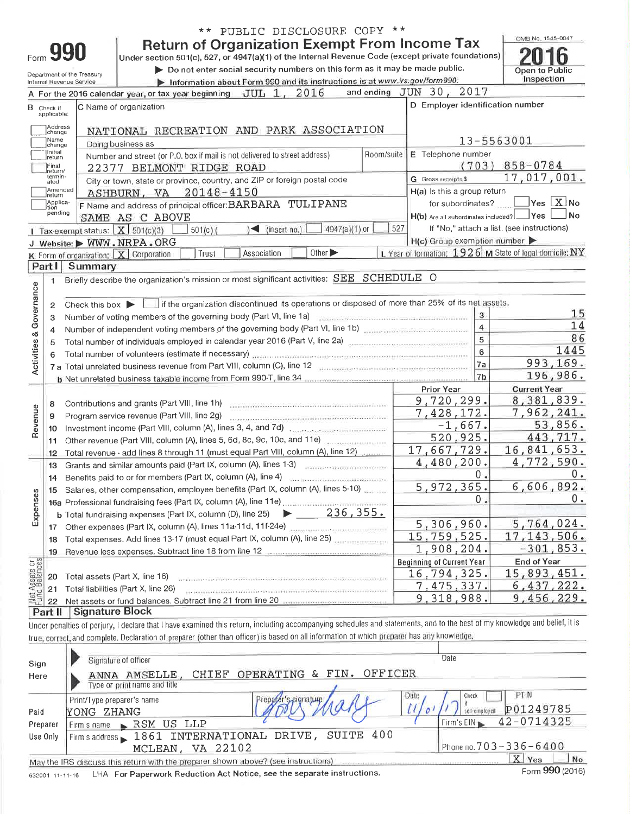|                                |                                                                                                                                      |                                                                                                                   | ** PUBLIC DISCLOSURE COPY **                                                                                                                                                                                                   |     |                                                  |                         |                                                                        |  |  |  |  |
|--------------------------------|--------------------------------------------------------------------------------------------------------------------------------------|-------------------------------------------------------------------------------------------------------------------|--------------------------------------------------------------------------------------------------------------------------------------------------------------------------------------------------------------------------------|-----|--------------------------------------------------|-------------------------|------------------------------------------------------------------------|--|--|--|--|
|                                |                                                                                                                                      |                                                                                                                   | <b>Return of Organization Exempt From Income Tax</b>                                                                                                                                                                           |     |                                                  |                         | OMB No. 1545-0047                                                      |  |  |  |  |
| Form <b>990</b>                | Under section 501(c), 527, or 4947(a)(1) of the Internal Revenue Code (except private foundations)                                   |                                                                                                                   |                                                                                                                                                                                                                                |     |                                                  |                         |                                                                        |  |  |  |  |
|                                |                                                                                                                                      |                                                                                                                   | Do not enter social security numbers on this form as it may be made public.                                                                                                                                                    |     |                                                  |                         | Open to Public<br>Inspection                                           |  |  |  |  |
|                                | Department of the Treasury<br>Information about Form 990 and its instructions is at www.irs.gov/form990.<br>Internal Revenue Service |                                                                                                                   |                                                                                                                                                                                                                                |     |                                                  |                         |                                                                        |  |  |  |  |
|                                |                                                                                                                                      |                                                                                                                   | and ending<br>A For the 2016 calendar year, or tax year beginning JUL 1, 2016                                                                                                                                                  |     | 2017<br>JUN 30.                                  |                         |                                                                        |  |  |  |  |
|                                | <b>B</b> Check if<br>applicable:                                                                                                     |                                                                                                                   | C Name of organization                                                                                                                                                                                                         |     | D Employer identification number                 |                         |                                                                        |  |  |  |  |
|                                | Address<br>change                                                                                                                    |                                                                                                                   | NATIONAL RECREATION AND PARK ASSOCIATION                                                                                                                                                                                       |     |                                                  |                         |                                                                        |  |  |  |  |
|                                | Name<br>change<br>Initial                                                                                                            |                                                                                                                   | Doing business as                                                                                                                                                                                                              |     |                                                  |                         | 13-5563001                                                             |  |  |  |  |
|                                | return                                                                                                                               |                                                                                                                   | Room/suite<br>Number and street (or P.O. box if mail is not delivered to street address)                                                                                                                                       |     | E Telephone number                               | (703)                   | $858 - 0784$                                                           |  |  |  |  |
|                                | Final<br>return/<br>lermin-                                                                                                          |                                                                                                                   | 22377 BELMONT RIDGE ROAD                                                                                                                                                                                                       |     |                                                  |                         | 17,017,001.                                                            |  |  |  |  |
|                                | ated<br>Amended                                                                                                                      |                                                                                                                   | City or town, state or province, country, and ZIP or foreign postal code                                                                                                                                                       |     | G Gross receipts \$                              |                         |                                                                        |  |  |  |  |
|                                | Irelurn<br>Applica-                                                                                                                  |                                                                                                                   | ASHBURN, VA 20148-4150                                                                                                                                                                                                         |     | H(a) Is this a group return<br>for subordinates? |                         | $\sqrt{}$ Yes $\boxed{\text{X}}$ No                                    |  |  |  |  |
|                                | tion<br>pending                                                                                                                      |                                                                                                                   | F Name and address of principal officer: BARBARA TULIPANE                                                                                                                                                                      |     | $H(b)$ Are all subordinates included? $\Box$ Yes |                         | ⊿No                                                                    |  |  |  |  |
|                                |                                                                                                                                      | 1 Tax-exempt status: $X \ 501(c)(3)$                                                                              | SAME AS C ABOVE<br>4947(a)(1) or<br>$\sqrt{ }$ (insert no.)<br>$501(c)$ (                                                                                                                                                      | 527 |                                                  |                         | If "No," attach a list. (see instructions)                             |  |  |  |  |
|                                |                                                                                                                                      |                                                                                                                   | J Website: WWW.NRPA.ORG                                                                                                                                                                                                        |     | $H(c)$ Group exemption number                    |                         |                                                                        |  |  |  |  |
|                                |                                                                                                                                      |                                                                                                                   | Association<br>Other $\blacktriangleright$<br>Trust<br>K Form of organization: X Corporation                                                                                                                                   |     |                                                  |                         | L Year of formation: $1926$ M State of legal domicile: $\overline{NY}$ |  |  |  |  |
|                                | Part I                                                                                                                               | Summary                                                                                                           |                                                                                                                                                                                                                                |     |                                                  |                         |                                                                        |  |  |  |  |
|                                | 1.                                                                                                                                   |                                                                                                                   | Briefly describe the organization's mission or most significant activities: SEE SCHEDULE O                                                                                                                                     |     |                                                  |                         |                                                                        |  |  |  |  |
|                                |                                                                                                                                      |                                                                                                                   |                                                                                                                                                                                                                                |     |                                                  |                         |                                                                        |  |  |  |  |
| Governance                     | 2                                                                                                                                    | Check this box in if the organization discontinued its operations or disposed of more than 25% of its net assets. |                                                                                                                                                                                                                                |     |                                                  |                         |                                                                        |  |  |  |  |
|                                | 3                                                                                                                                    | 3<br>Number of voting members of the governing body (Part VI, line 1a)                                            |                                                                                                                                                                                                                                |     |                                                  |                         |                                                                        |  |  |  |  |
|                                | 4                                                                                                                                    |                                                                                                                   | Number of independent voting members of the governing body (Part VI, line 1b) manufactured contains a second to                                                                                                                |     |                                                  | $\overline{\mathbf{4}}$ | 14                                                                     |  |  |  |  |
|                                | 5                                                                                                                                    | Total number of individuals employed in calendar year 2016 (Part V, line 2a) [100] Total number of individuals    |                                                                                                                                                                                                                                |     |                                                  |                         | 86                                                                     |  |  |  |  |
|                                |                                                                                                                                      |                                                                                                                   | Total number of volunteers (estimate if necessary) contained and all the contained and all the contained and the contained and the contained and the contained and the contained and the contained and the contained and the c |     |                                                  | 6                       | 1445                                                                   |  |  |  |  |
| Activities &                   |                                                                                                                                      |                                                                                                                   | 7 a Total unrelated business revenue from Part VIII, column (C), line 12                                                                                                                                                       |     |                                                  | 7a                      | 993,169.                                                               |  |  |  |  |
|                                |                                                                                                                                      |                                                                                                                   |                                                                                                                                                                                                                                |     |                                                  | 7 <sub>b</sub>          | 196,986.                                                               |  |  |  |  |
|                                |                                                                                                                                      |                                                                                                                   |                                                                                                                                                                                                                                |     | Prior Year                                       |                         | <b>Current Year</b>                                                    |  |  |  |  |
|                                | 8                                                                                                                                    |                                                                                                                   | Contributions and grants (Part VIII, line 1h)                                                                                                                                                                                  |     | 9,720,299.                                       |                         | 8,381,839.                                                             |  |  |  |  |
| Revenue                        | 9                                                                                                                                    |                                                                                                                   | Program service revenue (Part VIII, line 2g)                                                                                                                                                                                   |     | 7,428,172.<br>$-1,667.$                          |                         | 7,962,241.<br>53,856.                                                  |  |  |  |  |
|                                | 10                                                                                                                                   |                                                                                                                   |                                                                                                                                                                                                                                |     |                                                  |                         |                                                                        |  |  |  |  |
|                                | 11                                                                                                                                   |                                                                                                                   | Other revenue (Part VIII, column (A), lines 5, 6d, 8c, 9c, 10c, and 11e)                                                                                                                                                       |     | 520,925.                                         |                         | 443,717.                                                               |  |  |  |  |
|                                | 12                                                                                                                                   |                                                                                                                   | Total revenue - add lines 8 through 11 (must equal Part VIII, column (A), line 12)                                                                                                                                             |     | 17,667,729.<br>4,480,200.                        |                         | 16,841,653.<br>4,772,590.                                              |  |  |  |  |
|                                | 13                                                                                                                                   |                                                                                                                   | Grants and similar amounts paid (Part IX, column (A), lines 1-3)                                                                                                                                                               |     |                                                  | Ο.                      | 0.                                                                     |  |  |  |  |
|                                | 14                                                                                                                                   |                                                                                                                   | Benefits paid to or for members (Part IX, column (A), line 4)<br>COLLECTIVE CONTINUES IN THE CONTINUES.                                                                                                                        |     | 5,972,365.                                       |                         | 6,606,892.                                                             |  |  |  |  |
| Expenses                       | 15                                                                                                                                   |                                                                                                                   | Salaries, other compensation, employee benefits (Part IX, column (A), lines 5-10)                                                                                                                                              |     |                                                  | $\overline{0}$          | 0.                                                                     |  |  |  |  |
|                                |                                                                                                                                      |                                                                                                                   | $\blacktriangleright$ 236,355.                                                                                                                                                                                                 |     |                                                  |                         |                                                                        |  |  |  |  |
|                                |                                                                                                                                      |                                                                                                                   | b Total fundraising expenses (Part IX, column (D), line 25)<br>Other expenses (Part IX, column (A), lines 11a-11d, 11f-24e)                                                                                                    |     | 5,306,960.                                       |                         | 5,764,024.                                                             |  |  |  |  |
|                                | 17                                                                                                                                   |                                                                                                                   | Total expenses. Add lines 13-17 (must equal Part IX, column (A), line 25)                                                                                                                                                      |     | 15,759,525.                                      |                         | 17, 143, 506.                                                          |  |  |  |  |
|                                | 18                                                                                                                                   |                                                                                                                   | Revenue less expenses. Subtract line 18 from line 12                                                                                                                                                                           |     | 1,908,204.                                       |                         | $-301, 853.$                                                           |  |  |  |  |
|                                | 19                                                                                                                                   |                                                                                                                   |                                                                                                                                                                                                                                |     | <b>Beginning of Current Year</b>                 |                         | <b>End of Year</b>                                                     |  |  |  |  |
|                                | 20                                                                                                                                   |                                                                                                                   | Total assets (Part X, line 16)                                                                                                                                                                                                 |     | 16,794,325.                                      |                         | 15,893,451.                                                            |  |  |  |  |
|                                | 21                                                                                                                                   |                                                                                                                   | Total liabilities (Part X, line 26)<br>NAMA PRASAMA MODULAL TANGGALITIRAN TERSETI DARI TERSETI DARI TERSETI DARI TARIK                                                                                                         |     | 7,475,337.                                       |                         | 6,437,222.                                                             |  |  |  |  |
| Net Assets or<br>Fund Balances | 22                                                                                                                                   |                                                                                                                   | Net assets or fund balances. Subtract line 21 from line 20 manuscript contractor                                                                                                                                               |     | 9,318,988.                                       |                         | 456,229.<br>9,                                                         |  |  |  |  |
|                                | Part II                                                                                                                              | <b>Signature Block</b>                                                                                            |                                                                                                                                                                                                                                |     |                                                  |                         |                                                                        |  |  |  |  |
|                                |                                                                                                                                      |                                                                                                                   | that l boys examined this return, including accompanying schedules and statements, and to the hest of my knowledge and belief, it is                                                                                           |     |                                                  |                         |                                                                        |  |  |  |  |

Under penalties of perjury, I declare that I have examined this return, including accompanying schedules and statements, and to the best of my knowledge and belief, it true, correct, and complete. Declaration of preparer (other than officer) is based on all information of which preparer has any knowledge.

| Sign<br>Here     | Signature of officer<br>OFFICER<br>OPERATING & FIN.<br>CHIEF<br>ANNA AMSELLE<br>Type or print name and title                                                                                                                     | Date                                                                    |  |  |  |  |  |  |
|------------------|----------------------------------------------------------------------------------------------------------------------------------------------------------------------------------------------------------------------------------|-------------------------------------------------------------------------|--|--|--|--|--|--|
| Paid<br>Preparer | Date<br>Print/Type preparer's name<br>s signature<br>YONG ZHANG<br>RSM US LLP<br>Firm's name                                                                                                                                     | PTIN<br>Check<br>P01249785<br>42-0714325<br>$Firm$ 's $EIN \rightarrow$ |  |  |  |  |  |  |
| Use Only         | SUITE 400<br>Firm's address 1861 INTERNATIONAL DRIVE,<br>MCLEAN, VA 22102                                                                                                                                                        | Phone no. 703 - 336 - 6400                                              |  |  |  |  |  |  |
|                  | X <sub>1</sub><br>No<br>Yes<br>May the IRS discuss this return with the preparer shown above? (see instructions)<br>Form 990 (2016)<br>LHA For Paperwork Reduction Act Notice, see the separate instructions.<br>632001 11-11-16 |                                                                         |  |  |  |  |  |  |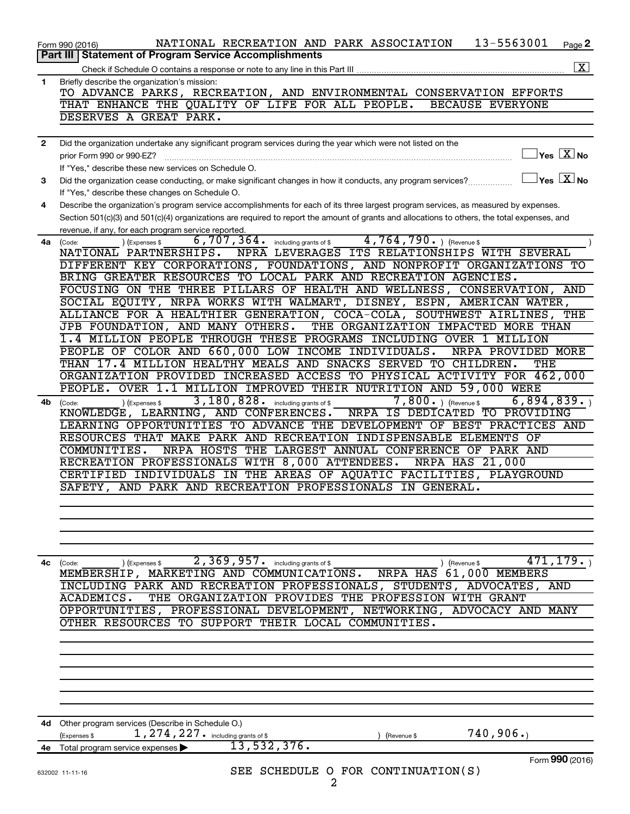|                | 13-5563001<br>NATIONAL RECREATION AND PARK ASSOCIATION<br>Page 2<br>Form 990 (2016)                                                                             |
|----------------|-----------------------------------------------------------------------------------------------------------------------------------------------------------------|
|                | Part III   Statement of Program Service Accomplishments                                                                                                         |
|                | $\overline{\mathbf{x}}$<br>Check if Schedule O contains a response or note to any line in this Part III                                                         |
| $\mathbf{1}$   | Briefly describe the organization's mission:<br>TO ADVANCE PARKS, RECREATION, AND ENVIRONMENTAL CONSERVATION EFFORTS                                            |
|                | THAT ENHANCE THE QUALITY OF LIFE FOR ALL PEOPLE.<br><b>BECAUSE EVERYONE</b>                                                                                     |
|                | DESERVES A GREAT PARK.                                                                                                                                          |
|                |                                                                                                                                                                 |
| $\overline{2}$ | Did the organization undertake any significant program services during the year which were not listed on the                                                    |
|                | $\sqrt{\mathsf{Yes}\ \mathbb{X}}$ No<br>prior Form 990 or 990-EZ?                                                                                               |
|                | If "Yes," describe these new services on Schedule O.<br>$\exists$ Yes $\boxed{\text{X}}$ No                                                                     |
| 3              | Did the organization cease conducting, or make significant changes in how it conducts, any program services?<br>If "Yes," describe these changes on Schedule O. |
| 4              | Describe the organization's program service accomplishments for each of its three largest program services, as measured by expenses.                            |
|                | Section 501(c)(3) and 501(c)(4) organizations are required to report the amount of grants and allocations to others, the total expenses, and                    |
|                | revenue, if any, for each program service reported.                                                                                                             |
| 4a             | $\overline{4,764,790}$ (Revenue \$<br>$6,707,364$ .<br>including grants of \$<br>(Expenses \$<br>(Code:                                                         |
|                | NPRA LEVERAGES ITS RELATIONSHIPS WITH SEVERAL<br>NATIONAL PARTNERSHIPS.                                                                                         |
|                | DIFFERENT KEY CORPORATIONS, FOUNDATIONS, AND NONPROFIT ORGANIZATIONS TO<br>BRING GREATER RESOURCES TO LOCAL PARK AND RECREATION AGENCIES.                       |
|                | FOCUSING ON THE THREE PILLARS OF HEALTH AND WELLNESS, CONSERVATION,<br>AND                                                                                      |
|                | SOCIAL EQUITY, NRPA WORKS WITH WALMART, DISNEY, ESPN, AMERICAN WATER,                                                                                           |
|                | ALLIANCE FOR A HEALTHIER GENERATION, COCA-COLA, SOUTHWEST AIRLINES,<br>THE                                                                                      |
|                | JPB FOUNDATION, AND MANY OTHERS.<br>THE ORGANIZATION IMPACTED MORE THAN                                                                                         |
|                | 1.4 MILLION PEOPLE THROUGH THESE PROGRAMS INCLUDING OVER 1 MILLION                                                                                              |
|                | PEOPLE OF COLOR AND 660,000 LOW INCOME INDIVIDUALS.<br>NRPA PROVIDED MORE                                                                                       |
|                | THAN 17.4 MILLION HEALTHY MEALS AND SNACKS SERVED TO CHILDREN.<br>THE                                                                                           |
|                | ORGANIZATION PROVIDED INCREASED ACCESS TO PHYSICAL ACTIVITY FOR 462,000<br>OVER 1.1 MILLION IMPROVED THEIR NUTRITION AND 59,000 WERE<br>PEOPLE.                 |
| 4b             | 3, 180, 828. including grants of \$<br>$7,800.$ (Revenue \$<br>6,894,839.<br>) (Expenses \$                                                                     |
|                | (Code:<br>KNOWLEDGE, LEARNING, AND CONFERENCES.<br>NRPA IS DEDICATED TO PROVIDING                                                                               |
|                | LEARNING OPPORTUNITIES TO ADVANCE THE DEVELOPMENT OF BEST PRACTICES AND                                                                                         |
|                | RESOURCES THAT MAKE PARK AND RECREATION INDISPENSABLE ELEMENTS OF                                                                                               |
|                | NRPA HOSTS THE LARGEST ANNUAL CONFERENCE OF PARK AND<br>COMMUNITIES.                                                                                            |
|                | RECREATION PROFESSIONALS WITH 8,000 ATTENDEES.<br><b>NRPA HAS 21,000</b>                                                                                        |
|                | CERTIFIED INDIVIDUALS IN THE AREAS OF AQUATIC FACILITIES, PLAYGROUND<br>SAFETY, AND PARK AND RECREATION PROFESSIONALS IN GENERAL.                               |
|                |                                                                                                                                                                 |
|                |                                                                                                                                                                 |
|                |                                                                                                                                                                 |
|                |                                                                                                                                                                 |
|                |                                                                                                                                                                 |
| 4с             | $\overline{2,369}$ , 957. including grants of \$<br>(Code:<br>) (Revenue \$<br>(Expenses \$                                                                     |
|                | NRPA HAS 61,000 MEMBERS<br>MEMBERSHIP, MARKETING AND COMMUNICATIONS.<br>INCLUDING PARK AND RECREATION PROFESSIONALS, STUDENTS, ADVOCATES, AND                   |
|                | THE ORGANIZATION PROVIDES THE PROFESSION WITH GRANT<br>ACADEMICS.                                                                                               |
|                | OPPORTUNITIES, PROFESSIONAL DEVELOPMENT, NETWORKING, ADVOCACY AND MANY                                                                                          |
|                | OTHER RESOURCES TO SUPPORT THEIR LOCAL COMMUNITIES.                                                                                                             |
|                |                                                                                                                                                                 |
|                |                                                                                                                                                                 |
|                |                                                                                                                                                                 |
|                |                                                                                                                                                                 |
|                |                                                                                                                                                                 |
|                |                                                                                                                                                                 |
|                | 4d Other program services (Describe in Schedule O.)                                                                                                             |
|                | 740, 906.<br>1, 274, 227. including grants of \$<br>(Expenses \$<br>(Revenue \$                                                                                 |
|                | 13,532,376.<br>4e Total program service expenses                                                                                                                |
|                | Form 990 (2016)                                                                                                                                                 |
|                | SEE SCHEDULE O FOR CONTINUATION(S)<br>632002 11-11-16<br>2                                                                                                      |
|                |                                                                                                                                                                 |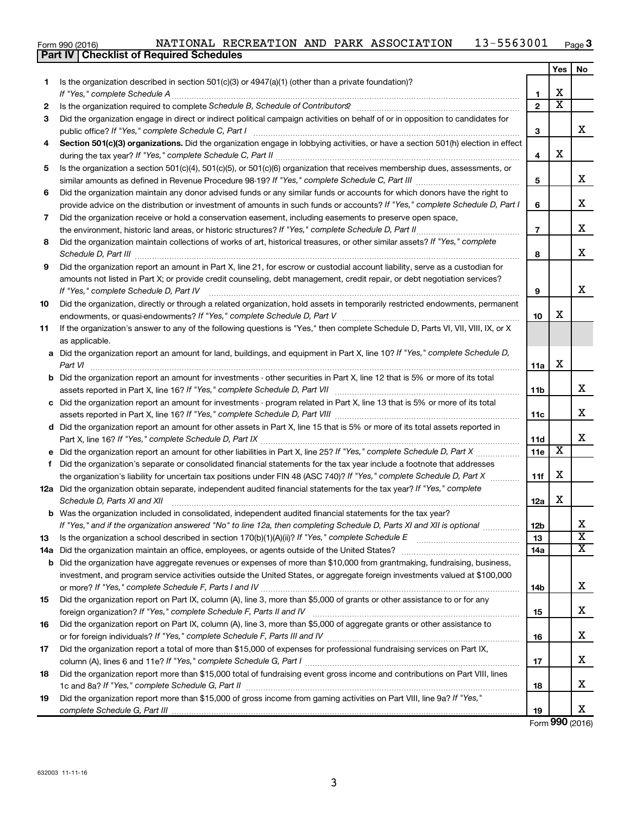|  | Form 990 (2016) |  |
|--|-----------------|--|

#### Form 990 (2016) NATIONAL RECREATION AND PARK ASSOCIATION  $\,$  13-5563001  $\,$  Page **3**

|     | <b>Part IV   Checklist of Required Schedules</b>                                                                                                                                                                                    |                |                         |                         |
|-----|-------------------------------------------------------------------------------------------------------------------------------------------------------------------------------------------------------------------------------------|----------------|-------------------------|-------------------------|
|     |                                                                                                                                                                                                                                     |                | Yes                     | No.                     |
| 1   | Is the organization described in section $501(c)(3)$ or $4947(a)(1)$ (other than a private foundation)?                                                                                                                             |                |                         |                         |
|     |                                                                                                                                                                                                                                     | 1              | х                       |                         |
| 2   |                                                                                                                                                                                                                                     | $\mathbf{2}$   | $\overline{\texttt{x}}$ |                         |
| 3   | Did the organization engage in direct or indirect political campaign activities on behalf of or in opposition to candidates for                                                                                                     |                |                         |                         |
|     |                                                                                                                                                                                                                                     | 3              |                         | x                       |
| 4   | Section 501(c)(3) organizations. Did the organization engage in lobbying activities, or have a section 501(h) election in effect                                                                                                    |                |                         |                         |
|     |                                                                                                                                                                                                                                     | 4              | х                       |                         |
| 5   | Is the organization a section 501(c)(4), 501(c)(5), or 501(c)(6) organization that receives membership dues, assessments, or                                                                                                        |                |                         |                         |
|     |                                                                                                                                                                                                                                     | 5              |                         | x                       |
| 6   | Did the organization maintain any donor advised funds or any similar funds or accounts for which donors have the right to                                                                                                           |                |                         |                         |
|     | provide advice on the distribution or investment of amounts in such funds or accounts? If "Yes," complete Schedule D, Part I                                                                                                        | 6              |                         | x                       |
| 7   | Did the organization receive or hold a conservation easement, including easements to preserve open space,                                                                                                                           |                |                         |                         |
|     |                                                                                                                                                                                                                                     | $\overline{7}$ |                         | x                       |
| 8   | Did the organization maintain collections of works of art, historical treasures, or other similar assets? If "Yes," complete                                                                                                        |                |                         |                         |
|     |                                                                                                                                                                                                                                     | 8              |                         | x                       |
|     | Schedule D, Part III <b>Marting Construction Construction</b> Construction Construction Construction Construction Construction Construction Construction Construction Construction Construction Construction Construction Construct |                |                         |                         |
| 9   | Did the organization report an amount in Part X, line 21, for escrow or custodial account liability, serve as a custodian for                                                                                                       |                |                         |                         |
|     | amounts not listed in Part X; or provide credit counseling, debt management, credit repair, or debt negotiation services?                                                                                                           |                |                         | х                       |
|     |                                                                                                                                                                                                                                     | 9              |                         |                         |
| 10  | Did the organization, directly or through a related organization, hold assets in temporarily restricted endowments, permanent                                                                                                       |                | х                       |                         |
|     |                                                                                                                                                                                                                                     | 10             |                         |                         |
| 11  | If the organization's answer to any of the following questions is "Yes," then complete Schedule D, Parts VI, VII, VIII, IX, or X                                                                                                    |                |                         |                         |
|     | as applicable.                                                                                                                                                                                                                      |                |                         |                         |
|     | a Did the organization report an amount for land, buildings, and equipment in Part X, line 10? If "Yes," complete Schedule D,                                                                                                       |                |                         |                         |
|     | Part VI                                                                                                                                                                                                                             | 11a            | х                       |                         |
|     | <b>b</b> Did the organization report an amount for investments - other securities in Part X, line 12 that is 5% or more of its total                                                                                                |                |                         |                         |
|     |                                                                                                                                                                                                                                     | 11b            |                         | x                       |
|     | c Did the organization report an amount for investments - program related in Part X, line 13 that is 5% or more of its total                                                                                                        |                |                         |                         |
|     |                                                                                                                                                                                                                                     | 11c            |                         | x                       |
|     | d Did the organization report an amount for other assets in Part X, line 15 that is 5% or more of its total assets reported in                                                                                                      |                |                         |                         |
|     |                                                                                                                                                                                                                                     | 11d            |                         | x                       |
|     |                                                                                                                                                                                                                                     | 11e            | $\overline{\mathbf{X}}$ |                         |
| f   | Did the organization's separate or consolidated financial statements for the tax year include a footnote that addresses                                                                                                             |                |                         |                         |
|     | the organization's liability for uncertain tax positions under FIN 48 (ASC 740)? If "Yes," complete Schedule D, Part X                                                                                                              | 11f            | х                       |                         |
|     | 12a Did the organization obtain separate, independent audited financial statements for the tax year? If "Yes," complete                                                                                                             |                |                         |                         |
|     | Schedule D, Parts XI and XII                                                                                                                                                                                                        | 12a            | x                       |                         |
|     | <b>b</b> Was the organization included in consolidated, independent audited financial statements for the tax year?                                                                                                                  |                |                         |                         |
|     | If "Yes," and if the organization answered "No" to line 12a, then completing Schedule D, Parts XI and XII is optional                                                                                                               | 12b            |                         | x                       |
| 13  |                                                                                                                                                                                                                                     | 13             |                         | $\overline{\texttt{x}}$ |
| 14a |                                                                                                                                                                                                                                     | 14a            |                         | X                       |
| b   | Did the organization have aggregate revenues or expenses of more than \$10,000 from grantmaking, fundraising, business,                                                                                                             |                |                         |                         |
|     | investment, and program service activities outside the United States, or aggregate foreign investments valued at \$100,000                                                                                                          |                |                         |                         |
|     |                                                                                                                                                                                                                                     | 14b            |                         | x                       |
| 15  | Did the organization report on Part IX, column (A), line 3, more than \$5,000 of grants or other assistance to or for any                                                                                                           |                |                         |                         |
|     |                                                                                                                                                                                                                                     | 15             |                         | x.                      |
| 16  | Did the organization report on Part IX, column (A), line 3, more than \$5,000 of aggregate grants or other assistance to                                                                                                            |                |                         |                         |
|     |                                                                                                                                                                                                                                     | 16             |                         | х                       |
| 17  | Did the organization report a total of more than \$15,000 of expenses for professional fundraising services on Part IX,                                                                                                             |                |                         |                         |
|     |                                                                                                                                                                                                                                     | 17             |                         | х                       |
| 18  | Did the organization report more than \$15,000 total of fundraising event gross income and contributions on Part VIII, lines                                                                                                        |                |                         |                         |
|     |                                                                                                                                                                                                                                     | 18             |                         | x                       |
| 19  | Did the organization report more than \$15,000 of gross income from gaming activities on Part VIII, line 9a? If "Yes,"                                                                                                              |                |                         |                         |
|     |                                                                                                                                                                                                                                     | 19             |                         | x                       |

Form (2016) **990**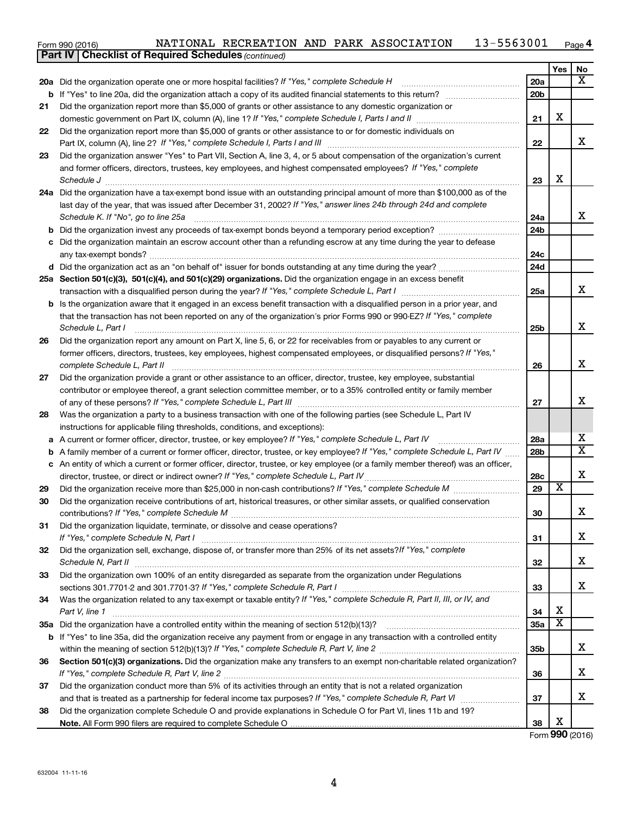| Form 990 (2016) |  |  |  |  | NATIONAL RECREATION AND PARK ASSOCIATION | 13-5563001 | $P$ age $4$ |
|-----------------|--|--|--|--|------------------------------------------|------------|-------------|
|-----------------|--|--|--|--|------------------------------------------|------------|-------------|

| Yes<br>No<br>x<br>20a Did the organization operate one or more hospital facilities? If "Yes," complete Schedule H<br><b>20a</b><br>20 <sub>b</sub><br>If "Yes" to line 20a, did the organization attach a copy of its audited financial statements to this return?<br>b<br>Did the organization report more than \$5,000 of grants or other assistance to any domestic organization or<br>21<br>X<br>21<br>Did the organization report more than \$5,000 of grants or other assistance to or for domestic individuals on<br>22<br>x<br>22<br>Did the organization answer "Yes" to Part VII, Section A, line 3, 4, or 5 about compensation of the organization's current<br>23<br>and former officers, directors, trustees, key employees, and highest compensated employees? If "Yes," complete<br>X<br>23<br>Schedule J <b>Martin Communication Communication</b> Contract of the Contract of Technical Communication Communication<br>24a Did the organization have a tax-exempt bond issue with an outstanding principal amount of more than \$100,000 as of the<br>last day of the year, that was issued after December 31, 2002? If "Yes," answer lines 24b through 24d and complete<br>x<br>Schedule K. If "No", go to line 25a<br>24a<br>24 <sub>b</sub><br>b<br>Did the organization maintain an escrow account other than a refunding escrow at any time during the year to defease<br>c<br>24c<br>24d<br>25a Section 501(c)(3), 501(c)(4), and 501(c)(29) organizations. Did the organization engage in an excess benefit<br>x<br>25a<br><b>b</b> Is the organization aware that it engaged in an excess benefit transaction with a disqualified person in a prior year, and<br>that the transaction has not been reported on any of the organization's prior Forms 990 or 990-EZ? If "Yes," complete<br>х<br>Schedule L, Part I<br>25b<br>Did the organization report any amount on Part X, line 5, 6, or 22 for receivables from or payables to any current or<br>26<br>former officers, directors, trustees, key employees, highest compensated employees, or disqualified persons? If "Yes,"<br>х<br>complete Schedule L, Part II<br>26<br>Did the organization provide a grant or other assistance to an officer, director, trustee, key employee, substantial<br>27<br>contributor or employee thereof, a grant selection committee member, or to a 35% controlled entity or family member<br>X<br>27<br>Was the organization a party to a business transaction with one of the following parties (see Schedule L, Part IV<br>28<br>instructions for applicable filing thresholds, conditions, and exceptions):<br>х<br>A current or former officer, director, trustee, or key employee? If "Yes," complete Schedule L, Part IV<br>28a<br>а<br>$\overline{\mathbf{X}}$<br>28 <sub>b</sub><br>A family member of a current or former officer, director, trustee, or key employee? If "Yes," complete Schedule L, Part IV<br>b<br>c An entity of which a current or former officer, director, trustee, or key employee (or a family member thereof) was an officer,<br>X<br>director, trustee, or direct or indirect owner? If "Yes," complete Schedule L, Part IV<br>28c<br>$\overline{\textbf{x}}$<br>29<br>29<br>Did the organization receive contributions of art, historical treasures, or other similar assets, or qualified conservation<br>30<br>30<br>▵<br>Did the organization liquidate, terminate, or dissolve and cease operations?<br>31<br>x<br>31<br>Did the organization sell, exchange, dispose of, or transfer more than 25% of its net assets? If "Yes," complete<br>32<br>х<br>32<br>Did the organization own 100% of an entity disregarded as separate from the organization under Regulations<br>33<br>x<br>33<br>Was the organization related to any tax-exempt or taxable entity? If "Yes," complete Schedule R, Part II, III, or IV, and<br>34<br>х<br>34<br>Part V, line 1<br>X<br>35a<br>35а<br>If "Yes" to line 35a, did the organization receive any payment from or engage in any transaction with a controlled entity<br>b<br>х<br>35 <sub>b</sub><br>Section 501(c)(3) organizations. Did the organization make any transfers to an exempt non-charitable related organization?<br>36<br>x<br>36<br>Did the organization conduct more than 5% of its activities through an entity that is not a related organization<br>37<br>х<br>37<br>Did the organization complete Schedule O and provide explanations in Schedule O for Part VI, lines 11b and 19?<br>38<br>Χ<br>38 | <b>Part IV   Checklist of Required Schedules (continued)</b> |  |  |
|-------------------------------------------------------------------------------------------------------------------------------------------------------------------------------------------------------------------------------------------------------------------------------------------------------------------------------------------------------------------------------------------------------------------------------------------------------------------------------------------------------------------------------------------------------------------------------------------------------------------------------------------------------------------------------------------------------------------------------------------------------------------------------------------------------------------------------------------------------------------------------------------------------------------------------------------------------------------------------------------------------------------------------------------------------------------------------------------------------------------------------------------------------------------------------------------------------------------------------------------------------------------------------------------------------------------------------------------------------------------------------------------------------------------------------------------------------------------------------------------------------------------------------------------------------------------------------------------------------------------------------------------------------------------------------------------------------------------------------------------------------------------------------------------------------------------------------------------------------------------------------------------------------------------------------------------------------------------------------------------------------------------------------------------------------------------------------------------------------------------------------------------------------------------------------------------------------------------------------------------------------------------------------------------------------------------------------------------------------------------------------------------------------------------------------------------------------------------------------------------------------------------------------------------------------------------------------------------------------------------------------------------------------------------------------------------------------------------------------------------------------------------------------------------------------------------------------------------------------------------------------------------------------------------------------------------------------------------------------------------------------------------------------------------------------------------------------------------------------------------------------------------------------------------------------------------------------------------------------------------------------------------------------------------------------------------------------------------------------------------------------------------------------------------------------------------------------------------------------------------------------------------------------------------------------------------------------------------------------------------------------------------------------------------------------------------------------------------------------------------------------------------------------------------------------------------------------------------------------------------------------------------------------------------------------------------------------------------------------------------------------------------------------------------------------------------------------------------------------------------------------------------------------------------------------------------------------------------------------------------------------------------------------------------------------------------------------------------------------------------------------------------------------------------------------------------------------------------------------------------------------------------------|--------------------------------------------------------------|--|--|
|                                                                                                                                                                                                                                                                                                                                                                                                                                                                                                                                                                                                                                                                                                                                                                                                                                                                                                                                                                                                                                                                                                                                                                                                                                                                                                                                                                                                                                                                                                                                                                                                                                                                                                                                                                                                                                                                                                                                                                                                                                                                                                                                                                                                                                                                                                                                                                                                                                                                                                                                                                                                                                                                                                                                                                                                                                                                                                                                                                                                                                                                                                                                                                                                                                                                                                                                                                                                                                                                                                                                                                                                                                                                                                                                                                                                                                                                                                                                                                                                                                                                                                                                                                                                                                                                                                                                                                                                                                                                                                                         |                                                              |  |  |
|                                                                                                                                                                                                                                                                                                                                                                                                                                                                                                                                                                                                                                                                                                                                                                                                                                                                                                                                                                                                                                                                                                                                                                                                                                                                                                                                                                                                                                                                                                                                                                                                                                                                                                                                                                                                                                                                                                                                                                                                                                                                                                                                                                                                                                                                                                                                                                                                                                                                                                                                                                                                                                                                                                                                                                                                                                                                                                                                                                                                                                                                                                                                                                                                                                                                                                                                                                                                                                                                                                                                                                                                                                                                                                                                                                                                                                                                                                                                                                                                                                                                                                                                                                                                                                                                                                                                                                                                                                                                                                                         |                                                              |  |  |
|                                                                                                                                                                                                                                                                                                                                                                                                                                                                                                                                                                                                                                                                                                                                                                                                                                                                                                                                                                                                                                                                                                                                                                                                                                                                                                                                                                                                                                                                                                                                                                                                                                                                                                                                                                                                                                                                                                                                                                                                                                                                                                                                                                                                                                                                                                                                                                                                                                                                                                                                                                                                                                                                                                                                                                                                                                                                                                                                                                                                                                                                                                                                                                                                                                                                                                                                                                                                                                                                                                                                                                                                                                                                                                                                                                                                                                                                                                                                                                                                                                                                                                                                                                                                                                                                                                                                                                                                                                                                                                                         |                                                              |  |  |
|                                                                                                                                                                                                                                                                                                                                                                                                                                                                                                                                                                                                                                                                                                                                                                                                                                                                                                                                                                                                                                                                                                                                                                                                                                                                                                                                                                                                                                                                                                                                                                                                                                                                                                                                                                                                                                                                                                                                                                                                                                                                                                                                                                                                                                                                                                                                                                                                                                                                                                                                                                                                                                                                                                                                                                                                                                                                                                                                                                                                                                                                                                                                                                                                                                                                                                                                                                                                                                                                                                                                                                                                                                                                                                                                                                                                                                                                                                                                                                                                                                                                                                                                                                                                                                                                                                                                                                                                                                                                                                                         |                                                              |  |  |
|                                                                                                                                                                                                                                                                                                                                                                                                                                                                                                                                                                                                                                                                                                                                                                                                                                                                                                                                                                                                                                                                                                                                                                                                                                                                                                                                                                                                                                                                                                                                                                                                                                                                                                                                                                                                                                                                                                                                                                                                                                                                                                                                                                                                                                                                                                                                                                                                                                                                                                                                                                                                                                                                                                                                                                                                                                                                                                                                                                                                                                                                                                                                                                                                                                                                                                                                                                                                                                                                                                                                                                                                                                                                                                                                                                                                                                                                                                                                                                                                                                                                                                                                                                                                                                                                                                                                                                                                                                                                                                                         |                                                              |  |  |
|                                                                                                                                                                                                                                                                                                                                                                                                                                                                                                                                                                                                                                                                                                                                                                                                                                                                                                                                                                                                                                                                                                                                                                                                                                                                                                                                                                                                                                                                                                                                                                                                                                                                                                                                                                                                                                                                                                                                                                                                                                                                                                                                                                                                                                                                                                                                                                                                                                                                                                                                                                                                                                                                                                                                                                                                                                                                                                                                                                                                                                                                                                                                                                                                                                                                                                                                                                                                                                                                                                                                                                                                                                                                                                                                                                                                                                                                                                                                                                                                                                                                                                                                                                                                                                                                                                                                                                                                                                                                                                                         |                                                              |  |  |
|                                                                                                                                                                                                                                                                                                                                                                                                                                                                                                                                                                                                                                                                                                                                                                                                                                                                                                                                                                                                                                                                                                                                                                                                                                                                                                                                                                                                                                                                                                                                                                                                                                                                                                                                                                                                                                                                                                                                                                                                                                                                                                                                                                                                                                                                                                                                                                                                                                                                                                                                                                                                                                                                                                                                                                                                                                                                                                                                                                                                                                                                                                                                                                                                                                                                                                                                                                                                                                                                                                                                                                                                                                                                                                                                                                                                                                                                                                                                                                                                                                                                                                                                                                                                                                                                                                                                                                                                                                                                                                                         |                                                              |  |  |
|                                                                                                                                                                                                                                                                                                                                                                                                                                                                                                                                                                                                                                                                                                                                                                                                                                                                                                                                                                                                                                                                                                                                                                                                                                                                                                                                                                                                                                                                                                                                                                                                                                                                                                                                                                                                                                                                                                                                                                                                                                                                                                                                                                                                                                                                                                                                                                                                                                                                                                                                                                                                                                                                                                                                                                                                                                                                                                                                                                                                                                                                                                                                                                                                                                                                                                                                                                                                                                                                                                                                                                                                                                                                                                                                                                                                                                                                                                                                                                                                                                                                                                                                                                                                                                                                                                                                                                                                                                                                                                                         |                                                              |  |  |
|                                                                                                                                                                                                                                                                                                                                                                                                                                                                                                                                                                                                                                                                                                                                                                                                                                                                                                                                                                                                                                                                                                                                                                                                                                                                                                                                                                                                                                                                                                                                                                                                                                                                                                                                                                                                                                                                                                                                                                                                                                                                                                                                                                                                                                                                                                                                                                                                                                                                                                                                                                                                                                                                                                                                                                                                                                                                                                                                                                                                                                                                                                                                                                                                                                                                                                                                                                                                                                                                                                                                                                                                                                                                                                                                                                                                                                                                                                                                                                                                                                                                                                                                                                                                                                                                                                                                                                                                                                                                                                                         |                                                              |  |  |
|                                                                                                                                                                                                                                                                                                                                                                                                                                                                                                                                                                                                                                                                                                                                                                                                                                                                                                                                                                                                                                                                                                                                                                                                                                                                                                                                                                                                                                                                                                                                                                                                                                                                                                                                                                                                                                                                                                                                                                                                                                                                                                                                                                                                                                                                                                                                                                                                                                                                                                                                                                                                                                                                                                                                                                                                                                                                                                                                                                                                                                                                                                                                                                                                                                                                                                                                                                                                                                                                                                                                                                                                                                                                                                                                                                                                                                                                                                                                                                                                                                                                                                                                                                                                                                                                                                                                                                                                                                                                                                                         |                                                              |  |  |
|                                                                                                                                                                                                                                                                                                                                                                                                                                                                                                                                                                                                                                                                                                                                                                                                                                                                                                                                                                                                                                                                                                                                                                                                                                                                                                                                                                                                                                                                                                                                                                                                                                                                                                                                                                                                                                                                                                                                                                                                                                                                                                                                                                                                                                                                                                                                                                                                                                                                                                                                                                                                                                                                                                                                                                                                                                                                                                                                                                                                                                                                                                                                                                                                                                                                                                                                                                                                                                                                                                                                                                                                                                                                                                                                                                                                                                                                                                                                                                                                                                                                                                                                                                                                                                                                                                                                                                                                                                                                                                                         |                                                              |  |  |
|                                                                                                                                                                                                                                                                                                                                                                                                                                                                                                                                                                                                                                                                                                                                                                                                                                                                                                                                                                                                                                                                                                                                                                                                                                                                                                                                                                                                                                                                                                                                                                                                                                                                                                                                                                                                                                                                                                                                                                                                                                                                                                                                                                                                                                                                                                                                                                                                                                                                                                                                                                                                                                                                                                                                                                                                                                                                                                                                                                                                                                                                                                                                                                                                                                                                                                                                                                                                                                                                                                                                                                                                                                                                                                                                                                                                                                                                                                                                                                                                                                                                                                                                                                                                                                                                                                                                                                                                                                                                                                                         |                                                              |  |  |
|                                                                                                                                                                                                                                                                                                                                                                                                                                                                                                                                                                                                                                                                                                                                                                                                                                                                                                                                                                                                                                                                                                                                                                                                                                                                                                                                                                                                                                                                                                                                                                                                                                                                                                                                                                                                                                                                                                                                                                                                                                                                                                                                                                                                                                                                                                                                                                                                                                                                                                                                                                                                                                                                                                                                                                                                                                                                                                                                                                                                                                                                                                                                                                                                                                                                                                                                                                                                                                                                                                                                                                                                                                                                                                                                                                                                                                                                                                                                                                                                                                                                                                                                                                                                                                                                                                                                                                                                                                                                                                                         |                                                              |  |  |
|                                                                                                                                                                                                                                                                                                                                                                                                                                                                                                                                                                                                                                                                                                                                                                                                                                                                                                                                                                                                                                                                                                                                                                                                                                                                                                                                                                                                                                                                                                                                                                                                                                                                                                                                                                                                                                                                                                                                                                                                                                                                                                                                                                                                                                                                                                                                                                                                                                                                                                                                                                                                                                                                                                                                                                                                                                                                                                                                                                                                                                                                                                                                                                                                                                                                                                                                                                                                                                                                                                                                                                                                                                                                                                                                                                                                                                                                                                                                                                                                                                                                                                                                                                                                                                                                                                                                                                                                                                                                                                                         |                                                              |  |  |
|                                                                                                                                                                                                                                                                                                                                                                                                                                                                                                                                                                                                                                                                                                                                                                                                                                                                                                                                                                                                                                                                                                                                                                                                                                                                                                                                                                                                                                                                                                                                                                                                                                                                                                                                                                                                                                                                                                                                                                                                                                                                                                                                                                                                                                                                                                                                                                                                                                                                                                                                                                                                                                                                                                                                                                                                                                                                                                                                                                                                                                                                                                                                                                                                                                                                                                                                                                                                                                                                                                                                                                                                                                                                                                                                                                                                                                                                                                                                                                                                                                                                                                                                                                                                                                                                                                                                                                                                                                                                                                                         |                                                              |  |  |
|                                                                                                                                                                                                                                                                                                                                                                                                                                                                                                                                                                                                                                                                                                                                                                                                                                                                                                                                                                                                                                                                                                                                                                                                                                                                                                                                                                                                                                                                                                                                                                                                                                                                                                                                                                                                                                                                                                                                                                                                                                                                                                                                                                                                                                                                                                                                                                                                                                                                                                                                                                                                                                                                                                                                                                                                                                                                                                                                                                                                                                                                                                                                                                                                                                                                                                                                                                                                                                                                                                                                                                                                                                                                                                                                                                                                                                                                                                                                                                                                                                                                                                                                                                                                                                                                                                                                                                                                                                                                                                                         |                                                              |  |  |
|                                                                                                                                                                                                                                                                                                                                                                                                                                                                                                                                                                                                                                                                                                                                                                                                                                                                                                                                                                                                                                                                                                                                                                                                                                                                                                                                                                                                                                                                                                                                                                                                                                                                                                                                                                                                                                                                                                                                                                                                                                                                                                                                                                                                                                                                                                                                                                                                                                                                                                                                                                                                                                                                                                                                                                                                                                                                                                                                                                                                                                                                                                                                                                                                                                                                                                                                                                                                                                                                                                                                                                                                                                                                                                                                                                                                                                                                                                                                                                                                                                                                                                                                                                                                                                                                                                                                                                                                                                                                                                                         |                                                              |  |  |
|                                                                                                                                                                                                                                                                                                                                                                                                                                                                                                                                                                                                                                                                                                                                                                                                                                                                                                                                                                                                                                                                                                                                                                                                                                                                                                                                                                                                                                                                                                                                                                                                                                                                                                                                                                                                                                                                                                                                                                                                                                                                                                                                                                                                                                                                                                                                                                                                                                                                                                                                                                                                                                                                                                                                                                                                                                                                                                                                                                                                                                                                                                                                                                                                                                                                                                                                                                                                                                                                                                                                                                                                                                                                                                                                                                                                                                                                                                                                                                                                                                                                                                                                                                                                                                                                                                                                                                                                                                                                                                                         |                                                              |  |  |
|                                                                                                                                                                                                                                                                                                                                                                                                                                                                                                                                                                                                                                                                                                                                                                                                                                                                                                                                                                                                                                                                                                                                                                                                                                                                                                                                                                                                                                                                                                                                                                                                                                                                                                                                                                                                                                                                                                                                                                                                                                                                                                                                                                                                                                                                                                                                                                                                                                                                                                                                                                                                                                                                                                                                                                                                                                                                                                                                                                                                                                                                                                                                                                                                                                                                                                                                                                                                                                                                                                                                                                                                                                                                                                                                                                                                                                                                                                                                                                                                                                                                                                                                                                                                                                                                                                                                                                                                                                                                                                                         |                                                              |  |  |
|                                                                                                                                                                                                                                                                                                                                                                                                                                                                                                                                                                                                                                                                                                                                                                                                                                                                                                                                                                                                                                                                                                                                                                                                                                                                                                                                                                                                                                                                                                                                                                                                                                                                                                                                                                                                                                                                                                                                                                                                                                                                                                                                                                                                                                                                                                                                                                                                                                                                                                                                                                                                                                                                                                                                                                                                                                                                                                                                                                                                                                                                                                                                                                                                                                                                                                                                                                                                                                                                                                                                                                                                                                                                                                                                                                                                                                                                                                                                                                                                                                                                                                                                                                                                                                                                                                                                                                                                                                                                                                                         |                                                              |  |  |
|                                                                                                                                                                                                                                                                                                                                                                                                                                                                                                                                                                                                                                                                                                                                                                                                                                                                                                                                                                                                                                                                                                                                                                                                                                                                                                                                                                                                                                                                                                                                                                                                                                                                                                                                                                                                                                                                                                                                                                                                                                                                                                                                                                                                                                                                                                                                                                                                                                                                                                                                                                                                                                                                                                                                                                                                                                                                                                                                                                                                                                                                                                                                                                                                                                                                                                                                                                                                                                                                                                                                                                                                                                                                                                                                                                                                                                                                                                                                                                                                                                                                                                                                                                                                                                                                                                                                                                                                                                                                                                                         |                                                              |  |  |
|                                                                                                                                                                                                                                                                                                                                                                                                                                                                                                                                                                                                                                                                                                                                                                                                                                                                                                                                                                                                                                                                                                                                                                                                                                                                                                                                                                                                                                                                                                                                                                                                                                                                                                                                                                                                                                                                                                                                                                                                                                                                                                                                                                                                                                                                                                                                                                                                                                                                                                                                                                                                                                                                                                                                                                                                                                                                                                                                                                                                                                                                                                                                                                                                                                                                                                                                                                                                                                                                                                                                                                                                                                                                                                                                                                                                                                                                                                                                                                                                                                                                                                                                                                                                                                                                                                                                                                                                                                                                                                                         |                                                              |  |  |
|                                                                                                                                                                                                                                                                                                                                                                                                                                                                                                                                                                                                                                                                                                                                                                                                                                                                                                                                                                                                                                                                                                                                                                                                                                                                                                                                                                                                                                                                                                                                                                                                                                                                                                                                                                                                                                                                                                                                                                                                                                                                                                                                                                                                                                                                                                                                                                                                                                                                                                                                                                                                                                                                                                                                                                                                                                                                                                                                                                                                                                                                                                                                                                                                                                                                                                                                                                                                                                                                                                                                                                                                                                                                                                                                                                                                                                                                                                                                                                                                                                                                                                                                                                                                                                                                                                                                                                                                                                                                                                                         |                                                              |  |  |
|                                                                                                                                                                                                                                                                                                                                                                                                                                                                                                                                                                                                                                                                                                                                                                                                                                                                                                                                                                                                                                                                                                                                                                                                                                                                                                                                                                                                                                                                                                                                                                                                                                                                                                                                                                                                                                                                                                                                                                                                                                                                                                                                                                                                                                                                                                                                                                                                                                                                                                                                                                                                                                                                                                                                                                                                                                                                                                                                                                                                                                                                                                                                                                                                                                                                                                                                                                                                                                                                                                                                                                                                                                                                                                                                                                                                                                                                                                                                                                                                                                                                                                                                                                                                                                                                                                                                                                                                                                                                                                                         |                                                              |  |  |
|                                                                                                                                                                                                                                                                                                                                                                                                                                                                                                                                                                                                                                                                                                                                                                                                                                                                                                                                                                                                                                                                                                                                                                                                                                                                                                                                                                                                                                                                                                                                                                                                                                                                                                                                                                                                                                                                                                                                                                                                                                                                                                                                                                                                                                                                                                                                                                                                                                                                                                                                                                                                                                                                                                                                                                                                                                                                                                                                                                                                                                                                                                                                                                                                                                                                                                                                                                                                                                                                                                                                                                                                                                                                                                                                                                                                                                                                                                                                                                                                                                                                                                                                                                                                                                                                                                                                                                                                                                                                                                                         |                                                              |  |  |
|                                                                                                                                                                                                                                                                                                                                                                                                                                                                                                                                                                                                                                                                                                                                                                                                                                                                                                                                                                                                                                                                                                                                                                                                                                                                                                                                                                                                                                                                                                                                                                                                                                                                                                                                                                                                                                                                                                                                                                                                                                                                                                                                                                                                                                                                                                                                                                                                                                                                                                                                                                                                                                                                                                                                                                                                                                                                                                                                                                                                                                                                                                                                                                                                                                                                                                                                                                                                                                                                                                                                                                                                                                                                                                                                                                                                                                                                                                                                                                                                                                                                                                                                                                                                                                                                                                                                                                                                                                                                                                                         |                                                              |  |  |
|                                                                                                                                                                                                                                                                                                                                                                                                                                                                                                                                                                                                                                                                                                                                                                                                                                                                                                                                                                                                                                                                                                                                                                                                                                                                                                                                                                                                                                                                                                                                                                                                                                                                                                                                                                                                                                                                                                                                                                                                                                                                                                                                                                                                                                                                                                                                                                                                                                                                                                                                                                                                                                                                                                                                                                                                                                                                                                                                                                                                                                                                                                                                                                                                                                                                                                                                                                                                                                                                                                                                                                                                                                                                                                                                                                                                                                                                                                                                                                                                                                                                                                                                                                                                                                                                                                                                                                                                                                                                                                                         |                                                              |  |  |
|                                                                                                                                                                                                                                                                                                                                                                                                                                                                                                                                                                                                                                                                                                                                                                                                                                                                                                                                                                                                                                                                                                                                                                                                                                                                                                                                                                                                                                                                                                                                                                                                                                                                                                                                                                                                                                                                                                                                                                                                                                                                                                                                                                                                                                                                                                                                                                                                                                                                                                                                                                                                                                                                                                                                                                                                                                                                                                                                                                                                                                                                                                                                                                                                                                                                                                                                                                                                                                                                                                                                                                                                                                                                                                                                                                                                                                                                                                                                                                                                                                                                                                                                                                                                                                                                                                                                                                                                                                                                                                                         |                                                              |  |  |
|                                                                                                                                                                                                                                                                                                                                                                                                                                                                                                                                                                                                                                                                                                                                                                                                                                                                                                                                                                                                                                                                                                                                                                                                                                                                                                                                                                                                                                                                                                                                                                                                                                                                                                                                                                                                                                                                                                                                                                                                                                                                                                                                                                                                                                                                                                                                                                                                                                                                                                                                                                                                                                                                                                                                                                                                                                                                                                                                                                                                                                                                                                                                                                                                                                                                                                                                                                                                                                                                                                                                                                                                                                                                                                                                                                                                                                                                                                                                                                                                                                                                                                                                                                                                                                                                                                                                                                                                                                                                                                                         |                                                              |  |  |
|                                                                                                                                                                                                                                                                                                                                                                                                                                                                                                                                                                                                                                                                                                                                                                                                                                                                                                                                                                                                                                                                                                                                                                                                                                                                                                                                                                                                                                                                                                                                                                                                                                                                                                                                                                                                                                                                                                                                                                                                                                                                                                                                                                                                                                                                                                                                                                                                                                                                                                                                                                                                                                                                                                                                                                                                                                                                                                                                                                                                                                                                                                                                                                                                                                                                                                                                                                                                                                                                                                                                                                                                                                                                                                                                                                                                                                                                                                                                                                                                                                                                                                                                                                                                                                                                                                                                                                                                                                                                                                                         |                                                              |  |  |
|                                                                                                                                                                                                                                                                                                                                                                                                                                                                                                                                                                                                                                                                                                                                                                                                                                                                                                                                                                                                                                                                                                                                                                                                                                                                                                                                                                                                                                                                                                                                                                                                                                                                                                                                                                                                                                                                                                                                                                                                                                                                                                                                                                                                                                                                                                                                                                                                                                                                                                                                                                                                                                                                                                                                                                                                                                                                                                                                                                                                                                                                                                                                                                                                                                                                                                                                                                                                                                                                                                                                                                                                                                                                                                                                                                                                                                                                                                                                                                                                                                                                                                                                                                                                                                                                                                                                                                                                                                                                                                                         |                                                              |  |  |
|                                                                                                                                                                                                                                                                                                                                                                                                                                                                                                                                                                                                                                                                                                                                                                                                                                                                                                                                                                                                                                                                                                                                                                                                                                                                                                                                                                                                                                                                                                                                                                                                                                                                                                                                                                                                                                                                                                                                                                                                                                                                                                                                                                                                                                                                                                                                                                                                                                                                                                                                                                                                                                                                                                                                                                                                                                                                                                                                                                                                                                                                                                                                                                                                                                                                                                                                                                                                                                                                                                                                                                                                                                                                                                                                                                                                                                                                                                                                                                                                                                                                                                                                                                                                                                                                                                                                                                                                                                                                                                                         |                                                              |  |  |
|                                                                                                                                                                                                                                                                                                                                                                                                                                                                                                                                                                                                                                                                                                                                                                                                                                                                                                                                                                                                                                                                                                                                                                                                                                                                                                                                                                                                                                                                                                                                                                                                                                                                                                                                                                                                                                                                                                                                                                                                                                                                                                                                                                                                                                                                                                                                                                                                                                                                                                                                                                                                                                                                                                                                                                                                                                                                                                                                                                                                                                                                                                                                                                                                                                                                                                                                                                                                                                                                                                                                                                                                                                                                                                                                                                                                                                                                                                                                                                                                                                                                                                                                                                                                                                                                                                                                                                                                                                                                                                                         |                                                              |  |  |
|                                                                                                                                                                                                                                                                                                                                                                                                                                                                                                                                                                                                                                                                                                                                                                                                                                                                                                                                                                                                                                                                                                                                                                                                                                                                                                                                                                                                                                                                                                                                                                                                                                                                                                                                                                                                                                                                                                                                                                                                                                                                                                                                                                                                                                                                                                                                                                                                                                                                                                                                                                                                                                                                                                                                                                                                                                                                                                                                                                                                                                                                                                                                                                                                                                                                                                                                                                                                                                                                                                                                                                                                                                                                                                                                                                                                                                                                                                                                                                                                                                                                                                                                                                                                                                                                                                                                                                                                                                                                                                                         |                                                              |  |  |
|                                                                                                                                                                                                                                                                                                                                                                                                                                                                                                                                                                                                                                                                                                                                                                                                                                                                                                                                                                                                                                                                                                                                                                                                                                                                                                                                                                                                                                                                                                                                                                                                                                                                                                                                                                                                                                                                                                                                                                                                                                                                                                                                                                                                                                                                                                                                                                                                                                                                                                                                                                                                                                                                                                                                                                                                                                                                                                                                                                                                                                                                                                                                                                                                                                                                                                                                                                                                                                                                                                                                                                                                                                                                                                                                                                                                                                                                                                                                                                                                                                                                                                                                                                                                                                                                                                                                                                                                                                                                                                                         |                                                              |  |  |
|                                                                                                                                                                                                                                                                                                                                                                                                                                                                                                                                                                                                                                                                                                                                                                                                                                                                                                                                                                                                                                                                                                                                                                                                                                                                                                                                                                                                                                                                                                                                                                                                                                                                                                                                                                                                                                                                                                                                                                                                                                                                                                                                                                                                                                                                                                                                                                                                                                                                                                                                                                                                                                                                                                                                                                                                                                                                                                                                                                                                                                                                                                                                                                                                                                                                                                                                                                                                                                                                                                                                                                                                                                                                                                                                                                                                                                                                                                                                                                                                                                                                                                                                                                                                                                                                                                                                                                                                                                                                                                                         |                                                              |  |  |
|                                                                                                                                                                                                                                                                                                                                                                                                                                                                                                                                                                                                                                                                                                                                                                                                                                                                                                                                                                                                                                                                                                                                                                                                                                                                                                                                                                                                                                                                                                                                                                                                                                                                                                                                                                                                                                                                                                                                                                                                                                                                                                                                                                                                                                                                                                                                                                                                                                                                                                                                                                                                                                                                                                                                                                                                                                                                                                                                                                                                                                                                                                                                                                                                                                                                                                                                                                                                                                                                                                                                                                                                                                                                                                                                                                                                                                                                                                                                                                                                                                                                                                                                                                                                                                                                                                                                                                                                                                                                                                                         |                                                              |  |  |
|                                                                                                                                                                                                                                                                                                                                                                                                                                                                                                                                                                                                                                                                                                                                                                                                                                                                                                                                                                                                                                                                                                                                                                                                                                                                                                                                                                                                                                                                                                                                                                                                                                                                                                                                                                                                                                                                                                                                                                                                                                                                                                                                                                                                                                                                                                                                                                                                                                                                                                                                                                                                                                                                                                                                                                                                                                                                                                                                                                                                                                                                                                                                                                                                                                                                                                                                                                                                                                                                                                                                                                                                                                                                                                                                                                                                                                                                                                                                                                                                                                                                                                                                                                                                                                                                                                                                                                                                                                                                                                                         |                                                              |  |  |
|                                                                                                                                                                                                                                                                                                                                                                                                                                                                                                                                                                                                                                                                                                                                                                                                                                                                                                                                                                                                                                                                                                                                                                                                                                                                                                                                                                                                                                                                                                                                                                                                                                                                                                                                                                                                                                                                                                                                                                                                                                                                                                                                                                                                                                                                                                                                                                                                                                                                                                                                                                                                                                                                                                                                                                                                                                                                                                                                                                                                                                                                                                                                                                                                                                                                                                                                                                                                                                                                                                                                                                                                                                                                                                                                                                                                                                                                                                                                                                                                                                                                                                                                                                                                                                                                                                                                                                                                                                                                                                                         |                                                              |  |  |
|                                                                                                                                                                                                                                                                                                                                                                                                                                                                                                                                                                                                                                                                                                                                                                                                                                                                                                                                                                                                                                                                                                                                                                                                                                                                                                                                                                                                                                                                                                                                                                                                                                                                                                                                                                                                                                                                                                                                                                                                                                                                                                                                                                                                                                                                                                                                                                                                                                                                                                                                                                                                                                                                                                                                                                                                                                                                                                                                                                                                                                                                                                                                                                                                                                                                                                                                                                                                                                                                                                                                                                                                                                                                                                                                                                                                                                                                                                                                                                                                                                                                                                                                                                                                                                                                                                                                                                                                                                                                                                                         |                                                              |  |  |
|                                                                                                                                                                                                                                                                                                                                                                                                                                                                                                                                                                                                                                                                                                                                                                                                                                                                                                                                                                                                                                                                                                                                                                                                                                                                                                                                                                                                                                                                                                                                                                                                                                                                                                                                                                                                                                                                                                                                                                                                                                                                                                                                                                                                                                                                                                                                                                                                                                                                                                                                                                                                                                                                                                                                                                                                                                                                                                                                                                                                                                                                                                                                                                                                                                                                                                                                                                                                                                                                                                                                                                                                                                                                                                                                                                                                                                                                                                                                                                                                                                                                                                                                                                                                                                                                                                                                                                                                                                                                                                                         |                                                              |  |  |
|                                                                                                                                                                                                                                                                                                                                                                                                                                                                                                                                                                                                                                                                                                                                                                                                                                                                                                                                                                                                                                                                                                                                                                                                                                                                                                                                                                                                                                                                                                                                                                                                                                                                                                                                                                                                                                                                                                                                                                                                                                                                                                                                                                                                                                                                                                                                                                                                                                                                                                                                                                                                                                                                                                                                                                                                                                                                                                                                                                                                                                                                                                                                                                                                                                                                                                                                                                                                                                                                                                                                                                                                                                                                                                                                                                                                                                                                                                                                                                                                                                                                                                                                                                                                                                                                                                                                                                                                                                                                                                                         |                                                              |  |  |
|                                                                                                                                                                                                                                                                                                                                                                                                                                                                                                                                                                                                                                                                                                                                                                                                                                                                                                                                                                                                                                                                                                                                                                                                                                                                                                                                                                                                                                                                                                                                                                                                                                                                                                                                                                                                                                                                                                                                                                                                                                                                                                                                                                                                                                                                                                                                                                                                                                                                                                                                                                                                                                                                                                                                                                                                                                                                                                                                                                                                                                                                                                                                                                                                                                                                                                                                                                                                                                                                                                                                                                                                                                                                                                                                                                                                                                                                                                                                                                                                                                                                                                                                                                                                                                                                                                                                                                                                                                                                                                                         |                                                              |  |  |
|                                                                                                                                                                                                                                                                                                                                                                                                                                                                                                                                                                                                                                                                                                                                                                                                                                                                                                                                                                                                                                                                                                                                                                                                                                                                                                                                                                                                                                                                                                                                                                                                                                                                                                                                                                                                                                                                                                                                                                                                                                                                                                                                                                                                                                                                                                                                                                                                                                                                                                                                                                                                                                                                                                                                                                                                                                                                                                                                                                                                                                                                                                                                                                                                                                                                                                                                                                                                                                                                                                                                                                                                                                                                                                                                                                                                                                                                                                                                                                                                                                                                                                                                                                                                                                                                                                                                                                                                                                                                                                                         |                                                              |  |  |
|                                                                                                                                                                                                                                                                                                                                                                                                                                                                                                                                                                                                                                                                                                                                                                                                                                                                                                                                                                                                                                                                                                                                                                                                                                                                                                                                                                                                                                                                                                                                                                                                                                                                                                                                                                                                                                                                                                                                                                                                                                                                                                                                                                                                                                                                                                                                                                                                                                                                                                                                                                                                                                                                                                                                                                                                                                                                                                                                                                                                                                                                                                                                                                                                                                                                                                                                                                                                                                                                                                                                                                                                                                                                                                                                                                                                                                                                                                                                                                                                                                                                                                                                                                                                                                                                                                                                                                                                                                                                                                                         |                                                              |  |  |
|                                                                                                                                                                                                                                                                                                                                                                                                                                                                                                                                                                                                                                                                                                                                                                                                                                                                                                                                                                                                                                                                                                                                                                                                                                                                                                                                                                                                                                                                                                                                                                                                                                                                                                                                                                                                                                                                                                                                                                                                                                                                                                                                                                                                                                                                                                                                                                                                                                                                                                                                                                                                                                                                                                                                                                                                                                                                                                                                                                                                                                                                                                                                                                                                                                                                                                                                                                                                                                                                                                                                                                                                                                                                                                                                                                                                                                                                                                                                                                                                                                                                                                                                                                                                                                                                                                                                                                                                                                                                                                                         |                                                              |  |  |
|                                                                                                                                                                                                                                                                                                                                                                                                                                                                                                                                                                                                                                                                                                                                                                                                                                                                                                                                                                                                                                                                                                                                                                                                                                                                                                                                                                                                                                                                                                                                                                                                                                                                                                                                                                                                                                                                                                                                                                                                                                                                                                                                                                                                                                                                                                                                                                                                                                                                                                                                                                                                                                                                                                                                                                                                                                                                                                                                                                                                                                                                                                                                                                                                                                                                                                                                                                                                                                                                                                                                                                                                                                                                                                                                                                                                                                                                                                                                                                                                                                                                                                                                                                                                                                                                                                                                                                                                                                                                                                                         |                                                              |  |  |
|                                                                                                                                                                                                                                                                                                                                                                                                                                                                                                                                                                                                                                                                                                                                                                                                                                                                                                                                                                                                                                                                                                                                                                                                                                                                                                                                                                                                                                                                                                                                                                                                                                                                                                                                                                                                                                                                                                                                                                                                                                                                                                                                                                                                                                                                                                                                                                                                                                                                                                                                                                                                                                                                                                                                                                                                                                                                                                                                                                                                                                                                                                                                                                                                                                                                                                                                                                                                                                                                                                                                                                                                                                                                                                                                                                                                                                                                                                                                                                                                                                                                                                                                                                                                                                                                                                                                                                                                                                                                                                                         |                                                              |  |  |
|                                                                                                                                                                                                                                                                                                                                                                                                                                                                                                                                                                                                                                                                                                                                                                                                                                                                                                                                                                                                                                                                                                                                                                                                                                                                                                                                                                                                                                                                                                                                                                                                                                                                                                                                                                                                                                                                                                                                                                                                                                                                                                                                                                                                                                                                                                                                                                                                                                                                                                                                                                                                                                                                                                                                                                                                                                                                                                                                                                                                                                                                                                                                                                                                                                                                                                                                                                                                                                                                                                                                                                                                                                                                                                                                                                                                                                                                                                                                                                                                                                                                                                                                                                                                                                                                                                                                                                                                                                                                                                                         |                                                              |  |  |
|                                                                                                                                                                                                                                                                                                                                                                                                                                                                                                                                                                                                                                                                                                                                                                                                                                                                                                                                                                                                                                                                                                                                                                                                                                                                                                                                                                                                                                                                                                                                                                                                                                                                                                                                                                                                                                                                                                                                                                                                                                                                                                                                                                                                                                                                                                                                                                                                                                                                                                                                                                                                                                                                                                                                                                                                                                                                                                                                                                                                                                                                                                                                                                                                                                                                                                                                                                                                                                                                                                                                                                                                                                                                                                                                                                                                                                                                                                                                                                                                                                                                                                                                                                                                                                                                                                                                                                                                                                                                                                                         |                                                              |  |  |
|                                                                                                                                                                                                                                                                                                                                                                                                                                                                                                                                                                                                                                                                                                                                                                                                                                                                                                                                                                                                                                                                                                                                                                                                                                                                                                                                                                                                                                                                                                                                                                                                                                                                                                                                                                                                                                                                                                                                                                                                                                                                                                                                                                                                                                                                                                                                                                                                                                                                                                                                                                                                                                                                                                                                                                                                                                                                                                                                                                                                                                                                                                                                                                                                                                                                                                                                                                                                                                                                                                                                                                                                                                                                                                                                                                                                                                                                                                                                                                                                                                                                                                                                                                                                                                                                                                                                                                                                                                                                                                                         |                                                              |  |  |
|                                                                                                                                                                                                                                                                                                                                                                                                                                                                                                                                                                                                                                                                                                                                                                                                                                                                                                                                                                                                                                                                                                                                                                                                                                                                                                                                                                                                                                                                                                                                                                                                                                                                                                                                                                                                                                                                                                                                                                                                                                                                                                                                                                                                                                                                                                                                                                                                                                                                                                                                                                                                                                                                                                                                                                                                                                                                                                                                                                                                                                                                                                                                                                                                                                                                                                                                                                                                                                                                                                                                                                                                                                                                                                                                                                                                                                                                                                                                                                                                                                                                                                                                                                                                                                                                                                                                                                                                                                                                                                                         |                                                              |  |  |

Form (2016) **990**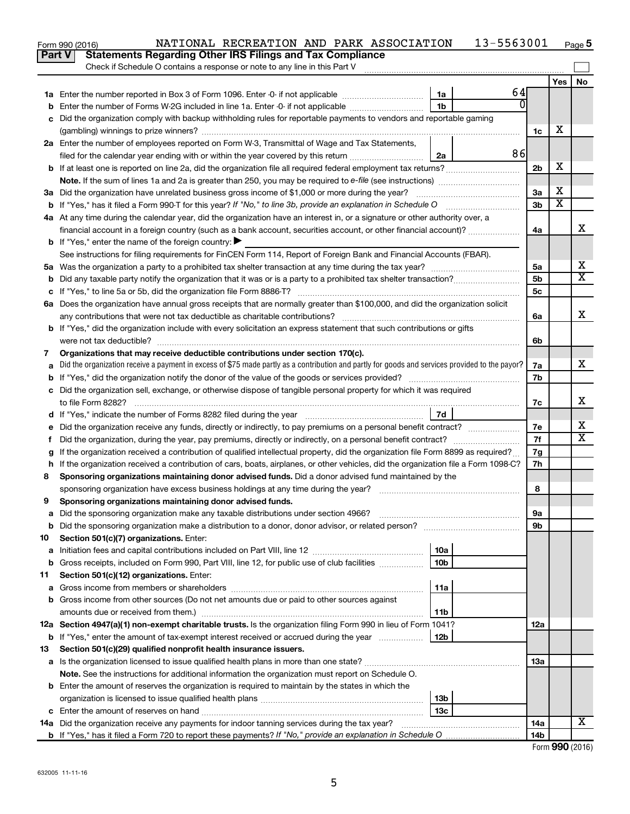|     | NATIONAL RECREATION AND PARK ASSOCIATION<br>Form 990 (2016)<br><b>Statements Regarding Other IRS Filings and Tax Compliance</b><br>Part V       |                 | 13-5563001 |                 |     | Page 5                  |  |
|-----|-------------------------------------------------------------------------------------------------------------------------------------------------|-----------------|------------|-----------------|-----|-------------------------|--|
|     | Check if Schedule O contains a response or note to any line in this Part V                                                                      |                 |            |                 |     |                         |  |
|     |                                                                                                                                                 |                 |            |                 | Yes | No                      |  |
|     |                                                                                                                                                 | 1a              | 64         |                 |     |                         |  |
| b   | Enter the number of Forms W-2G included in line 1a. Enter -0- if not applicable                                                                 | 1b              | 0          |                 |     |                         |  |
| с   | Did the organization comply with backup withholding rules for reportable payments to vendors and reportable gaming                              |                 |            |                 |     |                         |  |
|     |                                                                                                                                                 |                 |            | 1c              | х   |                         |  |
|     | 2a Enter the number of employees reported on Form W-3, Transmittal of Wage and Tax Statements,                                                  |                 |            |                 |     |                         |  |
|     | filed for the calendar year ending with or within the year covered by this return                                                               | 2a              | 86         |                 |     |                         |  |
| b   | If at least one is reported on line 2a, did the organization file all required federal employment tax returns?                                  |                 |            | 2 <sub>b</sub>  | х   |                         |  |
|     |                                                                                                                                                 |                 |            |                 |     |                         |  |
|     | 3a Did the organization have unrelated business gross income of \$1,000 or more during the year?                                                |                 |            | 3a              | х   |                         |  |
|     | <b>b</b> If "Yes," has it filed a Form 990-T for this year? If "No," to line 3b, provide an explanation in Schedule O                           |                 |            | 3 <sub>b</sub>  | x   |                         |  |
|     | 4a At any time during the calendar year, did the organization have an interest in, or a signature or other authority over, a                    |                 |            |                 |     |                         |  |
|     | financial account in a foreign country (such as a bank account, securities account, or other financial account)?                                |                 |            | 4a              |     | х                       |  |
|     | <b>b</b> If "Yes," enter the name of the foreign country: $\blacktriangleright$                                                                 |                 |            |                 |     |                         |  |
|     | See instructions for filing requirements for FinCEN Form 114, Report of Foreign Bank and Financial Accounts (FBAR).                             |                 |            |                 |     |                         |  |
|     |                                                                                                                                                 |                 |            | 5a              |     | х                       |  |
| b   | Did any taxable party notify the organization that it was or is a party to a prohibited tax shelter transaction?                                |                 |            | 5 <sub>b</sub>  |     | $\overline{\text{X}}$   |  |
| c   |                                                                                                                                                 |                 |            | 5c              |     |                         |  |
|     | 6a Does the organization have annual gross receipts that are normally greater than \$100,000, and did the organization solicit                  |                 |            |                 |     |                         |  |
|     | any contributions that were not tax deductible as charitable contributions?                                                                     |                 |            | 6a              |     | x                       |  |
|     | <b>b</b> If "Yes," did the organization include with every solicitation an express statement that such contributions or gifts                   |                 |            |                 |     |                         |  |
|     | were not tax deductible?                                                                                                                        |                 |            | 6b              |     |                         |  |
| 7   | Organizations that may receive deductible contributions under section 170(c).                                                                   |                 |            |                 |     |                         |  |
| а   | Did the organization receive a payment in excess of \$75 made partly as a contribution and partly for goods and services provided to the payor? |                 |            | 7a              |     | х                       |  |
| b   |                                                                                                                                                 |                 |            | 7b              |     |                         |  |
|     | c Did the organization sell, exchange, or otherwise dispose of tangible personal property for which it was required                             |                 |            |                 |     |                         |  |
|     | to file Form 8282?                                                                                                                              |                 |            |                 |     |                         |  |
|     | 7d                                                                                                                                              |                 |            |                 |     |                         |  |
| е   | Did the organization receive any funds, directly or indirectly, to pay premiums on a personal benefit contract?                                 |                 |            | 7e              |     | х                       |  |
| Ť.  | Did the organization, during the year, pay premiums, directly or indirectly, on a personal benefit contract?                                    |                 |            | 7f              |     | $\overline{\mathbf{X}}$ |  |
| g   | If the organization received a contribution of qualified intellectual property, did the organization file Form 8899 as required?                |                 |            | 7g              |     |                         |  |
| h   | If the organization received a contribution of cars, boats, airplanes, or other vehicles, did the organization file a Form 1098-C?              |                 |            | 7h              |     |                         |  |
| 8   | Sponsoring organizations maintaining donor advised funds. Did a donor advised fund maintained by the                                            |                 |            |                 |     |                         |  |
|     | sponsoring organization have excess business holdings at any time during the year?                                                              |                 |            | 8               |     |                         |  |
| 9   | Sponsoring organizations maintaining donor advised funds.                                                                                       |                 |            |                 |     |                         |  |
| а   | Did the sponsoring organization make any taxable distributions under section 4966?                                                              |                 |            | 9а              |     |                         |  |
| b   |                                                                                                                                                 |                 |            | 9b              |     |                         |  |
| 10  | Section 501(c)(7) organizations. Enter:                                                                                                         |                 |            |                 |     |                         |  |
| а   |                                                                                                                                                 | 10a             |            |                 |     |                         |  |
| b   | Gross receipts, included on Form 990, Part VIII, line 12, for public use of club facilities                                                     | 10 <sub>b</sub> |            |                 |     |                         |  |
| 11  | Section 501(c)(12) organizations. Enter:                                                                                                        |                 |            |                 |     |                         |  |
| а   |                                                                                                                                                 | 11a             |            |                 |     |                         |  |
| b   | Gross income from other sources (Do not net amounts due or paid to other sources against                                                        |                 |            |                 |     |                         |  |
|     |                                                                                                                                                 | 11b             |            |                 |     |                         |  |
|     | 12a Section 4947(a)(1) non-exempt charitable trusts. Is the organization filing Form 990 in lieu of Form 1041?                                  |                 |            | 12a             |     |                         |  |
| b   | If "Yes," enter the amount of tax-exempt interest received or accrued during the year                                                           | 12 <sub>b</sub> |            |                 |     |                         |  |
| 13  | Section 501(c)(29) qualified nonprofit health insurance issuers.                                                                                |                 |            |                 |     |                         |  |
| а   |                                                                                                                                                 |                 |            | 13a             |     |                         |  |
|     | Note. See the instructions for additional information the organization must report on Schedule O.                                               |                 |            |                 |     |                         |  |
|     | <b>b</b> Enter the amount of reserves the organization is required to maintain by the states in which the                                       |                 |            |                 |     |                         |  |
|     |                                                                                                                                                 | 13b             |            |                 |     |                         |  |
|     |                                                                                                                                                 | 13c             |            |                 |     |                         |  |
| 14a | Did the organization receive any payments for indoor tanning services during the tax year?                                                      |                 |            | 14a             |     | х                       |  |
|     |                                                                                                                                                 |                 |            | 14 <sub>b</sub> |     |                         |  |

| Form 990 (2016) |  |
|-----------------|--|
|-----------------|--|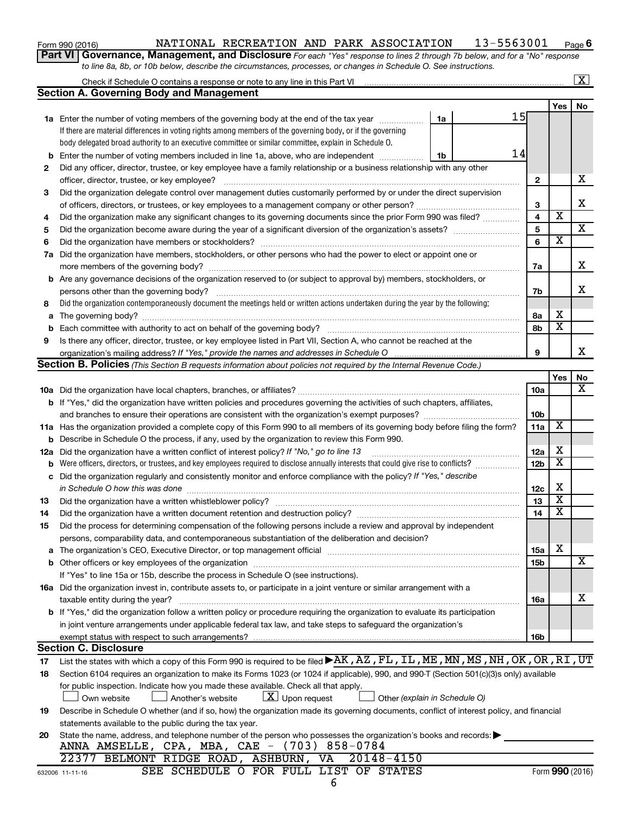| Form 990 (2016) |  |
|-----------------|--|
|-----------------|--|

#### Form 990 (2016) NATIONAL RECREATION AND PARK ASSOCIATION  $\,$  13-5563001  $\,$  Page **6**

**Part VI** Governance, Management, and Disclosure For each "Yes" response to lines 2 through 7b below, and for a "No" response *to line 8a, 8b, or 10b below, describe the circumstances, processes, or changes in Schedule O. See instructions.*

|                                                                                                                                                 |                                                                                                                                                                                                                                |    |  |                         |  |                         | $\mathbf{X}$            |  |  |  |
|-------------------------------------------------------------------------------------------------------------------------------------------------|--------------------------------------------------------------------------------------------------------------------------------------------------------------------------------------------------------------------------------|----|--|-------------------------|--|-------------------------|-------------------------|--|--|--|
|                                                                                                                                                 | <b>Section A. Governing Body and Management</b>                                                                                                                                                                                |    |  |                         |  |                         |                         |  |  |  |
|                                                                                                                                                 |                                                                                                                                                                                                                                |    |  |                         |  | Yes                     | No                      |  |  |  |
|                                                                                                                                                 | <b>1a</b> Enter the number of voting members of the governing body at the end of the tax year                                                                                                                                  | 1a |  | 15                      |  |                         |                         |  |  |  |
|                                                                                                                                                 | If there are material differences in voting rights among members of the governing body, or if the governing                                                                                                                    |    |  |                         |  |                         |                         |  |  |  |
|                                                                                                                                                 | body delegated broad authority to an executive committee or similar committee, explain in Schedule O.                                                                                                                          |    |  |                         |  |                         |                         |  |  |  |
| b                                                                                                                                               | Enter the number of voting members included in line 1a, above, who are independent                                                                                                                                             | 1b |  | 14                      |  |                         |                         |  |  |  |
| 2                                                                                                                                               | Did any officer, director, trustee, or key employee have a family relationship or a business relationship with any other                                                                                                       |    |  |                         |  |                         |                         |  |  |  |
|                                                                                                                                                 | officer, director, trustee, or key employee?                                                                                                                                                                                   |    |  | 2                       |  |                         | х                       |  |  |  |
| 3                                                                                                                                               | Did the organization delegate control over management duties customarily performed by or under the direct supervision                                                                                                          |    |  |                         |  |                         |                         |  |  |  |
|                                                                                                                                                 |                                                                                                                                                                                                                                |    |  |                         |  |                         |                         |  |  |  |
| 4                                                                                                                                               | Did the organization make any significant changes to its governing documents since the prior Form 990 was filed?                                                                                                               |    |  | $\overline{\mathbf{4}}$ |  | $\overline{\mathbf{x}}$ |                         |  |  |  |
| 5                                                                                                                                               |                                                                                                                                                                                                                                |    |  | 5                       |  |                         | $\overline{\mathbf{X}}$ |  |  |  |
| 6                                                                                                                                               |                                                                                                                                                                                                                                |    |  | 6                       |  | $\overline{\mathbf{x}}$ |                         |  |  |  |
| 7a                                                                                                                                              | Did the organization have members, stockholders, or other persons who had the power to elect or appoint one or                                                                                                                 |    |  |                         |  |                         |                         |  |  |  |
|                                                                                                                                                 |                                                                                                                                                                                                                                |    |  | 7a                      |  |                         | х                       |  |  |  |
|                                                                                                                                                 | <b>b</b> Are any governance decisions of the organization reserved to (or subject to approval by) members, stockholders, or                                                                                                    |    |  |                         |  |                         |                         |  |  |  |
|                                                                                                                                                 |                                                                                                                                                                                                                                |    |  | 7b                      |  |                         | x.                      |  |  |  |
| 8                                                                                                                                               | Did the organization contemporaneously document the meetings held or written actions undertaken during the year by the following:                                                                                              |    |  |                         |  |                         |                         |  |  |  |
| a                                                                                                                                               |                                                                                                                                                                                                                                |    |  | 8а                      |  | х                       |                         |  |  |  |
| b                                                                                                                                               |                                                                                                                                                                                                                                |    |  | 8b                      |  | $\overline{\textbf{x}}$ |                         |  |  |  |
| 9                                                                                                                                               | Is there any officer, director, trustee, or key employee listed in Part VII, Section A, who cannot be reached at the                                                                                                           |    |  |                         |  |                         |                         |  |  |  |
|                                                                                                                                                 |                                                                                                                                                                                                                                |    |  | 9                       |  |                         | x                       |  |  |  |
|                                                                                                                                                 | <b>Section B. Policies</b> (This Section B requests information about policies not required by the Internal Revenue Code.)                                                                                                     |    |  |                         |  |                         |                         |  |  |  |
|                                                                                                                                                 |                                                                                                                                                                                                                                |    |  |                         |  | Yes                     | No                      |  |  |  |
|                                                                                                                                                 |                                                                                                                                                                                                                                |    |  | 10a                     |  |                         | х                       |  |  |  |
|                                                                                                                                                 | <b>b</b> If "Yes," did the organization have written policies and procedures governing the activities of such chapters, affiliates,                                                                                            |    |  |                         |  |                         |                         |  |  |  |
|                                                                                                                                                 |                                                                                                                                                                                                                                |    |  | 10b                     |  | X                       |                         |  |  |  |
|                                                                                                                                                 | 11a Has the organization provided a complete copy of this Form 990 to all members of its governing body before filing the form?                                                                                                |    |  |                         |  |                         |                         |  |  |  |
|                                                                                                                                                 | Describe in Schedule O the process, if any, used by the organization to review this Form 990.<br>b                                                                                                                             |    |  |                         |  |                         |                         |  |  |  |
| 12a                                                                                                                                             | Did the organization have a written conflict of interest policy? If "No," go to line 13                                                                                                                                        |    |  |                         |  |                         |                         |  |  |  |
| b                                                                                                                                               | Were officers, directors, or trustees, and key employees required to disclose annually interests that could give rise to conflicts?                                                                                            |    |  | 12 <sub>b</sub>         |  | $\overline{\textbf{x}}$ |                         |  |  |  |
| с                                                                                                                                               | Did the organization regularly and consistently monitor and enforce compliance with the policy? If "Yes," describe                                                                                                             |    |  |                         |  |                         |                         |  |  |  |
|                                                                                                                                                 | in Schedule O how this was done                                                                                                                                                                                                |    |  | 12c                     |  | X                       |                         |  |  |  |
| 13                                                                                                                                              | Did the organization have a written whistleblower policy?                                                                                                                                                                      |    |  | 13                      |  | х                       |                         |  |  |  |
| 14                                                                                                                                              |                                                                                                                                                                                                                                |    |  | 14                      |  | $\overline{\textbf{x}}$ |                         |  |  |  |
| 15                                                                                                                                              | Did the process for determining compensation of the following persons include a review and approval by independent                                                                                                             |    |  |                         |  |                         |                         |  |  |  |
|                                                                                                                                                 | persons, comparability data, and contemporaneous substantiation of the deliberation and decision?                                                                                                                              |    |  |                         |  |                         |                         |  |  |  |
| a                                                                                                                                               | The organization's CEO, Executive Director, or top management official manufactured content of the organization's CEO, Executive Director, or top management official manufactured content of the organization's CEO, Executiv |    |  | <b>15a</b>              |  | х                       |                         |  |  |  |
|                                                                                                                                                 |                                                                                                                                                                                                                                |    |  | 15b                     |  |                         | x                       |  |  |  |
|                                                                                                                                                 | If "Yes" to line 15a or 15b, describe the process in Schedule O (see instructions).                                                                                                                                            |    |  |                         |  |                         |                         |  |  |  |
|                                                                                                                                                 | 16a Did the organization invest in, contribute assets to, or participate in a joint venture or similar arrangement with a                                                                                                      |    |  |                         |  |                         |                         |  |  |  |
|                                                                                                                                                 | taxable entity during the year?                                                                                                                                                                                                |    |  | 16a                     |  |                         | х                       |  |  |  |
|                                                                                                                                                 | b If "Yes," did the organization follow a written policy or procedure requiring the organization to evaluate its participation                                                                                                 |    |  |                         |  |                         |                         |  |  |  |
|                                                                                                                                                 | in joint venture arrangements under applicable federal tax law, and take steps to safeguard the organization's                                                                                                                 |    |  |                         |  |                         |                         |  |  |  |
|                                                                                                                                                 | exempt status with respect to such arrangements?                                                                                                                                                                               |    |  | 16b                     |  |                         |                         |  |  |  |
|                                                                                                                                                 | <b>Section C. Disclosure</b>                                                                                                                                                                                                   |    |  |                         |  |                         |                         |  |  |  |
| 17                                                                                                                                              | List the states with which a copy of this Form 990 is required to be filed <b>&gt;AK, AZ, FL, IL, ME, MN, MS, NH, OK, OR, RI, UT</b>                                                                                           |    |  |                         |  |                         |                         |  |  |  |
| 18                                                                                                                                              | Section 6104 requires an organization to make its Forms 1023 (or 1024 if applicable), 990, and 990-T (Section 501(c)(3)s only) available                                                                                       |    |  |                         |  |                         |                         |  |  |  |
|                                                                                                                                                 | for public inspection. Indicate how you made these available. Check all that apply.                                                                                                                                            |    |  |                         |  |                         |                         |  |  |  |
|                                                                                                                                                 | $\lfloor x \rfloor$ Upon request<br>Another's website<br>Other (explain in Schedule O)<br>Own website                                                                                                                          |    |  |                         |  |                         |                         |  |  |  |
| Describe in Schedule O whether (and if so, how) the organization made its governing documents, conflict of interest policy, and financial<br>19 |                                                                                                                                                                                                                                |    |  |                         |  |                         |                         |  |  |  |
| statements available to the public during the tax year.                                                                                         |                                                                                                                                                                                                                                |    |  |                         |  |                         |                         |  |  |  |
| 20                                                                                                                                              | State the name, address, and telephone number of the person who possesses the organization's books and records:                                                                                                                |    |  |                         |  |                         |                         |  |  |  |
|                                                                                                                                                 | ANNA AMSELLE, CPA, MBA, CAE - (703) 858-0784                                                                                                                                                                                   |    |  |                         |  |                         |                         |  |  |  |
|                                                                                                                                                 | 22377 BELMONT RIDGE ROAD, ASHBURN, VA<br>20148-4150                                                                                                                                                                            |    |  |                         |  |                         |                         |  |  |  |
|                                                                                                                                                 | SEE SCHEDULE O FOR FULL LIST OF STATES<br>632006 11-11-16                                                                                                                                                                      |    |  |                         |  |                         | Form 990 (2016)         |  |  |  |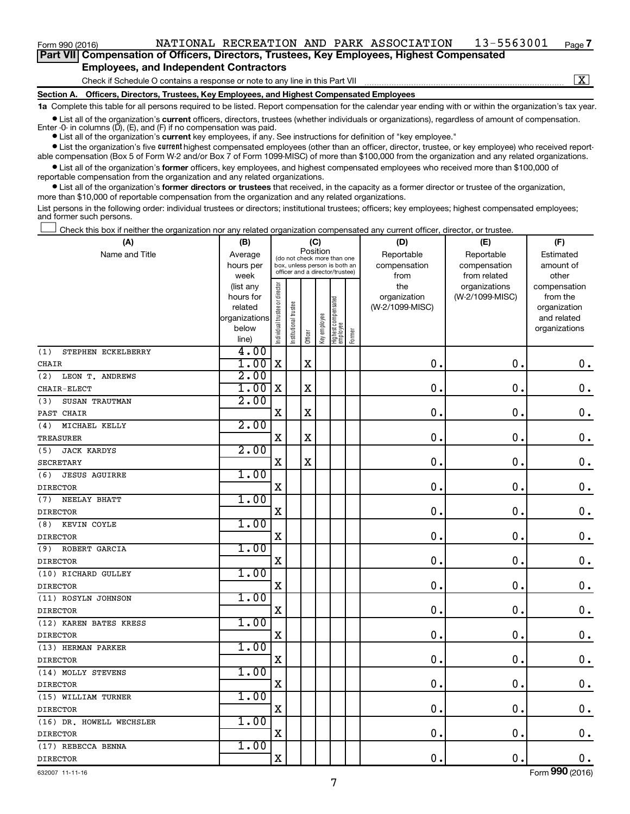**Part VII Compensation of Officers, Directors, Trustees, Key Employees, Highest Compensated Employees, and Independent Contractors**

Check if Schedule O contains a response or note to any line in this Part VII

 $\boxed{\text{X}}$ 

**7**

**Section A. Officers, Directors, Trustees, Key Employees, and Highest Compensated Employees**

**1a**  Complete this table for all persons required to be listed. Report compensation for the calendar year ending with or within the organization's tax year. **•** List all of the organization's current officers, directors, trustees (whether individuals or organizations), regardless of amount of compensation.

Enter -0- in columns  $(D)$ ,  $(E)$ , and  $(F)$  if no compensation was paid.

**•** List all of the organization's **current** key employees, if any. See instructions for definition of "key employee."

**•** List the organization's five current highest compensated employees (other than an officer, director, trustee, or key employee) who received reportable compensation (Box 5 of Form W-2 and/or Box 7 of Form 1099-MISC) of more than \$100,000 from the organization and any related organizations.

**•** List all of the organization's former officers, key employees, and highest compensated employees who received more than \$100,000 of reportable compensation from the organization and any related organizations.

**•** List all of the organization's former directors or trustees that received, in the capacity as a former director or trustee of the organization, more than \$10,000 of reportable compensation from the organization and any related organizations.

List persons in the following order: individual trustees or directors; institutional trustees; officers; key employees; highest compensated employees; and former such persons.

Check this box if neither the organization nor any related organization compensated any current officer, director, or trustee. †

| (A)                         | (B)                                                |                               |                                                                  | (C)     |              |                                 |        | (D)             | (E)              | (F)                          |
|-----------------------------|----------------------------------------------------|-------------------------------|------------------------------------------------------------------|---------|--------------|---------------------------------|--------|-----------------|------------------|------------------------------|
| Name and Title              | Position<br>Average<br>(do not check more than one |                               |                                                                  |         |              |                                 |        | Reportable      | Reportable       | Estimated                    |
|                             | hours per                                          |                               | box, unless person is both an<br>officer and a director/trustee) |         |              |                                 |        | compensation    | compensation     | amount of                    |
|                             | week                                               |                               |                                                                  |         |              |                                 |        | from            | from related     | other                        |
|                             | (list any                                          |                               |                                                                  |         |              |                                 |        | the             | organizations    | compensation                 |
|                             | hours for                                          |                               |                                                                  |         |              |                                 |        | organization    | (W-2/1099-MISC)  | from the                     |
|                             | related<br>organizations                           |                               |                                                                  |         |              |                                 |        | (W-2/1099-MISC) |                  | organization                 |
|                             | below                                              |                               |                                                                  |         |              |                                 |        |                 |                  | and related<br>organizations |
|                             | line)                                              | ndividual trustee or director | Institutional trustee                                            | Officer | Key employee | Highest compensated<br>employee | Former |                 |                  |                              |
| STEPHEN ECKELBERRY<br>(1)   | 4.00                                               |                               |                                                                  |         |              |                                 |        |                 |                  |                              |
| CHAIR                       | 1.00                                               | X                             |                                                                  | X       |              |                                 |        | $\mathbf 0$ .   | $\mathbf 0$      | $\mathbf 0$ .                |
| (2)<br>LEON T. ANDREWS      | 2.00                                               |                               |                                                                  |         |              |                                 |        |                 |                  |                              |
| CHAIR-ELECT                 | 1.00                                               | X                             |                                                                  | X       |              |                                 |        | $\mathbf 0$ .   | $\mathbf 0$      | $0$ .                        |
| SUSAN TRAUTMAN<br>(3)       | 2.00                                               |                               |                                                                  |         |              |                                 |        |                 |                  |                              |
| PAST CHAIR                  |                                                    | X                             |                                                                  | X       |              |                                 |        | $\mathbf 0$ .   | $\mathbf 0$      | $\mathbf 0$ .                |
| MICHAEL KELLY<br>(4)        | 2.00                                               |                               |                                                                  |         |              |                                 |        |                 |                  |                              |
| <b>TREASURER</b>            |                                                    | X                             |                                                                  | X       |              |                                 |        | $\mathbf 0$ .   | 0                | $\mathbf 0$ .                |
| <b>JACK KARDYS</b><br>(5)   | 2.00                                               |                               |                                                                  |         |              |                                 |        |                 |                  |                              |
| SECRETARY                   |                                                    | X                             |                                                                  | X       |              |                                 |        | $\mathbf 0$ .   | 0                | $\mathbf 0$ .                |
| <b>JESUS AGUIRRE</b><br>(6) | 1.00                                               |                               |                                                                  |         |              |                                 |        |                 |                  |                              |
| <b>DIRECTOR</b>             |                                                    | X                             |                                                                  |         |              |                                 |        | $\mathbf 0$ .   | 0                | $0$ .                        |
| NEELAY BHATT<br>(7)         | 1.00                                               |                               |                                                                  |         |              |                                 |        |                 |                  |                              |
| <b>DIRECTOR</b>             |                                                    | X                             |                                                                  |         |              |                                 |        | $\mathbf 0$ .   | $\mathbf 0$      | $\mathbf 0$ .                |
| KEVIN COYLE<br>(8)          | 1.00                                               |                               |                                                                  |         |              |                                 |        |                 |                  |                              |
| <b>DIRECTOR</b>             |                                                    | X                             |                                                                  |         |              |                                 |        | 0.              | $\boldsymbol{0}$ | $\mathbf 0$ .                |
| ROBERT GARCIA<br>(9)        | 1.00                                               |                               |                                                                  |         |              |                                 |        |                 |                  |                              |
| <b>DIRECTOR</b>             |                                                    | $\mathbf X$                   |                                                                  |         |              |                                 |        | 0.              | 0                | $\mathbf 0$ .                |
| (10) RICHARD GULLEY         | 1.00                                               |                               |                                                                  |         |              |                                 |        |                 |                  |                              |
| <b>DIRECTOR</b>             |                                                    | X                             |                                                                  |         |              |                                 |        | 0.              | 0                | $\mathbf 0$ .                |
| (11) ROSYLN JOHNSON         | 1.00                                               |                               |                                                                  |         |              |                                 |        |                 |                  |                              |
| <b>DIRECTOR</b>             |                                                    | X                             |                                                                  |         |              |                                 |        | $\mathbf 0$ .   | $\mathbf 0$      | $\mathbf 0$ .                |
| (12) KAREN BATES KRESS      | 1.00                                               |                               |                                                                  |         |              |                                 |        |                 |                  |                              |
| <b>DIRECTOR</b>             |                                                    | X                             |                                                                  |         |              |                                 |        | 0.              | $\mathbf 0$      | $\mathbf 0$ .                |
| (13) HERMAN PARKER          | 1.00                                               |                               |                                                                  |         |              |                                 |        |                 |                  |                              |
| <b>DIRECTOR</b>             |                                                    | X                             |                                                                  |         |              |                                 |        | $\mathbf 0$ .   | $\mathbf 0$      | $\mathbf 0$ .                |
| (14) MOLLY STEVENS          | 1.00                                               |                               |                                                                  |         |              |                                 |        |                 |                  |                              |
| <b>DIRECTOR</b>             |                                                    | X                             |                                                                  |         |              |                                 |        | 0.              | $\mathbf 0$      | $\mathbf 0$ .                |
| (15) WILLIAM TURNER         | 1.00                                               |                               |                                                                  |         |              |                                 |        |                 |                  |                              |
| <b>DIRECTOR</b>             |                                                    | X                             |                                                                  |         |              |                                 |        | 0.              | $\mathbf 0$      | $0$ .                        |
| (16) DR. HOWELL WECHSLER    | 1.00                                               |                               |                                                                  |         |              |                                 |        |                 |                  |                              |
| <b>DIRECTOR</b>             |                                                    | X                             |                                                                  |         |              |                                 |        | 0.              | $\mathbf 0$      | $\mathbf 0$ .                |
| (17) REBECCA BENNA          | 1.00                                               |                               |                                                                  |         |              |                                 |        |                 |                  |                              |
| <b>DIRECTOR</b>             |                                                    | X                             |                                                                  |         |              |                                 |        | 0.              | $\mathbf 0$ .    | $\mathbf 0$ .                |

632007 11-11-16

Form (2016) **990**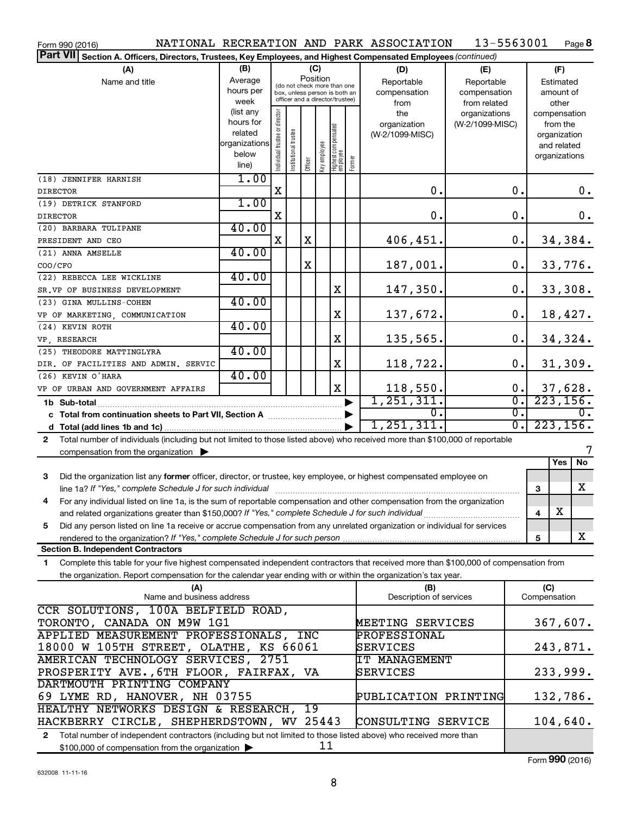| Form 990 (2016)                                                                                                                                                                                                                                  |                                                                              |                                                                                                 |                       |         |                  |                                  |            | NATIONAL RECREATION AND PARK ASSOCIATION  | 13-5563001                                        |                        |                     |                                                                          | Page 8                        |
|--------------------------------------------------------------------------------------------------------------------------------------------------------------------------------------------------------------------------------------------------|------------------------------------------------------------------------------|-------------------------------------------------------------------------------------------------|-----------------------|---------|------------------|----------------------------------|------------|-------------------------------------------|---------------------------------------------------|------------------------|---------------------|--------------------------------------------------------------------------|-------------------------------|
| <b>Part VII</b><br>Section A. Officers, Directors, Trustees, Key Employees, and Highest Compensated Employees (continued)                                                                                                                        |                                                                              |                                                                                                 |                       |         |                  |                                  |            |                                           |                                                   |                        |                     |                                                                          |                               |
| (A)<br>Name and title                                                                                                                                                                                                                            | (B)<br>Average<br>hours per<br>week                                          | (do not check more than one<br>box, unless person is both an<br>officer and a director/trustee) |                       |         | (C)<br>Position  |                                  |            | (D)<br>Reportable<br>compensation<br>from | (E)<br>Reportable<br>compensation<br>from related |                        |                     | (F)<br>Estimated<br>amount of<br>other                                   |                               |
|                                                                                                                                                                                                                                                  | (list any<br>hours for<br>related<br>organizations<br>below<br>line)         | Individual trustee or director                                                                  | Institutional trustee | Officer | Key employee     | Highest compensated<br> employee | Former     | the<br>organization<br>(W-2/1099-MISC)    | organizations<br>(W-2/1099-MISC)                  |                        |                     | compensation<br>from the<br>organization<br>and related<br>organizations |                               |
| (18) JENNIFER HARNISH<br><b>DIRECTOR</b>                                                                                                                                                                                                         | 1.00                                                                         | X                                                                                               |                       |         |                  |                                  |            | 0.                                        |                                                   | 0.                     |                     |                                                                          | $\mathbf 0$ .                 |
| (19) DETRICK STANFORD                                                                                                                                                                                                                            | 1.00                                                                         |                                                                                                 |                       |         |                  |                                  |            |                                           |                                                   |                        |                     |                                                                          |                               |
| <b>DIRECTOR</b>                                                                                                                                                                                                                                  |                                                                              | X                                                                                               |                       |         |                  |                                  |            | 0.                                        |                                                   | 0.                     |                     |                                                                          | $\mathbf 0$ .                 |
| (20) BARBARA TULIPANE                                                                                                                                                                                                                            | 40.00                                                                        |                                                                                                 |                       |         |                  |                                  |            |                                           |                                                   |                        |                     |                                                                          |                               |
| PRESIDENT AND CEO                                                                                                                                                                                                                                |                                                                              | X                                                                                               |                       | X       |                  |                                  |            | 406,451.                                  |                                                   | 0.                     |                     |                                                                          | 34,384.                       |
| (21) ANNA AMSELLE<br>COO/CFO                                                                                                                                                                                                                     | 40.00                                                                        |                                                                                                 |                       | X       |                  |                                  |            | 187,001.                                  |                                                   | 0.                     |                     |                                                                          | 33,776.                       |
| (22) REBECCA LEE WICKLINE                                                                                                                                                                                                                        | 40.00                                                                        |                                                                                                 |                       |         |                  |                                  |            |                                           |                                                   |                        |                     |                                                                          |                               |
| SR.VP OF BUSINESS DEVELOPMENT                                                                                                                                                                                                                    | 40.00                                                                        |                                                                                                 |                       |         |                  | X                                |            | 147,350.                                  |                                                   | 0.                     |                     |                                                                          | 33,308.                       |
| (23) GINA MULLINS-COHEN<br>VP OF MARKETING, COMMUNICATION                                                                                                                                                                                        |                                                                              |                                                                                                 |                       |         |                  | X                                |            | 137,672.                                  |                                                   | 0.                     |                     |                                                                          | 18,427.                       |
| (24) KEVIN ROTH                                                                                                                                                                                                                                  | 40.00                                                                        |                                                                                                 |                       |         |                  |                                  |            |                                           |                                                   |                        |                     |                                                                          |                               |
| VP, RESEARCH                                                                                                                                                                                                                                     |                                                                              |                                                                                                 |                       |         |                  | X                                |            | 135,565.                                  |                                                   | 0.                     |                     |                                                                          | 34,324.                       |
| (25) THEODORE MATTINGLYRA                                                                                                                                                                                                                        | 40.00                                                                        |                                                                                                 |                       |         |                  |                                  |            |                                           |                                                   |                        |                     |                                                                          |                               |
| DIR. OF FACILITIES AND ADMIN. SERVIC                                                                                                                                                                                                             |                                                                              |                                                                                                 |                       |         |                  | X                                |            | 118,722.                                  |                                                   | 0.                     |                     |                                                                          | 31,309.                       |
| (26) KEVIN O'HARA                                                                                                                                                                                                                                | 40.00                                                                        |                                                                                                 |                       |         |                  |                                  |            |                                           |                                                   |                        |                     |                                                                          |                               |
| VP OF URBAN AND GOVERNMENT AFFAIRS                                                                                                                                                                                                               |                                                                              |                                                                                                 |                       |         |                  | $\mathbf X$                      |            | 118,550.                                  |                                                   | 0.                     |                     |                                                                          | 37,628.                       |
| 1b Sub-total                                                                                                                                                                                                                                     |                                                                              |                                                                                                 |                       |         |                  |                                  |            | 1,251,311.<br>0.                          |                                                   | σ.<br>$\overline{0}$ . |                     |                                                                          | 223, 156.<br>$\overline{0}$ . |
| c Total from continuation sheets to Part VII, Section A [11, 11, 2010]                                                                                                                                                                           |                                                                              |                                                                                                 |                       |         |                  |                                  | 1,251,311. |                                           | $\overline{0}$ .                                  |                        |                     | 223, 156.                                                                |                               |
| Total number of individuals (including but not limited to those listed above) who received more than \$100,000 of reportable<br>$\mathbf{2}$                                                                                                     |                                                                              |                                                                                                 |                       |         |                  |                                  |            |                                           |                                                   |                        |                     |                                                                          |                               |
| compensation from the organization $\blacktriangleright$                                                                                                                                                                                         |                                                                              |                                                                                                 |                       |         |                  |                                  |            |                                           |                                                   |                        |                     |                                                                          |                               |
|                                                                                                                                                                                                                                                  |                                                                              |                                                                                                 |                       |         |                  |                                  |            |                                           |                                                   |                        |                     | Yes                                                                      | No                            |
| 3<br>Did the organization list any former officer, director, or trustee, key employee, or highest compensated employee on                                                                                                                        |                                                                              |                                                                                                 |                       |         |                  |                                  |            |                                           |                                                   |                        | 3                   |                                                                          | x                             |
| line 1a? If "Yes," complete Schedule J for such individual [11] manufacture manufacture in the set of the set o<br>For any individual listed on line 1a, is the sum of reportable compensation and other compensation from the organization<br>4 |                                                                              |                                                                                                 |                       |         |                  |                                  |            |                                           |                                                   |                        |                     |                                                                          |                               |
| and related organizations greater than \$150,000? If "Yes," complete Schedule J for such individual                                                                                                                                              |                                                                              |                                                                                                 |                       |         |                  |                                  |            |                                           |                                                   |                        | 4                   | х                                                                        |                               |
| Did any person listed on line 1a receive or accrue compensation from any unrelated organization or individual for services<br>5                                                                                                                  |                                                                              |                                                                                                 |                       |         |                  |                                  |            |                                           |                                                   |                        |                     |                                                                          |                               |
| rendered to the organization? If "Yes," complete Schedule J for such person                                                                                                                                                                      |                                                                              |                                                                                                 |                       |         |                  |                                  |            |                                           |                                                   |                        | 5                   |                                                                          | X                             |
| <b>Section B. Independent Contractors</b>                                                                                                                                                                                                        |                                                                              |                                                                                                 |                       |         |                  |                                  |            |                                           |                                                   |                        |                     |                                                                          |                               |
| Complete this table for your five highest compensated independent contractors that received more than \$100,000 of compensation from<br>1                                                                                                        |                                                                              |                                                                                                 |                       |         |                  |                                  |            |                                           |                                                   |                        |                     |                                                                          |                               |
| the organization. Report compensation for the calendar year ending with or within the organization's tax year.                                                                                                                                   |                                                                              |                                                                                                 |                       |         |                  |                                  |            |                                           |                                                   |                        |                     |                                                                          |                               |
| (A)<br>Name and business address                                                                                                                                                                                                                 |                                                                              |                                                                                                 |                       |         |                  |                                  |            | (B)<br>Description of services            |                                                   |                        | (C)<br>Compensation |                                                                          |                               |
| CCR SOLUTIONS, 100A BELFIELD ROAD,                                                                                                                                                                                                               |                                                                              |                                                                                                 |                       |         |                  |                                  |            |                                           |                                                   |                        |                     |                                                                          |                               |
| TORONTO, CANADA ON M9W 1G1                                                                                                                                                                                                                       |                                                                              |                                                                                                 |                       |         | MEETING SERVICES |                                  |            |                                           |                                                   | 367,607.               |                     |                                                                          |                               |
| APPLIED MEASUREMENT PROFESSIONALS, INC                                                                                                                                                                                                           |                                                                              |                                                                                                 |                       |         |                  |                                  |            | PROFESSIONAL<br>SERVICES                  |                                                   |                        |                     |                                                                          |                               |
|                                                                                                                                                                                                                                                  | 18000 W 105TH STREET, OLATHE, KS 66061<br>AMERICAN TECHNOLOGY SERVICES, 2751 |                                                                                                 |                       |         |                  |                                  |            | IT MANAGEMENT                             |                                                   |                        | 243,871.            |                                                                          |                               |
| PROSPERITY AVE., 6TH FLOOR, FAIRFAX, VA                                                                                                                                                                                                          |                                                                              |                                                                                                 |                       |         |                  |                                  |            | SERVICES                                  |                                                   |                        |                     | 233,999.                                                                 |                               |
| DARTMOUTH PRINTING COMPANY                                                                                                                                                                                                                       |                                                                              |                                                                                                 |                       |         |                  |                                  |            |                                           |                                                   |                        |                     |                                                                          |                               |
| 69 LYME RD, HANOVER, NH 03755                                                                                                                                                                                                                    |                                                                              |                                                                                                 |                       |         |                  |                                  |            | PUBLICATION PRINTING                      |                                                   |                        |                     | 132,786.                                                                 |                               |
| HEALTHY NETWORKS DESIGN & RESEARCH, 19                                                                                                                                                                                                           |                                                                              |                                                                                                 |                       |         |                  |                                  |            |                                           |                                                   |                        |                     |                                                                          |                               |
| HACKBERRY CIRCLE, SHEPHERDSTOWN, WV 25443                                                                                                                                                                                                        |                                                                              |                                                                                                 |                       |         |                  |                                  |            | CONSULTING SERVICE                        |                                                   |                        |                     |                                                                          | 104,640.                      |

**2** Total number of independent contractors (including but not limited to those listed above) who received more than \$100,000 of compensation from the organization | 11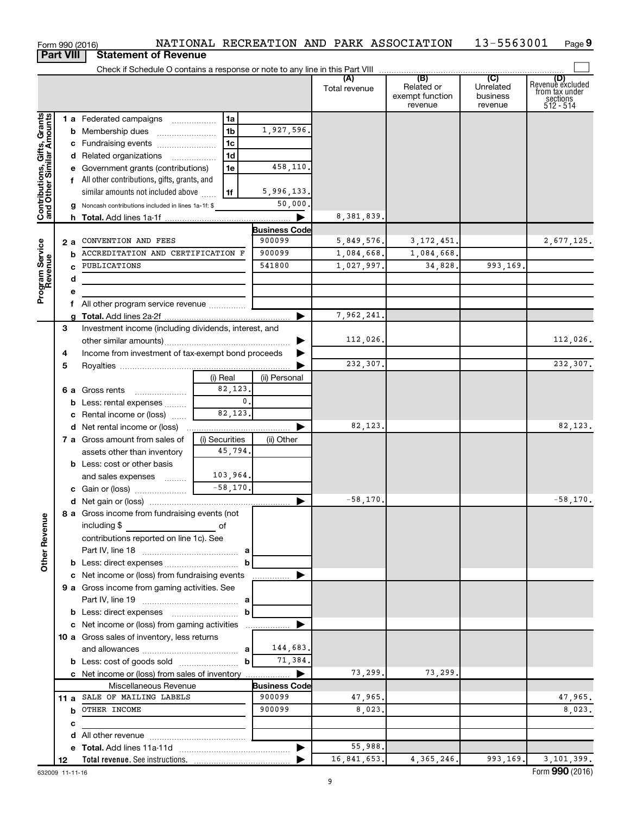|                                                           |                  |   | Form 990 (2016)                                         |                |                      | NATIONAL RECREATION AND PARK ASSOCIATION |                                                 | 13-5563001                              | Page 9                                                      |
|-----------------------------------------------------------|------------------|---|---------------------------------------------------------|----------------|----------------------|------------------------------------------|-------------------------------------------------|-----------------------------------------|-------------------------------------------------------------|
|                                                           | <b>Part VIII</b> |   | <b>Statement of Revenue</b>                             |                |                      |                                          |                                                 |                                         |                                                             |
|                                                           |                  |   |                                                         |                |                      |                                          |                                                 |                                         |                                                             |
|                                                           |                  |   |                                                         |                |                      | (A)<br>Total revenue                     | (B)<br>Related or<br>exempt function<br>revenue | (C)<br>Unrelated<br>business<br>revenue | Revenue excluded<br>from tax under<br>sections<br>512 - 514 |
|                                                           |                  |   | 1 a Federated campaigns                                 | 1a             |                      |                                          |                                                 |                                         |                                                             |
| Contributions, Gifts, Grants<br>and Other Similar Amounts |                  |   | <b>b</b> Membership dues                                | 1 <sub>b</sub> | 1,927,596.           |                                          |                                                 |                                         |                                                             |
|                                                           |                  |   | c Fundraising events                                    | 1 <sub>c</sub> |                      |                                          |                                                 |                                         |                                                             |
|                                                           |                  |   | d Related organizations                                 | 1 <sub>d</sub> |                      |                                          |                                                 |                                         |                                                             |
|                                                           |                  |   | e Government grants (contributions)                     | 1e             | 458,110.             |                                          |                                                 |                                         |                                                             |
|                                                           |                  |   | f All other contributions, gifts, grants, and           |                |                      |                                          |                                                 |                                         |                                                             |
|                                                           |                  |   | similar amounts not included above                      | 1f             | 5,996,133.           |                                          |                                                 |                                         |                                                             |
|                                                           |                  |   |                                                         |                | 50,000.              |                                          |                                                 |                                         |                                                             |
|                                                           |                  |   | g Noncash contributions included in lines 1a-1f: \$     |                |                      |                                          |                                                 |                                         |                                                             |
|                                                           |                  |   |                                                         |                |                      | 8, 381, 839.                             |                                                 |                                         |                                                             |
|                                                           |                  |   |                                                         |                | <b>Business Code</b> |                                          |                                                 |                                         |                                                             |
|                                                           | 2 a              |   | CONVENTION AND FEES                                     |                | 900099               | 5,849,576.                               | 3, 172, 451.                                    |                                         | 2,677,125.                                                  |
|                                                           |                  | b | ACCREDITATION AND CERTIFICATION F                       |                | 900099               | 1,084,668.                               | 1,084,668.                                      |                                         |                                                             |
|                                                           |                  |   | PUBLICATIONS                                            |                | 541800               | 1,027,997.                               | 34,828.                                         | 993,169.                                |                                                             |
| Program Service<br>Revenue                                |                  | d |                                                         |                |                      |                                          |                                                 |                                         |                                                             |
|                                                           |                  | е |                                                         |                |                      |                                          |                                                 |                                         |                                                             |
|                                                           |                  | f | All other program service revenue                       |                |                      |                                          |                                                 |                                         |                                                             |
|                                                           |                  | a |                                                         |                |                      | 7,962,241.                               |                                                 |                                         |                                                             |
|                                                           | 3                |   | Investment income (including dividends, interest, and   |                |                      |                                          |                                                 |                                         |                                                             |
|                                                           |                  |   |                                                         |                |                      | 112,026.                                 |                                                 |                                         | 112,026.                                                    |
|                                                           | 4                |   | Income from investment of tax-exempt bond proceeds      |                |                      |                                          |                                                 |                                         |                                                             |
|                                                           | 5                |   |                                                         |                |                      | 232,307.                                 |                                                 |                                         | 232,307.                                                    |
|                                                           |                  |   |                                                         | (i) Real       | (ii) Personal        |                                          |                                                 |                                         |                                                             |
|                                                           |                  |   | 6 a Gross rents                                         | 82,123.        |                      |                                          |                                                 |                                         |                                                             |
|                                                           |                  |   | <b>b</b> Less: rental expenses                          | 0.             |                      |                                          |                                                 |                                         |                                                             |
|                                                           |                  |   | c Rental income or (loss)                               | 82,123.        |                      |                                          |                                                 |                                         |                                                             |
|                                                           |                  |   |                                                         |                | ▶                    | 82,123.                                  |                                                 |                                         | 82,123.                                                     |
|                                                           |                  |   | 7 a Gross amount from sales of                          | (i) Securities | (ii) Other           |                                          |                                                 |                                         |                                                             |
|                                                           |                  |   | assets other than inventory                             | 45,794.        |                      |                                          |                                                 |                                         |                                                             |
|                                                           |                  |   | <b>b</b> Less: cost or other basis                      |                |                      |                                          |                                                 |                                         |                                                             |
|                                                           |                  |   | and sales expenses                                      | 103,964.       |                      |                                          |                                                 |                                         |                                                             |
|                                                           |                  |   | c Gain or (loss)                                        | $-58,170.$     |                      |                                          |                                                 |                                         |                                                             |
|                                                           |                  |   |                                                         |                |                      | $-58, 170.$                              |                                                 |                                         | 58,170.                                                     |
|                                                           |                  |   | 8 a Gross income from fundraising events (not           |                |                      |                                          |                                                 |                                         |                                                             |
|                                                           |                  |   | including \$                                            |                |                      |                                          |                                                 |                                         |                                                             |
|                                                           |                  |   | <u>of</u> of<br>contributions reported on line 1c). See |                |                      |                                          |                                                 |                                         |                                                             |
|                                                           |                  |   |                                                         |                |                      |                                          |                                                 |                                         |                                                             |
| <b>Other Revenue</b>                                      |                  |   |                                                         | b              |                      |                                          |                                                 |                                         |                                                             |
|                                                           |                  |   |                                                         |                |                      |                                          |                                                 |                                         |                                                             |
|                                                           |                  |   | c Net income or (loss) from fundraising events          |                |                      |                                          |                                                 |                                         |                                                             |
|                                                           |                  |   | 9 a Gross income from gaming activities. See            |                |                      |                                          |                                                 |                                         |                                                             |
|                                                           |                  |   |                                                         |                |                      |                                          |                                                 |                                         |                                                             |
|                                                           |                  |   |                                                         | b              |                      |                                          |                                                 |                                         |                                                             |
|                                                           |                  |   | c Net income or (loss) from gaming activities           |                |                      |                                          |                                                 |                                         |                                                             |
|                                                           |                  |   | 10 a Gross sales of inventory, less returns             |                |                      |                                          |                                                 |                                         |                                                             |
|                                                           |                  |   |                                                         |                | 144,683.             |                                          |                                                 |                                         |                                                             |
|                                                           |                  |   |                                                         |                | 71,384.              |                                          |                                                 |                                         |                                                             |
|                                                           |                  |   |                                                         |                |                      | 73,299.                                  | 73,299.                                         |                                         |                                                             |
|                                                           |                  |   | Miscellaneous Revenue                                   |                | <b>Business Code</b> |                                          |                                                 |                                         |                                                             |
|                                                           |                  |   | 11 a SALE OF MAILING LABELS                             |                | 900099               | 47,965.                                  |                                                 |                                         | 47,965.                                                     |
|                                                           |                  |   | <b>b</b> OTHER INCOME                                   |                | 900099               | 8,023.                                   |                                                 |                                         | 8,023.                                                      |
|                                                           |                  | c |                                                         |                |                      |                                          |                                                 |                                         |                                                             |
|                                                           |                  |   |                                                         |                |                      |                                          |                                                 |                                         |                                                             |
|                                                           |                  |   |                                                         |                |                      | 55,988.                                  |                                                 |                                         |                                                             |
|                                                           | 12               |   |                                                         |                |                      | 16,841,653.                              | 4, 365, 246.                                    | 993,169.                                | 3,101,399.                                                  |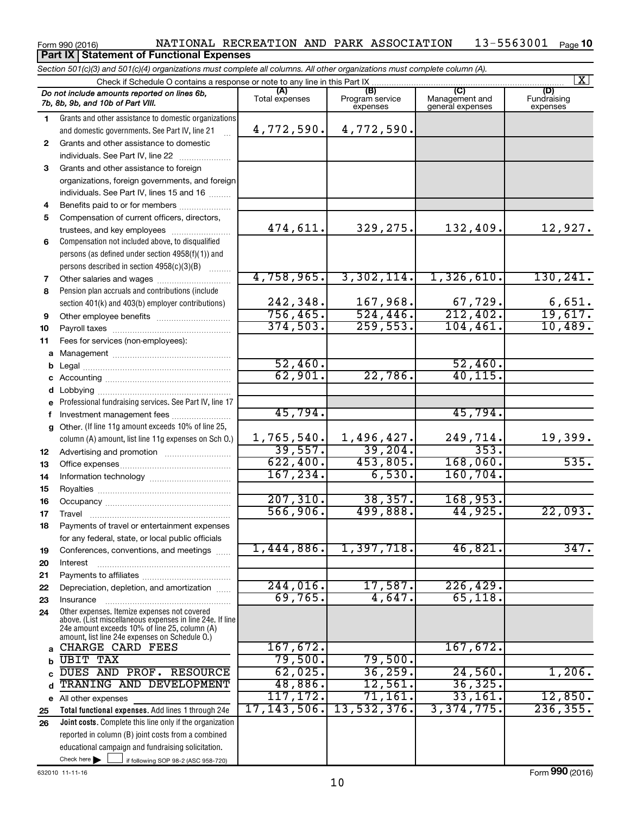#### Form 990 (2016) NATIONAL RECREATION AND PARK ASSOCIATION 13-5563001 Page 13-5563001 <sub>Page</sub> 10 **Part IX Statement of Functional Expenses**

Check here if following SOP 98-2 (ASC 958-720) **Total functional expenses.**  Add lines 1 through 24e **Joint costs.** Complete this line only if the organization **(A) (B) (C) (D)** Management and general expenses **1 2 3** Grants and other assistance to foreign **4 5 6 7 8 9 10 11 a** Management ~~~~~~~~~~~~~~~~ **b c d e f g 12 13 14 15 16 17 18 19 20 21 22 23 24 a b c d e** All other expenses **25 26** *Section 501(c)(3) and 501(c)(4) organizations must complete all columns. All other organizations must complete column (A).* Grants and other assistance to domestic organizations and domestic governments. See Part IV, line 21 Compensation not included above, to disqualified persons (as defined under section 4958(f)(1)) and persons described in section  $4958(c)(3)(B)$   $\ldots$ Pension plan accruals and contributions (include section 401(k) and 403(b) employer contributions) Professional fundraising services. See Part IV, line 17 Other. (If line 11g amount exceeds 10% of line 25, column (A) amount, list line 11g expenses on Sch O.) Other expenses. Itemize expenses not covered above. (List miscellaneous expenses in line 24e. If line 24e amount exceeds 10% of line 25, column (A) amount, list line 24e expenses on Schedule O.) reported in column (B) joint costs from a combined educational campaign and fundraising solicitation. Check if Schedule O contains a response or note to any line in this Part IX Total expenses Program service expenses **(D)**<br>Fundraising expenses .<br>... Grants and other assistance to domestic individuals. See Part IV, line 22 ~~~~~~~ organizations, foreign governments, and foreign individuals. See Part IV, lines 15 and 16  $\ldots$ Benefits paid to or for members .................... Compensation of current officers, directors, trustees, and key employees ........................ Other salaries and wages ~~~~~~~~~~ Other employee benefits ~~~~~~~~~~ Payroll taxes ~~~~~~~~~~~~~~~~ Fees for services (non-employees): Legal ~~~~~~~~~~~~~~~~~~~~ Accounting ~~~~~~~~~~~~~~~~~ Lobbying ~~~~~~~~~~~~~~~~~~ Investment management fees ....................... Advertising and promotion .......................... Office expenses ~~~~~~~~~~~~~~~ Information technology ~~~~~~~~~~~ Royalties ~~~~~~~~~~~~~~~~~~ Occupancy ~~~~~~~~~~~~~~~~~ Travel ………………………………………………………… Payments of travel or entertainment expenses for any federal, state, or local public officials Conferences, conventions, and meetings Interest ~~~~~~~~~~~~~~~~~~ Payments to affiliates ~~~~~~~~~~~~ Depreciation, depletion, and amortization ...... Insurance ~~~~~~~~~~~~~~~~~ *Do not include amounts reported on lines 6b, 7b, 8b, 9b, and 10b of Part VIII.*  $\boxed{\text{X}}$ 4,772,590. 4,772,590. 474,611. 329,275. 132,409. 12,927. 4,758,965. 3,302,114. 1,326,610. 130,241. 242,348. 167,968. 67,729. 6,651. 756,465. 524,446. 212,402. 19,617. 374,503. 259,553. 104,461. 10,489. 52,460. 52,460. 62,901. 22,786. 40,115. 45,794. 45,794. 1,765,540. 1,496,427. 249,714. 19,399.  $39,557.$  39,204. 353. 622,400. 453,805. 168,060. 535. 167,234. 6,530. 160,704. 207,310. 38,357. 168,953. 566,906. 499,888. 44,925. 22,093. 1,444,886. 1,397,718. 46,821. 347. 244,016. 17,587. 226,429. 69,765. 4,647. 65,118. CHARGE CARD FEES 167,672. UBIT TAX 79,500. 79,500. DUES AND PROF. RESOURCE | 62,025. 36,259. 24,560. 1,206. TRANING AND DEVELOPMENT | 48,886. 12,561. 36,325. 117,172. 71,161. 33,161. 12,850. 17,143,506. 13,532,376. 3,374,775. 236,355.

632010 11-11-16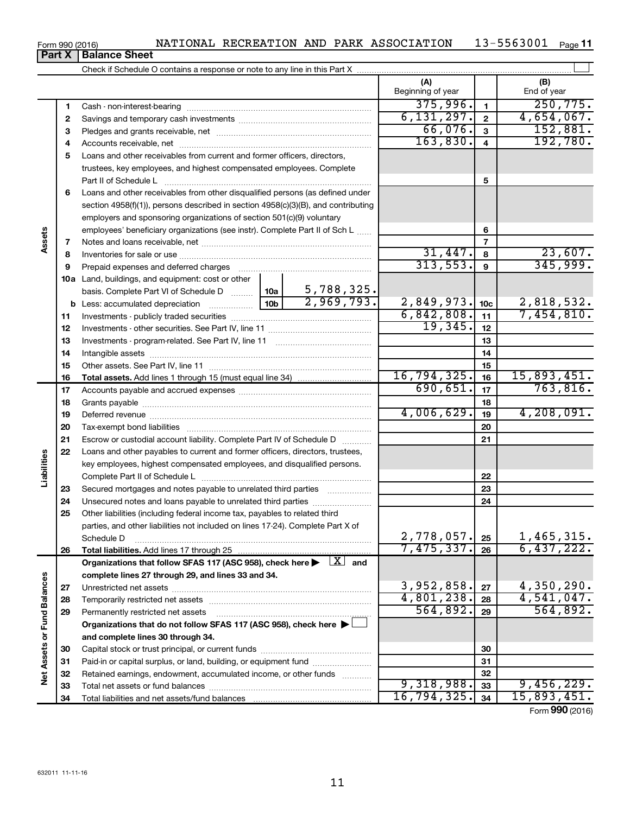| Form 990 (2016) | NATIONAL |  | RECREATION AND PARK ASSOCIATION | 5563001 | Page |
|-----------------|----------|--|---------------------------------|---------|------|
|                 |          |  |                                 |         |      |

**Part X** | Balance Sheet

|                             |    |                                                                                                                         |            | (A)<br>Beginning of year |                         | (B)<br>End of year           |
|-----------------------------|----|-------------------------------------------------------------------------------------------------------------------------|------------|--------------------------|-------------------------|------------------------------|
|                             | 1  |                                                                                                                         |            | 375,996.                 | $\mathbf{1}$            | 250, 775.                    |
|                             | 2  |                                                                                                                         |            | 6, 131, 297.             | $\overline{\mathbf{2}}$ | 4,654,067.                   |
|                             | 3  |                                                                                                                         |            | 66,076.                  | $\mathbf{3}$            | 152,881.                     |
|                             | 4  |                                                                                                                         |            | 163,830.                 | $\overline{\mathbf{4}}$ | 192,780.                     |
|                             | 5  | Loans and other receivables from current and former officers, directors,                                                |            |                          |                         |                              |
|                             |    | trustees, key employees, and highest compensated employees. Complete                                                    |            |                          |                         |                              |
|                             |    | Part II of Schedule L                                                                                                   |            |                          | 5                       |                              |
|                             | 6  | Loans and other receivables from other disqualified persons (as defined under                                           |            |                          |                         |                              |
|                             |    | section 4958(f)(1)), persons described in section 4958(c)(3)(B), and contributing                                       |            |                          |                         |                              |
|                             |    | employers and sponsoring organizations of section 501(c)(9) voluntary                                                   |            |                          |                         |                              |
|                             |    | employees' beneficiary organizations (see instr). Complete Part II of Sch L                                             |            |                          | 6                       |                              |
| Assets                      | 7  |                                                                                                                         |            |                          | $\overline{7}$          |                              |
|                             | 8  |                                                                                                                         |            | 31,447.                  | 8                       | 23,607.                      |
|                             | 9  | Prepaid expenses and deferred charges                                                                                   |            | 313,553.                 | $\mathbf{9}$            | 345,999.                     |
|                             |    | <b>10a</b> Land, buildings, and equipment: cost or other                                                                |            |                          |                         |                              |
|                             |    | basis. Complete Part VI of Schedule D  10a                                                                              | 5,788,325. |                          |                         |                              |
|                             |    |                                                                                                                         | 2,969,793. | 2,849,973.               | 10 <sub>c</sub>         | 2,818,532.                   |
|                             | 11 |                                                                                                                         |            | 6,842,808.               | 11                      | 7,454,810.                   |
|                             | 12 |                                                                                                                         |            | 19,345.                  | 12                      |                              |
|                             | 13 |                                                                                                                         |            |                          | 13                      |                              |
|                             | 14 |                                                                                                                         |            |                          | 14                      |                              |
|                             | 15 |                                                                                                                         |            |                          | 15                      |                              |
|                             | 16 |                                                                                                                         |            | 16,794,325.              | 16                      | $\frac{15,893,451}{763,816}$ |
|                             | 17 |                                                                                                                         |            | 690, 651.                | 17                      |                              |
|                             | 18 |                                                                                                                         |            | 4,006,629.               | 18                      | 4,208,091.                   |
|                             | 19 |                                                                                                                         |            |                          | 19                      |                              |
|                             | 20 |                                                                                                                         |            |                          | 20                      |                              |
|                             | 21 | Escrow or custodial account liability. Complete Part IV of Schedule D                                                   |            |                          | 21                      |                              |
| Liabilities                 | 22 | Loans and other payables to current and former officers, directors, trustees,                                           |            |                          |                         |                              |
|                             |    | key employees, highest compensated employees, and disqualified persons.                                                 |            |                          | 22                      |                              |
|                             | 23 | Secured mortgages and notes payable to unrelated third parties                                                          |            |                          | 23                      |                              |
|                             | 24 | Unsecured notes and loans payable to unrelated third parties                                                            |            |                          | 24                      |                              |
|                             | 25 | Other liabilities (including federal income tax, payables to related third                                              |            |                          |                         |                              |
|                             |    | parties, and other liabilities not included on lines 17-24). Complete Part X of                                         |            |                          |                         |                              |
|                             |    | Schedule D                                                                                                              |            | 2,778,057.               | 25                      | 1,465,315.                   |
|                             | 26 |                                                                                                                         |            | 7,475,337.               | 26                      | 6,437,222.                   |
|                             |    | Organizations that follow SFAS 117 (ASC 958), check here $\blacktriangleright \begin{array}{c} \perp X \end{array}$ and |            |                          |                         |                              |
|                             |    | complete lines 27 through 29, and lines 33 and 34.                                                                      |            |                          |                         |                              |
|                             | 27 |                                                                                                                         |            | 3,952,858.               | 27                      | 4,350,290.                   |
|                             | 28 |                                                                                                                         |            | 4,801,238.               | 28                      | 4,541,047.                   |
|                             | 29 | Permanently restricted net assets                                                                                       |            | 564,892.                 | 29                      | 564,892.                     |
|                             |    | Organizations that do not follow SFAS 117 (ASC 958), check here                                                         |            |                          |                         |                              |
|                             |    | and complete lines 30 through 34.                                                                                       |            |                          |                         |                              |
|                             | 30 |                                                                                                                         |            |                          | 30                      |                              |
|                             | 31 | Paid-in or capital surplus, or land, building, or equipment fund                                                        |            |                          | 31                      |                              |
| Net Assets or Fund Balances | 32 | Retained earnings, endowment, accumulated income, or other funds                                                        |            |                          | 32                      |                              |
|                             | 33 |                                                                                                                         |            | 9,318,988.               | 33                      | 9,456,229.                   |
|                             | 34 |                                                                                                                         |            | 16,794,325.              | 34                      | 15,893,451.                  |
|                             |    |                                                                                                                         |            |                          |                         | Form 990 (2016)              |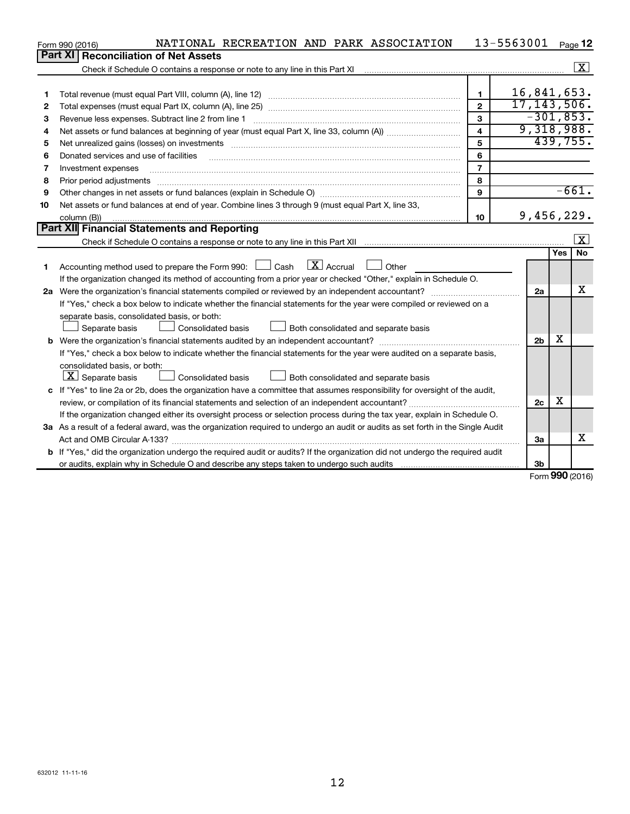|    | NATIONAL RECREATION AND PARK ASSOCIATION<br>Form 990 (2016)                                                                     |                         | 13-5563001     |          | Page 12                 |
|----|---------------------------------------------------------------------------------------------------------------------------------|-------------------------|----------------|----------|-------------------------|
|    | Part XI<br><b>Reconciliation of Net Assets</b>                                                                                  |                         |                |          |                         |
|    |                                                                                                                                 |                         |                |          | $\overline{\mathbf{X}}$ |
|    |                                                                                                                                 |                         |                |          |                         |
| 1  |                                                                                                                                 | $\mathbf{1}$            | 16,841,653.    |          |                         |
| 2  |                                                                                                                                 | $\overline{2}$          | 17, 143, 506.  |          |                         |
| З  | Revenue less expenses. Subtract line 2 from line 1                                                                              | 3                       | $-301, 853.$   |          |                         |
| 4  |                                                                                                                                 | $\overline{\mathbf{4}}$ | 9,318,988.     |          |                         |
| 5  |                                                                                                                                 | 5                       |                | 439,755. |                         |
| 6  | Donated services and use of facilities                                                                                          | 6                       |                |          |                         |
| 7  | Investment expenses                                                                                                             | $\overline{7}$          |                |          |                         |
| 8  | Prior period adjustments www.communication.communication.communication.com/news-managements                                     | 8                       |                |          |                         |
| 9  |                                                                                                                                 | 9                       |                |          | $-661.$                 |
| 10 | Net assets or fund balances at end of year. Combine lines 3 through 9 (must equal Part X, line 33,                              |                         |                |          |                         |
|    | column (B))                                                                                                                     | 10                      | 9,456,229.     |          |                         |
|    | Part XII Financial Statements and Reporting                                                                                     |                         |                |          |                         |
|    |                                                                                                                                 |                         |                |          | $\lfloor x \rfloor$     |
|    |                                                                                                                                 |                         |                | Yes      | No                      |
| 1  | Accounting method used to prepare the Form 990: $\Box$ Cash $\Box X$ Accrual<br>$\Box$ Other                                    |                         |                |          |                         |
|    | If the organization changed its method of accounting from a prior year or checked "Other," explain in Schedule O.               |                         |                |          |                         |
|    | 2a Were the organization's financial statements compiled or reviewed by an independent accountant?                              |                         | 2a             |          | х                       |
|    | If "Yes," check a box below to indicate whether the financial statements for the year were compiled or reviewed on a            |                         |                |          |                         |
|    | separate basis, consolidated basis, or both:                                                                                    |                         |                |          |                         |
|    | Both consolidated and separate basis<br>Separate basis<br>Consolidated basis                                                    |                         |                |          |                         |
|    |                                                                                                                                 |                         | 2 <sub>b</sub> | X        |                         |
|    | If "Yes," check a box below to indicate whether the financial statements for the year were audited on a separate basis,         |                         |                |          |                         |
|    | consolidated basis, or both:                                                                                                    |                         |                |          |                         |
|    | $\lfloor \underline{X} \rfloor$ Separate basis<br><b>Consolidated basis</b><br>Both consolidated and separate basis             |                         |                |          |                         |
|    | c If "Yes" to line 2a or 2b, does the organization have a committee that assumes responsibility for oversight of the audit,     |                         |                |          |                         |
|    | review, or compilation of its financial statements and selection of an independent accountant?                                  |                         | 2 <sub>c</sub> | х        |                         |
|    | If the organization changed either its oversight process or selection process during the tax year, explain in Schedule O.       |                         |                |          |                         |
|    | 3a As a result of a federal award, was the organization required to undergo an audit or audits as set forth in the Single Audit |                         |                |          |                         |
|    |                                                                                                                                 |                         | За             |          | x                       |
|    | b If "Yes," did the organization undergo the required audit or audits? If the organization did not undergo the required audit   |                         |                |          |                         |
|    | or audits, explain why in Schedule O and describe any steps taken to undergo such audits matures and the matur                  |                         | 3b             |          |                         |

Form (2016) **990**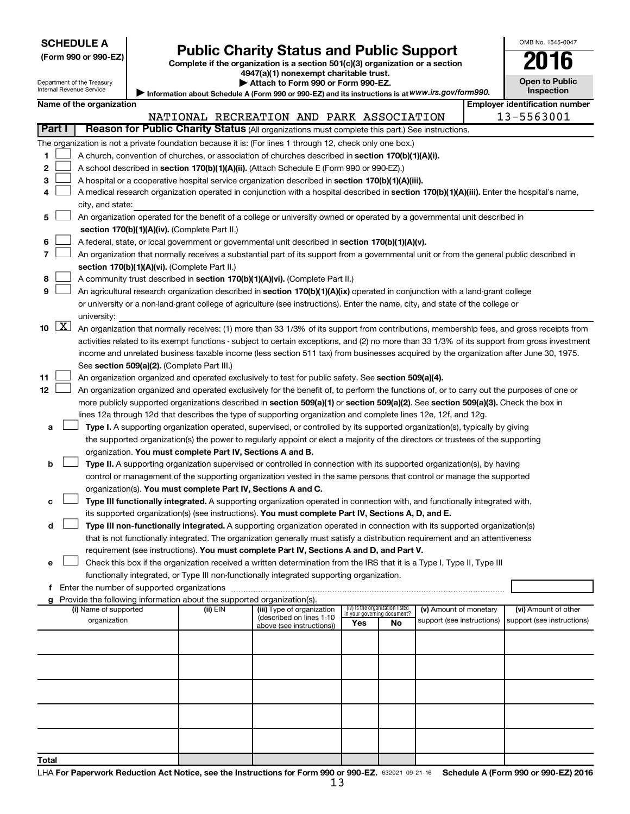| (Form 990 or 990-EZ |  |  |  |  |
|---------------------|--|--|--|--|
|---------------------|--|--|--|--|

## Form 990 or 990-EZ)<br>
Complete if the organization is a section 501(c)(3) organization or a section<br> **2016**

**4947(a)(1) nonexempt charitable trust.**

**| Attach to Form 990 or Form 990-EZ.** 

| . .                                        |
|--------------------------------------------|
| <b>Open to Public</b><br><b>Inspection</b> |

OMB No. 1545-0047

| Department of the Treasury |
|----------------------------|
| Internal Revenue Service   |

Information about Schedule A (Form 990 or 990-EZ) and its instructions is at WWW.irs.gov/form990.

|                             | Name of the organization                                                                                                                                                                                                                                  |          |                                                        |     |                                                                |                            |  | <b>Employer identification number</b><br>13-5563001 |  |  |
|-----------------------------|-----------------------------------------------------------------------------------------------------------------------------------------------------------------------------------------------------------------------------------------------------------|----------|--------------------------------------------------------|-----|----------------------------------------------------------------|----------------------------|--|-----------------------------------------------------|--|--|
| Part I                      | Reason for Public Charity Status (All organizations must complete this part.) See instructions.                                                                                                                                                           |          | NATIONAL RECREATION AND PARK ASSOCIATION               |     |                                                                |                            |  |                                                     |  |  |
|                             | The organization is not a private foundation because it is: (For lines 1 through 12, check only one box.)                                                                                                                                                 |          |                                                        |     |                                                                |                            |  |                                                     |  |  |
| 1.                          | A church, convention of churches, or association of churches described in section 170(b)(1)(A)(i).                                                                                                                                                        |          |                                                        |     |                                                                |                            |  |                                                     |  |  |
| 2                           |                                                                                                                                                                                                                                                           |          |                                                        |     |                                                                |                            |  |                                                     |  |  |
| з                           | A school described in section 170(b)(1)(A)(ii). (Attach Schedule E (Form 990 or 990-EZ).)<br>A hospital or a cooperative hospital service organization described in section 170(b)(1)(A)(iii).                                                            |          |                                                        |     |                                                                |                            |  |                                                     |  |  |
| 4                           | A medical research organization operated in conjunction with a hospital described in section 170(b)(1)(A)(iii). Enter the hospital's name,                                                                                                                |          |                                                        |     |                                                                |                            |  |                                                     |  |  |
|                             | city, and state:                                                                                                                                                                                                                                          |          |                                                        |     |                                                                |                            |  |                                                     |  |  |
| 5.                          | An organization operated for the benefit of a college or university owned or operated by a governmental unit described in                                                                                                                                 |          |                                                        |     |                                                                |                            |  |                                                     |  |  |
|                             | section 170(b)(1)(A)(iv). (Complete Part II.)                                                                                                                                                                                                             |          |                                                        |     |                                                                |                            |  |                                                     |  |  |
| 6                           | A federal, state, or local government or governmental unit described in section 170(b)(1)(A)(v).                                                                                                                                                          |          |                                                        |     |                                                                |                            |  |                                                     |  |  |
| 7                           | An organization that normally receives a substantial part of its support from a governmental unit or from the general public described in                                                                                                                 |          |                                                        |     |                                                                |                            |  |                                                     |  |  |
|                             | section 170(b)(1)(A)(vi). (Complete Part II.)                                                                                                                                                                                                             |          |                                                        |     |                                                                |                            |  |                                                     |  |  |
| 8                           | A community trust described in section 170(b)(1)(A)(vi). (Complete Part II.)                                                                                                                                                                              |          |                                                        |     |                                                                |                            |  |                                                     |  |  |
| 9                           | An agricultural research organization described in section 170(b)(1)(A)(ix) operated in conjunction with a land-grant college                                                                                                                             |          |                                                        |     |                                                                |                            |  |                                                     |  |  |
|                             | or university or a non-land-grant college of agriculture (see instructions). Enter the name, city, and state of the college or                                                                                                                            |          |                                                        |     |                                                                |                            |  |                                                     |  |  |
|                             | university:                                                                                                                                                                                                                                               |          |                                                        |     |                                                                |                            |  |                                                     |  |  |
| $10 \quad \boxed{\text{X}}$ | An organization that normally receives: (1) more than 33 1/3% of its support from contributions, membership fees, and gross receipts from                                                                                                                 |          |                                                        |     |                                                                |                            |  |                                                     |  |  |
|                             | activities related to its exempt functions - subject to certain exceptions, and (2) no more than 33 1/3% of its support from gross investment                                                                                                             |          |                                                        |     |                                                                |                            |  |                                                     |  |  |
|                             | income and unrelated business taxable income (less section 511 tax) from businesses acquired by the organization after June 30, 1975.                                                                                                                     |          |                                                        |     |                                                                |                            |  |                                                     |  |  |
|                             | See section 509(a)(2). (Complete Part III.)                                                                                                                                                                                                               |          |                                                        |     |                                                                |                            |  |                                                     |  |  |
| 11                          | An organization organized and operated exclusively to test for public safety. See section 509(a)(4).                                                                                                                                                      |          |                                                        |     |                                                                |                            |  |                                                     |  |  |
| 12                          | An organization organized and operated exclusively for the benefit of, to perform the functions of, or to carry out the purposes of one or                                                                                                                |          |                                                        |     |                                                                |                            |  |                                                     |  |  |
|                             | more publicly supported organizations described in section 509(a)(1) or section 509(a)(2). See section 509(a)(3). Check the box in                                                                                                                        |          |                                                        |     |                                                                |                            |  |                                                     |  |  |
|                             | lines 12a through 12d that describes the type of supporting organization and complete lines 12e, 12f, and 12g.                                                                                                                                            |          |                                                        |     |                                                                |                            |  |                                                     |  |  |
| а                           | Type I. A supporting organization operated, supervised, or controlled by its supported organization(s), typically by giving                                                                                                                               |          |                                                        |     |                                                                |                            |  |                                                     |  |  |
|                             | the supported organization(s) the power to regularly appoint or elect a majority of the directors or trustees of the supporting                                                                                                                           |          |                                                        |     |                                                                |                            |  |                                                     |  |  |
|                             | organization. You must complete Part IV, Sections A and B.                                                                                                                                                                                                |          |                                                        |     |                                                                |                            |  |                                                     |  |  |
| b                           | Type II. A supporting organization supervised or controlled in connection with its supported organization(s), by having                                                                                                                                   |          |                                                        |     |                                                                |                            |  |                                                     |  |  |
|                             | control or management of the supporting organization vested in the same persons that control or manage the supported                                                                                                                                      |          |                                                        |     |                                                                |                            |  |                                                     |  |  |
|                             | organization(s). You must complete Part IV, Sections A and C.                                                                                                                                                                                             |          |                                                        |     |                                                                |                            |  |                                                     |  |  |
| с                           | Type III functionally integrated. A supporting organization operated in connection with, and functionally integrated with,                                                                                                                                |          |                                                        |     |                                                                |                            |  |                                                     |  |  |
|                             | its supported organization(s) (see instructions). You must complete Part IV, Sections A, D, and E.                                                                                                                                                        |          |                                                        |     |                                                                |                            |  |                                                     |  |  |
| d                           | Type III non-functionally integrated. A supporting organization operated in connection with its supported organization(s)<br>that is not functionally integrated. The organization generally must satisfy a distribution requirement and an attentiveness |          |                                                        |     |                                                                |                            |  |                                                     |  |  |
|                             | requirement (see instructions). You must complete Part IV, Sections A and D, and Part V.                                                                                                                                                                  |          |                                                        |     |                                                                |                            |  |                                                     |  |  |
|                             | Check this box if the organization received a written determination from the IRS that it is a Type I, Type II, Type III                                                                                                                                   |          |                                                        |     |                                                                |                            |  |                                                     |  |  |
|                             | functionally integrated, or Type III non-functionally integrated supporting organization.                                                                                                                                                                 |          |                                                        |     |                                                                |                            |  |                                                     |  |  |
|                             | f Enter the number of supported organizations                                                                                                                                                                                                             |          |                                                        |     |                                                                |                            |  |                                                     |  |  |
|                             | g Provide the following information about the supported organization(s).                                                                                                                                                                                  |          |                                                        |     |                                                                |                            |  |                                                     |  |  |
|                             | (i) Name of supported                                                                                                                                                                                                                                     | (ii) EIN | (iii) Type of organization<br>(described on lines 1-10 |     | (iv) Is the organization listed<br>in your governing document? | (v) Amount of monetary     |  | (vi) Amount of other                                |  |  |
|                             | organization                                                                                                                                                                                                                                              |          | above (see instructions))                              | Yes | No                                                             | support (see instructions) |  | support (see instructions)                          |  |  |
|                             |                                                                                                                                                                                                                                                           |          |                                                        |     |                                                                |                            |  |                                                     |  |  |
|                             |                                                                                                                                                                                                                                                           |          |                                                        |     |                                                                |                            |  |                                                     |  |  |
|                             |                                                                                                                                                                                                                                                           |          |                                                        |     |                                                                |                            |  |                                                     |  |  |
|                             |                                                                                                                                                                                                                                                           |          |                                                        |     |                                                                |                            |  |                                                     |  |  |
|                             |                                                                                                                                                                                                                                                           |          |                                                        |     |                                                                |                            |  |                                                     |  |  |
|                             |                                                                                                                                                                                                                                                           |          |                                                        |     |                                                                |                            |  |                                                     |  |  |
|                             |                                                                                                                                                                                                                                                           |          |                                                        |     |                                                                |                            |  |                                                     |  |  |
|                             |                                                                                                                                                                                                                                                           |          |                                                        |     |                                                                |                            |  |                                                     |  |  |

LHA For Paperwork Reduction Act Notice, see the Instructions for Form 990 or 990-EZ. 632021 09-21-16 Schedule A (Form 990 or 990-EZ) 2016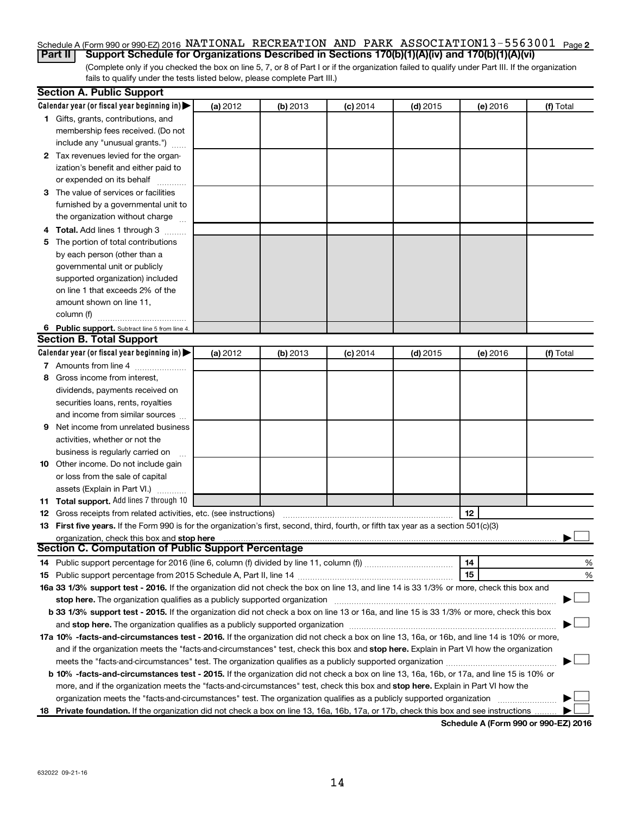## Schedule A (Form 990 or 990-EZ) 2016 NATIONAL RECREATION AND PARK ASSOCIATION13-5563001 <sub>Page 2</sub>

(Complete only if you checked the box on line 5, 7, or 8 of Part I or if the organization failed to qualify under Part III. If the organization fails to qualify under the tests listed below, please complete Part III.) **Part II Support Schedule for Organizations Described in Sections 170(b)(1)(A)(iv) and 170(b)(1)(A)(vi)**

|   | <b>Section A. Public Support</b>                                                                                                                                                                                              |          |          |            |            |          |           |
|---|-------------------------------------------------------------------------------------------------------------------------------------------------------------------------------------------------------------------------------|----------|----------|------------|------------|----------|-----------|
|   | Calendar year (or fiscal year beginning in)                                                                                                                                                                                   | (a) 2012 | (b) 2013 | $(c)$ 2014 | $(d)$ 2015 | (e) 2016 | (f) Total |
|   | 1 Gifts, grants, contributions, and                                                                                                                                                                                           |          |          |            |            |          |           |
|   | membership fees received. (Do not                                                                                                                                                                                             |          |          |            |            |          |           |
|   | include any "unusual grants.")                                                                                                                                                                                                |          |          |            |            |          |           |
|   | 2 Tax revenues levied for the organ-                                                                                                                                                                                          |          |          |            |            |          |           |
|   | ization's benefit and either paid to                                                                                                                                                                                          |          |          |            |            |          |           |
|   | or expended on its behalf                                                                                                                                                                                                     |          |          |            |            |          |           |
|   | 3 The value of services or facilities                                                                                                                                                                                         |          |          |            |            |          |           |
|   | furnished by a governmental unit to                                                                                                                                                                                           |          |          |            |            |          |           |
|   | the organization without charge                                                                                                                                                                                               |          |          |            |            |          |           |
|   | 4 Total. Add lines 1 through 3                                                                                                                                                                                                |          |          |            |            |          |           |
|   | 5 The portion of total contributions                                                                                                                                                                                          |          |          |            |            |          |           |
|   | by each person (other than a                                                                                                                                                                                                  |          |          |            |            |          |           |
|   | governmental unit or publicly                                                                                                                                                                                                 |          |          |            |            |          |           |
|   | supported organization) included                                                                                                                                                                                              |          |          |            |            |          |           |
|   | on line 1 that exceeds 2% of the                                                                                                                                                                                              |          |          |            |            |          |           |
|   | amount shown on line 11,                                                                                                                                                                                                      |          |          |            |            |          |           |
|   | column (f)                                                                                                                                                                                                                    |          |          |            |            |          |           |
|   | 6 Public support. Subtract line 5 from line 4.                                                                                                                                                                                |          |          |            |            |          |           |
|   | <b>Section B. Total Support</b>                                                                                                                                                                                               |          |          |            |            |          |           |
|   | Calendar year (or fiscal year beginning in)                                                                                                                                                                                   | (a) 2012 | (b) 2013 | $(c)$ 2014 | $(d)$ 2015 | (e) 2016 | (f) Total |
|   | 7 Amounts from line 4                                                                                                                                                                                                         |          |          |            |            |          |           |
| 8 | Gross income from interest,                                                                                                                                                                                                   |          |          |            |            |          |           |
|   | dividends, payments received on                                                                                                                                                                                               |          |          |            |            |          |           |
|   | securities loans, rents, royalties                                                                                                                                                                                            |          |          |            |            |          |           |
|   | and income from similar sources                                                                                                                                                                                               |          |          |            |            |          |           |
| 9 | Net income from unrelated business                                                                                                                                                                                            |          |          |            |            |          |           |
|   | activities, whether or not the                                                                                                                                                                                                |          |          |            |            |          |           |
|   | business is regularly carried on                                                                                                                                                                                              |          |          |            |            |          |           |
|   | 10 Other income. Do not include gain                                                                                                                                                                                          |          |          |            |            |          |           |
|   | or loss from the sale of capital                                                                                                                                                                                              |          |          |            |            |          |           |
|   | assets (Explain in Part VI.)                                                                                                                                                                                                  |          |          |            |            |          |           |
|   | 11 Total support. Add lines 7 through 10                                                                                                                                                                                      |          |          |            |            |          |           |
|   | <b>12</b> Gross receipts from related activities, etc. (see instructions)                                                                                                                                                     |          |          |            |            | 12       |           |
|   | 13 First five years. If the Form 990 is for the organization's first, second, third, fourth, or fifth tax year as a section 501(c)(3)                                                                                         |          |          |            |            |          |           |
|   | organization, check this box and stop here                                                                                                                                                                                    |          |          |            |            |          |           |
|   | <b>Section C. Computation of Public Support Percentage</b>                                                                                                                                                                    |          |          |            |            |          |           |
|   |                                                                                                                                                                                                                               |          |          |            |            | 14       | %         |
|   |                                                                                                                                                                                                                               |          |          |            |            | 15       | %         |
|   | 16a 33 1/3% support test - 2016. If the organization did not check the box on line 13, and line 14 is 33 1/3% or more, check this box and                                                                                     |          |          |            |            |          |           |
|   | stop here. The organization qualifies as a publicly supported organization manufaction manufacture or the organization manufacture or the state of the state of the state of the state of the state of the state of the state |          |          |            |            |          |           |
|   | b 33 1/3% support test - 2015. If the organization did not check a box on line 13 or 16a, and line 15 is 33 1/3% or more, check this box                                                                                      |          |          |            |            |          |           |
|   |                                                                                                                                                                                                                               |          |          |            |            |          |           |
|   | 17a 10% -facts-and-circumstances test - 2016. If the organization did not check a box on line 13, 16a, or 16b, and line 14 is 10% or more,                                                                                    |          |          |            |            |          |           |
|   | and if the organization meets the "facts-and-circumstances" test, check this box and stop here. Explain in Part VI how the organization                                                                                       |          |          |            |            |          |           |
|   |                                                                                                                                                                                                                               |          |          |            |            |          |           |
|   | <b>b 10%</b> -facts-and-circumstances test - 2015. If the organization did not check a box on line 13, 16a, 16b, or 17a, and line 15 is 10% or                                                                                |          |          |            |            |          |           |
|   | more, and if the organization meets the "facts-and-circumstances" test, check this box and stop here. Explain in Part VI how the                                                                                              |          |          |            |            |          |           |
|   | organization meets the "facts-and-circumstances" test. The organization qualifies as a publicly supported organization                                                                                                        |          |          |            |            |          |           |
|   | 18 Private foundation. If the organization did not check a box on line 13, 16a, 16b, 17a, or 17b, check this box and see instructions                                                                                         |          |          |            |            |          |           |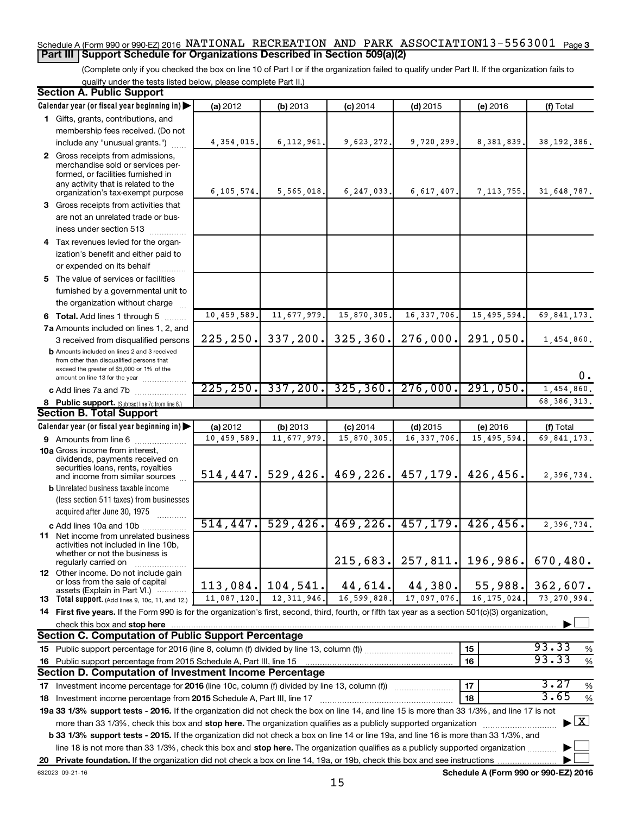## Schedule A (Form 990 or 990-EZ) 2016 NATIONAL RECREATION AND PARK ASSOCIATION13-5563001 <sub>Page 3</sub> **Part III Support Schedule for Organizations Described in Section 509(a)(2)**

(Complete only if you checked the box on line 10 of Part I or if the organization failed to qualify under Part II. If the organization fails to qualify under the tests listed below, please complete Part II.)

| <b>Section A. Public Support</b>                                                                                                                    |              |               |              |               |               |                                          |
|-----------------------------------------------------------------------------------------------------------------------------------------------------|--------------|---------------|--------------|---------------|---------------|------------------------------------------|
| Calendar year (or fiscal year beginning in)                                                                                                         | (a) 2012     | (b) 2013      | $(c)$ 2014   | $(d)$ 2015    | (e) 2016      | (f) Total                                |
| 1 Gifts, grants, contributions, and                                                                                                                 |              |               |              |               |               |                                          |
| membership fees received. (Do not                                                                                                                   |              |               |              |               |               |                                          |
| include any "unusual grants.")                                                                                                                      | 4, 354, 015. | 6, 112, 961.  | 9,623,272.   | 9,720,299.    | 8, 381, 839.  | 38, 192, 386.                            |
| 2 Gross receipts from admissions,                                                                                                                   |              |               |              |               |               |                                          |
| merchandise sold or services per-                                                                                                                   |              |               |              |               |               |                                          |
| formed, or facilities furnished in<br>any activity that is related to the                                                                           |              |               |              |               |               |                                          |
| organization's tax-exempt purpose                                                                                                                   | 6, 105, 574. | 5,565,018.    | 6, 247, 033. | 6,617,407.    | 7, 113, 755.  | 31,648,787.                              |
| 3 Gross receipts from activities that                                                                                                               |              |               |              |               |               |                                          |
| are not an unrelated trade or bus-                                                                                                                  |              |               |              |               |               |                                          |
| iness under section 513                                                                                                                             |              |               |              |               |               |                                          |
| 4 Tax revenues levied for the organ-                                                                                                                |              |               |              |               |               |                                          |
| ization's benefit and either paid to                                                                                                                |              |               |              |               |               |                                          |
| or expended on its behalf                                                                                                                           |              |               |              |               |               |                                          |
| 5 The value of services or facilities                                                                                                               |              |               |              |               |               |                                          |
| furnished by a governmental unit to                                                                                                                 |              |               |              |               |               |                                          |
| the organization without charge                                                                                                                     |              |               |              |               |               |                                          |
| 6 Total. Add lines 1 through 5                                                                                                                      | 10,459,589.  | 11,677,979.   | 15,870,305.  | 16, 337, 706. | 15, 495, 594. | 69,841,173.                              |
| 7a Amounts included on lines 1, 2, and                                                                                                              |              |               |              |               |               |                                          |
| 3 received from disqualified persons                                                                                                                | 225, 250.    | 337, 200.     | 325, 360.    | 276,000.      | 291,050.      | 1,454,860.                               |
| <b>b</b> Amounts included on lines 2 and 3 received                                                                                                 |              |               |              |               |               |                                          |
| from other than disqualified persons that                                                                                                           |              |               |              |               |               |                                          |
| exceed the greater of \$5,000 or 1% of the<br>amount on line 13 for the year                                                                        |              |               |              |               |               | 0.                                       |
| c Add lines 7a and 7b                                                                                                                               | 225, 250.    | 337, 200.     | 325, 360.    | 276,000.      | 291,050.      | 1,454,860.                               |
| 8 Public support. (Subtract line 7c from line 6.)                                                                                                   |              |               |              |               |               | 68, 386, 313.                            |
| <b>Section B. Total Support</b>                                                                                                                     |              |               |              |               |               |                                          |
| Calendar year (or fiscal year beginning in)                                                                                                         | (a) 2012     | (b) 2013      | $(c)$ 2014   | $(d)$ 2015    | (e) 2016      | (f) Total                                |
| 9 Amounts from line 6                                                                                                                               | 10,459,589.  | 11,677,979    | 15,870,305   | 16, 337, 706  | 15,495,594    | 69,841,173.                              |
| <b>10a</b> Gross income from interest,                                                                                                              |              |               |              |               |               |                                          |
| dividends, payments received on                                                                                                                     |              |               |              |               |               |                                          |
| securities loans, rents, royalties<br>and income from similar sources                                                                               | 514, 447.    | 529, 426.     | 469, 226.    | 457,179.      | 426,456.      | 2,396,734.                               |
| <b>b</b> Unrelated business taxable income                                                                                                          |              |               |              |               |               |                                          |
| (less section 511 taxes) from businesses                                                                                                            |              |               |              |               |               |                                          |
| acquired after June 30, 1975                                                                                                                        |              |               |              |               |               |                                          |
| c Add lines 10a and 10b                                                                                                                             | 514, 447.    | 529,426.      | 469, 226.    | 457,179.      | 426, 456.     | 2,396,734.                               |
| <b>11</b> Net income from unrelated business                                                                                                        |              |               |              |               |               |                                          |
| activities not included in line 10b,                                                                                                                |              |               |              |               |               |                                          |
| whether or not the business is                                                                                                                      |              |               | 215,683.     | 257,811.      | 196,986.      | 670,480.                                 |
| regularly carried on<br><b>12</b> Other income. Do not include gain                                                                                 |              |               |              |               |               |                                          |
| or loss from the sale of capital                                                                                                                    | 113,084.     | 104,541.      | 44,614.      | 44,380.       | 55,988.       | 362,607.                                 |
| assets (Explain in Part VI.)                                                                                                                        | 11,087,120.  | 12, 311, 946. | 16,599,828.  | 17,097,076.   | 16, 175, 024. | 73, 270, 994.                            |
| 13 Total support. (Add lines 9, 10c, 11, and 12.)                                                                                                   |              |               |              |               |               |                                          |
| 14 First five years. If the Form 990 is for the organization's first, second, third, fourth, or fifth tax year as a section 501(c)(3) organization, |              |               |              |               |               |                                          |
| check this box and stop here<br><b>Section C. Computation of Public Support Percentage</b>                                                          |              |               |              |               |               |                                          |
|                                                                                                                                                     |              |               |              |               |               | 93.33                                    |
| 15 Public support percentage for 2016 (line 8, column (f) divided by line 13, column (f)                                                            |              |               |              |               | 15            | %<br>93.33                               |
| 16 Public support percentage from 2015 Schedule A, Part III, line 15<br>Section D. Computation of Investment Income Percentage                      |              |               |              |               | 16            | $\%$                                     |
|                                                                                                                                                     |              |               |              |               | 17            | 3.27                                     |
| 17 Investment income percentage for 2016 (line 10c, column (f) divided by line 13, column (f))                                                      |              |               |              |               |               | $\%$<br>3.65                             |
| 18 Investment income percentage from 2015 Schedule A, Part III, line 17                                                                             |              |               |              |               | 18            | %                                        |
| 19a 33 1/3% support tests - 2016. If the organization did not check the box on line 14, and line 15 is more than 33 1/3%, and line 17 is not        |              |               |              |               |               |                                          |
| more than 33 1/3%, check this box and stop here. The organization qualifies as a publicly supported organization                                    |              |               |              |               |               | $\blacktriangleright$ $\boxed{\text{X}}$ |
| b 33 1/3% support tests - 2015. If the organization did not check a box on line 14 or line 19a, and line 16 is more than 33 1/3%, and               |              |               |              |               |               |                                          |
| line 18 is not more than 33 1/3%, check this box and stop here. The organization qualifies as a publicly supported organization                     |              |               |              |               |               |                                          |
|                                                                                                                                                     |              |               |              |               |               |                                          |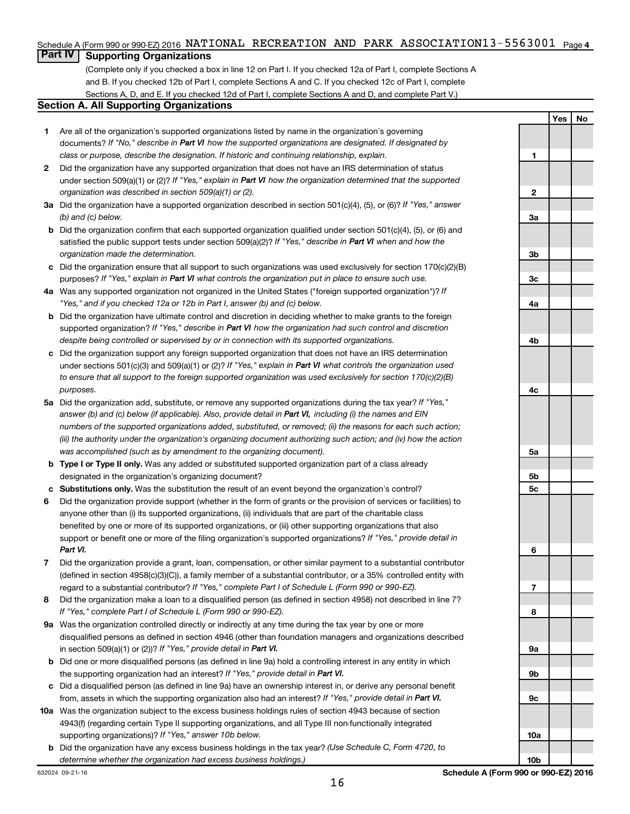## Schedule A (Form 990 or 990-EZ) 2016 NATIONAL RECREATION AND PARK ASSOCIATION13-5563001 <sub>Page 4</sub>

## **Part IV Supporting Organizations**

(Complete only if you checked a box in line 12 on Part I. If you checked 12a of Part I, complete Sections A and B. If you checked 12b of Part I, complete Sections A and C. If you checked 12c of Part I, complete Sections A, D, and E. If you checked 12d of Part I, complete Sections A and D, and complete Part V.)

### **Section A. All Supporting Organizations**

- **1** Are all of the organization's supported organizations listed by name in the organization's governing documents? If "No," describe in Part VI how the supported organizations are designated. If designated by *class or purpose, describe the designation. If historic and continuing relationship, explain.*
- **2** Did the organization have any supported organization that does not have an IRS determination of status under section 509(a)(1) or (2)? If "Yes," explain in Part VI how the organization determined that the supported *organization was described in section 509(a)(1) or (2).*
- **3a** Did the organization have a supported organization described in section 501(c)(4), (5), or (6)? If "Yes," answer *(b) and (c) below.*
- **b** Did the organization confirm that each supported organization qualified under section 501(c)(4), (5), or (6) and satisfied the public support tests under section 509(a)(2)? If "Yes," describe in Part VI when and how the *organization made the determination.*
- **c** Did the organization ensure that all support to such organizations was used exclusively for section 170(c)(2)(B) purposes? If "Yes," explain in Part VI what controls the organization put in place to ensure such use.
- **4 a** *If* Was any supported organization not organized in the United States ("foreign supported organization")? *"Yes," and if you checked 12a or 12b in Part I, answer (b) and (c) below.*
- **b** Did the organization have ultimate control and discretion in deciding whether to make grants to the foreign supported organization? If "Yes," describe in Part VI how the organization had such control and discretion *despite being controlled or supervised by or in connection with its supported organizations.*
- **c** Did the organization support any foreign supported organization that does not have an IRS determination under sections 501(c)(3) and 509(a)(1) or (2)? If "Yes," explain in Part VI what controls the organization used *to ensure that all support to the foreign supported organization was used exclusively for section 170(c)(2)(B) purposes.*
- **5a** Did the organization add, substitute, or remove any supported organizations during the tax year? If "Yes," answer (b) and (c) below (if applicable). Also, provide detail in Part VI, including (i) the names and EIN *numbers of the supported organizations added, substituted, or removed; (ii) the reasons for each such action; (iii) the authority under the organization's organizing document authorizing such action; and (iv) how the action was accomplished (such as by amendment to the organizing document).*
- **b** Type I or Type II only. Was any added or substituted supported organization part of a class already designated in the organization's organizing document?
- **c Substitutions only.**  Was the substitution the result of an event beyond the organization's control?
- **6** Did the organization provide support (whether in the form of grants or the provision of services or facilities) to support or benefit one or more of the filing organization's supported organizations? If "Yes," provide detail in anyone other than (i) its supported organizations, (ii) individuals that are part of the charitable class benefited by one or more of its supported organizations, or (iii) other supporting organizations that also *Part VI.*
- **7** Did the organization provide a grant, loan, compensation, or other similar payment to a substantial contributor regard to a substantial contributor? If "Yes," complete Part I of Schedule L (Form 990 or 990-EZ). (defined in section 4958(c)(3)(C)), a family member of a substantial contributor, or a 35% controlled entity with
- **8** Did the organization make a loan to a disqualified person (as defined in section 4958) not described in line 7? *If "Yes," complete Part I of Schedule L (Form 990 or 990-EZ).*
- **9 a** Was the organization controlled directly or indirectly at any time during the tax year by one or more in section 509(a)(1) or (2))? If "Yes," provide detail in Part VI. disqualified persons as defined in section 4946 (other than foundation managers and organizations described
- **b** Did one or more disqualified persons (as defined in line 9a) hold a controlling interest in any entity in which the supporting organization had an interest? If "Yes," provide detail in Part VI.
- **c** Did a disqualified person (as defined in line 9a) have an ownership interest in, or derive any personal benefit from, assets in which the supporting organization also had an interest? If "Yes," provide detail in Part VI.
- **10 a** Was the organization subject to the excess business holdings rules of section 4943 because of section supporting organizations)? If "Yes," answer 10b below. 4943(f) (regarding certain Type II supporting organizations, and all Type III non-functionally integrated
	- **b** Did the organization have any excess business holdings in the tax year? (Use Schedule C, Form 4720, to *determine whether the organization had excess business holdings.)*

**1 2 3a 3b 3c 4a 4b 4c 5a 5b 5c 6 7 8 9a 9b 9c 10a**

**Yes No**

632024 09-21-16

16

**10b**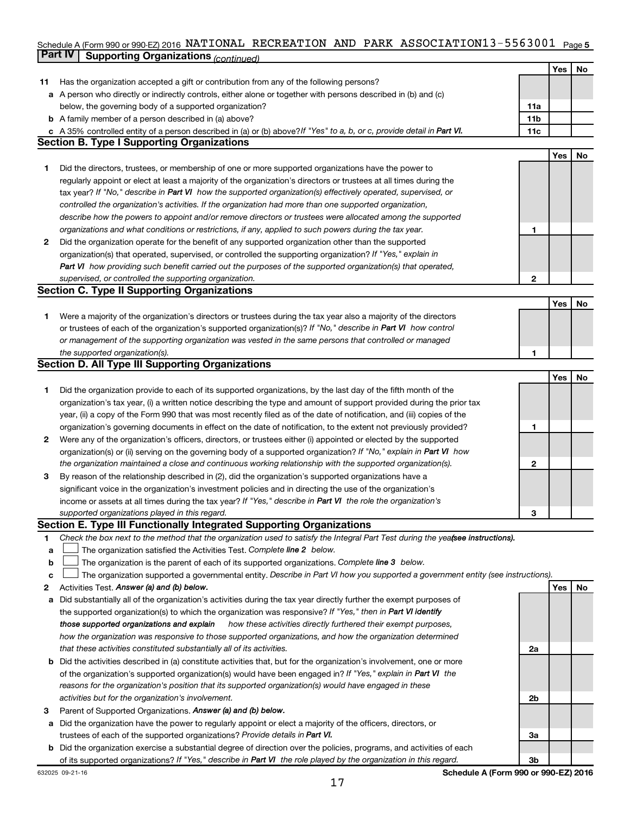## Schedule A (Form 990 or 990-EZ) 2016 NATIONAL RECREATION AND PARK ASSOCIATION13-5563001 <sub>Page 5</sub> **Part IV Supporting Organizations** *(continued)*

|              |                                                                                                                                 |                 | Yes | No |
|--------------|---------------------------------------------------------------------------------------------------------------------------------|-----------------|-----|----|
| 11           | Has the organization accepted a gift or contribution from any of the following persons?                                         |                 |     |    |
|              | <b>a</b> A person who directly or indirectly controls, either alone or together with persons described in (b) and (c)           |                 |     |    |
|              | below, the governing body of a supported organization?                                                                          | 11a             |     |    |
|              | <b>b</b> A family member of a person described in (a) above?                                                                    | 11 <sub>b</sub> |     |    |
|              | c A 35% controlled entity of a person described in (a) or (b) above? If "Yes" to a, b, or c, provide detail in Part VI.         | 11c             |     |    |
|              | <b>Section B. Type I Supporting Organizations</b>                                                                               |                 |     |    |
|              |                                                                                                                                 |                 | Yes | No |
| 1            | Did the directors, trustees, or membership of one or more supported organizations have the power to                             |                 |     |    |
|              | regularly appoint or elect at least a majority of the organization's directors or trustees at all times during the              |                 |     |    |
|              | tax year? If "No," describe in Part VI how the supported organization(s) effectively operated, supervised, or                   |                 |     |    |
|              | controlled the organization's activities. If the organization had more than one supported organization,                         |                 |     |    |
|              | describe how the powers to appoint and/or remove directors or trustees were allocated among the supported                       |                 |     |    |
|              | organizations and what conditions or restrictions, if any, applied to such powers during the tax year.                          | 1               |     |    |
| $\mathbf{2}$ | Did the organization operate for the benefit of any supported organization other than the supported                             |                 |     |    |
|              | organization(s) that operated, supervised, or controlled the supporting organization? If "Yes," explain in                      |                 |     |    |
|              | Part VI how providing such benefit carried out the purposes of the supported organization(s) that operated,                     |                 |     |    |
|              | supervised, or controlled the supporting organization.                                                                          | $\mathbf{2}$    |     |    |
|              | <b>Section C. Type II Supporting Organizations</b>                                                                              |                 |     |    |
|              |                                                                                                                                 |                 | Yes | No |
| 1.           | Were a majority of the organization's directors or trustees during the tax year also a majority of the directors                |                 |     |    |
|              | or trustees of each of the organization's supported organization(s)? If "No," describe in Part VI how control                   |                 |     |    |
|              | or management of the supporting organization was vested in the same persons that controlled or managed                          |                 |     |    |
|              | the supported organization(s).                                                                                                  | 1               |     |    |
|              | <b>Section D. All Type III Supporting Organizations</b>                                                                         |                 |     |    |
|              |                                                                                                                                 |                 | Yes | No |
| 1            | Did the organization provide to each of its supported organizations, by the last day of the fifth month of the                  |                 |     |    |
|              | organization's tax year, (i) a written notice describing the type and amount of support provided during the prior tax           |                 |     |    |
|              | year, (ii) a copy of the Form 990 that was most recently filed as of the date of notification, and (iii) copies of the          |                 |     |    |
|              | organization's governing documents in effect on the date of notification, to the extent not previously provided?                | 1               |     |    |
| 2            | Were any of the organization's officers, directors, or trustees either (i) appointed or elected by the supported                |                 |     |    |
|              | organization(s) or (ii) serving on the governing body of a supported organization? If "No," explain in Part VI how              |                 |     |    |
|              | the organization maintained a close and continuous working relationship with the supported organization(s).                     | 2               |     |    |
| 3            | By reason of the relationship described in (2), did the organization's supported organizations have a                           |                 |     |    |
|              | significant voice in the organization's investment policies and in directing the use of the organization's                      |                 |     |    |
|              | income or assets at all times during the tax year? If "Yes," describe in Part VI the role the organization's                    |                 |     |    |
|              | supported organizations played in this regard.                                                                                  | з               |     |    |
|              | Section E. Type III Functionally Integrated Supporting Organizations                                                            |                 |     |    |
| 1            | Check the box next to the method that the organization used to satisfy the Integral Part Test during the yealsee instructions). |                 |     |    |
| а            | The organization satisfied the Activities Test. Complete line 2 below.                                                          |                 |     |    |
| b            | The organization is the parent of each of its supported organizations. Complete line 3 below.                                   |                 |     |    |
| с            | The organization supported a governmental entity. Describe in Part VI how you supported a government entity (see instructions). |                 |     |    |
| 2            | Activities Test. Answer (a) and (b) below.                                                                                      |                 | Yes | No |
| а            | Did substantially all of the organization's activities during the tax year directly further the exempt purposes of              |                 |     |    |
|              | the supported organization(s) to which the organization was responsive? If "Yes," then in Part VI identify                      |                 |     |    |
|              | those supported organizations and explain<br>how these activities directly furthered their exempt purposes,                     |                 |     |    |
|              | how the organization was responsive to those supported organizations, and how the organization determined                       |                 |     |    |
|              | that these activities constituted substantially all of its activities.                                                          | 2a              |     |    |
| b            | Did the activities described in (a) constitute activities that, but for the organization's involvement, one or more             |                 |     |    |
|              | of the organization's supported organization(s) would have been engaged in? If "Yes," explain in Part VI the                    |                 |     |    |
|              | reasons for the organization's position that its supported organization(s) would have engaged in these                          |                 |     |    |
|              | activities but for the organization's involvement.                                                                              | 2b              |     |    |
| 3            | Parent of Supported Organizations. Answer (a) and (b) below.                                                                    |                 |     |    |
| а            | Did the organization have the power to regularly appoint or elect a majority of the officers, directors, or                     |                 |     |    |
|              | trustees of each of the supported organizations? Provide details in Part VI.                                                    | За              |     |    |
|              | b Did the organization exercise a substantial degree of direction over the policies, programs, and activities of each           |                 |     |    |
|              | of its supported organizations? If "Yes," describe in Part VI the role played by the organization in this regard.               | 3b              |     |    |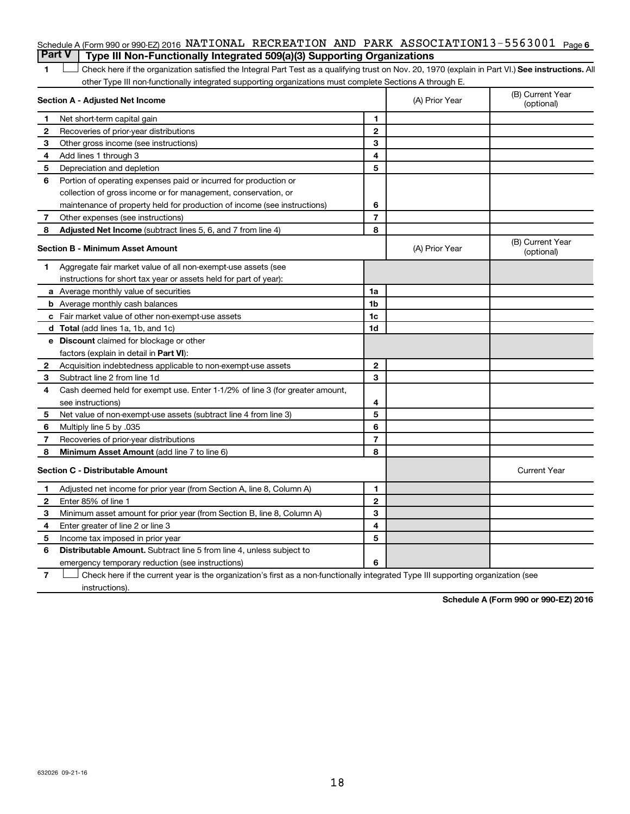|               | Schedule A (Form 990 or 990-EZ) 2016 NATIONAL RECREATION AND PARK ASSOCIATION13-5563001 $_{\text{Page }6}$                                         |                |                |                                |
|---------------|----------------------------------------------------------------------------------------------------------------------------------------------------|----------------|----------------|--------------------------------|
| <b>Part V</b> | Type III Non-Functionally Integrated 509(a)(3) Supporting Organizations                                                                            |                |                |                                |
| 1             | Check here if the organization satisfied the Integral Part Test as a qualifying trust on Nov. 20, 1970 (explain in Part VI.) See instructions. All |                |                |                                |
|               | other Type III non-functionally integrated supporting organizations must complete Sections A through E.                                            |                |                |                                |
|               | Section A - Adjusted Net Income                                                                                                                    |                | (A) Prior Year | (B) Current Year<br>(optional) |
| 1             | Net short-term capital gain                                                                                                                        | 1              |                |                                |
| $\mathbf{2}$  | Recoveries of prior-year distributions                                                                                                             | $\mathbf{2}$   |                |                                |
| З             | Other gross income (see instructions)                                                                                                              | 3              |                |                                |
| 4             | Add lines 1 through 3                                                                                                                              | 4              |                |                                |
| 5             | Depreciation and depletion                                                                                                                         | 5              |                |                                |
| 6             | Portion of operating expenses paid or incurred for production or                                                                                   |                |                |                                |
|               | collection of gross income or for management, conservation, or                                                                                     |                |                |                                |
|               | maintenance of property held for production of income (see instructions)                                                                           | 6              |                |                                |
| 7             | Other expenses (see instructions)                                                                                                                  | $\overline{7}$ |                |                                |
| 8             | <b>Adjusted Net Income</b> (subtract lines 5, 6, and 7 from line 4)                                                                                | 8              |                |                                |
|               | <b>Section B - Minimum Asset Amount</b>                                                                                                            |                | (A) Prior Year | (B) Current Year<br>(optional) |
| 1             | Aggregate fair market value of all non-exempt-use assets (see                                                                                      |                |                |                                |
|               | instructions for short tax year or assets held for part of year):                                                                                  |                |                |                                |
|               | a Average monthly value of securities                                                                                                              | 1a             |                |                                |
|               | <b>b</b> Average monthly cash balances                                                                                                             | 1 <sub>b</sub> |                |                                |
|               | c Fair market value of other non-exempt-use assets                                                                                                 | 1c             |                |                                |
|               | <b>d</b> Total (add lines 1a, 1b, and 1c)                                                                                                          | 1d             |                |                                |
|               | e Discount claimed for blockage or other                                                                                                           |                |                |                                |
|               | factors (explain in detail in Part VI):                                                                                                            |                |                |                                |
| 2             | Acquisition indebtedness applicable to non-exempt-use assets                                                                                       | $\mathbf{2}$   |                |                                |
| 3             | Subtract line 2 from line 1d                                                                                                                       | 3              |                |                                |
| 4             | Cash deemed held for exempt use. Enter 1-1/2% of line 3 (for greater amount,                                                                       |                |                |                                |
|               | see instructions)                                                                                                                                  | 4              |                |                                |
| 5             | Net value of non-exempt-use assets (subtract line 4 from line 3)                                                                                   | 5              |                |                                |
| 6             | Multiply line 5 by .035                                                                                                                            | 6              |                |                                |
| 7             | Recoveries of prior-year distributions                                                                                                             | $\overline{7}$ |                |                                |
| 8             | <b>Minimum Asset Amount (add line 7 to line 6)</b>                                                                                                 | 8              |                |                                |
|               | <b>Section C - Distributable Amount</b>                                                                                                            |                |                | <b>Current Year</b>            |
| 1             | Adjusted net income for prior year (from Section A, line 8, Column A)                                                                              | 1              |                |                                |
| 2             | Enter 85% of line 1                                                                                                                                | $\mathbf{2}$   |                |                                |
| з             | Minimum asset amount for prior year (from Section B, line 8, Column A)                                                                             | 3              |                |                                |
| 4             | Enter greater of line 2 or line 3                                                                                                                  | 4              |                |                                |
| 5             | Income tax imposed in prior year                                                                                                                   | 5              |                |                                |
| 6             | <b>Distributable Amount.</b> Subtract line 5 from line 4, unless subject to                                                                        |                |                |                                |
|               | emergency temporary reduction (see instructions)                                                                                                   | 6              |                |                                |

**7** Let Check here if the current year is the organization's first as a non-functionally integrated Type III supporting organization (see instructions).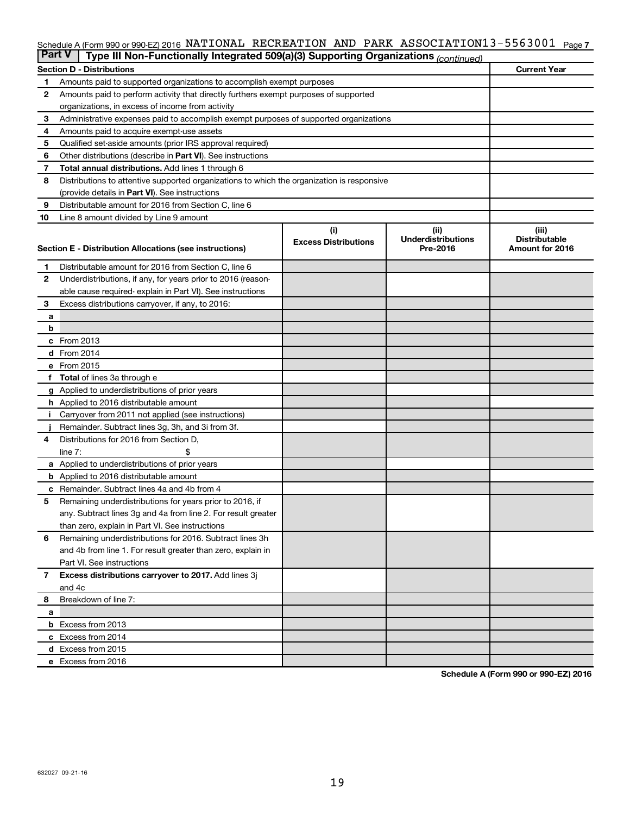#### Schedule A (Form 990 or 990-EZ) 2016 NATIONAL RECREATION AND PARK ASSOCIATION I3-556300I Page 7 NATIONAL RECREATION AND PARK ASSOCIATION13-5563001

| <b>Part V</b><br>Type III Non-Functionally Integrated 509(a)(3) Supporting Organizations (continued) |                                                                                            |                             |                                       |                                         |  |  |
|------------------------------------------------------------------------------------------------------|--------------------------------------------------------------------------------------------|-----------------------------|---------------------------------------|-----------------------------------------|--|--|
|                                                                                                      | <b>Section D - Distributions</b>                                                           |                             |                                       | <b>Current Year</b>                     |  |  |
| 1                                                                                                    | Amounts paid to supported organizations to accomplish exempt purposes                      |                             |                                       |                                         |  |  |
| $\mathbf{2}$                                                                                         | Amounts paid to perform activity that directly furthers exempt purposes of supported       |                             |                                       |                                         |  |  |
|                                                                                                      | organizations, in excess of income from activity                                           |                             |                                       |                                         |  |  |
| 3                                                                                                    | Administrative expenses paid to accomplish exempt purposes of supported organizations      |                             |                                       |                                         |  |  |
| 4                                                                                                    | Amounts paid to acquire exempt-use assets                                                  |                             |                                       |                                         |  |  |
| 5                                                                                                    | Qualified set-aside amounts (prior IRS approval required)                                  |                             |                                       |                                         |  |  |
| 6                                                                                                    | Other distributions (describe in Part VI). See instructions                                |                             |                                       |                                         |  |  |
| 7                                                                                                    | Total annual distributions. Add lines 1 through 6                                          |                             |                                       |                                         |  |  |
| 8                                                                                                    | Distributions to attentive supported organizations to which the organization is responsive |                             |                                       |                                         |  |  |
|                                                                                                      | (provide details in Part VI). See instructions                                             |                             |                                       |                                         |  |  |
| 9                                                                                                    | Distributable amount for 2016 from Section C, line 6                                       |                             |                                       |                                         |  |  |
| 10                                                                                                   | Line 8 amount divided by Line 9 amount                                                     |                             |                                       |                                         |  |  |
|                                                                                                      |                                                                                            | (i)                         | (ii)                                  | (iii)                                   |  |  |
|                                                                                                      | Section E - Distribution Allocations (see instructions)                                    | <b>Excess Distributions</b> | <b>Underdistributions</b><br>Pre-2016 | <b>Distributable</b><br>Amount for 2016 |  |  |
|                                                                                                      |                                                                                            |                             |                                       |                                         |  |  |
| 1                                                                                                    | Distributable amount for 2016 from Section C, line 6                                       |                             |                                       |                                         |  |  |
| $\mathbf{2}$                                                                                         | Underdistributions, if any, for years prior to 2016 (reason-                               |                             |                                       |                                         |  |  |
|                                                                                                      | able cause required- explain in Part VI). See instructions                                 |                             |                                       |                                         |  |  |
| 3                                                                                                    | Excess distributions carryover, if any, to 2016:                                           |                             |                                       |                                         |  |  |
| а                                                                                                    |                                                                                            |                             |                                       |                                         |  |  |
| b                                                                                                    |                                                                                            |                             |                                       |                                         |  |  |
|                                                                                                      | c From 2013                                                                                |                             |                                       |                                         |  |  |
|                                                                                                      | <b>d</b> From 2014                                                                         |                             |                                       |                                         |  |  |
|                                                                                                      | e From 2015                                                                                |                             |                                       |                                         |  |  |
|                                                                                                      | f Total of lines 3a through e                                                              |                             |                                       |                                         |  |  |
|                                                                                                      | <b>g</b> Applied to underdistributions of prior years                                      |                             |                                       |                                         |  |  |
|                                                                                                      | <b>h</b> Applied to 2016 distributable amount                                              |                             |                                       |                                         |  |  |
| Ť.                                                                                                   | Carryover from 2011 not applied (see instructions)                                         |                             |                                       |                                         |  |  |
|                                                                                                      | Remainder. Subtract lines 3g, 3h, and 3i from 3f.                                          |                             |                                       |                                         |  |  |
| 4                                                                                                    | Distributions for 2016 from Section D,                                                     |                             |                                       |                                         |  |  |
|                                                                                                      | line $7:$                                                                                  |                             |                                       |                                         |  |  |
|                                                                                                      | a Applied to underdistributions of prior years                                             |                             |                                       |                                         |  |  |
|                                                                                                      | <b>b</b> Applied to 2016 distributable amount                                              |                             |                                       |                                         |  |  |
| с                                                                                                    | Remainder. Subtract lines 4a and 4b from 4                                                 |                             |                                       |                                         |  |  |
| 5                                                                                                    | Remaining underdistributions for years prior to 2016, if                                   |                             |                                       |                                         |  |  |
|                                                                                                      | any. Subtract lines 3g and 4a from line 2. For result greater                              |                             |                                       |                                         |  |  |
|                                                                                                      | than zero, explain in Part VI. See instructions                                            |                             |                                       |                                         |  |  |
| 6                                                                                                    | Remaining underdistributions for 2016. Subtract lines 3h                                   |                             |                                       |                                         |  |  |
|                                                                                                      | and 4b from line 1. For result greater than zero, explain in                               |                             |                                       |                                         |  |  |
|                                                                                                      | Part VI. See instructions                                                                  |                             |                                       |                                         |  |  |
| $\overline{7}$                                                                                       | Excess distributions carryover to 2017. Add lines 3j                                       |                             |                                       |                                         |  |  |
|                                                                                                      | and 4c                                                                                     |                             |                                       |                                         |  |  |
| 8                                                                                                    | Breakdown of line 7:                                                                       |                             |                                       |                                         |  |  |
| а                                                                                                    | <b>b</b> Excess from 2013                                                                  |                             |                                       |                                         |  |  |
|                                                                                                      | c Excess from 2014                                                                         |                             |                                       |                                         |  |  |
|                                                                                                      | d Excess from 2015                                                                         |                             |                                       |                                         |  |  |
|                                                                                                      | e Excess from 2016                                                                         |                             |                                       |                                         |  |  |
|                                                                                                      |                                                                                            |                             |                                       |                                         |  |  |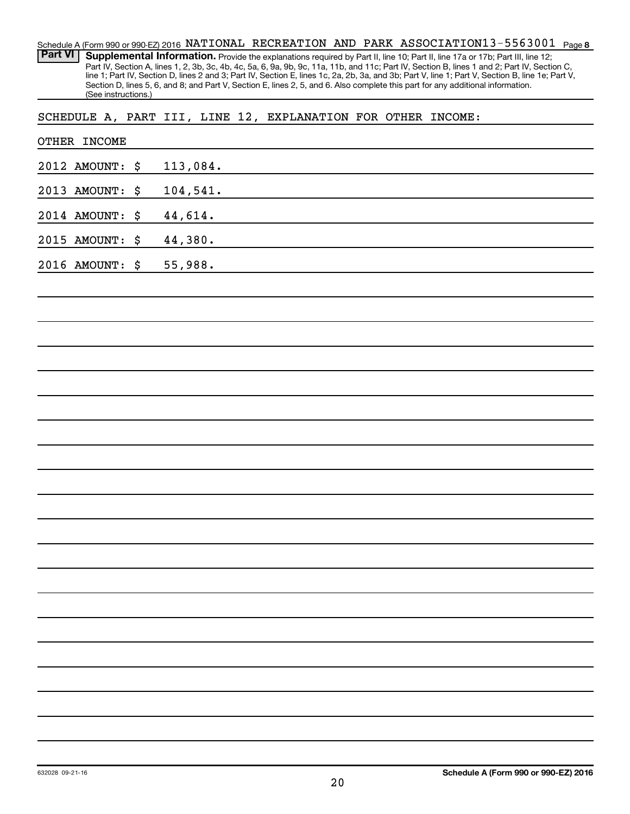Schedule A (Form 990 or 990-EZ) 2016 NATIONAL RECREATION AND PARK ASSOCIATION13-5563001 <sub>Page 8</sub> Part VI | Supplemental Information. Provide the explanations required by Part II, line 10; Part II, line 17a or 17b; Part III, line 12; Part IV, Section A, lines 1, 2, 3b, 3c, 4b, 4c, 5a, 6, 9a, 9b, 9c, 11a, 11b, and 11c; Part IV, Section B, lines 1 and 2; Part IV, Section C, line 1; Part IV, Section D, lines 2 and 3; Part IV, Section E, lines 1c, 2a, 2b, 3a, and 3b; Part V, line 1; Part V, Section B, line 1e; Part V, Section D, lines 5, 6, and 8; and Part V, Section E, lines 2, 5, and 6. Also complete this part for any additional information. (See instructions.)

SCHEDULE A, PART III, LINE 12, EXPLANATION FOR OTHER INCOME:

| OTHER INCOME    |          |
|-----------------|----------|
| 2012 AMOUNT: \$ | 113,084. |
| 2013 AMOUNT: \$ | 104,541. |
| 2014 AMOUNT: \$ | 44,614.  |
| 2015 AMOUNT: \$ | 44,380.  |
| 2016 AMOUNT: \$ | 55,988.  |
|                 |          |
|                 |          |
|                 |          |
|                 |          |
|                 |          |
|                 |          |
|                 |          |
|                 |          |
|                 |          |
|                 |          |
|                 |          |
|                 |          |
|                 |          |
|                 |          |
|                 |          |
|                 |          |
|                 |          |
|                 |          |
|                 |          |
|                 |          |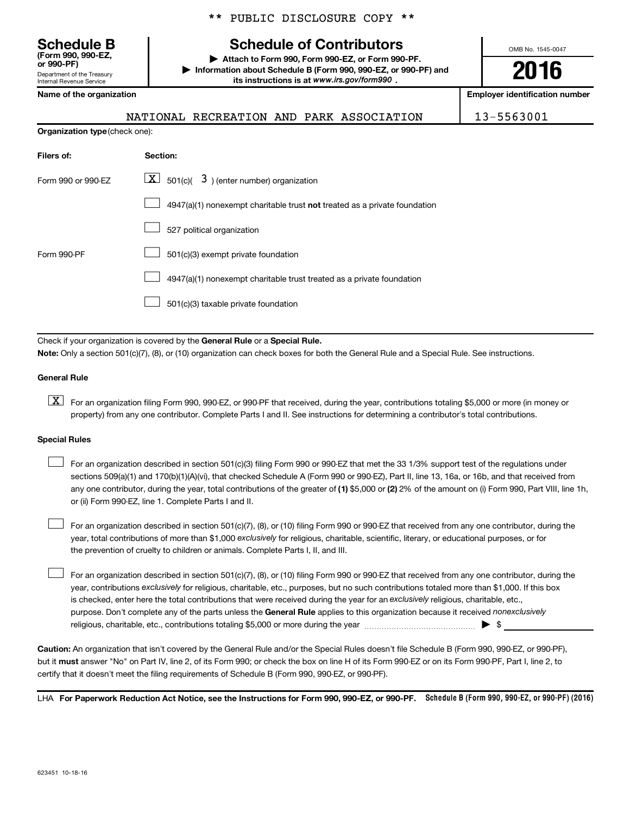Department of the Treasury Internal Revenue Service **(Form 990, 990-EZ,**

|  |  | ** PUBLIC DISCLOSURE COPY ** |  |  |
|--|--|------------------------------|--|--|
|--|--|------------------------------|--|--|

## **Schedule B Schedule of Contributors**

**or 990-PF) | Attach to Form 990, Form 990-EZ, or Form 990-PF. | Information about Schedule B (Form 990, 990-EZ, or 990-PF) and** its instructions is at www.irs.gov/form990.

OMB No. 1545-0047

**2016**

**Name of the organization Employer identification number**

| 13-5563001<br>NATIONAL RECREATION AND PARK ASSOCIATION |
|--------------------------------------------------------|
|--------------------------------------------------------|

| <b>Organization type (check one):</b>                                     |  |  |  |  |
|---------------------------------------------------------------------------|--|--|--|--|
| Section:                                                                  |  |  |  |  |
| $\boxed{\textbf{X}}$ 501(c)( 3) (enter number) organization               |  |  |  |  |
| 4947(a)(1) nonexempt charitable trust not treated as a private foundation |  |  |  |  |
| 527 political organization                                                |  |  |  |  |
| 501(c)(3) exempt private foundation                                       |  |  |  |  |
| 4947(a)(1) nonexempt charitable trust treated as a private foundation     |  |  |  |  |
| 501(c)(3) taxable private foundation                                      |  |  |  |  |
|                                                                           |  |  |  |  |

Check if your organization is covered by the General Rule or a Special Rule.

**Note:**  Only a section 501(c)(7), (8), or (10) organization can check boxes for both the General Rule and a Special Rule. See instructions.

#### **General Rule**

**K** For an organization filing Form 990, 990-EZ, or 990-PF that received, during the year, contributions totaling \$5,000 or more (in money or property) from any one contributor. Complete Parts I and II. See instructions for determining a contributor's total contributions.

#### **Special Rules**

 $\Box$ 

any one contributor, during the year, total contributions of the greater of **(1)** \$5,000 or **(2)** 2% of the amount on (i) Form 990, Part VIII, line 1h, For an organization described in section 501(c)(3) filing Form 990 or 990-EZ that met the 33 1/3% support test of the regulations under sections 509(a)(1) and 170(b)(1)(A)(vi), that checked Schedule A (Form 990 or 990-EZ), Part II, line 13, 16a, or 16b, and that received from or (ii) Form 990-EZ, line 1. Complete Parts I and II.  $\Box$ 

year, total contributions of more than \$1,000 *exclusively* for religious, charitable, scientific, literary, or educational purposes, or for For an organization described in section 501(c)(7), (8), or (10) filing Form 990 or 990-EZ that received from any one contributor, during the the prevention of cruelty to children or animals. Complete Parts I, II, and III.  $\Box$ 

purpose. Don't complete any of the parts unless the General Rule applies to this organization because it received nonexclusively year, contributions exclusively for religious, charitable, etc., purposes, but no such contributions totaled more than \$1,000. If this box is checked, enter here the total contributions that were received during the year for an exclusively religious, charitable, etc., For an organization described in section 501(c)(7), (8), or (10) filing Form 990 or 990-EZ that received from any one contributor, during the religious, charitable, etc., contributions totaling \$5,000 or more during the year  $\ldots$  $\ldots$  $\ldots$  $\ldots$  $\ldots$  $\ldots$ 

**Caution:**  An organization that isn't covered by the General Rule and/or the Special Rules doesn't file Schedule B (Form 990, 990-EZ, or 990-PF),  **must** but it answer "No" on Part IV, line 2, of its Form 990; or check the box on line H of its Form 990-EZ or on its Form 990-PF, Part I, line 2, to certify that it doesn't meet the filing requirements of Schedule B (Form 990, 990-EZ, or 990-PF).

LHA For Paperwork Reduction Act Notice, see the Instructions for Form 990, 990-EZ, or 990-PF. Schedule B (Form 990, 990-EZ, or 990-PF) (2016)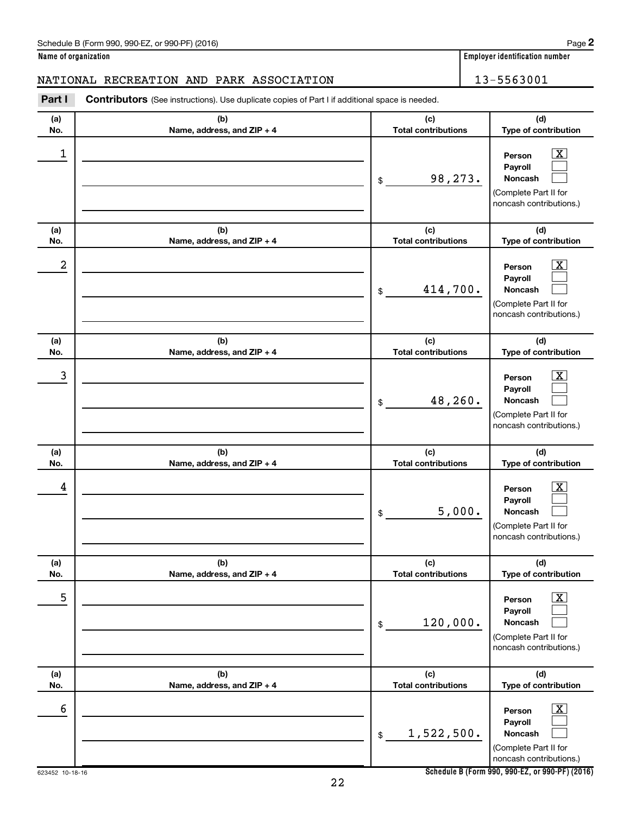**Name of organization Employer identification number**

## NATIONAL RECREATION AND PARK ASSOCIATION 13-5563001

**Part I** Contributors (See instructions). Use duplicate copies of Part I if additional space is needed.

| (a)<br>No. | (b)<br>Name, address, and ZIP + 4 | (c)<br><b>Total contributions</b> | (d)<br>Type of contribution                                                                              |
|------------|-----------------------------------|-----------------------------------|----------------------------------------------------------------------------------------------------------|
| 1          |                                   | 98,273.<br>\$                     | $\boxed{\textbf{X}}$<br>Person<br>Payroll<br>Noncash<br>(Complete Part II for<br>noncash contributions.) |
| (a)<br>No. | (b)<br>Name, address, and ZIP + 4 | (c)<br><b>Total contributions</b> | (d)<br>Type of contribution                                                                              |
| 2          |                                   | 414,700.<br>$\$$                  | $\boxed{\textbf{X}}$<br>Person<br>Payroll<br>Noncash<br>(Complete Part II for<br>noncash contributions.) |
| (a)<br>No. | (b)<br>Name, address, and ZIP + 4 | (c)<br><b>Total contributions</b> | (d)<br>Type of contribution                                                                              |
| 3          |                                   | 48,260.<br>\$                     | $\boxed{\textbf{X}}$<br>Person<br>Payroll<br>Noncash<br>(Complete Part II for<br>noncash contributions.) |
| (a)<br>No. | (b)<br>Name, address, and ZIP + 4 | (c)<br><b>Total contributions</b> | (d)<br>Type of contribution                                                                              |
| 4          |                                   | 5,000.<br>\$                      | $\boxed{\textbf{X}}$<br>Person<br>Payroll<br>Noncash<br>(Complete Part II for<br>noncash contributions.) |
| (a)<br>No. | (b)<br>Name, address, and ZIP + 4 | (c)<br><b>Total contributions</b> | (d)<br>Type of contribution                                                                              |
| 5          |                                   | 120,000.<br>$\$$                  | $\boxed{\text{X}}$<br>Person<br>Payroll<br>Noncash<br>(Complete Part II for<br>noncash contributions.)   |
| (a)<br>No. | (b)<br>Name, address, and ZIP + 4 | (c)<br><b>Total contributions</b> | (d)<br>Type of contribution                                                                              |
| 6          |                                   | 1,522,500.<br>$\,$                | $\boxed{\text{X}}$<br>Person<br>Payroll<br>Noncash<br>(Complete Part II for<br>noncash contributions.)   |

**Schedule B (Form 990, 990-EZ, or 990-PF) (2016)**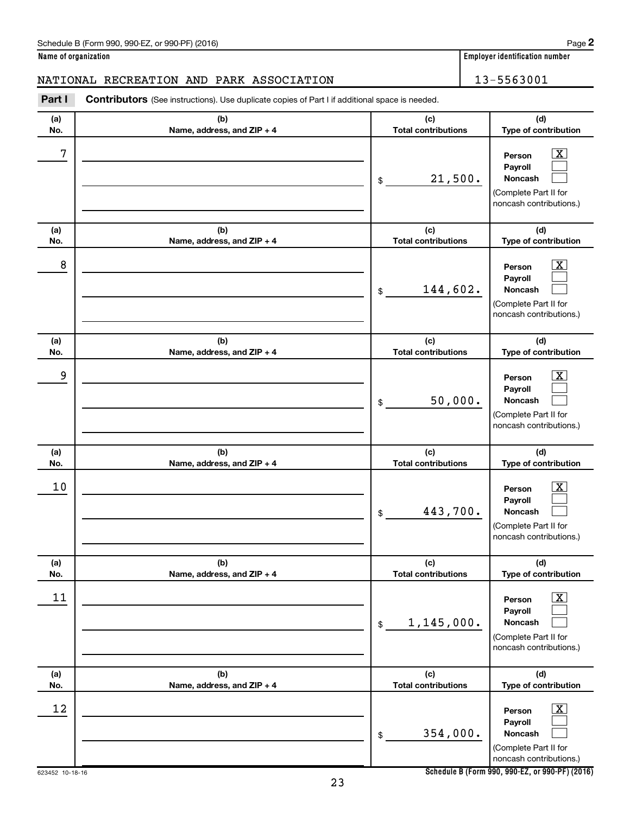| Schedule B (Form 990, 990-EZ, or 990-PF) (2016)<br>$\sqrt{2}$ , $\sqrt{2}$ , $\sqrt{2}$ , $\sqrt{2}$ , $\sqrt{2}$ | Page |
|-------------------------------------------------------------------------------------------------------------------|------|
|-------------------------------------------------------------------------------------------------------------------|------|

**Name of organization Employer identification number**

## NATIONAL RECREATION AND PARK ASSOCIATION 13-5563001

**Part I** Contributors (See instructions). Use duplicate copies of Part I if additional space is needed.

| (a)<br>No. | (b)<br>Name, address, and ZIP + 4 | (c)<br><b>Total contributions</b> | (d)<br>Type of contribution                                                                                        |
|------------|-----------------------------------|-----------------------------------|--------------------------------------------------------------------------------------------------------------------|
| 7          |                                   | 21,500.<br>\$                     | $\overline{\mathbf{X}}$<br>Person<br>Payroll<br><b>Noncash</b><br>(Complete Part II for<br>noncash contributions.) |
| (a)<br>No. | (b)<br>Name, address, and ZIP + 4 | (c)<br><b>Total contributions</b> | (d)<br>Type of contribution                                                                                        |
| 8          |                                   | 144,602.<br>\$                    | $\overline{\text{X}}$<br>Person<br>Payroll<br>Noncash<br>(Complete Part II for<br>noncash contributions.)          |
| (a)<br>No. | (b)<br>Name, address, and ZIP + 4 | (c)<br><b>Total contributions</b> | (d)<br>Type of contribution                                                                                        |
| 9          |                                   | 50,000.<br>\$                     | $\overline{\text{X}}$<br>Person<br>Payroll<br>Noncash<br>(Complete Part II for<br>noncash contributions.)          |
| (a)<br>No. | (b)<br>Name, address, and ZIP + 4 | (c)<br><b>Total contributions</b> | (d)<br>Type of contribution                                                                                        |
| 10         |                                   | 443,700.<br>\$                    | $\overline{\text{X}}$<br>Person<br>Payroll<br>Noncash<br>(Complete Part II for<br>noncash contributions.)          |
| (a)<br>No. | (b)<br>Name, address, and ZIP + 4 | (c)<br><b>Total contributions</b> | (d)<br>Type of contribution                                                                                        |
| 11         |                                   | 1,145,000.<br>$\frac{1}{2}$       | $\boxed{\text{X}}$<br>Person<br>Payroll<br>Noncash<br>(Complete Part II for<br>noncash contributions.)             |
| (a)<br>No. | (b)<br>Name, address, and ZIP + 4 | (c)<br><b>Total contributions</b> | (d)<br>Type of contribution                                                                                        |
| 12         |                                   | 354,000.<br>$\$$                  | $\boxed{\text{X}}$<br>Person<br>Payroll<br>Noncash<br>(Complete Part II for<br>noncash contributions.)             |

**Schedule B (Form 990, 990-EZ, or 990-PF) (2016)**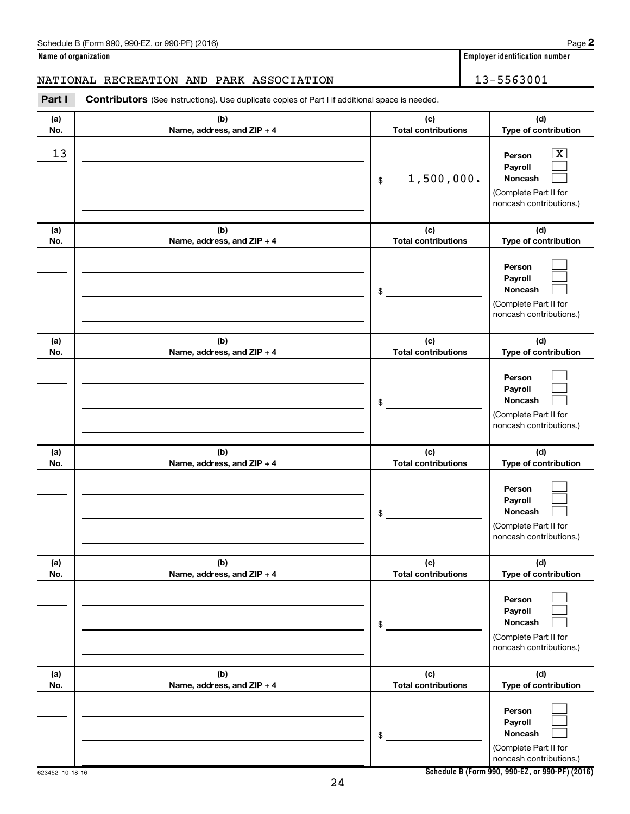**Name of organization Employer identification number**

## NATIONAL RECREATION AND PARK ASSOCIATION 13-5563001

| Part I     | <b>Contributors</b> (See instructions). Use duplicate copies of Part I if additional space is needed. |                                   |                                                                                                                 |
|------------|-------------------------------------------------------------------------------------------------------|-----------------------------------|-----------------------------------------------------------------------------------------------------------------|
| (a)<br>No. | (b)<br>Name, address, and ZIP + 4                                                                     | (c)<br><b>Total contributions</b> | (d)<br>Type of contribution                                                                                     |
| 13         |                                                                                                       | 1,500,000.<br>\$                  | $\overline{\mathbf{X}}$<br>Person<br>Payroll<br>Noncash<br>(Complete Part II for<br>noncash contributions.)     |
| (a)<br>No. | (b)<br>Name, address, and ZIP + 4                                                                     | (c)<br><b>Total contributions</b> | (d)<br>Type of contribution                                                                                     |
|            |                                                                                                       | \$                                | Person<br>Payroll<br>Noncash<br>(Complete Part II for<br>noncash contributions.)                                |
| (a)<br>No. | (b)<br>Name, address, and ZIP + 4                                                                     | (c)<br><b>Total contributions</b> | (d)<br>Type of contribution                                                                                     |
|            |                                                                                                       | \$                                | Person<br>Payroll<br>Noncash<br>(Complete Part II for<br>noncash contributions.)                                |
| (a)        | (b)                                                                                                   | (c)                               | (d)                                                                                                             |
| No.        | Name, address, and ZIP + 4                                                                            | <b>Total contributions</b><br>\$  | Type of contribution<br>Person<br>Payroll<br><b>Noncash</b><br>(Complete Part II for<br>noncash contributions.) |
| (a)<br>No. | (b)<br>Name, address, and ZIP + 4                                                                     | (c)<br><b>Total contributions</b> | (d)<br>Type of contribution                                                                                     |
|            |                                                                                                       | \$                                | Person<br>Payroll<br>Noncash<br>(Complete Part II for<br>noncash contributions.)                                |
| (a)<br>No. | (b)<br>Name, address, and ZIP + 4                                                                     | (c)<br><b>Total contributions</b> | (d)<br>Type of contribution                                                                                     |
|            |                                                                                                       | \$                                | Person<br>Payroll<br>Noncash<br>(Complete Part II for<br>noncash contributions.)                                |

**Schedule B (Form 990, 990-EZ, or 990-PF) (2016)**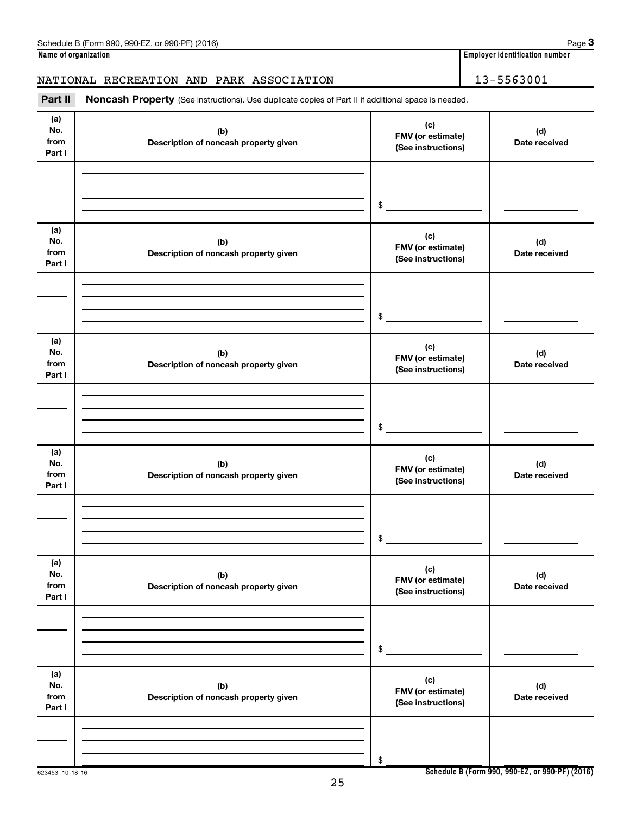## NATIONAL RECREATION AND PARK ASSOCIATION 13-5563001

Part II Noncash Property (See instructions). Use duplicate copies of Part II if additional space is needed.

| (a)<br>No.<br>from<br>Part I | (b)<br>Description of noncash property given | (c)<br>FMV (or estimate)<br>(See instructions) | (d)<br>Date received |
|------------------------------|----------------------------------------------|------------------------------------------------|----------------------|
|                              |                                              |                                                |                      |
|                              |                                              | \$                                             |                      |
| (a)<br>No.<br>from<br>Part I | (b)<br>Description of noncash property given | (c)<br>FMV (or estimate)<br>(See instructions) | (d)<br>Date received |
|                              |                                              | $\$$                                           |                      |
| (a)<br>No.<br>from<br>Part I | (b)<br>Description of noncash property given | (c)<br>FMV (or estimate)<br>(See instructions) | (d)<br>Date received |
|                              |                                              | $\$$                                           |                      |
|                              |                                              |                                                |                      |
| (a)<br>No.<br>from<br>Part I | (b)<br>Description of noncash property given | (c)<br>FMV (or estimate)<br>(See instructions) | (d)<br>Date received |
|                              |                                              |                                                |                      |
|                              |                                              | \$                                             |                      |
| (a)<br>No.<br>from<br>Part I | (b)<br>Description of noncash property given | (c)<br>FMV (or estimate)<br>(See instructions) | (d)<br>Date received |
|                              |                                              |                                                |                      |
|                              |                                              |                                                |                      |
|                              |                                              | $\$$                                           |                      |
| (a)<br>No.<br>from<br>Part I | (b)<br>Description of noncash property given | (c)<br>FMV (or estimate)<br>(See instructions) | (d)<br>Date received |
|                              |                                              |                                                |                      |
|                              |                                              | \$                                             |                      |
|                              |                                              |                                                |                      |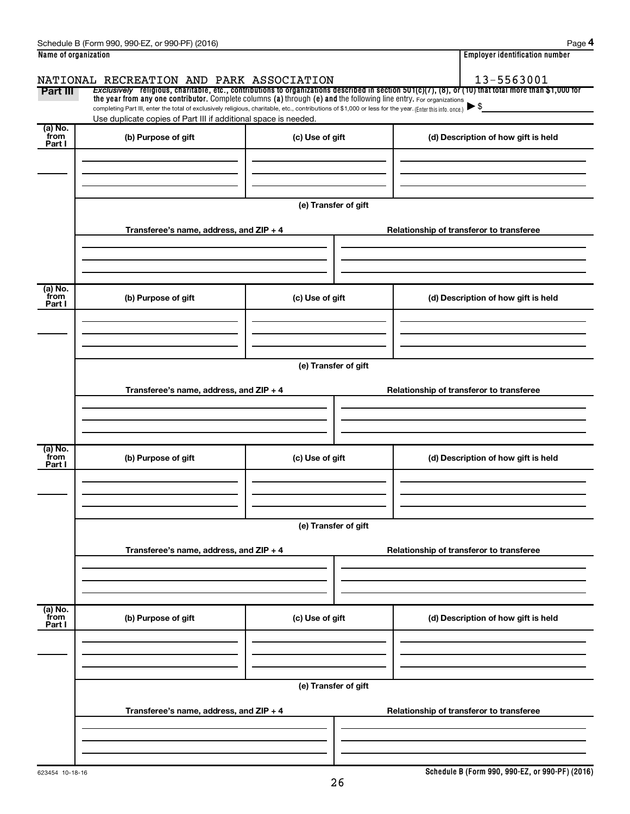|                           | Schedule B (Form 990, 990-EZ, or 990-PF) (2016)                                                                                                                                                                                                                                 |                      | Page 4                                                                                                                                                   |  |  |  |
|---------------------------|---------------------------------------------------------------------------------------------------------------------------------------------------------------------------------------------------------------------------------------------------------------------------------|----------------------|----------------------------------------------------------------------------------------------------------------------------------------------------------|--|--|--|
| Name of organization      |                                                                                                                                                                                                                                                                                 |                      | <b>Employer identification number</b>                                                                                                                    |  |  |  |
|                           | NATIONAL RECREATION AND PARK ASSOCIATION                                                                                                                                                                                                                                        |                      | 13-5563001                                                                                                                                               |  |  |  |
| Part III                  | the year from any one contributor. Complete columns (a) through (e) and the following line entry. For organizations<br>completing Part III, enter the total of exclusively religious, charitable, etc., contributions of \$1,000 or less for the year. (Enter this info. once.) |                      | Exclusively religious, charitable, etc., contributions to organizations described in section $501(c)(7)$ , (8), or (10) that total more than \$1,000 for |  |  |  |
| (a) No.                   | Use duplicate copies of Part III if additional space is needed.                                                                                                                                                                                                                 |                      |                                                                                                                                                          |  |  |  |
| from<br>Part I            | (b) Purpose of gift                                                                                                                                                                                                                                                             | (c) Use of gift      | (d) Description of how gift is held                                                                                                                      |  |  |  |
|                           |                                                                                                                                                                                                                                                                                 |                      |                                                                                                                                                          |  |  |  |
|                           |                                                                                                                                                                                                                                                                                 |                      |                                                                                                                                                          |  |  |  |
|                           |                                                                                                                                                                                                                                                                                 | (e) Transfer of gift |                                                                                                                                                          |  |  |  |
|                           | Transferee's name, address, and ZIP + 4                                                                                                                                                                                                                                         |                      | Relationship of transferor to transferee                                                                                                                 |  |  |  |
|                           |                                                                                                                                                                                                                                                                                 |                      |                                                                                                                                                          |  |  |  |
|                           |                                                                                                                                                                                                                                                                                 |                      |                                                                                                                                                          |  |  |  |
| (a) No.<br>from<br>Part I | (b) Purpose of gift                                                                                                                                                                                                                                                             | (c) Use of gift      | (d) Description of how gift is held                                                                                                                      |  |  |  |
|                           |                                                                                                                                                                                                                                                                                 |                      |                                                                                                                                                          |  |  |  |
|                           |                                                                                                                                                                                                                                                                                 |                      |                                                                                                                                                          |  |  |  |
|                           |                                                                                                                                                                                                                                                                                 | (e) Transfer of gift |                                                                                                                                                          |  |  |  |
|                           | Transferee's name, address, and ZIP + 4                                                                                                                                                                                                                                         |                      | Relationship of transferor to transferee                                                                                                                 |  |  |  |
|                           |                                                                                                                                                                                                                                                                                 |                      |                                                                                                                                                          |  |  |  |
|                           |                                                                                                                                                                                                                                                                                 |                      |                                                                                                                                                          |  |  |  |
| (a) No.<br>from<br>Part I | (b) Purpose of gift                                                                                                                                                                                                                                                             | (c) Use of gift      | (d) Description of how gift is held                                                                                                                      |  |  |  |
|                           |                                                                                                                                                                                                                                                                                 |                      |                                                                                                                                                          |  |  |  |
|                           |                                                                                                                                                                                                                                                                                 |                      |                                                                                                                                                          |  |  |  |
|                           |                                                                                                                                                                                                                                                                                 | (e) Transfer of gift |                                                                                                                                                          |  |  |  |
|                           | Transferee's name, address, and ZIP + 4                                                                                                                                                                                                                                         |                      | Relationship of transferor to transferee                                                                                                                 |  |  |  |
|                           |                                                                                                                                                                                                                                                                                 |                      |                                                                                                                                                          |  |  |  |
|                           |                                                                                                                                                                                                                                                                                 |                      |                                                                                                                                                          |  |  |  |
| (a) No.<br>from<br>Part I | (b) Purpose of gift                                                                                                                                                                                                                                                             | (c) Use of gift      | (d) Description of how gift is held                                                                                                                      |  |  |  |
|                           |                                                                                                                                                                                                                                                                                 |                      |                                                                                                                                                          |  |  |  |
|                           |                                                                                                                                                                                                                                                                                 |                      |                                                                                                                                                          |  |  |  |
|                           |                                                                                                                                                                                                                                                                                 | (e) Transfer of gift |                                                                                                                                                          |  |  |  |
|                           | Transferee's name, address, and ZIP + 4                                                                                                                                                                                                                                         |                      | Relationship of transferor to transferee                                                                                                                 |  |  |  |
|                           |                                                                                                                                                                                                                                                                                 |                      |                                                                                                                                                          |  |  |  |
|                           |                                                                                                                                                                                                                                                                                 |                      |                                                                                                                                                          |  |  |  |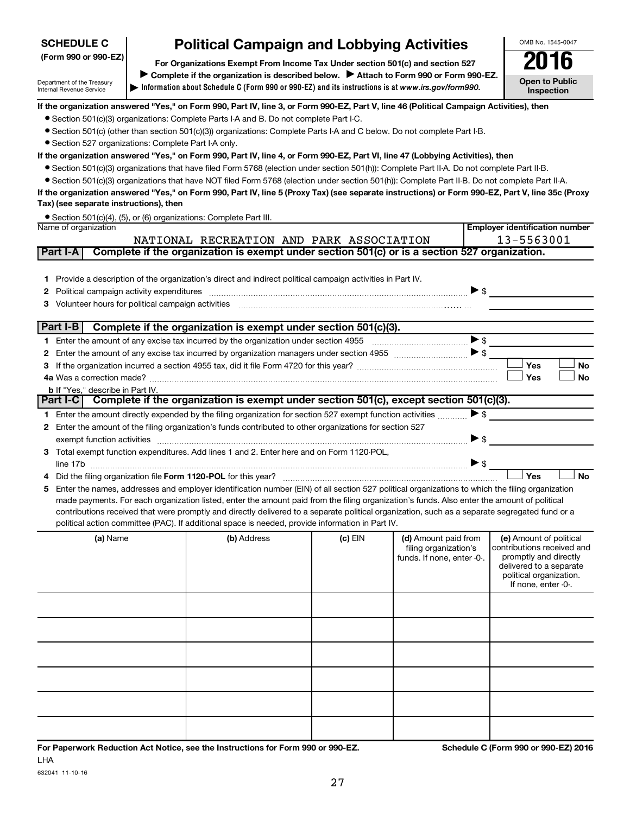## **SCHEDULE C**

Department of the Treasury Internal Revenue Service

# **Political Campaign and Lobbying Activities**<br> **Drganizations Exempt From Income Tax Under section 501(c) and section 527**

**Information about Schedule C (Form 990 or 990-EZ) and its instructions is at |**  *www.irs.gov/form990.* **(Form 990 or 990-EZ) For Organizations Exempt From Income Tax Under section 501(c) and section 527** Complete if the organization is described below. > Attach to Form 990 or Form 990-EZ.

OMB No. 1545-0047

**Open to Public Inspection**

**Employer identification number**

## **If the organization answered "Yes," on Form 990, Part IV, line 3, or Form 990-EZ, Part V, line 46 (Political Campaign Activities), then**

- Section 501(c)(3) organizations: Complete Parts I-A and B. Do not complete Part I-C.
- Section 501(c) (other than section 501(c)(3)) organizations: Complete Parts I-A and C below. Do not complete Part I-B.
- Section 527 organizations: Complete Part I-A only.

#### **If the organization answered "Yes," on Form 990, Part IV, line 4, or Form 990-EZ, Part VI, line 47 (Lobbying Activities), then**

- Section 501(c)(3) organizations that have filed Form 5768 (election under section 501(h)): Complete Part II-A. Do not complete Part II-B.
- Section 501(c)(3) organizations that have NOT filed Form 5768 (election under section 501(h)): Complete Part II-B. Do not complete Part II-A.

#### **If the organization answered "Yes," on Form 990, Part IV, line 5 (Proxy Tax) (see separate instructions) or Form 990-EZ, Part V, line 35c (Proxy Tax) (see separate instructions), then**

|                      | ● Section 501(c)(4), (5), or (6) organizations: Complete Part III. |
|----------------------|--------------------------------------------------------------------|
| Name of organization |                                                                    |

|    | 13-5563001<br>NATIONAL RECREATION AND PARK ASSOCIATION                                                                                                                                                                                                                                                                                                                                                                                                                                                                                               |                                                               |                                                                                                                                                                                                                             |           |                                                                             |                          |                                                                                                                                      |           |  |
|----|------------------------------------------------------------------------------------------------------------------------------------------------------------------------------------------------------------------------------------------------------------------------------------------------------------------------------------------------------------------------------------------------------------------------------------------------------------------------------------------------------------------------------------------------------|---------------------------------------------------------------|-----------------------------------------------------------------------------------------------------------------------------------------------------------------------------------------------------------------------------|-----------|-----------------------------------------------------------------------------|--------------------------|--------------------------------------------------------------------------------------------------------------------------------------|-----------|--|
|    | Part I-A                                                                                                                                                                                                                                                                                                                                                                                                                                                                                                                                             |                                                               | Complete if the organization is exempt under section 501(c) or is a section 527 organization.                                                                                                                               |           |                                                                             |                          |                                                                                                                                      |           |  |
| з  |                                                                                                                                                                                                                                                                                                                                                                                                                                                                                                                                                      | Political campaign activity expenditures                      | Provide a description of the organization's direct and indirect political campaign activities in Part IV.<br>Volunteer hours for political campaign activities [11] www.communically.communically.communically.communically |           |                                                                             | $\blacktriangleright$ \$ |                                                                                                                                      |           |  |
|    | Part I-B                                                                                                                                                                                                                                                                                                                                                                                                                                                                                                                                             |                                                               | Complete if the organization is exempt under section 501(c)(3).                                                                                                                                                             |           |                                                                             |                          |                                                                                                                                      |           |  |
|    |                                                                                                                                                                                                                                                                                                                                                                                                                                                                                                                                                      |                                                               |                                                                                                                                                                                                                             |           |                                                                             |                          |                                                                                                                                      |           |  |
|    |                                                                                                                                                                                                                                                                                                                                                                                                                                                                                                                                                      |                                                               |                                                                                                                                                                                                                             |           |                                                                             |                          |                                                                                                                                      |           |  |
| з  |                                                                                                                                                                                                                                                                                                                                                                                                                                                                                                                                                      |                                                               |                                                                                                                                                                                                                             |           |                                                                             |                          | Yes                                                                                                                                  | <b>No</b> |  |
|    |                                                                                                                                                                                                                                                                                                                                                                                                                                                                                                                                                      |                                                               |                                                                                                                                                                                                                             |           |                                                                             |                          | Yes                                                                                                                                  | <b>No</b> |  |
|    |                                                                                                                                                                                                                                                                                                                                                                                                                                                                                                                                                      | <b>b</b> If "Yes." describe in Part IV.                       |                                                                                                                                                                                                                             |           |                                                                             |                          |                                                                                                                                      |           |  |
|    | Part I-CI                                                                                                                                                                                                                                                                                                                                                                                                                                                                                                                                            |                                                               | Complete if the organization is exempt under section 501(c), except section 501(c)(3).                                                                                                                                      |           |                                                                             |                          |                                                                                                                                      |           |  |
|    |                                                                                                                                                                                                                                                                                                                                                                                                                                                                                                                                                      |                                                               | Enter the amount directly expended by the filing organization for section 527 exempt function activities                                                                                                                    |           |                                                                             | $\blacktriangleright$ \$ |                                                                                                                                      |           |  |
| 2. |                                                                                                                                                                                                                                                                                                                                                                                                                                                                                                                                                      |                                                               | Enter the amount of the filing organization's funds contributed to other organizations for section 527                                                                                                                      |           |                                                                             |                          |                                                                                                                                      |           |  |
|    |                                                                                                                                                                                                                                                                                                                                                                                                                                                                                                                                                      | exempt function activities                                    |                                                                                                                                                                                                                             |           |                                                                             | $\blacktriangleright$ s  |                                                                                                                                      |           |  |
| 3  |                                                                                                                                                                                                                                                                                                                                                                                                                                                                                                                                                      |                                                               | Total exempt function expenditures. Add lines 1 and 2. Enter here and on Form 1120-POL,                                                                                                                                     |           |                                                                             |                          |                                                                                                                                      |           |  |
|    |                                                                                                                                                                                                                                                                                                                                                                                                                                                                                                                                                      |                                                               |                                                                                                                                                                                                                             |           |                                                                             | $\blacktriangleright$ \$ |                                                                                                                                      |           |  |
|    |                                                                                                                                                                                                                                                                                                                                                                                                                                                                                                                                                      | Did the filing organization file Form 1120-POL for this year? |                                                                                                                                                                                                                             |           |                                                                             |                          | Yes                                                                                                                                  | <b>No</b> |  |
| 5  | Enter the names, addresses and employer identification number (EIN) of all section 527 political organizations to which the filing organization<br>made payments. For each organization listed, enter the amount paid from the filing organization's funds. Also enter the amount of political<br>contributions received that were promptly and directly delivered to a separate political organization, such as a separate segregated fund or a<br>political action committee (PAC). If additional space is needed, provide information in Part IV. |                                                               |                                                                                                                                                                                                                             |           |                                                                             |                          |                                                                                                                                      |           |  |
|    |                                                                                                                                                                                                                                                                                                                                                                                                                                                                                                                                                      | (a) Name                                                      | (b) Address                                                                                                                                                                                                                 | $(c)$ EIN | (d) Amount paid from<br>filing organization's<br>funds. If none, enter -0-. |                          | (e) Amount of political<br>contributions received and<br>promptly and directly<br>delivered to a separate<br>political organization. |           |  |

|  |  | political organization.<br>If none, enter -0-. |
|--|--|------------------------------------------------|
|  |  |                                                |
|  |  |                                                |
|  |  |                                                |
|  |  |                                                |
|  |  |                                                |
|  |  |                                                |
|  |  |                                                |

632041 11-10-16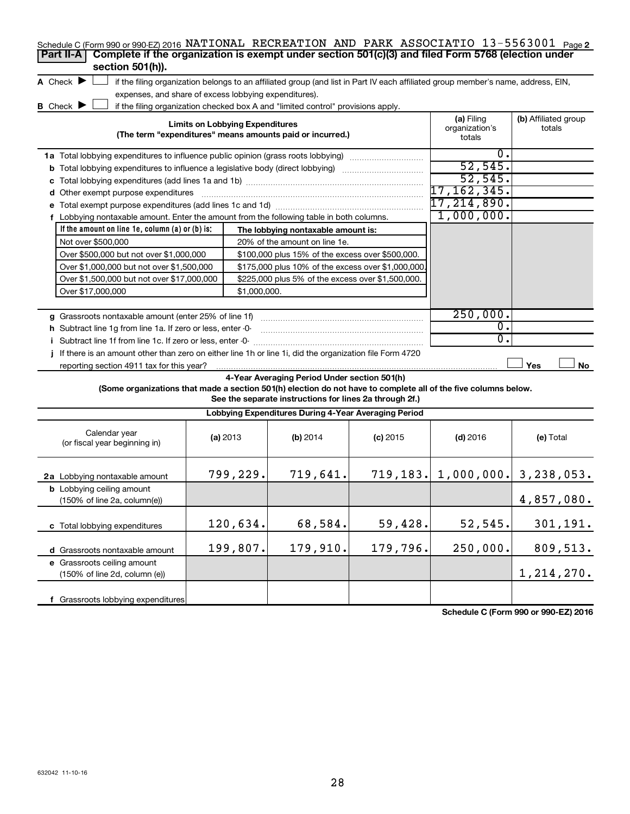| Schedule C (Form 990 or 990-EZ) 2016 NATIONAL RECREATION AND PARK ASSOCIATIO 13-5563001 Page 2<br>Complete if the organization is exempt under section 501(c)(3) and filed Form 5768 (election under<br>Part II-A<br>section 501(h)). |                                        |                                                                                                         |                                                                                                                                   |                                        |                                |
|---------------------------------------------------------------------------------------------------------------------------------------------------------------------------------------------------------------------------------------|----------------------------------------|---------------------------------------------------------------------------------------------------------|-----------------------------------------------------------------------------------------------------------------------------------|----------------------------------------|--------------------------------|
| A Check $\blacktriangleright$                                                                                                                                                                                                         |                                        |                                                                                                         | if the filing organization belongs to an affiliated group (and list in Part IV each affiliated group member's name, address, EIN, |                                        |                                |
| expenses, and share of excess lobbying expenditures).                                                                                                                                                                                 |                                        |                                                                                                         |                                                                                                                                   |                                        |                                |
| B Check $\blacktriangleright$                                                                                                                                                                                                         |                                        | if the filing organization checked box A and "limited control" provisions apply.                        |                                                                                                                                   |                                        |                                |
|                                                                                                                                                                                                                                       | <b>Limits on Lobbying Expenditures</b> | (The term "expenditures" means amounts paid or incurred.)                                               |                                                                                                                                   | (a) Filing<br>organization's<br>totals | (b) Affiliated group<br>totals |
| 1a Total lobbying expenditures to influence public opinion (grass roots lobbying)                                                                                                                                                     |                                        |                                                                                                         |                                                                                                                                   | 0.                                     |                                |
| <b>b</b> Total lobbying expenditures to influence a legislative body (direct lobbying)                                                                                                                                                |                                        |                                                                                                         |                                                                                                                                   | 52, 545.                               |                                |
|                                                                                                                                                                                                                                       |                                        |                                                                                                         |                                                                                                                                   | 52, 545.                               |                                |
| d Other exempt purpose expenditures                                                                                                                                                                                                   |                                        |                                                                                                         |                                                                                                                                   | 17,162,345.                            |                                |
|                                                                                                                                                                                                                                       |                                        |                                                                                                         |                                                                                                                                   | 17,214,890.                            |                                |
| f Lobbying nontaxable amount. Enter the amount from the following table in both columns.                                                                                                                                              |                                        |                                                                                                         |                                                                                                                                   | 1,000,000.                             |                                |
|                                                                                                                                                                                                                                       |                                        |                                                                                                         |                                                                                                                                   |                                        |                                |
| If the amount on line 1e, column $(a)$ or $(b)$ is:                                                                                                                                                                                   |                                        | The lobbying nontaxable amount is:<br>20% of the amount on line 1e.                                     |                                                                                                                                   |                                        |                                |
| Not over \$500,000                                                                                                                                                                                                                    |                                        |                                                                                                         |                                                                                                                                   |                                        |                                |
| Over \$500,000 but not over \$1,000,000                                                                                                                                                                                               |                                        | \$100,000 plus 15% of the excess over \$500,000.                                                        |                                                                                                                                   |                                        |                                |
| Over \$1,000,000 but not over \$1,500,000                                                                                                                                                                                             |                                        | \$175,000 plus 10% of the excess over \$1,000,000.                                                      |                                                                                                                                   |                                        |                                |
| Over \$1,500,000 but not over \$17,000,000                                                                                                                                                                                            |                                        | \$225,000 plus 5% of the excess over \$1,500,000.                                                       |                                                                                                                                   |                                        |                                |
| Over \$17,000,000                                                                                                                                                                                                                     | \$1,000,000.                           |                                                                                                         |                                                                                                                                   |                                        |                                |
| g Grassroots nontaxable amount (enter 25% of line 1f)                                                                                                                                                                                 |                                        |                                                                                                         |                                                                                                                                   | 250,000.                               |                                |
| h Subtract line 1q from line 1a. If zero or less, enter -0-                                                                                                                                                                           |                                        |                                                                                                         |                                                                                                                                   | $\overline{\mathfrak{0}}$ .            |                                |
| i Subtract line 1f from line 1c. If zero or less, enter -0-                                                                                                                                                                           |                                        |                                                                                                         |                                                                                                                                   | σ.                                     |                                |
| If there is an amount other than zero on either line 1h or line 1i, did the organization file Form 4720                                                                                                                               |                                        |                                                                                                         |                                                                                                                                   |                                        |                                |
| reporting section 4911 tax for this year?                                                                                                                                                                                             |                                        |                                                                                                         |                                                                                                                                   |                                        | Yes<br>No                      |
| (Some organizations that made a section 501(h) election do not have to complete all of the five columns below.                                                                                                                        |                                        | 4-Year Averaging Period Under section 501(h)<br>See the separate instructions for lines 2a through 2f.) |                                                                                                                                   |                                        |                                |
|                                                                                                                                                                                                                                       |                                        | Lobbying Expenditures During 4-Year Averaging Period                                                    |                                                                                                                                   |                                        |                                |
| Calendar year<br>(or fiscal year beginning in)                                                                                                                                                                                        | (a) 2013                               | $(b)$ 2014                                                                                              | $(c)$ 2015                                                                                                                        | $(d)$ 2016                             | (e) Total                      |
| 2a Lobbying nontaxable amount                                                                                                                                                                                                         | 799,229.                               | 719,641.                                                                                                |                                                                                                                                   | $719, 183.$ 1,000,000. 3,238,053.      |                                |
| <b>b</b> Lobbying ceiling amount<br>$(150\% \text{ of line } 2a, \text{column}(e))$                                                                                                                                                   |                                        |                                                                                                         |                                                                                                                                   |                                        | 4,857,080.                     |
| c Total lobbying expenditures                                                                                                                                                                                                         | 120,634.                               | 68,584.                                                                                                 | 59,428.                                                                                                                           | 52,545.                                | 301,191.                       |
| d Grassroots nontaxable amount                                                                                                                                                                                                        | 199,807.                               | 179,910.                                                                                                | 179,796.                                                                                                                          | 250,000.                               | 809,513.                       |
| e Grassroots ceiling amount<br>(150% of line 2d, column (e))                                                                                                                                                                          |                                        |                                                                                                         |                                                                                                                                   |                                        | 1, 214, 270.                   |

**Schedule C (Form 990 or 990-EZ) 2016**

**f** Grassroots lobbying expenditures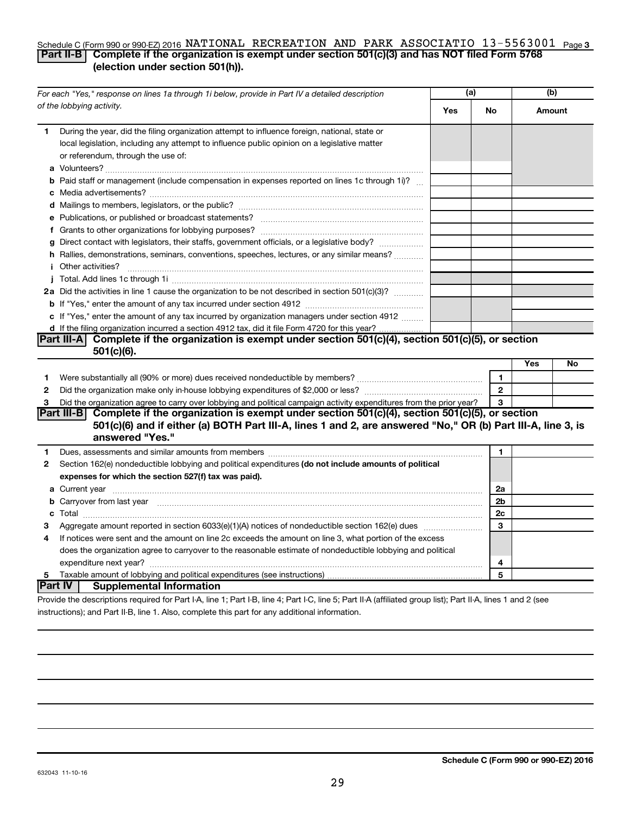## Schedule C (Form 990 or 990-EZ) 2016 NATIONAL RECREATION AND PARK ASSOCIATIO 13-5563001 <sub>Page 3</sub> **Part II-B Complete if the organization is exempt under section 501(c)(3) and has NOT filed Form 5768 (election under section 501(h)).**

| For each "Yes," response on lines 1a through 1i below, provide in Part IV a detailed description |                                                                                                                                                                                                                                     | (a) |                | (b)    |    |
|--------------------------------------------------------------------------------------------------|-------------------------------------------------------------------------------------------------------------------------------------------------------------------------------------------------------------------------------------|-----|----------------|--------|----|
|                                                                                                  | of the lobbying activity.                                                                                                                                                                                                           | Yes | No             | Amount |    |
| 1                                                                                                | During the year, did the filing organization attempt to influence foreign, national, state or<br>local legislation, including any attempt to influence public opinion on a legislative matter<br>or referendum, through the use of: |     |                |        |    |
|                                                                                                  | <b>b</b> Paid staff or management (include compensation in expenses reported on lines 1c through 1i)?                                                                                                                               |     |                |        |    |
|                                                                                                  |                                                                                                                                                                                                                                     |     |                |        |    |
|                                                                                                  | e Publications, or published or broadcast statements?                                                                                                                                                                               |     |                |        |    |
|                                                                                                  |                                                                                                                                                                                                                                     |     |                |        |    |
|                                                                                                  | g Direct contact with legislators, their staffs, government officials, or a legislative body?                                                                                                                                       |     |                |        |    |
|                                                                                                  | h Rallies, demonstrations, seminars, conventions, speeches, lectures, or any similar means?                                                                                                                                         |     |                |        |    |
|                                                                                                  | <i>i</i> Other activities?                                                                                                                                                                                                          |     |                |        |    |
|                                                                                                  |                                                                                                                                                                                                                                     |     |                |        |    |
|                                                                                                  | 2a Did the activities in line 1 cause the organization to be not described in section 501(c)(3)?                                                                                                                                    |     |                |        |    |
|                                                                                                  |                                                                                                                                                                                                                                     |     |                |        |    |
|                                                                                                  | c If "Yes," enter the amount of any tax incurred by organization managers under section 4912                                                                                                                                        |     |                |        |    |
|                                                                                                  | d If the filing organization incurred a section 4912 tax, did it file Form 4720 for this year?                                                                                                                                      |     |                |        |    |
|                                                                                                  | Part III-A Complete if the organization is exempt under section 501(c)(4), section 501(c)(5), or section                                                                                                                            |     |                |        |    |
|                                                                                                  | $501(c)(6)$ .                                                                                                                                                                                                                       |     |                |        |    |
|                                                                                                  |                                                                                                                                                                                                                                     |     |                | Yes    | No |
| 1                                                                                                |                                                                                                                                                                                                                                     |     | $\mathbf{1}$   |        |    |
| $\mathbf{2}$                                                                                     |                                                                                                                                                                                                                                     |     | $\mathbf{2}$   |        |    |
| 3                                                                                                | Did the organization agree to carry over lobbying and political campaign activity expenditures from the prior year?                                                                                                                 |     | 3              |        |    |
|                                                                                                  | Complete if the organization is exempt under section 501(c)(4), section 501(c)(5), or section<br>Part III-B<br>501(c)(6) and if either (a) BOTH Part III-A, lines 1 and 2, are answered "No," OR (b) Part III-A, line 3, is         |     |                |        |    |
|                                                                                                  | answered "Yes."                                                                                                                                                                                                                     |     |                |        |    |
| 1                                                                                                | Dues, assessments and similar amounts from members [111] [12] matter and state and similar amounts from members [11] [12] matter and similar amounts from members [11] matter and state and state and state and state and stat      |     | 1              |        |    |
| 2                                                                                                | Section 162(e) nondeductible lobbying and political expenditures (do not include amounts of political                                                                                                                               |     |                |        |    |
|                                                                                                  | expenses for which the section 527(f) tax was paid).                                                                                                                                                                                |     |                |        |    |
|                                                                                                  |                                                                                                                                                                                                                                     |     | 2a             |        |    |
|                                                                                                  | b Carryover from last year manufactured and content to content the content of the content of the content of the content of the content of the content of the content of the content of the content of the content of the conte      |     | 2 <sub>b</sub> |        |    |
|                                                                                                  |                                                                                                                                                                                                                                     |     | 2c             |        |    |
| 3                                                                                                |                                                                                                                                                                                                                                     |     | 3              |        |    |
| 4                                                                                                | If notices were sent and the amount on line 2c exceeds the amount on line 3, what portion of the excess                                                                                                                             |     |                |        |    |
|                                                                                                  | does the organization agree to carryover to the reasonable estimate of nondeductible lobbying and political                                                                                                                         |     |                |        |    |
|                                                                                                  |                                                                                                                                                                                                                                     |     | 4              |        |    |
| $5 -$                                                                                            |                                                                                                                                                                                                                                     |     | 5              |        |    |
|                                                                                                  | Part IV  <br><b>Supplemental Information</b>                                                                                                                                                                                        |     |                |        |    |
|                                                                                                  | Provide the descriptions required for Part I-A, line 1; Part I-B, line 4; Part I-C, line 5; Part II-A (affiliated group list); Part II-A, lines 1 and 2 (see                                                                        |     |                |        |    |

instructions); and Part II-B, line 1. Also, complete this part for any additional information.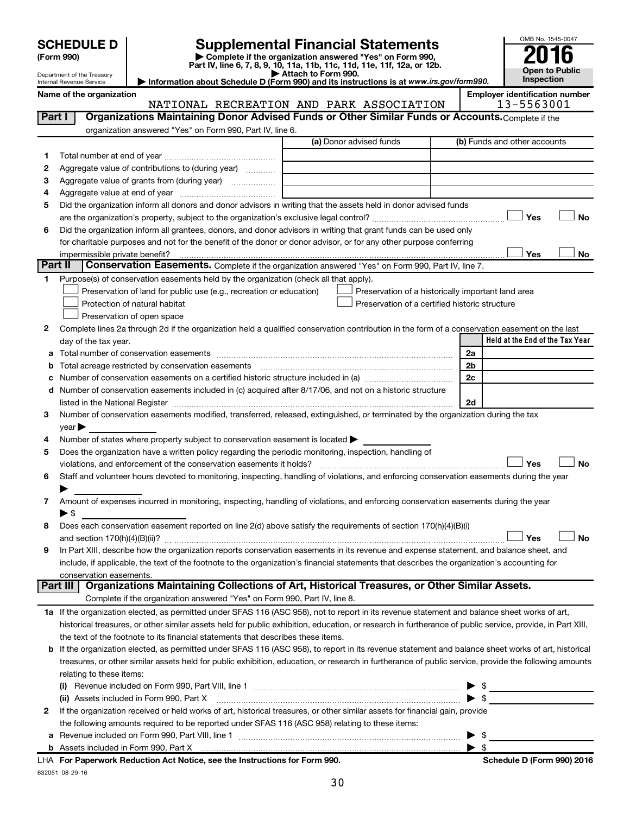| <b>SCHEDULE D</b>                |                                                                                                                                                                                                                                | <b>Supplemental Financial Statements</b>                                                                                             |                | OMB No. 1545-0047                                   |
|----------------------------------|--------------------------------------------------------------------------------------------------------------------------------------------------------------------------------------------------------------------------------|--------------------------------------------------------------------------------------------------------------------------------------|----------------|-----------------------------------------------------|
| (Form 990)                       |                                                                                                                                                                                                                                | Complete if the organization answered "Yes" on Form 990,<br>Part IV, line 6, 7, 8, 9, 10, 11a, 11b, 11c, 11d, 11e, 11f, 12a, or 12b. |                |                                                     |
| Department of the Treasury       |                                                                                                                                                                                                                                | Attach to Form 990.                                                                                                                  |                | Open to Public                                      |
| Internal Revenue Service         |                                                                                                                                                                                                                                | Information about Schedule D (Form 990) and its instructions is at www.irs.gov/form990.                                              |                | Inspection                                          |
| Name of the organization         |                                                                                                                                                                                                                                | NATIONAL RECREATION AND PARK ASSOCIATION                                                                                             |                | <b>Employer identification number</b><br>13-5563001 |
| Part I                           | Organizations Maintaining Donor Advised Funds or Other Similar Funds or Accounts. Complete if the                                                                                                                              |                                                                                                                                      |                |                                                     |
|                                  | organization answered "Yes" on Form 990, Part IV, line 6.                                                                                                                                                                      |                                                                                                                                      |                |                                                     |
|                                  |                                                                                                                                                                                                                                | (a) Donor advised funds                                                                                                              |                | (b) Funds and other accounts                        |
| 1                                |                                                                                                                                                                                                                                |                                                                                                                                      |                |                                                     |
| 2                                | Aggregate value of contributions to (during year)                                                                                                                                                                              |                                                                                                                                      |                |                                                     |
| 3                                |                                                                                                                                                                                                                                |                                                                                                                                      |                |                                                     |
| 4                                |                                                                                                                                                                                                                                |                                                                                                                                      |                |                                                     |
| 5                                | Did the organization inform all donors and donor advisors in writing that the assets held in donor advised funds                                                                                                               |                                                                                                                                      |                |                                                     |
|                                  |                                                                                                                                                                                                                                |                                                                                                                                      |                | <b>No</b><br>Yes                                    |
| 6                                | Did the organization inform all grantees, donors, and donor advisors in writing that grant funds can be used only                                                                                                              |                                                                                                                                      |                |                                                     |
|                                  | for charitable purposes and not for the benefit of the donor or donor advisor, or for any other purpose conferring                                                                                                             |                                                                                                                                      |                |                                                     |
| impermissible private benefit?   |                                                                                                                                                                                                                                |                                                                                                                                      |                | Yes<br><b>No</b>                                    |
| Part II                          | Conservation Easements. Complete if the organization answered "Yes" on Form 990, Part IV, line 7.                                                                                                                              |                                                                                                                                      |                |                                                     |
| 1.                               | Purpose(s) of conservation easements held by the organization (check all that apply).                                                                                                                                          |                                                                                                                                      |                |                                                     |
|                                  | Preservation of land for public use (e.g., recreation or education)                                                                                                                                                            | Preservation of a historically important land area                                                                                   |                |                                                     |
|                                  | Protection of natural habitat                                                                                                                                                                                                  | Preservation of a certified historic structure                                                                                       |                |                                                     |
|                                  | Preservation of open space                                                                                                                                                                                                     |                                                                                                                                      |                |                                                     |
| 2                                | Complete lines 2a through 2d if the organization held a qualified conservation contribution in the form of a conservation easement on the last                                                                                 |                                                                                                                                      |                |                                                     |
| day of the tax year.             |                                                                                                                                                                                                                                |                                                                                                                                      |                |                                                     |
|                                  |                                                                                                                                                                                                                                |                                                                                                                                      |                | Held at the End of the Tax Year                     |
|                                  |                                                                                                                                                                                                                                |                                                                                                                                      | 2a             |                                                     |
| b                                |                                                                                                                                                                                                                                |                                                                                                                                      | 2 <sub>b</sub> |                                                     |
|                                  | Total acreage restricted by conservation easements [111] [12] matter conservation acreage restricted by conservation easements [11] matter conservation and acreage restricted by conservation easements [11] matter conservat |                                                                                                                                      | 2c             |                                                     |
|                                  | d Number of conservation easements included in (c) acquired after 8/17/06, and not on a historic structure                                                                                                                     |                                                                                                                                      |                |                                                     |
|                                  |                                                                                                                                                                                                                                |                                                                                                                                      | 2d             |                                                     |
| 3                                | Number of conservation easements modified, transferred, released, extinguished, or terminated by the organization during the tax                                                                                               |                                                                                                                                      |                |                                                     |
| $\vee$ ear $\blacktriangleright$ |                                                                                                                                                                                                                                |                                                                                                                                      |                |                                                     |
| 4                                | Number of states where property subject to conservation easement is located $\blacktriangleright$                                                                                                                              |                                                                                                                                      |                |                                                     |
| 5                                | Does the organization have a written policy regarding the periodic monitoring, inspection, handling of                                                                                                                         |                                                                                                                                      |                |                                                     |
|                                  |                                                                                                                                                                                                                                |                                                                                                                                      |                | Yes<br><b>No</b>                                    |
| 6                                | Staff and volunteer hours devoted to monitoring, inspecting, handling of violations, and enforcing conservation easements during the year                                                                                      |                                                                                                                                      |                |                                                     |
| ▶                                |                                                                                                                                                                                                                                |                                                                                                                                      |                |                                                     |
| 7                                | Amount of expenses incurred in monitoring, inspecting, handling of violations, and enforcing conservation easements during the year                                                                                            |                                                                                                                                      |                |                                                     |
| $\blacktriangleright$ \$         |                                                                                                                                                                                                                                |                                                                                                                                      |                |                                                     |

**9** In Part XIII, describe how the organization reports conservation easements in its revenue and expense statement, and balance sheet, and include, if applicable, the text of the footnote to the organization's financial statements that describes the organization's accounting for conservation easements.

## Complete if the organization answered "Yes" on Form 990, Part IV, line 8. **Part III Organizations Maintaining Collections of Art, Historical Treasures, or Other Similar Assets.**

| 1a If the organization elected, as permitted under SFAS 116 (ASC 958), not to report in its revenue statement and balance sheet works of art,             |
|-----------------------------------------------------------------------------------------------------------------------------------------------------------|
| historical treasures, or other similar assets held for public exhibition, education, or research in furtherance of public service, provide, in Part XIII, |
| the text of the footnote to its financial statements that describes these items.                                                                          |

| <b>b</b> If the organization elected, as permitted under SFAS 116 (ASC 958), to report in its revenue statement and balance sheet works of art, historical |
|------------------------------------------------------------------------------------------------------------------------------------------------------------|
| treasures, or other similar assets held for public exhibition, education, or research in furtherance of public service, provide the following amounts      |
| relating to these items:                                                                                                                                   |
|                                                                                                                                                            |

| LLA For Donomicals Deduction Act Notice and the Instructions for Form 000                                                                                                                                                      | Cabadula D (Faum 000) 0046 |
|--------------------------------------------------------------------------------------------------------------------------------------------------------------------------------------------------------------------------------|----------------------------|
|                                                                                                                                                                                                                                |                            |
| a Revenue included on Form 990, Part VIII, line 1                                                                                                                                                                              |                            |
| the following amounts required to be reported under SFAS 116 (ASC 958) relating to these items:                                                                                                                                |                            |
| 2 If the organization received or held works of art, historical treasures, or other similar assets for financial gain, provide                                                                                                 |                            |
| (ii) Assets included in Form 990, Part X [11] [12] Marketing and Marketing Marketing Marketing Marketing Marketing Marketing Marketing Marketing Marketing Marketing Marketing Marketing Marketing Marketing Marketing Marketi |                            |
| (i)                                                                                                                                                                                                                            |                            |

632051 08-29-16 **For Paperwork Reduction Act Notice, see the Instructions for Form 990. Schedule D (Form 990) 2016** LHA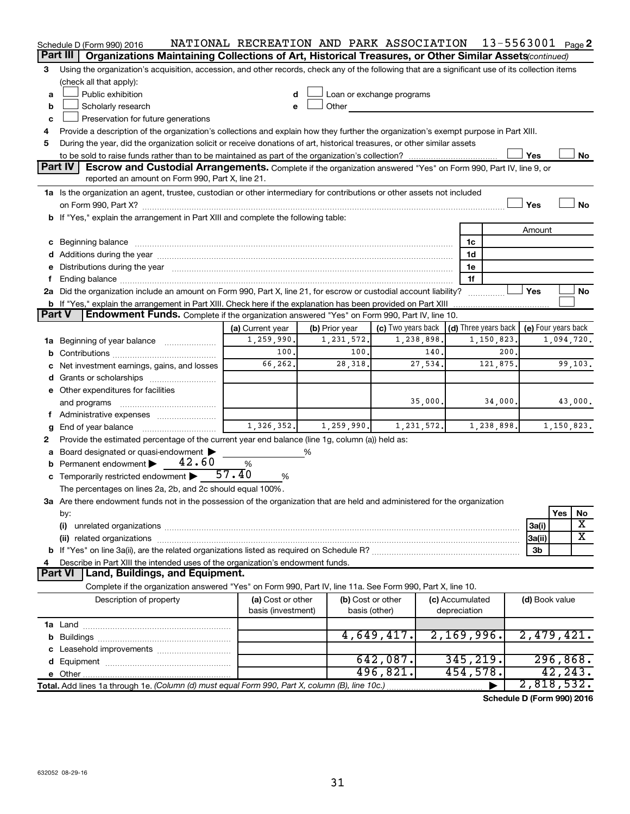|          | Schedule D (Form 990) 2016                                                                                                                                                                                                     | NATIONAL RECREATION AND PARK ASSOCIATION |                |               |                           |              |                 | 13-5563001 $_{Page}$ 2               |                     |            |           |
|----------|--------------------------------------------------------------------------------------------------------------------------------------------------------------------------------------------------------------------------------|------------------------------------------|----------------|---------------|---------------------------|--------------|-----------------|--------------------------------------|---------------------|------------|-----------|
| Part III | Organizations Maintaining Collections of Art, Historical Treasures, or Other Similar Assets (continued)                                                                                                                        |                                          |                |               |                           |              |                 |                                      |                     |            |           |
| 3        | Using the organization's acquisition, accession, and other records, check any of the following that are a significant use of its collection items                                                                              |                                          |                |               |                           |              |                 |                                      |                     |            |           |
|          | (check all that apply):                                                                                                                                                                                                        |                                          |                |               |                           |              |                 |                                      |                     |            |           |
| a        | Public exhibition                                                                                                                                                                                                              | d                                        |                |               | Loan or exchange programs |              |                 |                                      |                     |            |           |
| b        | Scholarly research                                                                                                                                                                                                             | e                                        | Other          |               |                           |              |                 |                                      |                     |            |           |
| c        | Preservation for future generations                                                                                                                                                                                            |                                          |                |               |                           |              |                 |                                      |                     |            |           |
| 4        | Provide a description of the organization's collections and explain how they further the organization's exempt purpose in Part XIII.                                                                                           |                                          |                |               |                           |              |                 |                                      |                     |            |           |
| 5        | During the year, did the organization solicit or receive donations of art, historical treasures, or other similar assets                                                                                                       |                                          |                |               |                           |              |                 |                                      |                     |            |           |
|          |                                                                                                                                                                                                                                |                                          |                |               |                           |              |                 |                                      | Yes                 |            | No        |
|          | Part IV<br>Escrow and Custodial Arrangements. Complete if the organization answered "Yes" on Form 990, Part IV, line 9, or<br>reported an amount on Form 990, Part X, line 21.                                                 |                                          |                |               |                           |              |                 |                                      |                     |            |           |
|          | 1a Is the organization an agent, trustee, custodian or other intermediary for contributions or other assets not included                                                                                                       |                                          |                |               |                           |              |                 |                                      |                     |            |           |
|          |                                                                                                                                                                                                                                |                                          |                |               |                           |              |                 |                                      | Yes                 |            | <b>No</b> |
|          | b If "Yes," explain the arrangement in Part XIII and complete the following table:                                                                                                                                             |                                          |                |               |                           |              |                 |                                      |                     |            |           |
|          |                                                                                                                                                                                                                                |                                          |                |               |                           |              |                 |                                      | Amount              |            |           |
|          | c Beginning balance measurements and the contract of the contract of the contract of the contract of the contract of the contract of the contract of the contract of the contract of the contract of the contract of the contr |                                          |                |               |                           |              | 1c              |                                      |                     |            |           |
|          |                                                                                                                                                                                                                                |                                          |                |               |                           |              | 1d              |                                      |                     |            |           |
|          | e Distributions during the year manufactured and a control of the year manufactured and a Distributions during                                                                                                                 |                                          |                |               |                           |              | 1e              |                                      |                     |            |           |
|          |                                                                                                                                                                                                                                |                                          |                |               |                           |              | 1f              |                                      |                     |            |           |
|          | 2a Did the organization include an amount on Form 990, Part X, line 21, for escrow or custodial account liability?                                                                                                             |                                          |                |               |                           |              |                 |                                      | Yes                 |            | No        |
|          | b If "Yes," explain the arrangement in Part XIII. Check here if the explanation has been provided on Part XIII                                                                                                                 |                                          |                |               |                           |              |                 |                                      |                     |            |           |
| Part V   | <b>Endowment Funds.</b> Complete if the organization answered "Yes" on Form 990, Part IV, line 10.                                                                                                                             |                                          |                |               |                           |              |                 |                                      |                     |            |           |
|          |                                                                                                                                                                                                                                | (a) Current year                         | (b) Prior year |               | (c) Two years back        |              |                 | $\vert$ (d) Three years back $\vert$ | (e) Four years back |            |           |
|          | 1a Beginning of year balance                                                                                                                                                                                                   | 1,259,990.                               | 1,231,572.     |               |                           | 1,238,898.   |                 | 1,150,823.                           |                     | 1,094,720. |           |
| b        |                                                                                                                                                                                                                                | 100.                                     |                | 100.          |                           | 140.         |                 | 200                                  |                     |            |           |
|          | Net investment earnings, gains, and losses                                                                                                                                                                                     | 66,262.                                  |                | 28, 318.      |                           | 27,534.      |                 | 121,875                              |                     |            | 99,103.   |
|          |                                                                                                                                                                                                                                |                                          |                |               |                           |              |                 |                                      |                     |            |           |
|          | e Other expenditures for facilities                                                                                                                                                                                            |                                          |                |               |                           |              |                 |                                      |                     |            |           |
|          | and programs                                                                                                                                                                                                                   |                                          |                |               |                           | 35,000.      |                 | 34,000,                              |                     |            | 43,000.   |
| Ť.       |                                                                                                                                                                                                                                |                                          |                |               |                           |              |                 |                                      |                     |            |           |
| g        | End of year balance                                                                                                                                                                                                            | 1,326,352.                               | 1,259,990.     |               |                           | 1, 231, 572. |                 | 1,238,898.                           |                     | 1,150,823. |           |
| 2        | Provide the estimated percentage of the current year end balance (line 1g, column (a)) held as:                                                                                                                                |                                          |                |               |                           |              |                 |                                      |                     |            |           |
|          | a Board designated or quasi-endowment ><br>42.60                                                                                                                                                                               |                                          | ℅              |               |                           |              |                 |                                      |                     |            |           |
|          | <b>b</b> Permanent endowment $\blacktriangleright$                                                                                                                                                                             | %                                        |                |               |                           |              |                 |                                      |                     |            |           |
|          | c Temporarily restricted endowment $\blacktriangleright$ 57.40                                                                                                                                                                 | %                                        |                |               |                           |              |                 |                                      |                     |            |           |
|          | The percentages on lines 2a, 2b, and 2c should equal 100%.                                                                                                                                                                     |                                          |                |               |                           |              |                 |                                      |                     |            |           |
|          | 3a Are there endowment funds not in the possession of the organization that are held and administered for the organization                                                                                                     |                                          |                |               |                           |              |                 |                                      |                     | Yes        |           |
|          | by:<br>(i)                                                                                                                                                                                                                     |                                          |                |               |                           |              |                 |                                      | 3a(i)               |            | No<br>х   |
|          |                                                                                                                                                                                                                                |                                          |                |               |                           |              |                 |                                      | 3a(ii)              |            | X         |
|          |                                                                                                                                                                                                                                |                                          |                |               |                           |              |                 |                                      | 3b                  |            |           |
| 4        | Describe in Part XIII the intended uses of the organization's endowment funds.                                                                                                                                                 |                                          |                |               |                           |              |                 |                                      |                     |            |           |
|          | <b>Part VI</b><br>Land, Buildings, and Equipment.                                                                                                                                                                              |                                          |                |               |                           |              |                 |                                      |                     |            |           |
|          | Complete if the organization answered "Yes" on Form 990, Part IV, line 11a. See Form 990, Part X, line 10.                                                                                                                     |                                          |                |               |                           |              |                 |                                      |                     |            |           |
|          | Description of property                                                                                                                                                                                                        | (a) Cost or other                        |                |               | (b) Cost or other         |              | (c) Accumulated |                                      | (d) Book value      |            |           |
|          |                                                                                                                                                                                                                                | basis (investment)                       |                | basis (other) |                           |              | depreciation    |                                      |                     |            |           |
|          |                                                                                                                                                                                                                                |                                          |                |               |                           |              |                 |                                      |                     |            |           |
|          |                                                                                                                                                                                                                                |                                          |                |               | 4,649,417.                |              | 2,169,996.      |                                      | 2,479,421.          |            |           |
|          |                                                                                                                                                                                                                                |                                          |                |               |                           |              |                 |                                      |                     |            |           |
|          |                                                                                                                                                                                                                                |                                          |                |               | 642,087.                  |              | 345, 219.       |                                      |                     | 296,868.   |           |
|          |                                                                                                                                                                                                                                |                                          |                |               | 496,821.                  |              | 454,578.        |                                      |                     | 42, 243.   |           |
|          | Total. Add lines 1a through 1e. (Column (d) must equal Form 990, Part X, column (B), line 10c.)                                                                                                                                |                                          |                |               |                           |              |                 |                                      | 2,818,532.          |            |           |
|          |                                                                                                                                                                                                                                |                                          |                |               |                           |              |                 |                                      |                     |            |           |

**Schedule D (Form 990) 2016**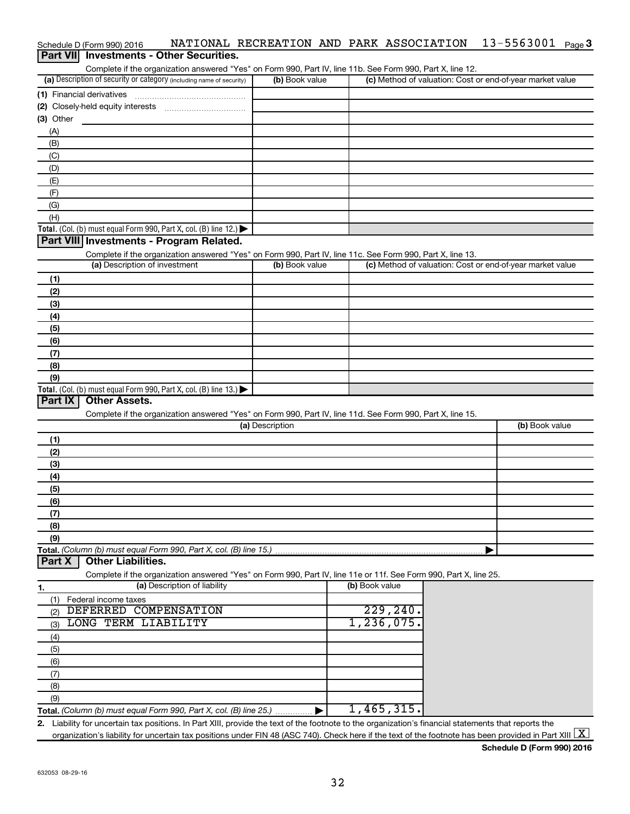| Schedule D (Form 990) 2016                                           |                |  |                                                           | NATIONAL RECREATION AND PARK ASSOCIATION                                                                   | 13-5563001 | Page 3 |
|----------------------------------------------------------------------|----------------|--|-----------------------------------------------------------|------------------------------------------------------------------------------------------------------------|------------|--------|
| <b>Part VII</b> Investments - Other Securities.                      |                |  |                                                           |                                                                                                            |            |        |
|                                                                      |                |  |                                                           | Complete if the organization answered "Yes" on Form 990, Part IV, line 11b. See Form 990, Part X, line 12. |            |        |
| (a) Description of security or category (including name of security) | (b) Book value |  | (c) Method of valuation: Cost or end-of-year market value |                                                                                                            |            |        |
| (1) Financial derivatives                                            |                |  |                                                           |                                                                                                            |            |        |
| (2) Closely-held equity interests                                    |                |  |                                                           |                                                                                                            |            |        |
| (3) Other                                                            |                |  |                                                           |                                                                                                            |            |        |

| . .                                                                                    |  |
|----------------------------------------------------------------------------------------|--|
| (A)                                                                                    |  |
| (B)                                                                                    |  |
| (C)                                                                                    |  |
| (D)                                                                                    |  |
| (E)                                                                                    |  |
| (F)                                                                                    |  |
| (G)                                                                                    |  |
| (H)                                                                                    |  |
| Total. (Col. (b) must equal Form 990, Part X, col. (B) line 12.) $\blacktriangleright$ |  |

## **Part VIII Investments - Program Related.**

Complete if the organization answered "Yes" on Form 990, Part IV, line 11c. See Form 990, Part X, line 13.

| (a) Description of investment                                                             | (b) Book value | (c) Method of valuation: Cost or end-of-year market value |
|-------------------------------------------------------------------------------------------|----------------|-----------------------------------------------------------|
| (1)                                                                                       |                |                                                           |
| (2)                                                                                       |                |                                                           |
| (3)                                                                                       |                |                                                           |
| (4)                                                                                       |                |                                                           |
| (5)                                                                                       |                |                                                           |
| (6)                                                                                       |                |                                                           |
| (7)                                                                                       |                |                                                           |
| (8)                                                                                       |                |                                                           |
| (9)                                                                                       |                |                                                           |
| Total. (Col. (b) must equal Form 990, Part X, col. (B) line $13.$ ) $\blacktriangleright$ |                |                                                           |

## **Part IX Other Assets.**

Complete if the organization answered "Yes" on Form 990, Part IV, line 11d. See Form 990, Part X, line 15.

| (a) Description | (b) Book value |
|-----------------|----------------|
| (1)             |                |
| (2)             |                |
| (3)             |                |
| (4)             |                |
| (5)             |                |
| (6)             |                |
| (7)             |                |
| (8)             |                |
| (9)             |                |
|                 |                |

### **Part X Other Liabilities.**

Complete if the organization answered "Yes" on Form 990, Part IV, line 11e or 11f. See Form 990, Part X, line 25.

|     | (a) Description of liability                                       | (b) Book value |
|-----|--------------------------------------------------------------------|----------------|
|     | Federal income taxes                                               |                |
| (2) | DEFERRED COMPENSATION                                              | 229,240.       |
| (3) | LONG TERM LIABILITY                                                | 1, 236, 075.   |
| (4) |                                                                    |                |
| (5) |                                                                    |                |
| (6) |                                                                    |                |
|     |                                                                    |                |
| (8) |                                                                    |                |
| (9) |                                                                    |                |
|     | Total. (Column (b) must equal Form 990, Part X, col. (B) line 25.) | 1,465,315.     |

**2.** Liability for uncertain tax positions. In Part XIII, provide the text of the footnote to the organization's financial statements that reports the organization's liability for uncertain tax positions under FIN 48 (ASC 740). Check here if the text of the footnote has been provided in Part XIII  $\boxed{\text{X}}$ 

**Schedule D (Form 990) 2016**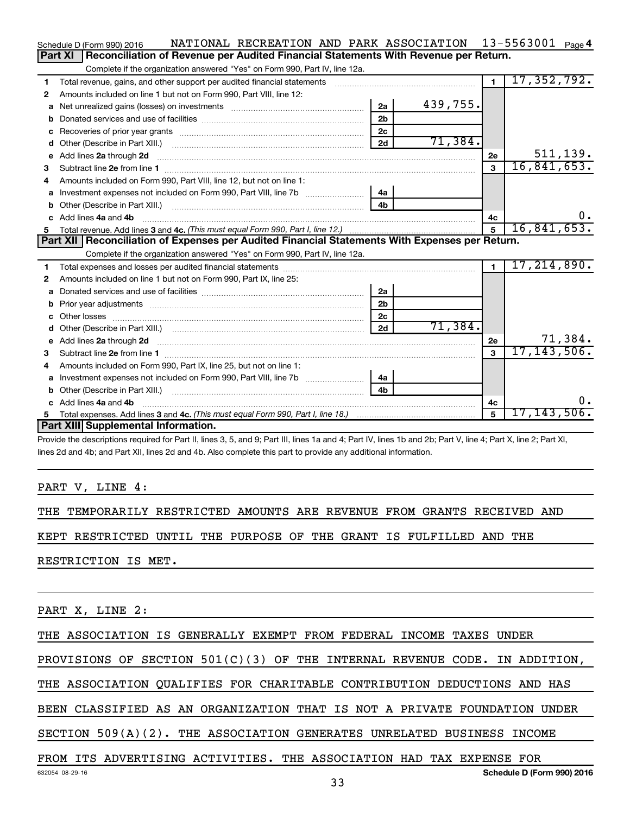|    | NATIONAL RECREATION AND PARK ASSOCIATION 13-5563001 Page 4<br>Schedule D (Form 990) 2016                                                                                                                                             |                |          |                |                |
|----|--------------------------------------------------------------------------------------------------------------------------------------------------------------------------------------------------------------------------------------|----------------|----------|----------------|----------------|
|    | Reconciliation of Revenue per Audited Financial Statements With Revenue per Return.<br>Part XI                                                                                                                                       |                |          |                |                |
|    | Complete if the organization answered "Yes" on Form 990, Part IV, line 12a.                                                                                                                                                          |                |          |                |                |
| 1  | Total revenue, gains, and other support per audited financial statements [[[[[[[[[[[[[[[[[[[[[[[[[]]]]]]]]]]]                                                                                                                        |                |          | $\overline{1}$ | 17, 352, 792.  |
| 2  | Amounts included on line 1 but not on Form 990, Part VIII, line 12:                                                                                                                                                                  |                |          |                |                |
| a  |                                                                                                                                                                                                                                      | 2a             | 439,755. |                |                |
|    |                                                                                                                                                                                                                                      | 2 <sub>b</sub> |          |                |                |
| c  | Recoveries of prior year grants [111] matter contracts and prior year grants [11] matter contracts and a recovering to the contract of the contracts of prior year grants [11] matter contracts and a recovering to the contra       | 2 <sub>c</sub> |          |                |                |
| d  |                                                                                                                                                                                                                                      | 2d             | 71,384.  |                |                |
| е  | Add lines 2a through 2d                                                                                                                                                                                                              |                |          | 2e             | 511, 139.      |
| з  |                                                                                                                                                                                                                                      |                |          | 3              | 16,841,653.    |
| 4  | Amounts included on Form 990, Part VIII, line 12, but not on line 1:                                                                                                                                                                 |                |          |                |                |
|    |                                                                                                                                                                                                                                      | 4a             |          |                |                |
| b  |                                                                                                                                                                                                                                      | 4 <sub>h</sub> |          |                |                |
| C. | Add lines 4a and 4b                                                                                                                                                                                                                  |                |          | 4c             | $0$ .          |
|    |                                                                                                                                                                                                                                      |                |          | 5              | 16,841,653.    |
|    |                                                                                                                                                                                                                                      |                |          |                |                |
|    | Part XII   Reconciliation of Expenses per Audited Financial Statements With Expenses per Return.                                                                                                                                     |                |          |                |                |
|    | Complete if the organization answered "Yes" on Form 990, Part IV, line 12a.                                                                                                                                                          |                |          |                |                |
| 1  |                                                                                                                                                                                                                                      |                |          | $\blacksquare$ | 17, 214, 890.  |
| 2  | Amounts included on line 1 but not on Form 990, Part IX, line 25:                                                                                                                                                                    |                |          |                |                |
| a  |                                                                                                                                                                                                                                      | 2a             |          |                |                |
| b  |                                                                                                                                                                                                                                      | 2 <sub>b</sub> |          |                |                |
|    |                                                                                                                                                                                                                                      | 2 <sub>c</sub> |          |                |                |
| d  |                                                                                                                                                                                                                                      | 2d             | 71,384.  |                |                |
| е  | Add lines 2a through 2d <b>continuum continuum contract and all the contract of the contract of the contract of the contract of the contract of the contract of the contract of the contract of the contract of the contract of </b> |                |          | 2е             | 71,384.        |
| 3  |                                                                                                                                                                                                                                      |                |          | 3              | 17, 143, 506.  |
| 4  | Amounts included on Form 990, Part IX, line 25, but not on line 1:                                                                                                                                                                   |                |          |                |                |
|    |                                                                                                                                                                                                                                      | 4a             |          |                |                |
| b  |                                                                                                                                                                                                                                      | 4 <sub>b</sub> |          |                |                |
|    | Add lines 4a and 4b                                                                                                                                                                                                                  |                |          | 4c             | 0.             |
|    | Part XIII Supplemental Information.                                                                                                                                                                                                  |                |          | 5              | $17,143,506$ . |

Provide the descriptions required for Part II, lines 3, 5, and 9; Part III, lines 1a and 4; Part IV, lines 1b and 2b; Part V, line 4; Part X, line 2; Part XI, lines 2d and 4b; and Part XII, lines 2d and 4b. Also complete this part to provide any additional information.

#### PART V, LINE 4:

THE TEMPORARILY RESTRICTED AMOUNTS ARE REVENUE FROM GRANTS RECEIVED AND

KEPT RESTRICTED UNTIL THE PURPOSE OF THE GRANT IS FULFILLED AND THE

RESTRICTION IS MET.

PART X, LINE 2:

THE ASSOCIATION IS GENERALLY EXEMPT FROM FEDERAL INCOME TAXES UNDER

PROVISIONS OF SECTION 501(C)(3) OF THE INTERNAL REVENUE CODE. IN ADDITION,

THE ASSOCIATION QUALIFIES FOR CHARITABLE CONTRIBUTION DEDUCTIONS AND HAS

BEEN CLASSIFIED AS AN ORGANIZATION THAT IS NOT A PRIVATE FOUNDATION UNDER

SECTION 509(A)(2). THE ASSOCIATION GENERATES UNRELATED BUSINESS INCOME

FROM ITS ADVERTISING ACTIVITIES. THE ASSOCIATION HAD TAX EXPENSE FOR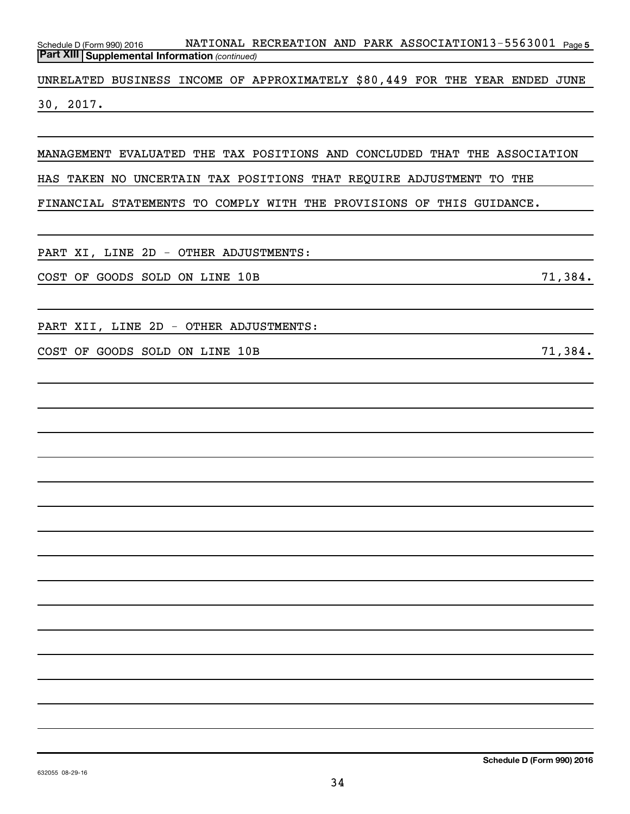Schedule D (Form 990) 2016 NATIONAL RECREATION AND PARK ASSOCIATION $13$ -5563001 <sub>Page 5</sub> *(continued)* **Part XIII Supplemental Information** 

UNRELATED BUSINESS INCOME OF APPROXIMATELY \$80,449 FOR THE YEAR ENDED JUNE 30, 2017.

MANAGEMENT EVALUATED THE TAX POSITIONS AND CONCLUDED THAT THE ASSOCIATION HAS TAKEN NO UNCERTAIN TAX POSITIONS THAT REQUIRE ADJUSTMENT TO THE

FINANCIAL STATEMENTS TO COMPLY WITH THE PROVISIONS OF THIS GUIDANCE.

PART XI, LINE 2D - OTHER ADJUSTMENTS:

COST OF GOODS SOLD ON LINE 10B 71,384.

PART XII, LINE 2D - OTHER ADJUSTMENTS:

COST OF GOODS SOLD ON LINE 10B 71,384.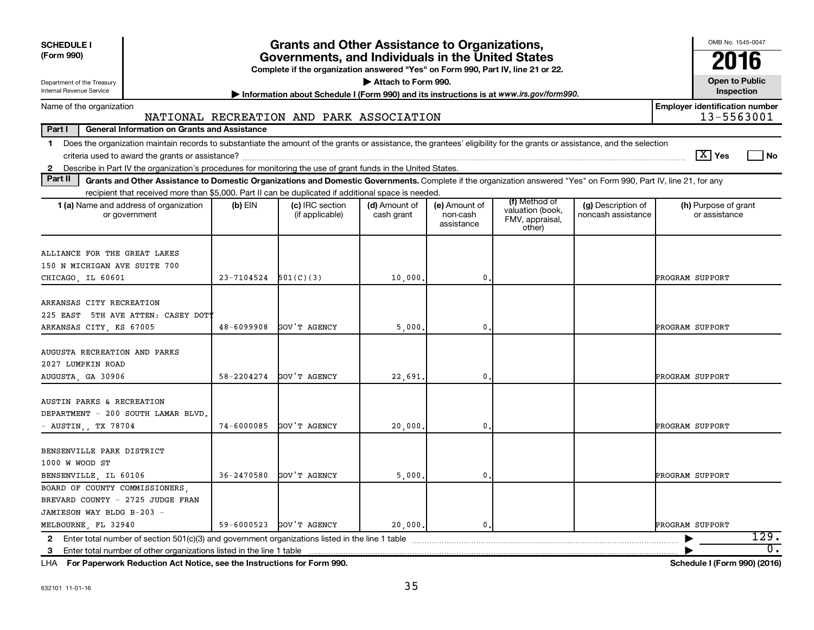| <b>SCHEDULE I</b><br>(Form 990)<br>Department of the Treasury<br>Internal Revenue Service                                                                                                                                                                                                                                 |                            | <b>Grants and Other Assistance to Organizations,</b><br>Governments, and Individuals in the United States<br>Complete if the organization answered "Yes" on Form 990, Part IV, line 21 or 22. | Attach to Form 990.         |                                         |                                                                |                                          | OMB No. 1545-0047<br>2016<br><b>Open to Public</b><br>Inspection |
|---------------------------------------------------------------------------------------------------------------------------------------------------------------------------------------------------------------------------------------------------------------------------------------------------------------------------|----------------------------|-----------------------------------------------------------------------------------------------------------------------------------------------------------------------------------------------|-----------------------------|-----------------------------------------|----------------------------------------------------------------|------------------------------------------|------------------------------------------------------------------|
| Name of the organization                                                                                                                                                                                                                                                                                                  |                            | Information about Schedule I (Form 990) and its instructions is at www.irs.gov/form990.                                                                                                       |                             |                                         |                                                                |                                          | <b>Employer identification number</b>                            |
|                                                                                                                                                                                                                                                                                                                           |                            | NATIONAL RECREATION AND PARK ASSOCIATION                                                                                                                                                      |                             |                                         |                                                                |                                          | 13-5563001                                                       |
| Part I<br><b>General Information on Grants and Assistance</b>                                                                                                                                                                                                                                                             |                            |                                                                                                                                                                                               |                             |                                         |                                                                |                                          |                                                                  |
| Does the organization maintain records to substantiate the amount of the grants or assistance, the grantees' eligibility for the grants or assistance, and the selection<br>$\mathbf{1}$<br>Describe in Part IV the organization's procedures for monitoring the use of grant funds in the United States.<br>$\mathbf{2}$ |                            |                                                                                                                                                                                               |                             |                                         |                                                                |                                          | $\boxed{\text{X}}$ Yes<br>l No                                   |
| Part II<br>Grants and Other Assistance to Domestic Organizations and Domestic Governments. Complete if the organization answered "Yes" on Form 990, Part IV, line 21, for any                                                                                                                                             |                            |                                                                                                                                                                                               |                             |                                         |                                                                |                                          |                                                                  |
| recipient that received more than \$5,000. Part II can be duplicated if additional space is needed.                                                                                                                                                                                                                       |                            |                                                                                                                                                                                               |                             |                                         |                                                                |                                          |                                                                  |
| 1 (a) Name and address of organization<br>or government                                                                                                                                                                                                                                                                   | $(b)$ EIN                  | (c) IRC section<br>(if applicable)                                                                                                                                                            | (d) Amount of<br>cash grant | (e) Amount of<br>non-cash<br>assistance | (f) Method of<br>valuation (book,<br>FMV, appraisal,<br>other) | (g) Description of<br>noncash assistance | (h) Purpose of grant<br>or assistance                            |
| ALLIANCE FOR THE GREAT LAKES<br>150 N MICHIGAN AVE SUITE 700<br>CHICAGO, IL 60601                                                                                                                                                                                                                                         | $23 - 7104524$ $501(C)(3)$ |                                                                                                                                                                                               | 10,000.                     | $\mathbf{0}$                            |                                                                |                                          | PROGRAM SUPPORT                                                  |
| ARKANSAS CITY RECREATION<br>225 EAST 5TH AVE ATTEN: CASEY DOTY<br>ARKANSAS CITY, KS 67005                                                                                                                                                                                                                                 | 48-6099908                 | GOV'T AGENCY                                                                                                                                                                                  | 5,000.                      | $\mathbf{0}$                            |                                                                |                                          | PROGRAM SUPPORT                                                  |
| AUGUSTA RECREATION AND PARKS<br>2027 LUMPKIN ROAD<br>AUGUSTA, GA 30906                                                                                                                                                                                                                                                    | 58-2204274                 | GOV'T AGENCY                                                                                                                                                                                  | 22,691.                     | $\mathbf{0}$                            |                                                                |                                          | PROGRAM SUPPORT                                                  |
| AUSTIN PARKS & RECREATION<br>DEPARTMENT - 200 SOUTH LAMAR BLVD.<br>AUSTIN,, TX 78704                                                                                                                                                                                                                                      | $74 - 6000085$             | GOV'T AGENCY                                                                                                                                                                                  | 20,000                      | $\mathbf{0}$                            |                                                                |                                          | <b>PROGRAM SUPPORT</b>                                           |
| BENSENVILLE PARK DISTRICT<br>1000 W WOOD ST<br>BENSENVILLE, IL 60106                                                                                                                                                                                                                                                      | $36 - 2470580$             | GOV'T AGENCY                                                                                                                                                                                  | 5,000,                      | $\mathbf{0}$                            |                                                                |                                          | PROGRAM SUPPORT                                                  |
| BOARD OF COUNTY COMMISSIONERS.<br>BREVARD COUNTY - 2725 JUDGE FRAN<br>JAMIESON WAY BLDG B-203 -<br>MELBOURNE, FL 32940                                                                                                                                                                                                    | 59-6000523                 | GOV'T AGENCY                                                                                                                                                                                  | 20,000,                     | 0.                                      |                                                                |                                          | <b>PROGRAM SUPPORT</b>                                           |
| 2 Enter total number of section 501(c)(3) and government organizations listed in the line 1 table                                                                                                                                                                                                                         |                            |                                                                                                                                                                                               |                             |                                         |                                                                |                                          | 129.                                                             |
| Enter total number of other organizations listed in the line 1 table<br>3                                                                                                                                                                                                                                                 |                            |                                                                                                                                                                                               |                             |                                         |                                                                |                                          | 0.                                                               |

**For Paperwork Reduction Act Notice, see the Instructions for Form 990. Schedule I (Form 990) (2016)** LHA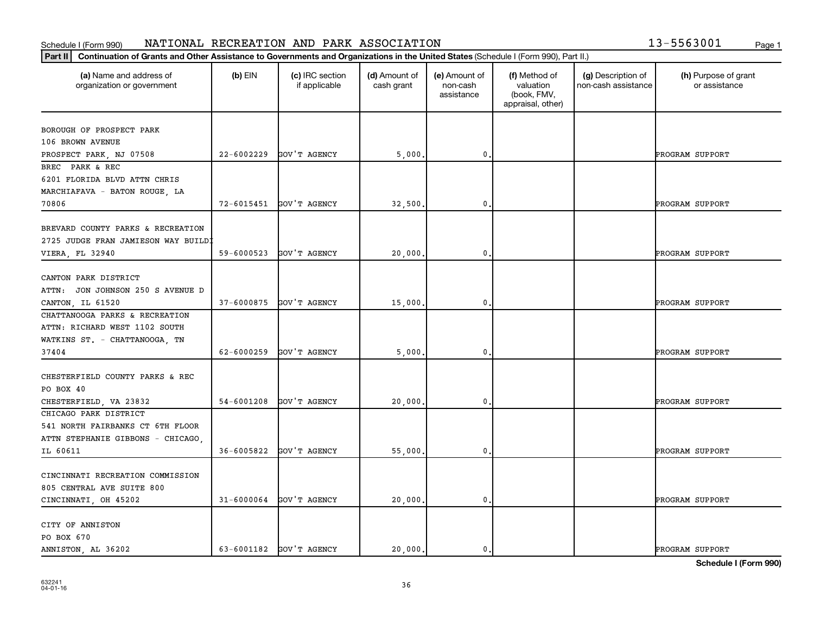#### **Part III Continuation of Grants and Other Assistance to Governments and Organizations in the United States (Schedule L(Equation)** Schedule I (Form 990) NATIONAL RECREATION AND PARK ASSOCIATION 13-5563001 <sub>Page 1</sub>

|  | 13-5563001 |     |
|--|------------|-----|
|  |            | Pan |
|  |            |     |

| Continuation of Grants and Other Assistance to Governments and Organizations in the United States (Schedule I (Form 990), Part II.)<br>Part II |                |                                  |                             |                                         |                                                                |                                           |                                       |
|------------------------------------------------------------------------------------------------------------------------------------------------|----------------|----------------------------------|-----------------------------|-----------------------------------------|----------------------------------------------------------------|-------------------------------------------|---------------------------------------|
| (a) Name and address of<br>organization or government                                                                                          | $(b)$ EIN      | (c) IRC section<br>if applicable | (d) Amount of<br>cash grant | (e) Amount of<br>non-cash<br>assistance | (f) Method of<br>valuation<br>(book, FMV,<br>appraisal, other) | (g) Description of<br>non-cash assistance | (h) Purpose of grant<br>or assistance |
| BOROUGH OF PROSPECT PARK                                                                                                                       |                |                                  |                             |                                         |                                                                |                                           |                                       |
| 106 BROWN AVENUE                                                                                                                               |                |                                  |                             |                                         |                                                                |                                           |                                       |
| PROSPECT PARK, NJ 07508                                                                                                                        | $22 - 6002229$ | GOV'T AGENCY                     | 5,000.                      | $\mathbf{0}$                            |                                                                |                                           | PROGRAM SUPPORT                       |
| BREC PARK & REC                                                                                                                                |                |                                  |                             |                                         |                                                                |                                           |                                       |
| 6201 FLORIDA BLVD ATTN CHRIS                                                                                                                   |                |                                  |                             |                                         |                                                                |                                           |                                       |
| MARCHIAFAVA - BATON ROUGE, LA                                                                                                                  |                |                                  |                             |                                         |                                                                |                                           |                                       |
| 70806                                                                                                                                          | 72-6015451     | GOV'T AGENCY                     | 32,500.                     | $\mathbf{0}$                            |                                                                |                                           | PROGRAM SUPPORT                       |
|                                                                                                                                                |                |                                  |                             |                                         |                                                                |                                           |                                       |
| BREVARD COUNTY PARKS & RECREATION                                                                                                              |                |                                  |                             |                                         |                                                                |                                           |                                       |
| 2725 JUDGE FRAN JAMIESON WAY BUILDI                                                                                                            |                |                                  |                             |                                         |                                                                |                                           |                                       |
| VIERA, FL 32940                                                                                                                                | 59-6000523     | GOV'T AGENCY                     | 20,000.                     | 0                                       |                                                                |                                           | PROGRAM SUPPORT                       |
|                                                                                                                                                |                |                                  |                             |                                         |                                                                |                                           |                                       |
| CANTON PARK DISTRICT                                                                                                                           |                |                                  |                             |                                         |                                                                |                                           |                                       |
| ATTN: JON JOHNSON 250 S AVENUE D                                                                                                               |                |                                  |                             |                                         |                                                                |                                           |                                       |
| CANTON, IL 61520                                                                                                                               | 37-6000875     | GOV'T AGENCY                     | 15,000.                     | $\mathbf{0}$                            |                                                                |                                           | PROGRAM SUPPORT                       |
| CHATTANOOGA PARKS & RECREATION                                                                                                                 |                |                                  |                             |                                         |                                                                |                                           |                                       |
| ATTN: RICHARD WEST 1102 SOUTH                                                                                                                  |                |                                  |                             |                                         |                                                                |                                           |                                       |
| WATKINS ST. - CHATTANOOGA, TN                                                                                                                  |                |                                  |                             |                                         |                                                                |                                           |                                       |
| 37404                                                                                                                                          | 62-6000259     | GOV'T AGENCY                     | 5,000                       | 0.                                      |                                                                |                                           | PROGRAM SUPPORT                       |
|                                                                                                                                                |                |                                  |                             |                                         |                                                                |                                           |                                       |
| CHESTERFIELD COUNTY PARKS & REC                                                                                                                |                |                                  |                             |                                         |                                                                |                                           |                                       |
| PO BOX 40                                                                                                                                      |                |                                  |                             |                                         |                                                                |                                           |                                       |
| CHESTERFIELD, VA 23832                                                                                                                         | 54-6001208     | GOV'T AGENCY                     | 20,000                      | 0                                       |                                                                |                                           | PROGRAM SUPPORT                       |
| CHICAGO PARK DISTRICT                                                                                                                          |                |                                  |                             |                                         |                                                                |                                           |                                       |
| 541 NORTH FAIRBANKS CT 6TH FLOOR                                                                                                               |                |                                  |                             |                                         |                                                                |                                           |                                       |
| ATTN STEPHANIE GIBBONS - CHICAGO,                                                                                                              |                |                                  |                             |                                         |                                                                |                                           |                                       |
| IL 60611                                                                                                                                       | 36-6005822     | GOV'T AGENCY                     | 55,000                      | $\mathbf{0}$                            |                                                                |                                           | PROGRAM SUPPORT                       |
|                                                                                                                                                |                |                                  |                             |                                         |                                                                |                                           |                                       |
| CINCINNATI RECREATION COMMISSION                                                                                                               |                |                                  |                             |                                         |                                                                |                                           |                                       |
| 805 CENTRAL AVE SUITE 800                                                                                                                      |                |                                  |                             |                                         |                                                                |                                           |                                       |
| CINCINNATI, OH 45202                                                                                                                           | $31 - 6000064$ | GOV'T AGENCY                     | 20,000.                     | 0.                                      |                                                                |                                           | PROGRAM SUPPORT                       |
|                                                                                                                                                |                |                                  |                             |                                         |                                                                |                                           |                                       |
| CITY OF ANNISTON                                                                                                                               |                |                                  |                             |                                         |                                                                |                                           |                                       |
| PO BOX 670                                                                                                                                     |                |                                  |                             |                                         |                                                                |                                           |                                       |
| ANNISTON, AL 36202                                                                                                                             |                | 63-6001182 GOV'T AGENCY          | 20,000.                     | 0.                                      |                                                                |                                           | PROGRAM SUPPORT                       |

**Schedule I (Form 990)**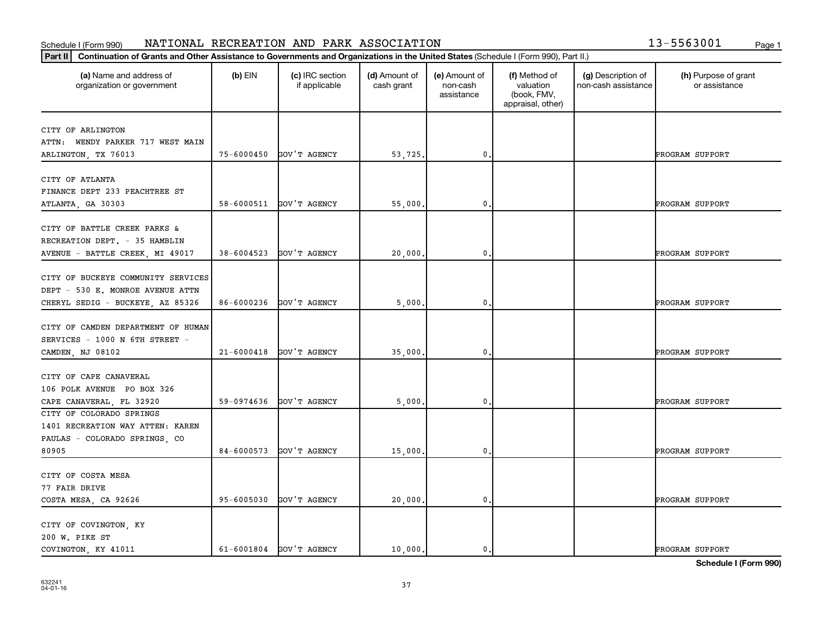# Schedule I (Form 990) NATIONAL RECREATION AND PARK ASSOCIATION 13-5563001 <sub>Page 1</sub>

|  | 13-5563001 | Page 1 |
|--|------------|--------|
|  |            |        |

| (a) Name and address of<br>organization or government | $(b)$ EIN      | (c) IRC section<br>if applicable | (d) Amount of<br>cash grant | (e) Amount of<br>non-cash<br>assistance | (f) Method of<br>valuation<br>(book, FMV,<br>appraisal, other) | (g) Description of<br>non-cash assistance | (h) Purpose of grant<br>or assistance |
|-------------------------------------------------------|----------------|----------------------------------|-----------------------------|-----------------------------------------|----------------------------------------------------------------|-------------------------------------------|---------------------------------------|
| CITY OF ARLINGTON                                     |                |                                  |                             |                                         |                                                                |                                           |                                       |
| ATTN: WENDY PARKER 717 WEST MAIN                      |                |                                  |                             |                                         |                                                                |                                           |                                       |
| ARLINGTON, TX 76013                                   | $75 - 6000450$ | GOV'T AGENCY                     | 53,725.                     | $\mathbf{0}$                            |                                                                |                                           | PROGRAM SUPPORT                       |
|                                                       |                |                                  |                             |                                         |                                                                |                                           |                                       |
| CITY OF ATLANTA                                       |                |                                  |                             |                                         |                                                                |                                           |                                       |
| FINANCE DEPT 233 PEACHTREE ST                         |                |                                  |                             |                                         |                                                                |                                           |                                       |
| ATLANTA, GA 30303                                     | 58-6000511     | GOV'T AGENCY                     | 55,000                      | 0                                       |                                                                |                                           | PROGRAM SUPPORT                       |
|                                                       |                |                                  |                             |                                         |                                                                |                                           |                                       |
| CITY OF BATTLE CREEK PARKS &                          |                |                                  |                             |                                         |                                                                |                                           |                                       |
| RECREATION DEPT. - 35 HAMBLIN                         |                |                                  |                             |                                         |                                                                |                                           |                                       |
| AVENUE - BATTLE CREEK, MI 49017                       | 38-6004523     | GOV'T AGENCY                     | 20,000.                     | $\mathbf 0$                             |                                                                |                                           | PROGRAM SUPPORT                       |
|                                                       |                |                                  |                             |                                         |                                                                |                                           |                                       |
| CITY OF BUCKEYE COMMUNITY SERVICES                    |                |                                  |                             |                                         |                                                                |                                           |                                       |
| DEPT - 530 E. MONROE AVENUE ATTN                      |                |                                  |                             |                                         |                                                                |                                           |                                       |
| CHERYL SEDIG - BUCKEYE, AZ 85326                      | 86-6000236     | GOV'T AGENCY                     | 5,000                       | $\mathbf 0$                             |                                                                |                                           | PROGRAM SUPPORT                       |
|                                                       |                |                                  |                             |                                         |                                                                |                                           |                                       |
| CITY OF CAMDEN DEPARTMENT OF HUMAN                    |                |                                  |                             |                                         |                                                                |                                           |                                       |
| SERVICES - 1000 N 6TH STREET -                        |                |                                  |                             |                                         |                                                                |                                           |                                       |
| CAMDEN, NJ 08102                                      | $21 - 6000418$ | GOV'T AGENCY                     | 35,000.                     | 0                                       |                                                                |                                           | PROGRAM SUPPORT                       |
| CITY OF CAPE CANAVERAL                                |                |                                  |                             |                                         |                                                                |                                           |                                       |
| 106 POLK AVENUE PO BOX 326                            |                |                                  |                             |                                         |                                                                |                                           |                                       |
|                                                       | 59-0974636     | GOV'T AGENCY                     | 5,000                       | 0                                       |                                                                |                                           | PROGRAM SUPPORT                       |
| CAPE CANAVERAL, FL 32920<br>CITY OF COLORADO SPRINGS  |                |                                  |                             |                                         |                                                                |                                           |                                       |
| 1401 RECREATION WAY ATTEN: KAREN                      |                |                                  |                             |                                         |                                                                |                                           |                                       |
| PAULAS - COLORADO SPRINGS, CO                         |                |                                  |                             |                                         |                                                                |                                           |                                       |
| 80905                                                 | 84-6000573     | GOV'T AGENCY                     | 15,000.                     | 0.                                      |                                                                |                                           | PROGRAM SUPPORT                       |
|                                                       |                |                                  |                             |                                         |                                                                |                                           |                                       |
| CITY OF COSTA MESA                                    |                |                                  |                             |                                         |                                                                |                                           |                                       |
| 77 FAIR DRIVE                                         |                |                                  |                             |                                         |                                                                |                                           |                                       |
| COSTA MESA, CA 92626                                  | 95-6005030     | GOV'T AGENCY                     | 20,000.                     | 0.                                      |                                                                |                                           | PROGRAM SUPPORT                       |
|                                                       |                |                                  |                             |                                         |                                                                |                                           |                                       |
| CITY OF COVINGTON, KY                                 |                |                                  |                             |                                         |                                                                |                                           |                                       |
| 200 W. PIKE ST                                        |                |                                  |                             |                                         |                                                                |                                           |                                       |
| COVINGTON, KY 41011                                   |                | 61-6001804 GOV'T AGENCY          | 10,000.                     | 0.                                      |                                                                |                                           | PROGRAM SUPPORT                       |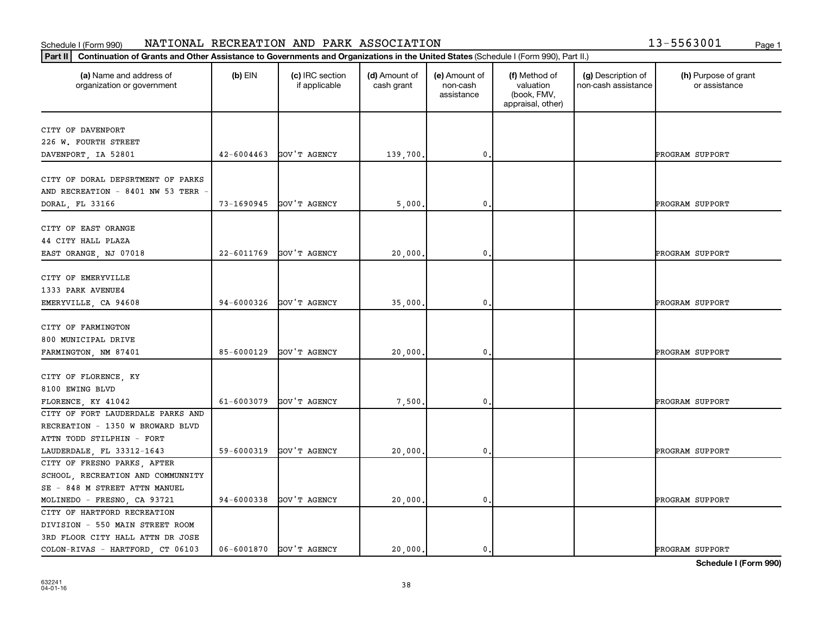## **Part III Continuation of Grants and Other Assistance to Governments and Organizations in the United States and Other Assistance to Governments and Organizations in the United States <b>Property** Schedule I (Form 990) NATIONAL RECREATION AND PARK ASSOCIATION 13-5563001 <sub>Page 1</sub>

| 13-5563001 | Page 1 |
|------------|--------|
|            |        |

| Continuation of Grants and Other Assistance to Governments and Organizations in the United States (Schedule I (Form 990), Part II.)<br>Part II |                |                                  |                             |                                         |                                                                |                                           |                                       |
|------------------------------------------------------------------------------------------------------------------------------------------------|----------------|----------------------------------|-----------------------------|-----------------------------------------|----------------------------------------------------------------|-------------------------------------------|---------------------------------------|
| (a) Name and address of<br>organization or government                                                                                          | $(b)$ EIN      | (c) IRC section<br>if applicable | (d) Amount of<br>cash grant | (e) Amount of<br>non-cash<br>assistance | (f) Method of<br>valuation<br>(book, FMV,<br>appraisal, other) | (g) Description of<br>non-cash assistance | (h) Purpose of grant<br>or assistance |
| CITY OF DAVENPORT                                                                                                                              |                |                                  |                             |                                         |                                                                |                                           |                                       |
| 226 W. FOURTH STREET                                                                                                                           |                |                                  |                             |                                         |                                                                |                                           |                                       |
| DAVENPORT, IA 52801                                                                                                                            | $42 - 6004463$ | GOV'T AGENCY                     | 139,700.                    | 0                                       |                                                                |                                           | PROGRAM SUPPORT                       |
|                                                                                                                                                |                |                                  |                             |                                         |                                                                |                                           |                                       |
| CITY OF DORAL DEPSRTMENT OF PARKS                                                                                                              |                |                                  |                             |                                         |                                                                |                                           |                                       |
| AND RECREATION - 8401 NW 53 TERR                                                                                                               |                |                                  |                             |                                         |                                                                |                                           |                                       |
| DORAL, FL 33166                                                                                                                                | 73-1690945     | GOV'T AGENCY                     | 5,000                       | 0                                       |                                                                |                                           | PROGRAM SUPPORT                       |
|                                                                                                                                                |                |                                  |                             |                                         |                                                                |                                           |                                       |
| CITY OF EAST ORANGE                                                                                                                            |                |                                  |                             |                                         |                                                                |                                           |                                       |
| 44 CITY HALL PLAZA                                                                                                                             |                |                                  |                             |                                         |                                                                |                                           |                                       |
| EAST ORANGE, NJ 07018                                                                                                                          | 22-6011769     | GOV'T AGENCY                     | 20,000                      | 0                                       |                                                                |                                           | PROGRAM SUPPORT                       |
|                                                                                                                                                |                |                                  |                             |                                         |                                                                |                                           |                                       |
| CITY OF EMERYVILLE                                                                                                                             |                |                                  |                             |                                         |                                                                |                                           |                                       |
| 1333 PARK AVENUE4                                                                                                                              |                |                                  |                             |                                         |                                                                |                                           |                                       |
| EMERYVILLE, CA 94608                                                                                                                           | 94-6000326     | GOV'T AGENCY                     | 35,000                      | 0                                       |                                                                |                                           | PROGRAM SUPPORT                       |
|                                                                                                                                                |                |                                  |                             |                                         |                                                                |                                           |                                       |
| CITY OF FARMINGTON                                                                                                                             |                |                                  |                             |                                         |                                                                |                                           |                                       |
| 800 MUNICIPAL DRIVE                                                                                                                            |                |                                  |                             |                                         |                                                                |                                           |                                       |
| FARMINGTON, NM 87401                                                                                                                           | 85-6000129     | GOV'T AGENCY                     | 20,000,                     | 0                                       |                                                                |                                           | PROGRAM SUPPORT                       |
|                                                                                                                                                |                |                                  |                             |                                         |                                                                |                                           |                                       |
| CITY OF FLORENCE, KY                                                                                                                           |                |                                  |                             |                                         |                                                                |                                           |                                       |
| 8100 EWING BLVD                                                                                                                                |                |                                  |                             |                                         |                                                                |                                           |                                       |
| FLORENCE, KY 41042                                                                                                                             | 61-6003079     | GOV'T AGENCY                     | 7,500                       | 0                                       |                                                                |                                           | PROGRAM SUPPORT                       |
| CITY OF FORT LAUDERDALE PARKS AND                                                                                                              |                |                                  |                             |                                         |                                                                |                                           |                                       |
| RECREATION - 1350 W BROWARD BLVD                                                                                                               |                |                                  |                             |                                         |                                                                |                                           |                                       |
| ATTN TODD STILPHIN - FORT                                                                                                                      |                |                                  |                             |                                         |                                                                |                                           |                                       |
| LAUDERDALE, FL 33312-1643                                                                                                                      | 59-6000319     | GOV'T AGENCY                     | 20,000                      | 0                                       |                                                                |                                           | PROGRAM SUPPORT                       |
| CITY OF FRESNO PARKS, AFTER                                                                                                                    |                |                                  |                             |                                         |                                                                |                                           |                                       |
| SCHOOL, RECREATION AND COMMUNNITY                                                                                                              |                |                                  |                             |                                         |                                                                |                                           |                                       |
| SE - 848 M STREET ATTN MANUEL                                                                                                                  |                |                                  |                             |                                         |                                                                |                                           |                                       |
| MOLINEDO - FRESNO, CA 93721                                                                                                                    | 94-6000338     | GOV'T AGENCY                     | 20,000.                     | $\mathbf 0$ .                           |                                                                |                                           | PROGRAM SUPPORT                       |
| CITY OF HARTFORD RECREATION                                                                                                                    |                |                                  |                             |                                         |                                                                |                                           |                                       |
| DIVISION - 550 MAIN STREET ROOM                                                                                                                |                |                                  |                             |                                         |                                                                |                                           |                                       |
| 3RD FLOOR CITY HALL ATTN DR JOSE                                                                                                               |                |                                  |                             |                                         |                                                                |                                           |                                       |
| COLON-RIVAS - HARTFORD, CT 06103                                                                                                               | 06-6001870     | GOV'T AGENCY                     | 20,000.                     | $\mathbf{0}$                            |                                                                |                                           | PROGRAM SUPPORT                       |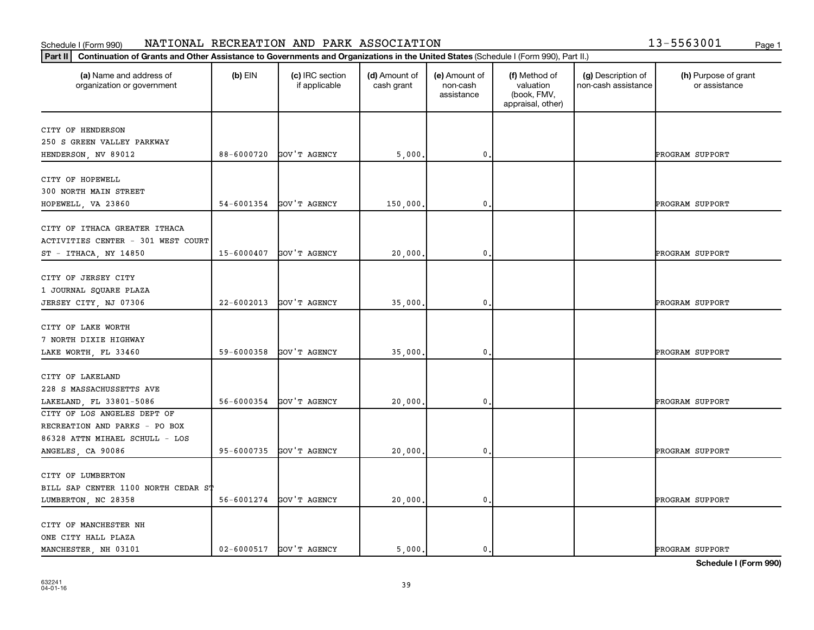## **Part III Continuation of Grants and Other Assistance to Governments and Organizations in the United States and Other Assistance to Governments and Organizations in the United States <b>Property** Schedule I (Form 990) NATIONAL RECREATION AND PARK ASSOCIATION 13-5563001 <sub>Page 1</sub>

| 13-5563001 | Page 1 |
|------------|--------|
|            |        |

| Continuation of Grants and Other Assistance to Governments and Organizations in the United States (Schedule I (Form 990), Part II.)<br>Part II |            |                                  |                             |                                         |                                                                |                                           |                                       |
|------------------------------------------------------------------------------------------------------------------------------------------------|------------|----------------------------------|-----------------------------|-----------------------------------------|----------------------------------------------------------------|-------------------------------------------|---------------------------------------|
| (a) Name and address of<br>organization or government                                                                                          | $(b)$ EIN  | (c) IRC section<br>if applicable | (d) Amount of<br>cash grant | (e) Amount of<br>non-cash<br>assistance | (f) Method of<br>valuation<br>(book, FMV,<br>appraisal, other) | (g) Description of<br>non-cash assistance | (h) Purpose of grant<br>or assistance |
| CITY OF HENDERSON                                                                                                                              |            |                                  |                             |                                         |                                                                |                                           |                                       |
| 250 S GREEN VALLEY PARKWAY                                                                                                                     |            |                                  |                             |                                         |                                                                |                                           |                                       |
| HENDERSON, NV 89012                                                                                                                            | 88-6000720 | GOV'T AGENCY                     | 5,000                       | 0                                       |                                                                |                                           | PROGRAM SUPPORT                       |
|                                                                                                                                                |            |                                  |                             |                                         |                                                                |                                           |                                       |
| CITY OF HOPEWELL                                                                                                                               |            |                                  |                             |                                         |                                                                |                                           |                                       |
| 300 NORTH MAIN STREET                                                                                                                          |            |                                  |                             |                                         |                                                                |                                           |                                       |
| HOPEWELL, VA 23860                                                                                                                             | 54-6001354 | GOV'T AGENCY                     | 150,000.                    | 0                                       |                                                                |                                           | PROGRAM SUPPORT                       |
|                                                                                                                                                |            |                                  |                             |                                         |                                                                |                                           |                                       |
| CITY OF ITHACA GREATER ITHACA<br>ACTIVITIES CENTER - 301 WEST COURT                                                                            |            |                                  |                             |                                         |                                                                |                                           |                                       |
|                                                                                                                                                | 15-6000407 | GOV'T AGENCY                     | 20,000                      | 0                                       |                                                                |                                           | PROGRAM SUPPORT                       |
| ST - ITHACA, NY 14850                                                                                                                          |            |                                  |                             |                                         |                                                                |                                           |                                       |
| CITY OF JERSEY CITY                                                                                                                            |            |                                  |                             |                                         |                                                                |                                           |                                       |
| 1 JOURNAL SQUARE PLAZA                                                                                                                         |            |                                  |                             |                                         |                                                                |                                           |                                       |
| JERSEY CITY, NJ 07306                                                                                                                          | 22-6002013 | GOV'T AGENCY                     | 35,000                      | 0                                       |                                                                |                                           | PROGRAM SUPPORT                       |
|                                                                                                                                                |            |                                  |                             |                                         |                                                                |                                           |                                       |
| CITY OF LAKE WORTH                                                                                                                             |            |                                  |                             |                                         |                                                                |                                           |                                       |
| 7 NORTH DIXIE HIGHWAY                                                                                                                          |            |                                  |                             |                                         |                                                                |                                           |                                       |
| LAKE WORTH, FL 33460                                                                                                                           | 59-6000358 | GOV'T AGENCY                     | 35,000,                     | 0                                       |                                                                |                                           | PROGRAM SUPPORT                       |
|                                                                                                                                                |            |                                  |                             |                                         |                                                                |                                           |                                       |
| CITY OF LAKELAND                                                                                                                               |            |                                  |                             |                                         |                                                                |                                           |                                       |
| 228 S MASSACHUSSETTS AVE                                                                                                                       |            |                                  |                             |                                         |                                                                |                                           |                                       |
| LAKELAND, FL 33801-5086                                                                                                                        | 56-6000354 | GOV'T AGENCY                     | 20,000                      | 0                                       |                                                                |                                           | PROGRAM SUPPORT                       |
| CITY OF LOS ANGELES DEPT OF<br>RECREATION AND PARKS - PO BOX                                                                                   |            |                                  |                             |                                         |                                                                |                                           |                                       |
| 86328 ATTN MIHAEL SCHULL - LOS                                                                                                                 |            |                                  |                             |                                         |                                                                |                                           |                                       |
| ANGELES, CA 90086                                                                                                                              | 95-6000735 | GOV'T AGENCY                     | 20,000                      | 0                                       |                                                                |                                           | PROGRAM SUPPORT                       |
|                                                                                                                                                |            |                                  |                             |                                         |                                                                |                                           |                                       |
| CITY OF LUMBERTON                                                                                                                              |            |                                  |                             |                                         |                                                                |                                           |                                       |
| BILL SAP CENTER 1100 NORTH CEDAR ST                                                                                                            |            |                                  |                             |                                         |                                                                |                                           |                                       |
| LUMBERTON, NC 28358                                                                                                                            | 56-6001274 | GOV'T AGENCY                     | 20,000.                     | $\mathbf 0$ .                           |                                                                |                                           | PROGRAM SUPPORT                       |
|                                                                                                                                                |            |                                  |                             |                                         |                                                                |                                           |                                       |
| CITY OF MANCHESTER NH                                                                                                                          |            |                                  |                             |                                         |                                                                |                                           |                                       |
| ONE CITY HALL PLAZA                                                                                                                            |            |                                  |                             |                                         |                                                                |                                           |                                       |
| MANCHESTER, NH 03101                                                                                                                           | 02-6000517 | GOV'T AGENCY                     | 5,000.                      | $\mathbf{0}$                            |                                                                |                                           | PROGRAM SUPPORT                       |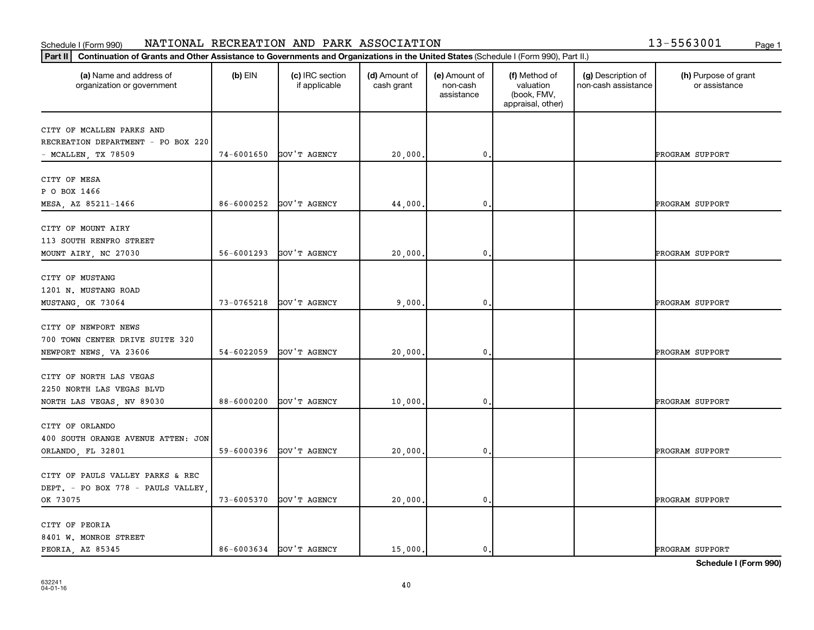# Schedule I (Form 990) NATIONAL RECREATION AND PARK ASSOCIATION 13-5563001 <sub>Page 1</sub>

|  | 13-5563001 | Page 1 |
|--|------------|--------|
|  |            |        |

| (a) Name and address of<br>organization or government | $(b)$ EIN  | (c) IRC section<br>if applicable | (d) Amount of<br>cash grant | (e) Amount of<br>non-cash<br>assistance | (f) Method of<br>valuation<br>(book, FMV,<br>appraisal, other) | (g) Description of<br>non-cash assistance | (h) Purpose of grant<br>or assistance |
|-------------------------------------------------------|------------|----------------------------------|-----------------------------|-----------------------------------------|----------------------------------------------------------------|-------------------------------------------|---------------------------------------|
| CITY OF MCALLEN PARKS AND                             |            |                                  |                             |                                         |                                                                |                                           |                                       |
| RECREATION DEPARTMENT - PO BOX 220                    |            |                                  |                             |                                         |                                                                |                                           |                                       |
| - MCALLEN, TX 78509                                   | 74-6001650 | GOV'T AGENCY                     | 20,000                      | 0                                       |                                                                |                                           | PROGRAM SUPPORT                       |
|                                                       |            |                                  |                             |                                         |                                                                |                                           |                                       |
| CITY OF MESA                                          |            |                                  |                             |                                         |                                                                |                                           |                                       |
| P O BOX 1466                                          |            |                                  |                             |                                         |                                                                |                                           |                                       |
| MESA, AZ 85211-1466                                   | 86-6000252 | GOV'T AGENCY                     | 44,000                      | 0                                       |                                                                |                                           | PROGRAM SUPPORT                       |
|                                                       |            |                                  |                             |                                         |                                                                |                                           |                                       |
| CITY OF MOUNT AIRY                                    |            |                                  |                             |                                         |                                                                |                                           |                                       |
| 113 SOUTH RENFRO STREET                               |            |                                  |                             |                                         |                                                                |                                           |                                       |
| MOUNT AIRY, NC 27030                                  | 56-6001293 | GOV'T AGENCY                     | 20,000                      | 0                                       |                                                                |                                           | PROGRAM SUPPORT                       |
|                                                       |            |                                  |                             |                                         |                                                                |                                           |                                       |
| CITY OF MUSTANG                                       |            |                                  |                             |                                         |                                                                |                                           |                                       |
| 1201 N. MUSTANG ROAD                                  |            |                                  |                             |                                         |                                                                |                                           |                                       |
| MUSTANG, OK 73064                                     | 73-0765218 | GOV'T AGENCY                     | 9,000                       | 0                                       |                                                                |                                           | PROGRAM SUPPORT                       |
|                                                       |            |                                  |                             |                                         |                                                                |                                           |                                       |
| CITY OF NEWPORT NEWS                                  |            |                                  |                             |                                         |                                                                |                                           |                                       |
| 700 TOWN CENTER DRIVE SUITE 320                       |            |                                  |                             |                                         |                                                                |                                           |                                       |
| NEWPORT NEWS, VA 23606                                | 54-6022059 | GOV'T AGENCY                     | 20,000                      | 0                                       |                                                                |                                           | PROGRAM SUPPORT                       |
|                                                       |            |                                  |                             |                                         |                                                                |                                           |                                       |
| CITY OF NORTH LAS VEGAS                               |            |                                  |                             |                                         |                                                                |                                           |                                       |
| 2250 NORTH LAS VEGAS BLVD                             |            |                                  |                             |                                         |                                                                |                                           |                                       |
| NORTH LAS VEGAS, NV 89030                             | 88-6000200 | GOV'T AGENCY                     | 10,000                      | 0                                       |                                                                |                                           | PROGRAM SUPPORT                       |
| CITY OF ORLANDO                                       |            |                                  |                             |                                         |                                                                |                                           |                                       |
| 400 SOUTH ORANGE AVENUE ATTEN: JON                    |            |                                  |                             |                                         |                                                                |                                           |                                       |
|                                                       |            |                                  |                             |                                         |                                                                |                                           |                                       |
| ORLANDO, FL 32801                                     | 59-6000396 | GOV'T AGENCY                     | 20,000                      | $\mathbf 0$ .                           |                                                                |                                           | PROGRAM SUPPORT                       |
| CITY OF PAULS VALLEY PARKS & REC                      |            |                                  |                             |                                         |                                                                |                                           |                                       |
| DEPT. - PO BOX 778 - PAULS VALLEY,                    |            |                                  |                             |                                         |                                                                |                                           |                                       |
|                                                       |            |                                  |                             |                                         |                                                                |                                           |                                       |
| OK 73075                                              | 73-6005370 | GOV'T AGENCY                     | 20,000                      | $\mathbf 0$ .                           |                                                                |                                           | PROGRAM SUPPORT                       |
| CITY OF PEORIA                                        |            |                                  |                             |                                         |                                                                |                                           |                                       |
| 8401 W. MONROE STREET                                 |            |                                  |                             |                                         |                                                                |                                           |                                       |
| PEORIA, AZ 85345                                      |            | 86-6003634 GOV'T AGENCY          | 15,000.                     | 0.                                      |                                                                |                                           | PROGRAM SUPPORT                       |
|                                                       |            |                                  |                             |                                         |                                                                |                                           |                                       |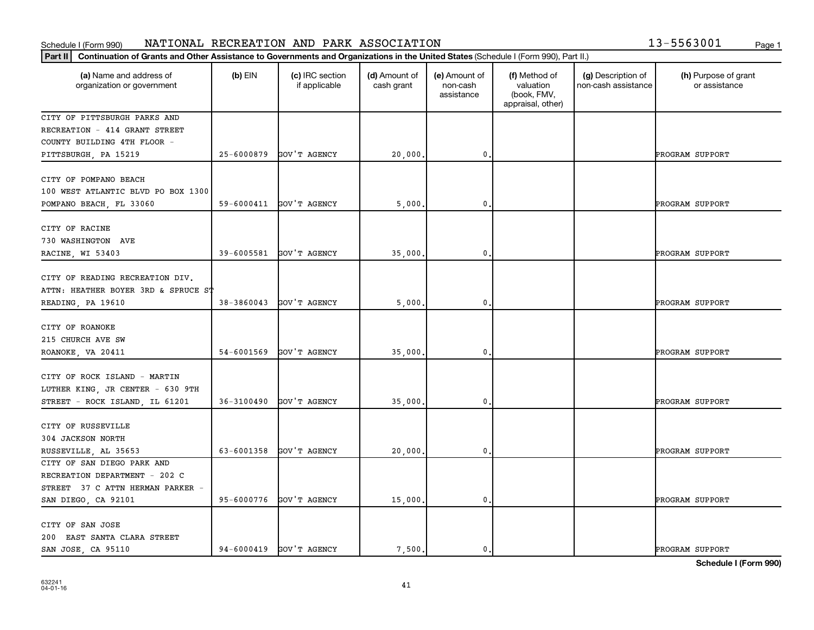### Schedule I (Form 990) NAT LONAL RECREAT LON AND PARK ASSOCTAT LON Page 1 NATIONAL RECREATION AND PARK ASSOCIATION 13-5563001

|  |  | 13-5563001 |      |
|--|--|------------|------|
|  |  |            | Page |

| Part II   Continuation of Grants and Other Assistance to Governments and Organizations in the United States (Schedule I (Form 990), Part II.) |                |                                  |                             |                                         |                                                                |                                           |                                       |
|-----------------------------------------------------------------------------------------------------------------------------------------------|----------------|----------------------------------|-----------------------------|-----------------------------------------|----------------------------------------------------------------|-------------------------------------------|---------------------------------------|
| (a) Name and address of<br>organization or government                                                                                         | $(b)$ EIN      | (c) IRC section<br>if applicable | (d) Amount of<br>cash grant | (e) Amount of<br>non-cash<br>assistance | (f) Method of<br>valuation<br>(book, FMV,<br>appraisal, other) | (g) Description of<br>non-cash assistance | (h) Purpose of grant<br>or assistance |
| CITY OF PITTSBURGH PARKS AND                                                                                                                  |                |                                  |                             |                                         |                                                                |                                           |                                       |
| RECREATION - 414 GRANT STREET                                                                                                                 |                |                                  |                             |                                         |                                                                |                                           |                                       |
| COUNTY BUILDING 4TH FLOOR -                                                                                                                   |                |                                  |                             |                                         |                                                                |                                           |                                       |
| PITTSBURGH, PA 15219                                                                                                                          | 25-6000879     | GOV'T AGENCY                     | 20,000.                     | $\mathbf{0}$                            |                                                                |                                           | PROGRAM SUPPORT                       |
| CITY OF POMPANO BEACH                                                                                                                         |                |                                  |                             |                                         |                                                                |                                           |                                       |
| 100 WEST ATLANTIC BLVD PO BOX 1300                                                                                                            |                |                                  |                             |                                         |                                                                |                                           |                                       |
| POMPANO BEACH, FL 33060                                                                                                                       |                | 59-6000411 GOV'T AGENCY          | 5,000                       | 0.                                      |                                                                |                                           | PROGRAM SUPPORT                       |
|                                                                                                                                               |                |                                  |                             |                                         |                                                                |                                           |                                       |
| CITY OF RACINE                                                                                                                                |                |                                  |                             |                                         |                                                                |                                           |                                       |
| 730 WASHINGTON AVE                                                                                                                            |                |                                  |                             |                                         |                                                                |                                           |                                       |
| RACINE, WI 53403                                                                                                                              |                | 39-6005581 GOV'T AGENCY          | 35,000.                     | $\mathbf{0}$                            |                                                                |                                           | PROGRAM SUPPORT                       |
|                                                                                                                                               |                |                                  |                             |                                         |                                                                |                                           |                                       |
| CITY OF READING RECREATION DIV.                                                                                                               |                |                                  |                             |                                         |                                                                |                                           |                                       |
| ATTN: HEATHER BOYER 3RD & SPRUCE ST                                                                                                           |                |                                  |                             |                                         |                                                                |                                           |                                       |
| READING, PA 19610                                                                                                                             |                | 38-3860043 GOV'T AGENCY          | 5,000                       | 0,                                      |                                                                |                                           | PROGRAM SUPPORT                       |
| CITY OF ROANOKE                                                                                                                               |                |                                  |                             |                                         |                                                                |                                           |                                       |
| 215 CHURCH AVE SW                                                                                                                             |                |                                  |                             |                                         |                                                                |                                           |                                       |
|                                                                                                                                               | 54-6001569     | GOV'T AGENCY                     | 35,000                      | $\mathbf{0}$                            |                                                                |                                           | PROGRAM SUPPORT                       |
| ROANOKE, VA 20411                                                                                                                             |                |                                  |                             |                                         |                                                                |                                           |                                       |
| CITY OF ROCK ISLAND - MARTIN                                                                                                                  |                |                                  |                             |                                         |                                                                |                                           |                                       |
| LUTHER KING, JR CENTER - 630 9TH                                                                                                              |                |                                  |                             |                                         |                                                                |                                           |                                       |
| STREET - ROCK ISLAND, IL 61201                                                                                                                | $36 - 3100490$ | GOV'T AGENCY                     | 35,000.                     | 0.                                      |                                                                |                                           | PROGRAM SUPPORT                       |
|                                                                                                                                               |                |                                  |                             |                                         |                                                                |                                           |                                       |
| CITY OF RUSSEVILLE                                                                                                                            |                |                                  |                             |                                         |                                                                |                                           |                                       |
| 304 JACKSON NORTH                                                                                                                             |                |                                  |                             |                                         |                                                                |                                           |                                       |
| RUSSEVILLE, AL 35653                                                                                                                          |                | 63-6001358 GOV'T AGENCY          | 20,000.                     | 0.                                      |                                                                |                                           | PROGRAM SUPPORT                       |
| CITY OF SAN DIEGO PARK AND                                                                                                                    |                |                                  |                             |                                         |                                                                |                                           |                                       |
| RECREATION DEPARTMENT - 202 C                                                                                                                 |                |                                  |                             |                                         |                                                                |                                           |                                       |
| STREET 37 C ATTN HERMAN PARKER -                                                                                                              |                |                                  |                             |                                         |                                                                |                                           |                                       |
| SAN DIEGO, CA 92101                                                                                                                           |                | 95-6000776 GOV'T AGENCY          | 15,000                      | $\mathbf 0$                             |                                                                |                                           | PROGRAM SUPPORT                       |
| CITY OF SAN JOSE                                                                                                                              |                |                                  |                             |                                         |                                                                |                                           |                                       |
| 200 EAST SANTA CLARA STREET                                                                                                                   |                |                                  |                             |                                         |                                                                |                                           |                                       |
| SAN JOSE, CA 95110                                                                                                                            |                | 94-6000419 GOV'T AGENCY          | 7,500.                      | 0.                                      |                                                                |                                           | PROGRAM SUPPORT                       |
|                                                                                                                                               |                |                                  |                             |                                         |                                                                |                                           |                                       |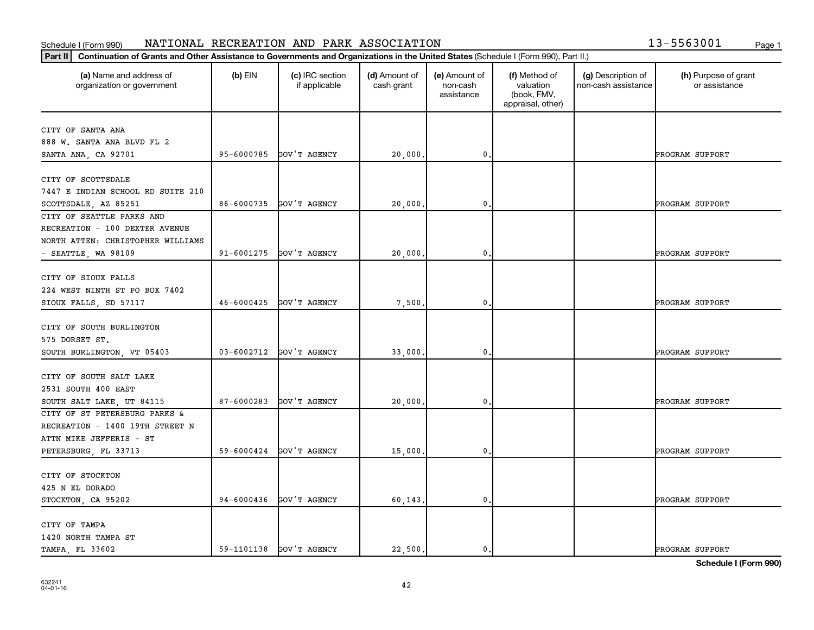### Schedule I (Form 990) NAT LONAL RECREAT LON AND PARK ASSOCTAT LON Page 1 NATIONAL RECREATION AND PARK ASSOCIATION 13-5563001

| 13-5563001 | Page 1 |
|------------|--------|
|            |        |

| (a) Name and address of<br>organization or government | $(b)$ EIN      | (c) IRC section<br>if applicable | (d) Amount of<br>cash grant | (e) Amount of<br>non-cash<br>assistance | (f) Method of<br>valuation<br>(book, FMV,<br>appraisal, other) | (g) Description of<br>non-cash assistance | (h) Purpose of grant<br>or assistance |
|-------------------------------------------------------|----------------|----------------------------------|-----------------------------|-----------------------------------------|----------------------------------------------------------------|-------------------------------------------|---------------------------------------|
| CITY OF SANTA ANA                                     |                |                                  |                             |                                         |                                                                |                                           |                                       |
| 888 W. SANTA ANA BLVD FL 2                            |                |                                  |                             |                                         |                                                                |                                           |                                       |
| SANTA ANA, CA 92701                                   | 95-6000785     | GOV'T AGENCY                     | 20,000.                     | 0                                       |                                                                |                                           | PROGRAM SUPPORT                       |
|                                                       |                |                                  |                             |                                         |                                                                |                                           |                                       |
| CITY OF SCOTTSDALE                                    |                |                                  |                             |                                         |                                                                |                                           |                                       |
| 7447 E INDIAN SCHOOL RD SUITE 210                     |                |                                  |                             |                                         |                                                                |                                           |                                       |
| SCOTTSDALE, AZ 85251                                  | 86-6000735     | GOV'T AGENCY                     | 20,000                      | 0                                       |                                                                |                                           | PROGRAM SUPPORT                       |
| CITY OF SEATTLE PARKS AND                             |                |                                  |                             |                                         |                                                                |                                           |                                       |
| RECREATION - 100 DEXTER AVENUE                        |                |                                  |                             |                                         |                                                                |                                           |                                       |
| NORTH ATTEN: CHRISTOPHER WILLIAMS                     |                |                                  |                             |                                         |                                                                |                                           |                                       |
| $-$ SEATTLE, WA 98109                                 | 91-6001275     | GOV'T AGENCY                     | 20,000.                     | $\mathbf{0}$                            |                                                                |                                           | PROGRAM SUPPORT                       |
|                                                       |                |                                  |                             |                                         |                                                                |                                           |                                       |
| CITY OF SIOUX FALLS                                   |                |                                  |                             |                                         |                                                                |                                           |                                       |
| 224 WEST NINTH ST PO BOX 7402                         |                |                                  |                             |                                         |                                                                |                                           |                                       |
| SIOUX FALLS, SD 57117                                 | 46-6000425     | GOV'T AGENCY                     | 7,500                       | $\mathbf{0}$                            |                                                                |                                           | PROGRAM SUPPORT                       |
|                                                       |                |                                  |                             |                                         |                                                                |                                           |                                       |
| CITY OF SOUTH BURLINGTON                              |                |                                  |                             |                                         |                                                                |                                           |                                       |
| 575 DORSET ST.                                        |                |                                  |                             |                                         |                                                                |                                           |                                       |
| SOUTH BURLINGTON, VT 05403                            | $03 - 6002712$ | GOV'T AGENCY                     | 33,000,                     | 0                                       |                                                                |                                           | PROGRAM SUPPORT                       |
|                                                       |                |                                  |                             |                                         |                                                                |                                           |                                       |
| CITY OF SOUTH SALT LAKE                               |                |                                  |                             |                                         |                                                                |                                           |                                       |
| 2531 SOUTH 400 EAST                                   |                |                                  |                             |                                         |                                                                |                                           |                                       |
| SOUTH SALT LAKE, UT 84115                             | 87-6000283     | GOV'T AGENCY                     | 20,000.                     | 0                                       |                                                                |                                           | PROGRAM SUPPORT                       |
| CITY OF ST PETERSBURG PARKS &                         |                |                                  |                             |                                         |                                                                |                                           |                                       |
| RECREATION - 1400 19TH STREET N                       |                |                                  |                             |                                         |                                                                |                                           |                                       |
| ATTN MIKE JEFFERIS - ST                               |                |                                  |                             |                                         |                                                                |                                           |                                       |
| PETERSBURG, FL 33713                                  | 59-6000424     | GOV'T AGENCY                     | 15,000.                     | $\mathbf{0}$                            |                                                                |                                           | PROGRAM SUPPORT                       |
|                                                       |                |                                  |                             |                                         |                                                                |                                           |                                       |
| CITY OF STOCKTON                                      |                |                                  |                             |                                         |                                                                |                                           |                                       |
| 425 N EL DORADO                                       |                |                                  |                             |                                         |                                                                |                                           |                                       |
| STOCKTON, CA 95202                                    | 94-6000436     | GOV'T AGENCY                     | 60,143.                     | 0.                                      |                                                                |                                           | PROGRAM SUPPORT                       |
|                                                       |                |                                  |                             |                                         |                                                                |                                           |                                       |
| CITY OF TAMPA                                         |                |                                  |                             |                                         |                                                                |                                           |                                       |
| 1420 NORTH TAMPA ST                                   |                |                                  |                             |                                         |                                                                |                                           |                                       |
| TAMPA, FL 33602                                       | 59-1101138     | GOV'T AGENCY                     | 22,500.                     | 0.                                      |                                                                |                                           | PROGRAM SUPPORT                       |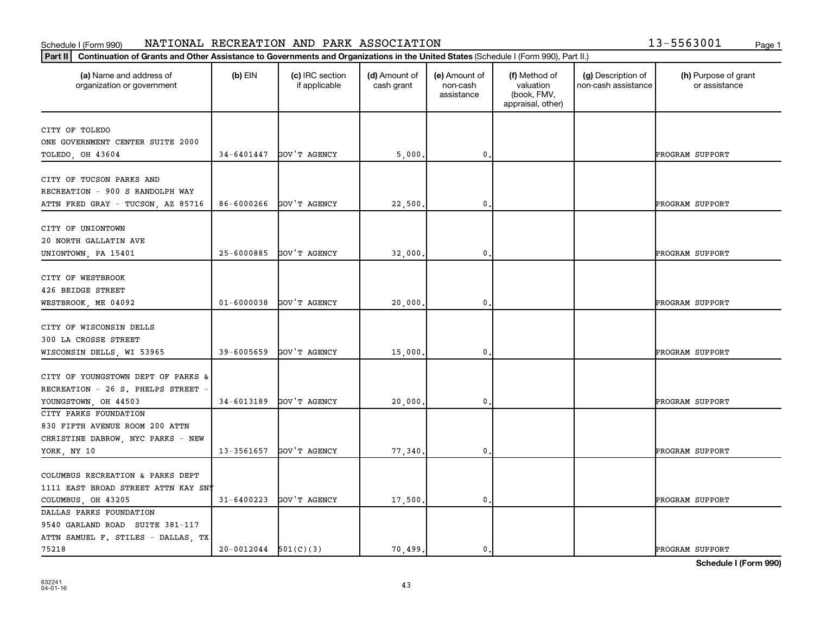## **Part III Continuation of Grants and Other Assistance to Governments and Organizations in the United State**<br> **Part II Continuation of Grants and Other Assistance to Governments and Organizations in the United State** Schedule I (Form 990) NATIONAL RECREATION AND PARK ASSOCIATION 13-5563001 <sub>Page 1</sub>

| 13-5563001 | Page 1 |
|------------|--------|
|            |        |

| Continuation of Grants and Other Assistance to Governments and Organizations in the United States (Schedule I (Form 990), Part II.)<br>Part II |                          |                                  |                             |                                         |                                                                |                                           |                                       |
|------------------------------------------------------------------------------------------------------------------------------------------------|--------------------------|----------------------------------|-----------------------------|-----------------------------------------|----------------------------------------------------------------|-------------------------------------------|---------------------------------------|
| (a) Name and address of<br>organization or government                                                                                          | $(b)$ EIN                | (c) IRC section<br>if applicable | (d) Amount of<br>cash grant | (e) Amount of<br>non-cash<br>assistance | (f) Method of<br>valuation<br>(book, FMV,<br>appraisal, other) | (g) Description of<br>non-cash assistance | (h) Purpose of grant<br>or assistance |
| CITY OF TOLEDO<br>ONE GOVERNMENT CENTER SUITE 2000<br>TOLEDO, OH 43604                                                                         | 34-6401447               | GOV'T AGENCY                     | 5,000                       | 0                                       |                                                                |                                           | PROGRAM SUPPORT                       |
| CITY OF TUCSON PARKS AND<br>RECREATION - 900 S RANDOLPH WAY<br>ATTN FRED GRAY - TUCSON, AZ 85716                                               | 86-6000266               | GOV'T AGENCY                     | 22,500                      | 0                                       |                                                                |                                           | PROGRAM SUPPORT                       |
| CITY OF UNIONTOWN<br>20 NORTH GALLATIN AVE<br>UNIONTOWN, PA 15401                                                                              | 25-6000885               | GOV'T AGENCY                     | 32,000                      | 0                                       |                                                                |                                           | PROGRAM SUPPORT                       |
| CITY OF WESTBROOK<br>426 BEIDGE STREET<br>WESTBROOK, ME 04092                                                                                  | $01 - 6000038$           | GOV'T AGENCY                     | 20,000                      | 0                                       |                                                                |                                           | PROGRAM SUPPORT                       |
| CITY OF WISCONSIN DELLS<br>300 LA CROSSE STREET<br>WISCONSIN DELLS, WI 53965                                                                   | 39-6005659               | GOV'T AGENCY                     | 15,000                      | 0                                       |                                                                |                                           | PROGRAM SUPPORT                       |
| CITY OF YOUNGSTOWN DEPT OF PARKS &<br>RECREATION - 26 S. PHELPS STREET<br>YOUNGSTOWN, OH 44503                                                 | 34-6013189               | GOV'T AGENCY                     | 20,000                      | 0                                       |                                                                |                                           | PROGRAM SUPPORT                       |
| CITY PARKS FOUNDATION<br>830 FIFTH AVENUE ROOM 200 ATTN<br>CHRISTINE DABROW, NYC PARKS - NEW<br>YORK, NY 10                                    | 13-3561657               | GOV'T AGENCY                     | 77.340                      | 0                                       |                                                                |                                           | PROGRAM SUPPORT                       |
| COLUMBUS RECREATION & PARKS DEPT<br>1111 EAST BROAD STREET ATTN KAY SNY<br>COLUMBUS, OH 43205                                                  | $31 - 6400223$           | GOV'T AGENCY                     | 17,500                      | 0                                       |                                                                |                                           | PROGRAM SUPPORT                       |
| DALLAS PARKS FOUNDATION<br>9540 GARLAND ROAD SUITE 381-117<br>ATTN SAMUEL F. STILES - DALLAS, TX<br>75218                                      | $20-0012044$ $501(C)(3)$ |                                  | 70,499.                     | 0.                                      |                                                                |                                           | <b>PROGRAM SUPPORT</b>                |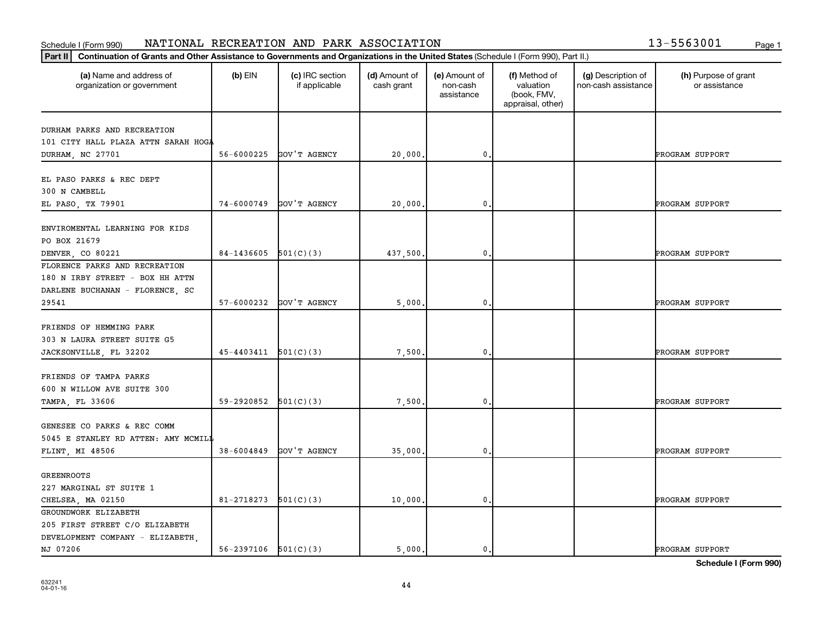## **Part III Continuation of Grants and Other Assistance to Governments and Organizations in the United State**<br> **Part II Continuation of Grants and Other Assistance to Governments and Organizations in the United State** Schedule I (Form 990) NATIONAL RECREATION AND PARK ASSOCIATION 13-5563001 <sub>Page 1</sub>

| 13-5563001 |  | Page 1 |
|------------|--|--------|
|            |  |        |

| Continuation of Grants and Other Assistance to Governments and Organizations in the United States (Schedule I (Form 990), Part II.)<br>Part II |                            |                                  |                             |                                         |                                                                |                                           |                                       |
|------------------------------------------------------------------------------------------------------------------------------------------------|----------------------------|----------------------------------|-----------------------------|-----------------------------------------|----------------------------------------------------------------|-------------------------------------------|---------------------------------------|
| (a) Name and address of<br>organization or government                                                                                          | $(b)$ EIN                  | (c) IRC section<br>if applicable | (d) Amount of<br>cash grant | (e) Amount of<br>non-cash<br>assistance | (f) Method of<br>valuation<br>(book, FMV,<br>appraisal, other) | (g) Description of<br>non-cash assistance | (h) Purpose of grant<br>or assistance |
|                                                                                                                                                |                            |                                  |                             |                                         |                                                                |                                           |                                       |
| DURHAM PARKS AND RECREATION                                                                                                                    |                            |                                  |                             |                                         |                                                                |                                           |                                       |
| 101 CITY HALL PLAZA ATTN SARAH HOGA                                                                                                            | 56-6000225                 | GOV'T AGENCY                     | 20,000.                     | 0                                       |                                                                |                                           | PROGRAM SUPPORT                       |
| DURHAM, NC 27701                                                                                                                               |                            |                                  |                             |                                         |                                                                |                                           |                                       |
| EL PASO PARKS & REC DEPT<br>300 N CAMBELL                                                                                                      |                            |                                  |                             |                                         |                                                                |                                           |                                       |
| EL PASO, TX 79901                                                                                                                              | 74-6000749                 | GOV'T AGENCY                     | 20,000.                     | 0                                       |                                                                |                                           | PROGRAM SUPPORT                       |
| ENVIROMENTAL LEARNING FOR KIDS<br>PO BOX 21679                                                                                                 |                            |                                  |                             |                                         |                                                                |                                           |                                       |
| DENVER, CO 80221                                                                                                                               | 84-1436605                 | 501(C)(3)                        | 437.500,                    | 0                                       |                                                                |                                           | PROGRAM SUPPORT                       |
| FLORENCE PARKS AND RECREATION<br>180 N IRBY STREET - BOX HH ATTN<br>DARLENE BUCHANAN - FLORENCE, SC                                            |                            |                                  |                             |                                         |                                                                |                                           |                                       |
| 29541                                                                                                                                          | 57-6000232                 | GOV'T AGENCY                     | 5,000,                      | $\mathbf 0$ .                           |                                                                |                                           | PROGRAM SUPPORT                       |
| FRIENDS OF HEMMING PARK<br>303 N LAURA STREET SUITE G5<br>JACKSONVILLE, FL 32202                                                               | 45-4403411                 | 501(C)(3)                        | 7,500                       | 0                                       |                                                                |                                           | PROGRAM SUPPORT                       |
| FRIENDS OF TAMPA PARKS<br>600 N WILLOW AVE SUITE 300                                                                                           |                            |                                  |                             |                                         |                                                                |                                           |                                       |
| TAMPA, FL 33606                                                                                                                                | 59-2920852                 | 501(C)(3)                        | 7,500.                      | 0                                       |                                                                |                                           | PROGRAM SUPPORT                       |
| GENESEE CO PARKS & REC COMM<br>5045 E STANLEY RD ATTEN: AMY MCMILI                                                                             |                            |                                  |                             |                                         |                                                                |                                           |                                       |
| FLINT, MI 48506                                                                                                                                | $38 - 6004849$             | GOV'T AGENCY                     | 35,000.                     | 0                                       |                                                                |                                           | PROGRAM SUPPORT                       |
| <b>GREENROOTS</b>                                                                                                                              |                            |                                  |                             |                                         |                                                                |                                           |                                       |
| 227 MARGINAL ST SUITE 1                                                                                                                        | 81-2718273                 | 501(C)(3)                        | 10,000.                     | 0                                       |                                                                |                                           | PROGRAM SUPPORT                       |
| CHELSEA, MA 02150<br>GROUNDWORK ELIZABETH                                                                                                      |                            |                                  |                             |                                         |                                                                |                                           |                                       |
| 205 FIRST STREET C/O ELIZABETH                                                                                                                 |                            |                                  |                             |                                         |                                                                |                                           |                                       |
| DEVELOPMENT COMPANY - ELIZABETH,                                                                                                               |                            |                                  |                             |                                         |                                                                |                                           |                                       |
| NJ 07206                                                                                                                                       | $56 - 2397106$ $501(C)(3)$ |                                  | 5.000.                      | $\mathbf 0$ .                           |                                                                |                                           | PROGRAM SUPPORT                       |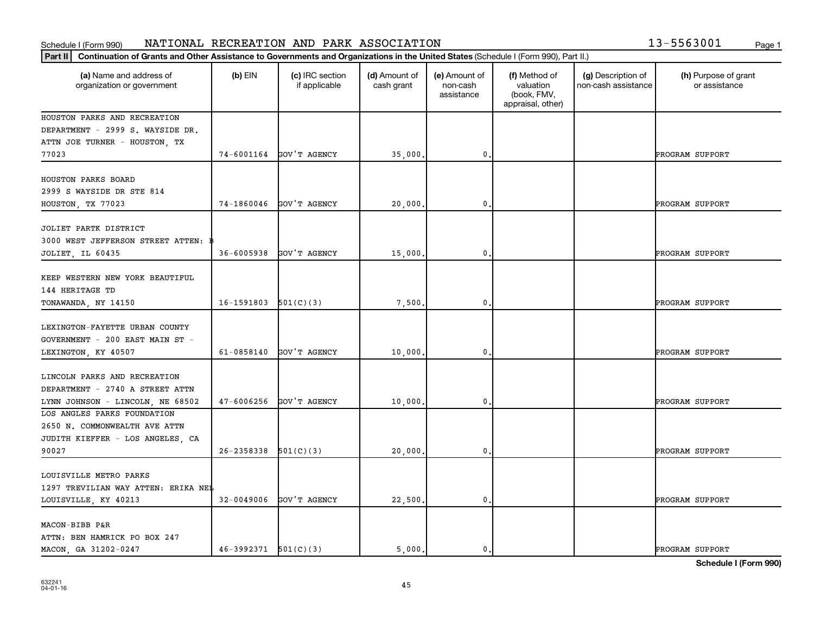## **Part III Continuation of Grants and Other Assistance to Governments and Organizations in the United State**<br> **Part II Continuation of Grants and Other Assistance to Governments and Organizations in the United State** Schedule I (Form 990) NATIONAL RECREATION AND PARK ASSOCIATION 13-5563001 <sub>Page 1</sub>

| 13-5563001 | Page 1 |
|------------|--------|
|            |        |

| Part II                                                                                           | Continuation of Grants and Other Assistance to Governments and Organizations in the United States (Schedule I (Form 990), Part II.) |                                  |                             |                                         |                                                                |                                           |                                       |
|---------------------------------------------------------------------------------------------------|-------------------------------------------------------------------------------------------------------------------------------------|----------------------------------|-----------------------------|-----------------------------------------|----------------------------------------------------------------|-------------------------------------------|---------------------------------------|
| (a) Name and address of<br>organization or government                                             | $(b)$ EIN                                                                                                                           | (c) IRC section<br>if applicable | (d) Amount of<br>cash grant | (e) Amount of<br>non-cash<br>assistance | (f) Method of<br>valuation<br>(book, FMV,<br>appraisal, other) | (g) Description of<br>non-cash assistance | (h) Purpose of grant<br>or assistance |
| HOUSTON PARKS AND RECREATION<br>DEPARTMENT - 2999 S. WAYSIDE DR.<br>ATTN JOE TURNER - HOUSTON, TX |                                                                                                                                     |                                  |                             |                                         |                                                                |                                           |                                       |
| 77023                                                                                             |                                                                                                                                     | 74-6001164 GOV'T AGENCY          | 35,000.                     | $\mathbf 0$ .                           |                                                                |                                           | PROGRAM SUPPORT                       |
| HOUSTON PARKS BOARD<br>2999 S WAYSIDE DR STE 814                                                  |                                                                                                                                     |                                  |                             |                                         |                                                                |                                           |                                       |
| HOUSTON, TX 77023                                                                                 | 74-1860046                                                                                                                          | GOV'T AGENCY                     | 20,000                      | $\mathbf{0}$                            |                                                                |                                           | PROGRAM SUPPORT                       |
| JOLIET PARTK DISTRICT<br>3000 WEST JEFFERSON STREET ATTEN:                                        |                                                                                                                                     |                                  |                             |                                         |                                                                |                                           |                                       |
| JOLIET, IL 60435                                                                                  | 36-6005938                                                                                                                          | GOV'T AGENCY                     | 15,000                      | $\mathbf{0}$                            |                                                                |                                           | PROGRAM SUPPORT                       |
| KEEP WESTERN NEW YORK BEAUTIFUL<br>144 HERITAGE TD                                                |                                                                                                                                     |                                  |                             |                                         |                                                                |                                           |                                       |
| TONAWANDA, NY 14150                                                                               | $16-1591803$ $501(C)(3)$                                                                                                            |                                  | 7,500                       | $\mathbf 0$ .                           |                                                                |                                           | PROGRAM SUPPORT                       |
| LEXINGTON-FAYETTE URBAN COUNTY<br>GOVERNMENT - 200 EAST MAIN ST -                                 |                                                                                                                                     |                                  |                             |                                         |                                                                |                                           |                                       |
| LEXINGTON, KY 40507                                                                               | $61 - 0858140$                                                                                                                      | GOV'T AGENCY                     | 10,000                      | $\mathbf{0}$                            |                                                                |                                           | PROGRAM SUPPORT                       |
| LINCOLN PARKS AND RECREATION<br>DEPARTMENT - 2740 A STREET ATTN                                   |                                                                                                                                     |                                  |                             |                                         |                                                                |                                           |                                       |
| LYNN JOHNSON - LINCOLN, NE 68502<br>LOS ANGLES PARKS FOUNDATION                                   | 47-6006256                                                                                                                          | GOV'T AGENCY                     | 10,000                      | $\mathbf{0}$                            |                                                                |                                           | PROGRAM SUPPORT                       |
| 2650 N. COMMONWEALTH AVE ATTN<br>JUDITH KIEFFER - LOS ANGELES, CA                                 |                                                                                                                                     |                                  |                             |                                         |                                                                |                                           |                                       |
| 90027                                                                                             | $26 - 2358338$ $501(C)(3)$                                                                                                          |                                  | 20,000                      | $\mathbf 0$ .                           |                                                                |                                           | PROGRAM SUPPORT                       |
| LOUISVILLE METRO PARKS                                                                            |                                                                                                                                     |                                  |                             |                                         |                                                                |                                           |                                       |
| 1297 TREVILIAN WAY ATTEN: ERIKA NEL<br>LOUISVILLE, KY 40213                                       | $32 - 0049006$                                                                                                                      | GOV'T AGENCY                     | 22,500.                     | $\mathbf{0}$                            |                                                                |                                           | PROGRAM SUPPORT                       |
| MACON-BIBB P&R                                                                                    |                                                                                                                                     |                                  |                             |                                         |                                                                |                                           |                                       |
| ATTN: BEN HAMRICK PO BOX 247<br>MACON, GA 31202-0247                                              | $46-3992371$ $501(C)(3)$                                                                                                            |                                  | 5.000.                      | 0.                                      |                                                                |                                           | PROGRAM SUPPORT                       |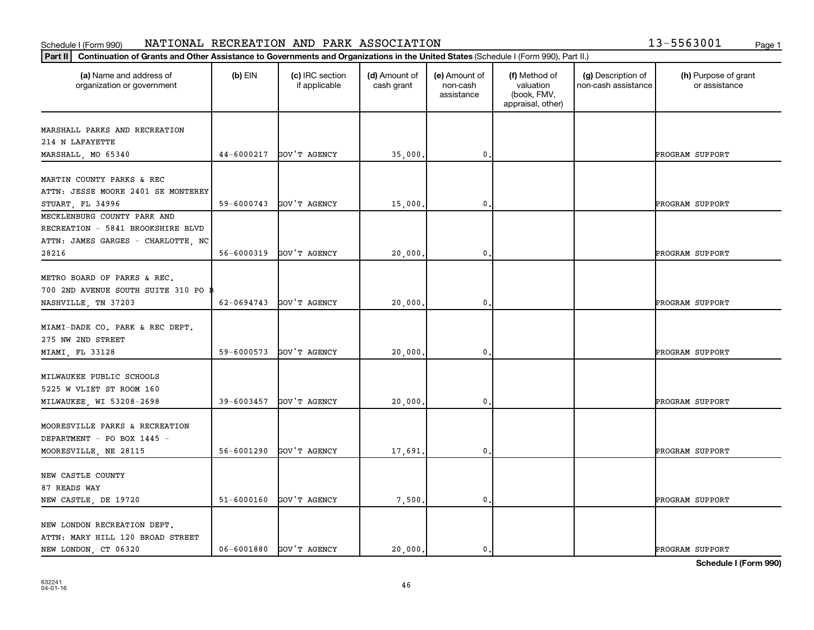## **Part III Continuation of Grants and Other Assistance to Governments and Organizations in the United States (Schedule LGG)**<br>Part III. Continuation of Grants and Other Assistance to Governments and Organizations in the Un Schedule I (Form 990) NATIONAL RECREATION AND PARK ASSOCIATION 13-5563001 <sub>Page 1</sub>

| 13-5563001 | Page 1 |
|------------|--------|
|            |        |

| Continuation of Grants and Other Assistance to Governments and Organizations in the United States (Schedule I (Form 990), Part II.)<br>Part II |                |                                  |                             |                                         |                                                                |                                           |                                       |
|------------------------------------------------------------------------------------------------------------------------------------------------|----------------|----------------------------------|-----------------------------|-----------------------------------------|----------------------------------------------------------------|-------------------------------------------|---------------------------------------|
| (a) Name and address of<br>organization or government                                                                                          | $(b)$ EIN      | (c) IRC section<br>if applicable | (d) Amount of<br>cash grant | (e) Amount of<br>non-cash<br>assistance | (f) Method of<br>valuation<br>(book, FMV,<br>appraisal, other) | (g) Description of<br>non-cash assistance | (h) Purpose of grant<br>or assistance |
| MARSHALL PARKS AND RECREATION                                                                                                                  |                |                                  |                             |                                         |                                                                |                                           |                                       |
| 214 N LAFAYETTE                                                                                                                                |                |                                  |                             |                                         |                                                                |                                           |                                       |
| MARSHALL, MO 65340                                                                                                                             | 44-6000217     | GOV'T AGENCY                     | 35,000                      | 0                                       |                                                                |                                           | PROGRAM SUPPORT                       |
| MARTIN COUNTY PARKS & REC                                                                                                                      |                |                                  |                             |                                         |                                                                |                                           |                                       |
| ATTN: JESSE MOORE 2401 SE MONTEREY                                                                                                             |                |                                  |                             |                                         |                                                                |                                           |                                       |
| STUART, FL 34996                                                                                                                               | 59-6000743     | GOV'T AGENCY                     | 15,000                      | $\mathbf{0}$                            |                                                                |                                           | PROGRAM SUPPORT                       |
| MECKLENBURG COUNTY PARK AND                                                                                                                    |                |                                  |                             |                                         |                                                                |                                           |                                       |
| RECREATION - 5841 BROOKSHIRE BLVD                                                                                                              |                |                                  |                             |                                         |                                                                |                                           |                                       |
| ATTN: JAMES GARGES - CHARLOTTE, NC                                                                                                             |                |                                  |                             |                                         |                                                                |                                           |                                       |
| 28216                                                                                                                                          | 56-6000319     | GOV'T AGENCY                     | 20,000                      | 0                                       |                                                                |                                           | PROGRAM SUPPORT                       |
| METRO BOARD OF PARKS & REC.<br>700 2ND AVENUE SOUTH SUITE 310 PO B                                                                             |                |                                  |                             |                                         |                                                                |                                           |                                       |
| NASHVILLE, TN 37203                                                                                                                            | 62-0694743     | GOV'T AGENCY                     | 20,000                      | 0                                       |                                                                |                                           | PROGRAM SUPPORT                       |
| MIAMI-DADE CO. PARK & REC DEPT.<br>275 NW 2ND STREET                                                                                           |                |                                  |                             |                                         |                                                                |                                           |                                       |
| MIAMI, FL 33128                                                                                                                                | 59-6000573     | GOV'T AGENCY                     | 20,000                      | $\mathbf{0}$                            |                                                                |                                           | PROGRAM SUPPORT                       |
| MILWAUKEE PUBLIC SCHOOLS<br>5225 W VLIET ST ROOM 160<br>MILWAUKEE, WI 53208-2698                                                               | 39-6003457     | GOV'T AGENCY                     | 20,000                      | 0                                       |                                                                |                                           | PROGRAM SUPPORT                       |
| MOORESVILLE PARKS & RECREATION                                                                                                                 |                |                                  |                             |                                         |                                                                |                                           |                                       |
| DEPARTMENT - PO BOX 1445 -                                                                                                                     |                |                                  |                             |                                         |                                                                |                                           |                                       |
| MOORESVILLE, NE 28115                                                                                                                          | 56-6001290     | GOV'T AGENCY                     | 17,691                      | 0                                       |                                                                |                                           | PROGRAM SUPPORT                       |
| NEW CASTLE COUNTY<br>87 READS WAY                                                                                                              |                |                                  |                             |                                         |                                                                |                                           |                                       |
| NEW CASTLE, DE 19720                                                                                                                           | $51 - 6000160$ | GOV'T AGENCY                     | 7,500.                      | 0.                                      |                                                                |                                           | PROGRAM SUPPORT                       |
| NEW LONDON RECREATION DEPT.<br>ATTN: MARY HILL 120 BROAD STREET<br>NEW LONDON, CT 06320                                                        | 06-6001880     | GOV'T AGENCY                     | 20,000.                     | 0.                                      |                                                                |                                           | PROGRAM SUPPORT                       |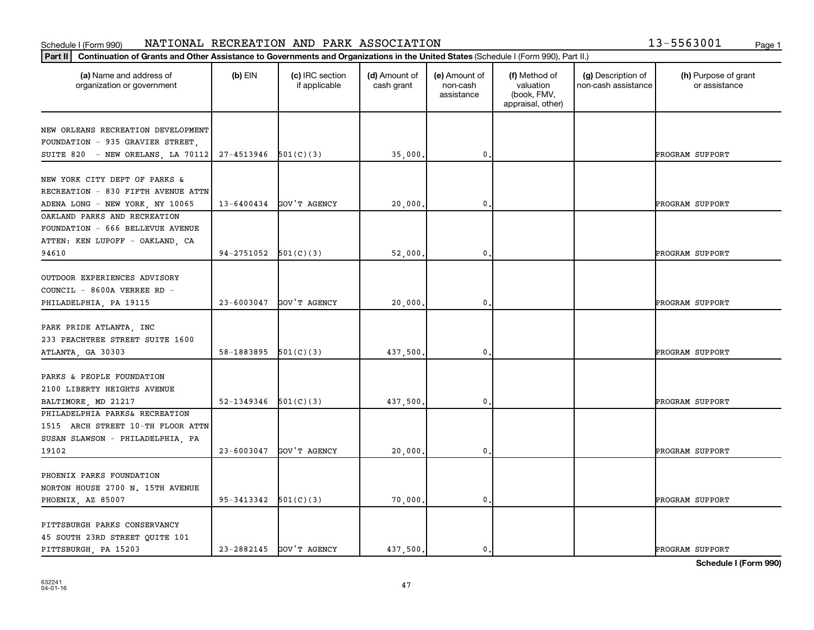## **Part III Continuation of Grants and Other Assistance to Governments and Organizations in the United States (Schedule LGG)** Schedule I (Form 990) NATIONAL RECREATION AND PARK ASSOCIATION 13-5563001 <sub>Page 1</sub>

| 13-5563001 |  | Page 1 |
|------------|--|--------|
|            |  |        |

| Continuation of Grants and Other Assistance to Governments and Organizations in the United States (Schedule I (Form 990), Part II.)<br>Part II |                              |                                  |                             |                                         |                                                                |                                           |                                       |
|------------------------------------------------------------------------------------------------------------------------------------------------|------------------------------|----------------------------------|-----------------------------|-----------------------------------------|----------------------------------------------------------------|-------------------------------------------|---------------------------------------|
| (a) Name and address of<br>organization or government                                                                                          | $(b)$ EIN                    | (c) IRC section<br>if applicable | (d) Amount of<br>cash grant | (e) Amount of<br>non-cash<br>assistance | (f) Method of<br>valuation<br>(book, FMV,<br>appraisal, other) | (g) Description of<br>non-cash assistance | (h) Purpose of grant<br>or assistance |
| NEW ORLEANS RECREATION DEVELOPMENT<br>FOUNDATION - 935 GRAVIER STREET,                                                                         |                              |                                  |                             |                                         |                                                                |                                           |                                       |
| SUITE 820 - NEW ORELANS, LA 70112                                                                                                              | $27-4513946$ $501(C)(3)$     |                                  | 35,000.                     | $\mathbf{0}$                            |                                                                |                                           | PROGRAM SUPPORT                       |
| NEW YORK CITY DEPT OF PARKS &<br>RECREATION - 830 FIFTH AVENUE ATTN                                                                            |                              |                                  |                             |                                         |                                                                |                                           |                                       |
| ADENA LONG - NEW YORK, NY 10065                                                                                                                | 13-6400434                   | GOV'T AGENCY                     | 20,000,                     | $\mathbf{0}$                            |                                                                |                                           | PROGRAM SUPPORT                       |
| OAKLAND PARKS AND RECREATION<br>FOUNDATION - 666 BELLEVUE AVENUE<br>ATTEN: KEN LUPOFF - OAKLAND, CA                                            |                              |                                  |                             |                                         |                                                                |                                           |                                       |
| 94610                                                                                                                                          | 94-2751052                   | 501(C)(3)                        | 52,000.                     | 0                                       |                                                                |                                           | PROGRAM SUPPORT                       |
| OUTDOOR EXPERIENCES ADVISORY<br>COUNCIL - 8600A VERREE RD -<br>PHILADELPHIA, PA 19115                                                          | $23 - 6003047$               | GOV'T AGENCY                     | 20,000.                     | $\mathbf{0}$                            |                                                                |                                           | PROGRAM SUPPORT                       |
| PARK PRIDE ATLANTA, INC<br>233 PEACHTREE STREET SUITE 1600<br>ATLANTA, GA 30303                                                                | 58-1883895 $\vert$ 501(C)(3) |                                  | 437,500.                    | $\mathbf{0}$                            |                                                                |                                           | PROGRAM SUPPORT                       |
| PARKS & PEOPLE FOUNDATION<br>2100 LIBERTY HEIGHTS AVENUE<br>BALTIMORE, MD 21217                                                                | 52-1349346                   | 501(C)(3)                        | 437,500,                    | 0                                       |                                                                |                                           | PROGRAM SUPPORT                       |
| PHILADELPHIA PARKS& RECREATION<br>1515 ARCH STREET 10-TH FLOOR ATTN<br>SUSAN SLAWSON - PHILADELPHIA, PA                                        |                              |                                  |                             |                                         |                                                                |                                           |                                       |
| 19102                                                                                                                                          | $23 - 6003047$               | GOV'T AGENCY                     | 20,000.                     | $\mathbf{0}$                            |                                                                |                                           | PROGRAM SUPPORT                       |
| PHOENIX PARKS FOUNDATION<br>NORTON HOUSE 2700 N. 15TH AVENUE<br>PHOENIX, AZ 85007                                                              | $95-3413342$ $501(C)(3)$     |                                  | 70,000.                     | $\mathbf 0$ .                           |                                                                |                                           | PROGRAM SUPPORT                       |
| PITTSBURGH PARKS CONSERVANCY<br>45 SOUTH 23RD STREET QUITE 101<br>PITTSBURGH, PA 15203                                                         | 23-2882145                   | GOV'T AGENCY                     | 437.500.                    | 0.                                      |                                                                |                                           | PROGRAM SUPPORT                       |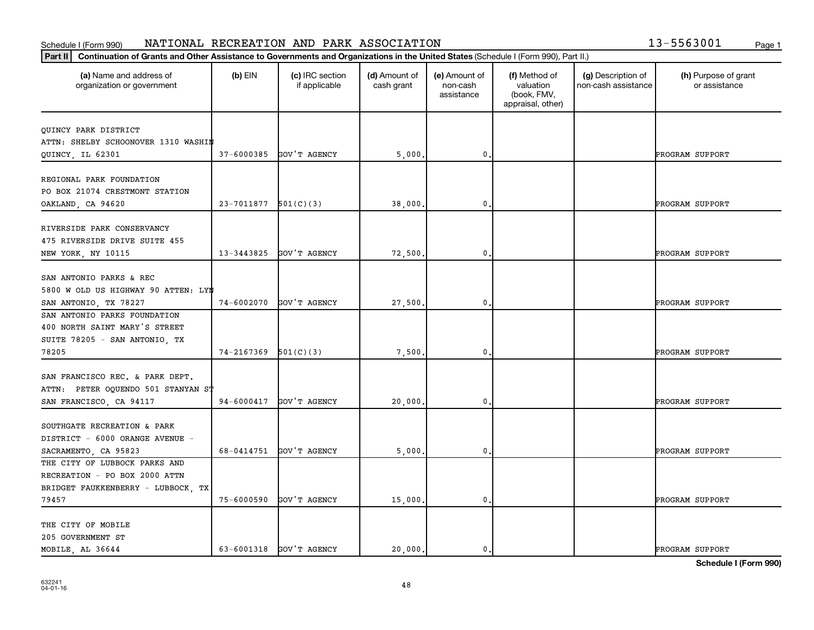# Schedule I (Form 990) NATIONAL RECREATION AND PARK ASSOCIATION 13-5563001 <sub>Page 1</sub>

| 13-5563001 | Page 1 |
|------------|--------|

| (a) Name and address of<br>organization or government | $(b)$ EIN  | (c) IRC section<br>if applicable | (d) Amount of<br>cash grant | (e) Amount of<br>non-cash<br>assistance | (f) Method of<br>valuation<br>(book, FMV,<br>appraisal, other) | (g) Description of<br>non-cash assistance | (h) Purpose of grant<br>or assistance |
|-------------------------------------------------------|------------|----------------------------------|-----------------------------|-----------------------------------------|----------------------------------------------------------------|-------------------------------------------|---------------------------------------|
| QUINCY PARK DISTRICT                                  |            |                                  |                             |                                         |                                                                |                                           |                                       |
| ATTN: SHELBY SCHOONOVER 1310 WASHIM                   |            |                                  |                             |                                         |                                                                |                                           |                                       |
| QUINCY, IL 62301                                      | 37-6000385 | GOV'T AGENCY                     | 5,000                       | 0                                       |                                                                |                                           | PROGRAM SUPPORT                       |
|                                                       |            |                                  |                             |                                         |                                                                |                                           |                                       |
| REGIONAL PARK FOUNDATION                              |            |                                  |                             |                                         |                                                                |                                           |                                       |
| PO BOX 21074 CRESTMONT STATION                        |            |                                  |                             |                                         |                                                                |                                           |                                       |
| OAKLAND, CA 94620                                     | 23-7011877 | 501(C)(3)                        | 38,000                      | 0                                       |                                                                |                                           | PROGRAM SUPPORT                       |
|                                                       |            |                                  |                             |                                         |                                                                |                                           |                                       |
| RIVERSIDE PARK CONSERVANCY                            |            |                                  |                             |                                         |                                                                |                                           |                                       |
| 475 RIVERSIDE DRIVE SUITE 455                         |            |                                  |                             |                                         |                                                                |                                           |                                       |
| NEW YORK, NY 10115                                    | 13-3443825 | GOV'T AGENCY                     | 72,500                      | 0                                       |                                                                |                                           | PROGRAM SUPPORT                       |
|                                                       |            |                                  |                             |                                         |                                                                |                                           |                                       |
| SAN ANTONIO PARKS & REC                               |            |                                  |                             |                                         |                                                                |                                           |                                       |
| 5800 W OLD US HIGHWAY 90 ATTEN: LYN                   |            |                                  |                             |                                         |                                                                |                                           |                                       |
| SAN ANTONIO, TX 78227                                 | 74-6002070 | GOV'T AGENCY                     | 27,500                      | 0                                       |                                                                |                                           | PROGRAM SUPPORT                       |
| SAN ANTONIO PARKS FOUNDATION                          |            |                                  |                             |                                         |                                                                |                                           |                                       |
| 400 NORTH SAINT MARY'S STREET                         |            |                                  |                             |                                         |                                                                |                                           |                                       |
| SUITE 78205 - SAN ANTONIO, TX                         |            |                                  |                             |                                         |                                                                |                                           |                                       |
| 78205                                                 | 74-2167369 | 501(C)(3)                        | 7,500                       | 0                                       |                                                                |                                           | PROGRAM SUPPORT                       |
| SAN FRANCISCO REC. & PARK DEPT.                       |            |                                  |                             |                                         |                                                                |                                           |                                       |
| ATTN: PETER OQUENDO 501 STANYAN ST                    |            |                                  |                             |                                         |                                                                |                                           |                                       |
|                                                       | 94-6000417 | GOV'T AGENCY                     |                             | 0                                       |                                                                |                                           | PROGRAM SUPPORT                       |
| SAN FRANCISCO, CA 94117                               |            |                                  | 20,000                      |                                         |                                                                |                                           |                                       |
| SOUTHGATE RECREATION & PARK                           |            |                                  |                             |                                         |                                                                |                                           |                                       |
| DISTRICT - 6000 ORANGE AVENUE -                       |            |                                  |                             |                                         |                                                                |                                           |                                       |
| SACRAMENTO, CA 95823                                  | 68-0414751 | GOV'T AGENCY                     | 5,000                       | $\mathbf 0$ .                           |                                                                |                                           | PROGRAM SUPPORT                       |
| THE CITY OF LUBBOCK PARKS AND                         |            |                                  |                             |                                         |                                                                |                                           |                                       |
| RECREATION - PO BOX 2000 ATTN                         |            |                                  |                             |                                         |                                                                |                                           |                                       |
| BRIDGET FAUKKENBERRY - LUBBOCK, TX                    |            |                                  |                             |                                         |                                                                |                                           |                                       |
| 79457                                                 | 75-6000590 | GOV'T AGENCY                     | 15,000                      | $\mathbf 0$ .                           |                                                                |                                           | PROGRAM SUPPORT                       |
|                                                       |            |                                  |                             |                                         |                                                                |                                           |                                       |
| THE CITY OF MOBILE                                    |            |                                  |                             |                                         |                                                                |                                           |                                       |
| 205 GOVERNMENT ST                                     |            |                                  |                             |                                         |                                                                |                                           |                                       |
| MOBILE, AL 36644                                      | 63-6001318 | GOV'T AGENCY                     | 20,000.                     | $\mathbf{0}$                            |                                                                |                                           | PROGRAM SUPPORT                       |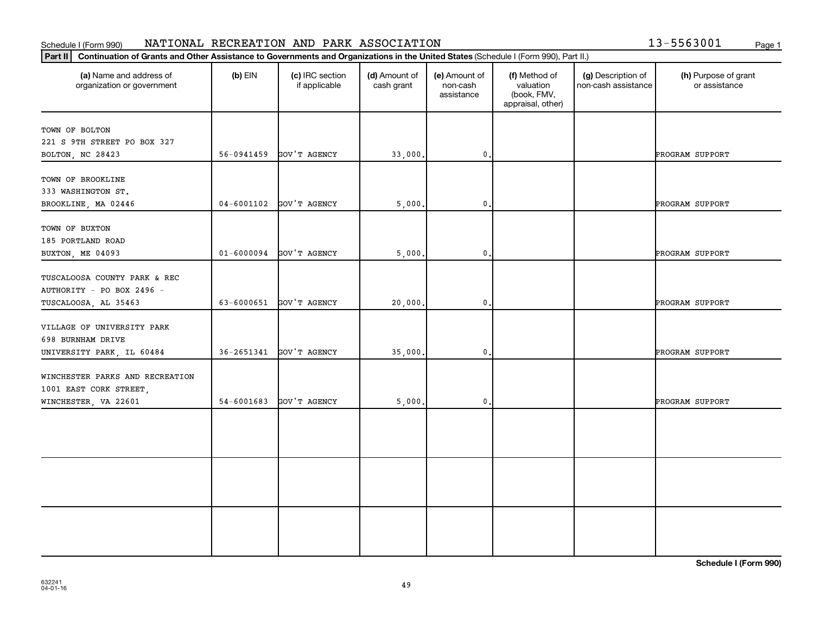# Schedule I (Form 990) NATIONAL RECREATION AND PARK ASSOCIATION 13-5563001 <sub>Page 1</sub>

| 13-5563001 |  | Page 1 |
|------------|--|--------|

| Part II                                                                           | Continuation of Grants and Other Assistance to Governments and Organizations in the United States (Schedule I (Form 990), Part II.) |                                  |                             |                                         |                                                                |                                           |                                       |  |  |
|-----------------------------------------------------------------------------------|-------------------------------------------------------------------------------------------------------------------------------------|----------------------------------|-----------------------------|-----------------------------------------|----------------------------------------------------------------|-------------------------------------------|---------------------------------------|--|--|
| (a) Name and address of<br>organization or government                             | $(b)$ EIN                                                                                                                           | (c) IRC section<br>if applicable | (d) Amount of<br>cash grant | (e) Amount of<br>non-cash<br>assistance | (f) Method of<br>valuation<br>(book, FMV,<br>appraisal, other) | (g) Description of<br>non-cash assistance | (h) Purpose of grant<br>or assistance |  |  |
| TOWN OF BOLTON<br>221 S 9TH STREET PO BOX 327<br>BOLTON, NC 28423                 | 56-0941459                                                                                                                          | GOV'T AGENCY                     | 33,000.                     | $\mathbf{0}$                            |                                                                |                                           | PROGRAM SUPPORT                       |  |  |
| TOWN OF BROOKLINE<br>333 WASHINGTON ST.<br>BROOKLINE, MA 02446                    | $04 - 6001102$                                                                                                                      | GOV'T AGENCY                     | 5,000.                      | $\mathbf{0}$                            |                                                                |                                           | PROGRAM SUPPORT                       |  |  |
| TOWN OF BUXTON<br>185 PORTLAND ROAD<br>BUXTON, ME 04093                           | $01 - 6000094$                                                                                                                      | GOV'T AGENCY                     | 5,000.                      | $\mathbf{0}$                            |                                                                |                                           | PROGRAM SUPPORT                       |  |  |
| TUSCALOOSA COUNTY PARK & REC<br>AUTHORITY - PO BOX 2496 -<br>TUSCALOOSA, AL 35463 | 63-6000651                                                                                                                          | GOV'T AGENCY                     | 20,000.                     | $\mathbf{0}$                            |                                                                |                                           | PROGRAM SUPPORT                       |  |  |
| VILLAGE OF UNIVERSITY PARK<br>698 BURNHAM DRIVE<br>UNIVERSITY PARK, IL 60484      | $36 - 2651341$                                                                                                                      | GOV'T AGENCY                     | 35,000.                     | $\mathbf{0}$                            |                                                                |                                           | PROGRAM SUPPORT                       |  |  |
| WINCHESTER PARKS AND RECREATION<br>1001 EAST CORK STREET,<br>WINCHESTER, VA 22601 | $54 - 6001683$                                                                                                                      | GOV'T AGENCY                     | 5,000.                      | $\mathbf{0}$                            |                                                                |                                           | PROGRAM SUPPORT                       |  |  |
|                                                                                   |                                                                                                                                     |                                  |                             |                                         |                                                                |                                           |                                       |  |  |
|                                                                                   |                                                                                                                                     |                                  |                             |                                         |                                                                |                                           |                                       |  |  |
|                                                                                   |                                                                                                                                     |                                  |                             |                                         |                                                                |                                           |                                       |  |  |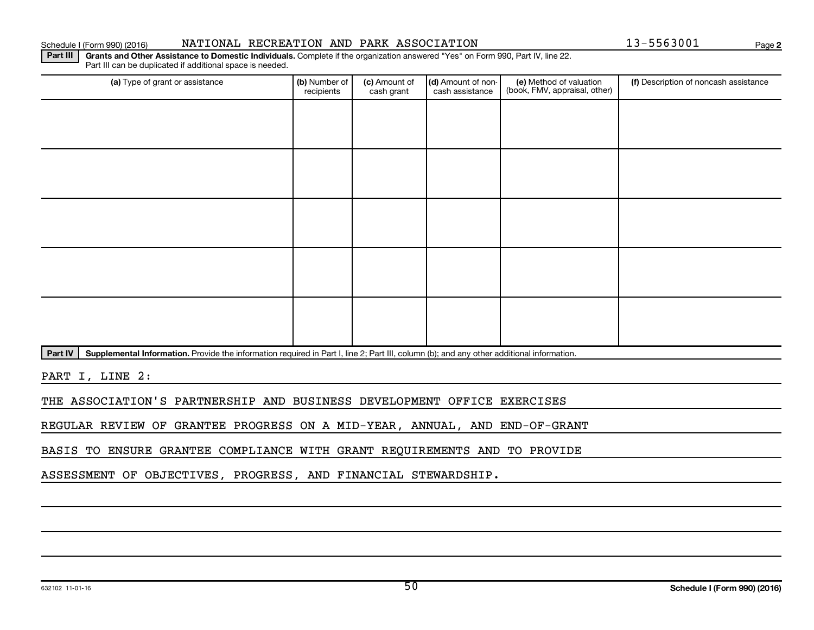(c) Amount of cash grant

Part IV | Supplemental Information. Provide the information required in Part I, line 2; Part III, column (b); and any other additional information.

PART I, LINE 2:

THE ASSOCIATION'S PARTNERSHIP AND BUSINESS DEVELOPMENT OFFICE EXERCISES

REGULAR REVIEW OF GRANTEE PROGRESS ON A MID-YEAR, ANNUAL, AND END-OF-GRANT

BASIS TO ENSURE GRANTEE COMPLIANCE WITH GRANT REQUIREMENTS AND TO PROVIDE

ASSESSMENT OF OBJECTIVES, PROGRESS, AND FINANCIAL STEWARDSHIP.

recipients

Part III can be duplicated if additional space is needed.

Part III | Grants and Other Assistance to Domestic Individuals. Complete if the organization answered "Yes" on Form 990, Part IV, line 22. (a) Type of grant or assistance **(b)** Number of  $|$  **(c)** Amount of  $|$  **(d)** Amount of non- $|$  **(e)** Method of valuation  $|$  **(f)** (e) Method of valuation (book, FMV, appraisal, other) (d) Amount of noncash assistance **(f)** Description of noncash assistance

**2**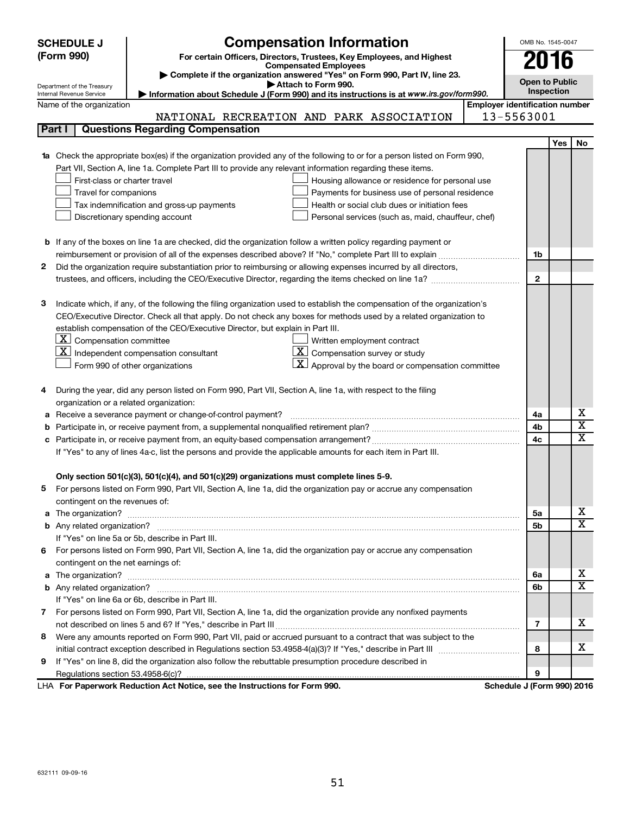| <b>Compensation Information</b><br>(Form 990)<br>For certain Officers, Directors, Trustees, Key Employees, and Highest<br><b>Compensated Employees</b><br>Complete if the organization answered "Yes" on Form 990, Part IV, line 23.<br>Attach to Form 990.<br>Department of the Treasury<br>Internal Revenue Service<br>Information about Schedule J (Form 990) and its instructions is at www.irs.gov/form990.<br><b>Employer identification number</b><br>Name of the organization<br>13-5563001<br>NATIONAL RECREATION AND PARK ASSOCIATION<br>Part I<br><b>Questions Regarding Compensation</b><br>1a Check the appropriate box(es) if the organization provided any of the following to or for a person listed on Form 990,<br>Part VII, Section A, line 1a. Complete Part III to provide any relevant information regarding these items.<br>First-class or charter travel<br>Housing allowance or residence for personal use<br>Travel for companions<br>Payments for business use of personal residence<br>Tax indemnification and gross-up payments<br>Health or social club dues or initiation fees<br>Discretionary spending account<br>Personal services (such as, maid, chauffeur, chef)<br><b>b</b> If any of the boxes on line 1a are checked, did the organization follow a written policy regarding payment or |              | OMB No. 1545-0047     |                         |
|---------------------------------------------------------------------------------------------------------------------------------------------------------------------------------------------------------------------------------------------------------------------------------------------------------------------------------------------------------------------------------------------------------------------------------------------------------------------------------------------------------------------------------------------------------------------------------------------------------------------------------------------------------------------------------------------------------------------------------------------------------------------------------------------------------------------------------------------------------------------------------------------------------------------------------------------------------------------------------------------------------------------------------------------------------------------------------------------------------------------------------------------------------------------------------------------------------------------------------------------------------------------------------------------------------------------------------|--------------|-----------------------|-------------------------|
|                                                                                                                                                                                                                                                                                                                                                                                                                                                                                                                                                                                                                                                                                                                                                                                                                                                                                                                                                                                                                                                                                                                                                                                                                                                                                                                                 |              |                       |                         |
|                                                                                                                                                                                                                                                                                                                                                                                                                                                                                                                                                                                                                                                                                                                                                                                                                                                                                                                                                                                                                                                                                                                                                                                                                                                                                                                                 |              | 2016                  |                         |
|                                                                                                                                                                                                                                                                                                                                                                                                                                                                                                                                                                                                                                                                                                                                                                                                                                                                                                                                                                                                                                                                                                                                                                                                                                                                                                                                 |              | <b>Open to Public</b> |                         |
|                                                                                                                                                                                                                                                                                                                                                                                                                                                                                                                                                                                                                                                                                                                                                                                                                                                                                                                                                                                                                                                                                                                                                                                                                                                                                                                                 |              | Inspection            |                         |
|                                                                                                                                                                                                                                                                                                                                                                                                                                                                                                                                                                                                                                                                                                                                                                                                                                                                                                                                                                                                                                                                                                                                                                                                                                                                                                                                 |              |                       |                         |
|                                                                                                                                                                                                                                                                                                                                                                                                                                                                                                                                                                                                                                                                                                                                                                                                                                                                                                                                                                                                                                                                                                                                                                                                                                                                                                                                 |              |                       |                         |
|                                                                                                                                                                                                                                                                                                                                                                                                                                                                                                                                                                                                                                                                                                                                                                                                                                                                                                                                                                                                                                                                                                                                                                                                                                                                                                                                 |              |                       |                         |
|                                                                                                                                                                                                                                                                                                                                                                                                                                                                                                                                                                                                                                                                                                                                                                                                                                                                                                                                                                                                                                                                                                                                                                                                                                                                                                                                 |              | Yes                   | No                      |
|                                                                                                                                                                                                                                                                                                                                                                                                                                                                                                                                                                                                                                                                                                                                                                                                                                                                                                                                                                                                                                                                                                                                                                                                                                                                                                                                 |              |                       |                         |
|                                                                                                                                                                                                                                                                                                                                                                                                                                                                                                                                                                                                                                                                                                                                                                                                                                                                                                                                                                                                                                                                                                                                                                                                                                                                                                                                 |              |                       |                         |
|                                                                                                                                                                                                                                                                                                                                                                                                                                                                                                                                                                                                                                                                                                                                                                                                                                                                                                                                                                                                                                                                                                                                                                                                                                                                                                                                 |              |                       |                         |
|                                                                                                                                                                                                                                                                                                                                                                                                                                                                                                                                                                                                                                                                                                                                                                                                                                                                                                                                                                                                                                                                                                                                                                                                                                                                                                                                 |              |                       |                         |
|                                                                                                                                                                                                                                                                                                                                                                                                                                                                                                                                                                                                                                                                                                                                                                                                                                                                                                                                                                                                                                                                                                                                                                                                                                                                                                                                 |              |                       |                         |
|                                                                                                                                                                                                                                                                                                                                                                                                                                                                                                                                                                                                                                                                                                                                                                                                                                                                                                                                                                                                                                                                                                                                                                                                                                                                                                                                 |              |                       |                         |
|                                                                                                                                                                                                                                                                                                                                                                                                                                                                                                                                                                                                                                                                                                                                                                                                                                                                                                                                                                                                                                                                                                                                                                                                                                                                                                                                 |              |                       |                         |
|                                                                                                                                                                                                                                                                                                                                                                                                                                                                                                                                                                                                                                                                                                                                                                                                                                                                                                                                                                                                                                                                                                                                                                                                                                                                                                                                 |              |                       |                         |
|                                                                                                                                                                                                                                                                                                                                                                                                                                                                                                                                                                                                                                                                                                                                                                                                                                                                                                                                                                                                                                                                                                                                                                                                                                                                                                                                 | 1b           |                       |                         |
| Did the organization require substantiation prior to reimbursing or allowing expenses incurred by all directors,<br>2                                                                                                                                                                                                                                                                                                                                                                                                                                                                                                                                                                                                                                                                                                                                                                                                                                                                                                                                                                                                                                                                                                                                                                                                           |              |                       |                         |
|                                                                                                                                                                                                                                                                                                                                                                                                                                                                                                                                                                                                                                                                                                                                                                                                                                                                                                                                                                                                                                                                                                                                                                                                                                                                                                                                 | $\mathbf{2}$ |                       |                         |
|                                                                                                                                                                                                                                                                                                                                                                                                                                                                                                                                                                                                                                                                                                                                                                                                                                                                                                                                                                                                                                                                                                                                                                                                                                                                                                                                 |              |                       |                         |
| Indicate which, if any, of the following the filing organization used to establish the compensation of the organization's<br>з                                                                                                                                                                                                                                                                                                                                                                                                                                                                                                                                                                                                                                                                                                                                                                                                                                                                                                                                                                                                                                                                                                                                                                                                  |              |                       |                         |
| CEO/Executive Director. Check all that apply. Do not check any boxes for methods used by a related organization to                                                                                                                                                                                                                                                                                                                                                                                                                                                                                                                                                                                                                                                                                                                                                                                                                                                                                                                                                                                                                                                                                                                                                                                                              |              |                       |                         |
| establish compensation of the CEO/Executive Director, but explain in Part III.                                                                                                                                                                                                                                                                                                                                                                                                                                                                                                                                                                                                                                                                                                                                                                                                                                                                                                                                                                                                                                                                                                                                                                                                                                                  |              |                       |                         |
| $ \mathbf{X} $ Compensation committee<br>Written employment contract<br>$ \mathbf{X} $ Compensation survey or study                                                                                                                                                                                                                                                                                                                                                                                                                                                                                                                                                                                                                                                                                                                                                                                                                                                                                                                                                                                                                                                                                                                                                                                                             |              |                       |                         |
| $\mathbf{X}$ Independent compensation consultant<br>$\vert X \vert$ Approval by the board or compensation committee                                                                                                                                                                                                                                                                                                                                                                                                                                                                                                                                                                                                                                                                                                                                                                                                                                                                                                                                                                                                                                                                                                                                                                                                             |              |                       |                         |
| Form 990 of other organizations                                                                                                                                                                                                                                                                                                                                                                                                                                                                                                                                                                                                                                                                                                                                                                                                                                                                                                                                                                                                                                                                                                                                                                                                                                                                                                 |              |                       |                         |
| During the year, did any person listed on Form 990, Part VII, Section A, line 1a, with respect to the filing<br>4                                                                                                                                                                                                                                                                                                                                                                                                                                                                                                                                                                                                                                                                                                                                                                                                                                                                                                                                                                                                                                                                                                                                                                                                               |              |                       |                         |
| organization or a related organization:                                                                                                                                                                                                                                                                                                                                                                                                                                                                                                                                                                                                                                                                                                                                                                                                                                                                                                                                                                                                                                                                                                                                                                                                                                                                                         |              |                       |                         |
| Receive a severance payment or change-of-control payment?<br>а                                                                                                                                                                                                                                                                                                                                                                                                                                                                                                                                                                                                                                                                                                                                                                                                                                                                                                                                                                                                                                                                                                                                                                                                                                                                  | 4a           |                       | х                       |
| b                                                                                                                                                                                                                                                                                                                                                                                                                                                                                                                                                                                                                                                                                                                                                                                                                                                                                                                                                                                                                                                                                                                                                                                                                                                                                                                               | 4b           |                       | $\overline{\textbf{x}}$ |
|                                                                                                                                                                                                                                                                                                                                                                                                                                                                                                                                                                                                                                                                                                                                                                                                                                                                                                                                                                                                                                                                                                                                                                                                                                                                                                                                 | 4c           |                       | X                       |
| If "Yes" to any of lines 4a-c, list the persons and provide the applicable amounts for each item in Part III.                                                                                                                                                                                                                                                                                                                                                                                                                                                                                                                                                                                                                                                                                                                                                                                                                                                                                                                                                                                                                                                                                                                                                                                                                   |              |                       |                         |
|                                                                                                                                                                                                                                                                                                                                                                                                                                                                                                                                                                                                                                                                                                                                                                                                                                                                                                                                                                                                                                                                                                                                                                                                                                                                                                                                 |              |                       |                         |
| Only section 501(c)(3), 501(c)(4), and 501(c)(29) organizations must complete lines 5-9.                                                                                                                                                                                                                                                                                                                                                                                                                                                                                                                                                                                                                                                                                                                                                                                                                                                                                                                                                                                                                                                                                                                                                                                                                                        |              |                       |                         |
| For persons listed on Form 990, Part VII, Section A, line 1a, did the organization pay or accrue any compensation                                                                                                                                                                                                                                                                                                                                                                                                                                                                                                                                                                                                                                                                                                                                                                                                                                                                                                                                                                                                                                                                                                                                                                                                               |              |                       |                         |
| contingent on the revenues of:                                                                                                                                                                                                                                                                                                                                                                                                                                                                                                                                                                                                                                                                                                                                                                                                                                                                                                                                                                                                                                                                                                                                                                                                                                                                                                  |              |                       |                         |
|                                                                                                                                                                                                                                                                                                                                                                                                                                                                                                                                                                                                                                                                                                                                                                                                                                                                                                                                                                                                                                                                                                                                                                                                                                                                                                                                 | 5а           |                       | x                       |
|                                                                                                                                                                                                                                                                                                                                                                                                                                                                                                                                                                                                                                                                                                                                                                                                                                                                                                                                                                                                                                                                                                                                                                                                                                                                                                                                 | 5b           |                       | x                       |
| If "Yes" on line 5a or 5b, describe in Part III.                                                                                                                                                                                                                                                                                                                                                                                                                                                                                                                                                                                                                                                                                                                                                                                                                                                                                                                                                                                                                                                                                                                                                                                                                                                                                |              |                       |                         |
| For persons listed on Form 990, Part VII, Section A, line 1a, did the organization pay or accrue any compensation<br>6.                                                                                                                                                                                                                                                                                                                                                                                                                                                                                                                                                                                                                                                                                                                                                                                                                                                                                                                                                                                                                                                                                                                                                                                                         |              |                       |                         |
| contingent on the net earnings of:                                                                                                                                                                                                                                                                                                                                                                                                                                                                                                                                                                                                                                                                                                                                                                                                                                                                                                                                                                                                                                                                                                                                                                                                                                                                                              |              |                       |                         |
|                                                                                                                                                                                                                                                                                                                                                                                                                                                                                                                                                                                                                                                                                                                                                                                                                                                                                                                                                                                                                                                                                                                                                                                                                                                                                                                                 | 6a           |                       | x                       |
|                                                                                                                                                                                                                                                                                                                                                                                                                                                                                                                                                                                                                                                                                                                                                                                                                                                                                                                                                                                                                                                                                                                                                                                                                                                                                                                                 | 6b           |                       | х                       |
| If "Yes" on line 6a or 6b, describe in Part III.                                                                                                                                                                                                                                                                                                                                                                                                                                                                                                                                                                                                                                                                                                                                                                                                                                                                                                                                                                                                                                                                                                                                                                                                                                                                                |              |                       |                         |
| 7 For persons listed on Form 990, Part VII, Section A, line 1a, did the organization provide any nonfixed payments                                                                                                                                                                                                                                                                                                                                                                                                                                                                                                                                                                                                                                                                                                                                                                                                                                                                                                                                                                                                                                                                                                                                                                                                              |              |                       |                         |
|                                                                                                                                                                                                                                                                                                                                                                                                                                                                                                                                                                                                                                                                                                                                                                                                                                                                                                                                                                                                                                                                                                                                                                                                                                                                                                                                 | 7            |                       | x                       |
| Were any amounts reported on Form 990, Part VII, paid or accrued pursuant to a contract that was subject to the<br>8                                                                                                                                                                                                                                                                                                                                                                                                                                                                                                                                                                                                                                                                                                                                                                                                                                                                                                                                                                                                                                                                                                                                                                                                            |              |                       |                         |
|                                                                                                                                                                                                                                                                                                                                                                                                                                                                                                                                                                                                                                                                                                                                                                                                                                                                                                                                                                                                                                                                                                                                                                                                                                                                                                                                 | 8            |                       | х                       |
| If "Yes" on line 8, did the organization also follow the rebuttable presumption procedure described in<br>9                                                                                                                                                                                                                                                                                                                                                                                                                                                                                                                                                                                                                                                                                                                                                                                                                                                                                                                                                                                                                                                                                                                                                                                                                     |              |                       |                         |
| $M = 100$ and $M = 100$ and $M = 100$ and $M = 1000$                                                                                                                                                                                                                                                                                                                                                                                                                                                                                                                                                                                                                                                                                                                                                                                                                                                                                                                                                                                                                                                                                                                                                                                                                                                                            | 9            |                       |                         |

**For Paperwork Reduction Act Notice, see the Instructions for Form 990. Schedule J (Form 990) 2016** LHA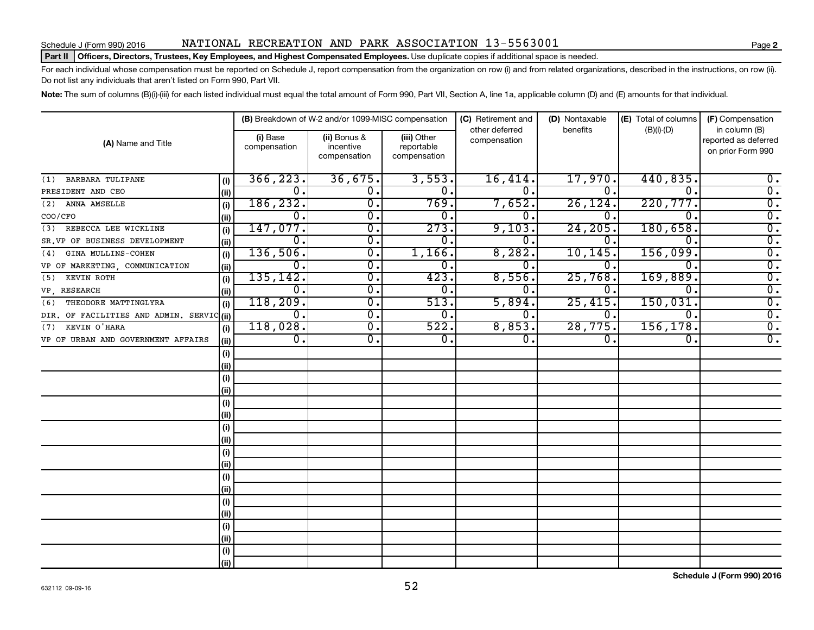# Schedule J (Form 990) 2016 NATIONAL RECREATION AND PARK ASSOCIATION  $13-5563001$  Page

## Part II | Officers, Directors, Trustees, Key Employees, and Highest Compensated Employees. Use duplicate copies if additional space is needed.

For each individual whose compensation must be reported on Schedule J, report compensation from the organization on row (i) and from related organizations, described in the instructions, on row (ii). Do not list any individuals that aren't listed on Form 990, Part VII.

Note: The sum of columns (B)(i)-(iii) for each listed individual must equal the total amount of Form 990, Part VII, Section A, line 1a, applicable column (D) and (E) amounts for that individual.

| (A) Name and Title                        |      |                          | (B) Breakdown of W-2 and/or 1099-MISC compensation |                                           | (C) Retirement and<br>other deferred | (D) Nontaxable<br>benefits | (E) Total of columns | (F) Compensation<br>in column (B)         |  |
|-------------------------------------------|------|--------------------------|----------------------------------------------------|-------------------------------------------|--------------------------------------|----------------------------|----------------------|-------------------------------------------|--|
|                                           |      | (i) Base<br>compensation | (ii) Bonus &<br>incentive<br>compensation          | (iii) Other<br>reportable<br>compensation | compensation                         |                            | $(B)(i)-(D)$         | reported as deferred<br>on prior Form 990 |  |
| <b>BARBARA TULIPANE</b><br>(1)            | (i)  | 366, 223.                | 36,675.                                            | 3,553.                                    | 16,414.                              | 17,970.                    | 440,835.             | $\overline{0}$ .                          |  |
| PRESIDENT AND CEO                         | (ii) | 0.                       | 0.                                                 | 0.                                        | $\overline{0}$ .                     | $\overline{0}$ .           | Ω.                   | $\overline{0}$ .                          |  |
| ANNA AMSELLE<br>(2)                       | (i)  | 186, 232.                | σ.                                                 | 769.                                      | 7,652.                               | 26, 124.                   | 220,777.             | $\overline{0}$ .                          |  |
| COO/CFO                                   | (ii) | 0.                       | σ.                                                 | 0.                                        | 0.                                   | 0.                         | Ω.                   | $\overline{0}$ .                          |  |
| REBECCA LEE WICKLINE<br>(3)               | (i)  | 147,077.                 | 0.                                                 | 273.                                      | 9,103.                               | 24, 205.                   | 180,658.             | $\overline{\mathfrak{o}}$ .               |  |
| SR.VP OF BUSINESS DEVELOPMENT             | (ii) | 0.                       | $\overline{0}$ .                                   | 0.                                        | 0.                                   | Ο.                         | $\Omega$ .           | $\overline{\mathfrak{o}}$ .               |  |
| GINA MULLINS-COHEN<br>(4)                 | (i)  | 136,506.                 | $\overline{0}$ .                                   | 1,166.                                    | 8,282.                               | 10,145                     | 156,099.             | $\overline{\mathfrak{o}}$ .               |  |
| VP OF MARKETING COMMUNICATION             | (ii) | 0.                       | $\mathbf 0$ .                                      | 0.                                        | 0.                                   | 0.                         | 0.                   | $\overline{\mathfrak{o}}$ .               |  |
| KEVIN ROTH<br>(5)                         | (i)  | 135, 142.                | 0.                                                 | 423.                                      | 8,556.                               | 25,768                     | 169,889.             | $\overline{0}$ .                          |  |
| VP RESEARCH                               | (ii) | 0.                       | $\mathbf 0$ .                                      | 0.                                        | 0.                                   | 0.                         | 0.                   | $\overline{0}$ .                          |  |
| THEODORE MATTINGLYRA<br>(6)               | (i)  | 118,209.                 | $\overline{0}$                                     | 513.                                      | 5,894.                               | 25,415                     | 150,031.             | $\overline{0}$ .                          |  |
| DIR. OF FACILITIES AND ADMIN. SERVIC (ii) |      | 0.                       | $\overline{0}$                                     | 0.                                        | о.                                   | 0.                         | 0.                   | $\overline{0}$ .                          |  |
| KEVIN O'HARA<br>(7)                       | (i)  | 118,028.                 | $\overline{0}$ .                                   | 522.                                      | 8,853.                               | 28,775.                    | 156, 178.            | $\overline{0}$ .                          |  |
| VP OF URBAN AND GOVERNMENT AFFAIRS        | (ii) | 0.                       | 0.                                                 | 0.                                        | 0.                                   | 0.                         | 0.                   | $\overline{0}$ .                          |  |
|                                           | (i)  |                          |                                                    |                                           |                                      |                            |                      |                                           |  |
|                                           | (ii) |                          |                                                    |                                           |                                      |                            |                      |                                           |  |
|                                           | (i)  |                          |                                                    |                                           |                                      |                            |                      |                                           |  |
|                                           | (ii) |                          |                                                    |                                           |                                      |                            |                      |                                           |  |
|                                           | (i)  |                          |                                                    |                                           |                                      |                            |                      |                                           |  |
|                                           | (ii) |                          |                                                    |                                           |                                      |                            |                      |                                           |  |
|                                           | (i)  |                          |                                                    |                                           |                                      |                            |                      |                                           |  |
|                                           | (ii) |                          |                                                    |                                           |                                      |                            |                      |                                           |  |
|                                           | (i)  |                          |                                                    |                                           |                                      |                            |                      |                                           |  |
|                                           | (ii) |                          |                                                    |                                           |                                      |                            |                      |                                           |  |
|                                           | (i)  |                          |                                                    |                                           |                                      |                            |                      |                                           |  |
|                                           | (ii) |                          |                                                    |                                           |                                      |                            |                      |                                           |  |
|                                           | (i)  |                          |                                                    |                                           |                                      |                            |                      |                                           |  |
|                                           | (ii) |                          |                                                    |                                           |                                      |                            |                      |                                           |  |
|                                           | (i)  |                          |                                                    |                                           |                                      |                            |                      |                                           |  |
|                                           | (ii) |                          |                                                    |                                           |                                      |                            |                      |                                           |  |
|                                           | (i)  |                          |                                                    |                                           |                                      |                            |                      |                                           |  |
|                                           | (ii) |                          |                                                    |                                           |                                      |                            |                      |                                           |  |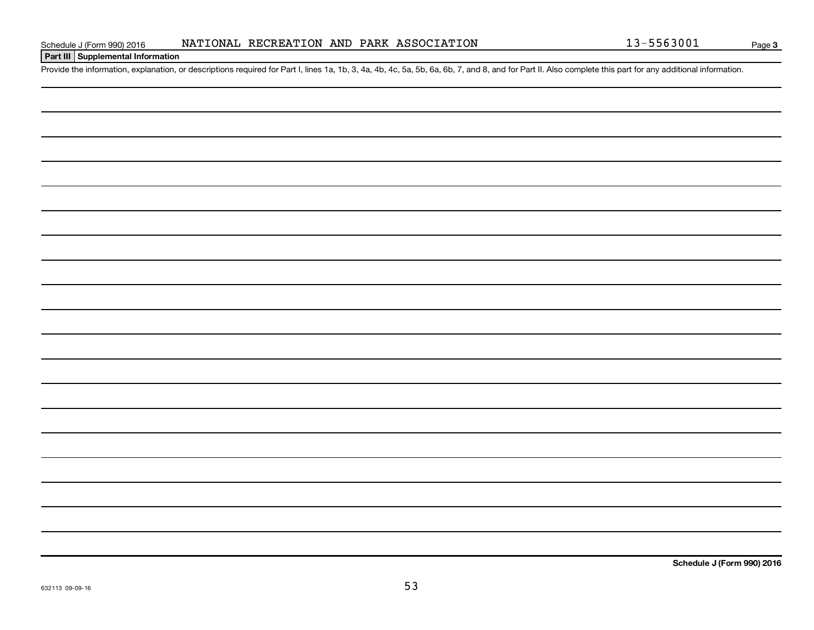**Part III Supplemental Information**

Provide the information, explanation, or descriptions required for Part I, lines 1a, 1b, 3, 4a, 4b, 4c, 5a, 5b, 6a, 6b, 7, and 8, and for Part II. Also complete this part for any additional information.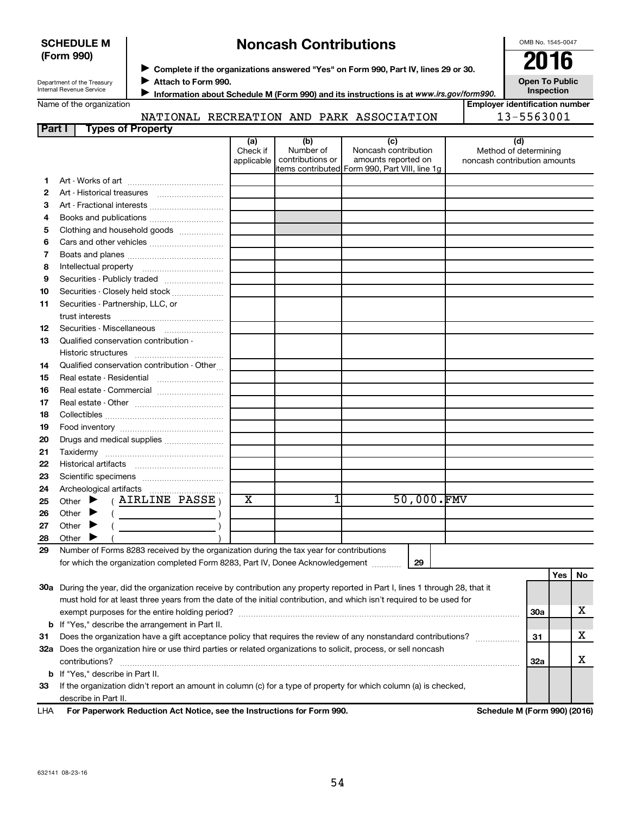| <b>SCHEDULE M</b> |  |
|-------------------|--|
| (Form 990)        |  |

# **Noncash Contributions**

OMB No. 1545-0047

| Department of the Treasury |
|----------------------------|
| Internal Revenue Service   |

◆ Complete if the organizations answered "Yes" on Form 990, Part IV, lines 29 or 30.<br>● Complete if the organizations answered "Yes" on Form 990, Part IV, lines 29 or 30.

**Attach to Form 990.** J

**Information about Schedule M (Form 990) and its instructions is at www.irs.gov/form990.** 

**Inspection Employer identification number**

**Open To Public**

| Name of the organization |  |
|--------------------------|--|
|--------------------------|--|

NATIONAL RECREATION AND PARK ASSOCIATION

|  | .             |
|--|---------------|
|  | $3 - 5563001$ |

| Part I | <b>Types of Property</b>                                                                                                       |                               |                                      |                                                                                                      |                                                              |     |     |    |
|--------|--------------------------------------------------------------------------------------------------------------------------------|-------------------------------|--------------------------------------|------------------------------------------------------------------------------------------------------|--------------------------------------------------------------|-----|-----|----|
|        |                                                                                                                                | (a)<br>Check if<br>applicable | (b)<br>Number of<br>contributions or | (c)<br>Noncash contribution<br>amounts reported on<br>items contributed Form 990, Part VIII, line 1g | (d)<br>Method of determining<br>noncash contribution amounts |     |     |    |
| 1.     |                                                                                                                                |                               |                                      |                                                                                                      |                                                              |     |     |    |
| 2      | Art - Historical treasures                                                                                                     |                               |                                      |                                                                                                      |                                                              |     |     |    |
| З      | Art - Fractional interests                                                                                                     |                               |                                      |                                                                                                      |                                                              |     |     |    |
| 4      | Books and publications                                                                                                         |                               |                                      |                                                                                                      |                                                              |     |     |    |
| 5      | Clothing and household goods                                                                                                   |                               |                                      |                                                                                                      |                                                              |     |     |    |
| 6      |                                                                                                                                |                               |                                      |                                                                                                      |                                                              |     |     |    |
| 7      |                                                                                                                                |                               |                                      |                                                                                                      |                                                              |     |     |    |
| 8      |                                                                                                                                |                               |                                      |                                                                                                      |                                                              |     |     |    |
| 9      | Securities - Publicly traded                                                                                                   |                               |                                      |                                                                                                      |                                                              |     |     |    |
| 10     | Securities - Closely held stock                                                                                                |                               |                                      |                                                                                                      |                                                              |     |     |    |
| 11     | Securities - Partnership, LLC, or                                                                                              |                               |                                      |                                                                                                      |                                                              |     |     |    |
|        | trust interests                                                                                                                |                               |                                      |                                                                                                      |                                                              |     |     |    |
| 12     | Securities - Miscellaneous                                                                                                     |                               |                                      |                                                                                                      |                                                              |     |     |    |
| 13     | Qualified conservation contribution -                                                                                          |                               |                                      |                                                                                                      |                                                              |     |     |    |
|        |                                                                                                                                |                               |                                      |                                                                                                      |                                                              |     |     |    |
| 14     | Qualified conservation contribution - Other                                                                                    |                               |                                      |                                                                                                      |                                                              |     |     |    |
| 15     |                                                                                                                                |                               |                                      |                                                                                                      |                                                              |     |     |    |
| 16     | Real estate - Commercial                                                                                                       |                               |                                      |                                                                                                      |                                                              |     |     |    |
| 17     |                                                                                                                                |                               |                                      |                                                                                                      |                                                              |     |     |    |
| 18     |                                                                                                                                |                               |                                      |                                                                                                      |                                                              |     |     |    |
| 19     |                                                                                                                                |                               |                                      |                                                                                                      |                                                              |     |     |    |
| 20     | Drugs and medical supplies                                                                                                     |                               |                                      |                                                                                                      |                                                              |     |     |    |
| 21     |                                                                                                                                |                               |                                      |                                                                                                      |                                                              |     |     |    |
| 22     |                                                                                                                                |                               |                                      |                                                                                                      |                                                              |     |     |    |
| 23     |                                                                                                                                |                               |                                      |                                                                                                      |                                                              |     |     |    |
| 24     |                                                                                                                                |                               |                                      |                                                                                                      |                                                              |     |     |    |
| 25     | (AIRLINE PASSE)<br>Other $\blacktriangleright$                                                                                 | х                             | 1                                    | 50,000.FMV                                                                                           |                                                              |     |     |    |
| 26     | Other $\blacktriangleright$<br>$\overline{\phantom{a}}$ )                                                                      |                               |                                      |                                                                                                      |                                                              |     |     |    |
| 27     | Other $\blacktriangleright$                                                                                                    |                               |                                      |                                                                                                      |                                                              |     |     |    |
| 28     | Other                                                                                                                          |                               |                                      |                                                                                                      |                                                              |     |     |    |
| 29     | Number of Forms 8283 received by the organization during the tax year for contributions                                        |                               |                                      |                                                                                                      |                                                              |     |     |    |
|        | for which the organization completed Form 8283, Part IV, Donee Acknowledgement                                                 |                               |                                      | 29                                                                                                   |                                                              |     |     |    |
|        |                                                                                                                                |                               |                                      |                                                                                                      |                                                              |     | Yes | No |
|        | 30a During the year, did the organization receive by contribution any property reported in Part I, lines 1 through 28, that it |                               |                                      |                                                                                                      |                                                              |     |     |    |
|        | must hold for at least three years from the date of the initial contribution, and which isn't required to be used for          |                               |                                      |                                                                                                      |                                                              |     |     |    |
|        |                                                                                                                                |                               |                                      |                                                                                                      |                                                              | 30a |     | х  |
|        | <b>b</b> If "Yes," describe the arrangement in Part II.                                                                        |                               |                                      |                                                                                                      |                                                              |     |     |    |
| 31     | Does the organization have a gift acceptance policy that requires the review of any nonstandard contributions?                 |                               |                                      |                                                                                                      |                                                              | 31  |     | х  |
|        | 32a Does the organization hire or use third parties or related organizations to solicit, process, or sell noncash              |                               |                                      |                                                                                                      |                                                              |     |     |    |
|        | contributions?                                                                                                                 |                               |                                      |                                                                                                      |                                                              | 32a |     | х  |
|        | <b>b</b> If "Yes," describe in Part II.                                                                                        |                               |                                      |                                                                                                      |                                                              |     |     |    |
| 33     | If the organization didn't report an amount in column (c) for a type of property for which column (a) is checked,              |                               |                                      |                                                                                                      |                                                              |     |     |    |
|        | describe in Part II.                                                                                                           |                               |                                      |                                                                                                      |                                                              |     |     |    |
| LHA    | For Paperwork Reduction Act Notice, see the Instructions for Form 990.                                                         |                               |                                      |                                                                                                      | Schedule M (Form 990) (2016)                                 |     |     |    |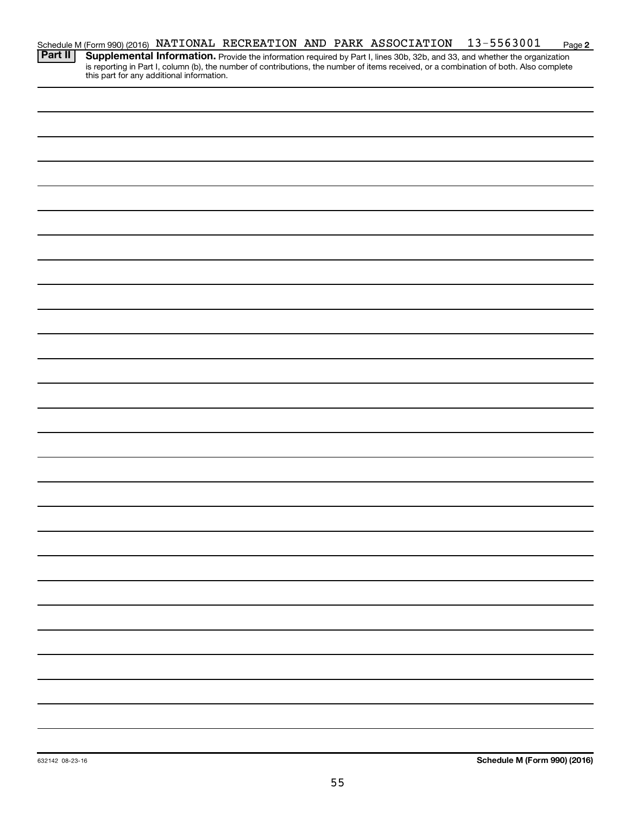| Schedule M (Form 990) (2016) NATIONAL RECREATION AND PARK ASSOCIATION |  |  | 13-5563001 | Page 2 |
|-----------------------------------------------------------------------|--|--|------------|--------|
| <b>Take</b>                                                           |  |  |            |        |

Provide the information required by Part I, lines 30b, 32b, and 33, and whether the organization is reporting in Part I, column (b), the number of contributions, the number of items received, or a combination of both. Also complete this part for any additional information. **Part II Supplemental Information.**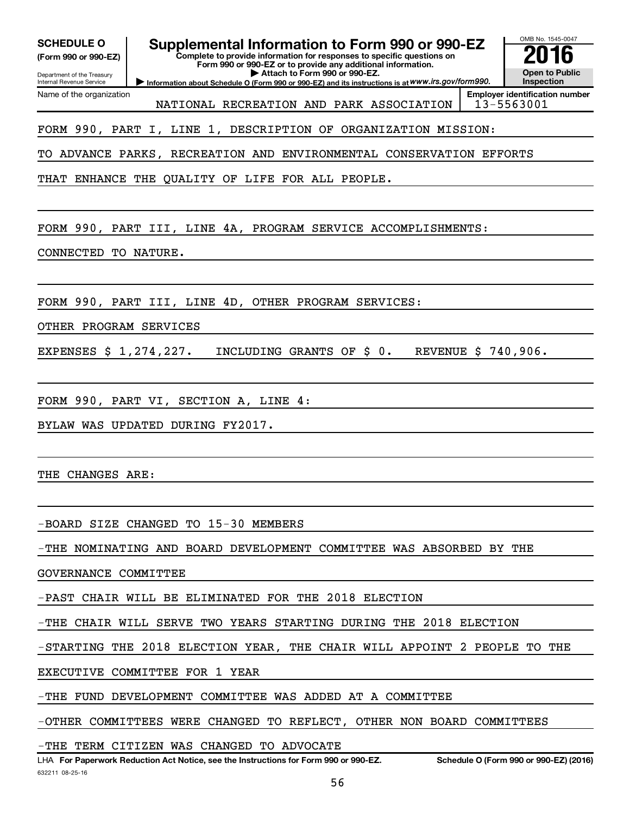| <b>SCHEDULE O</b><br>(Form 990 or 990-EZ)<br>Department of the Treasury<br>Internal Revenue Service | Supplemental Information to Form 990 or 990-EZ<br>Complete to provide information for responses to specific questions on<br>Form 990 or 990-EZ or to provide any additional information.<br>Attach to Form 990 or 990-EZ.<br>Information about Schedule O (Form 990 or 990-EZ) and its instructions is at WWW.irs.gov/form990. | OMB No. 1545-0047<br><b>Open to Public</b><br><b>Inspection</b> |  |  |  |  |  |
|-----------------------------------------------------------------------------------------------------|--------------------------------------------------------------------------------------------------------------------------------------------------------------------------------------------------------------------------------------------------------------------------------------------------------------------------------|-----------------------------------------------------------------|--|--|--|--|--|
| Name of the organization                                                                            | NATIONAL RECREATION AND PARK ASSOCIATION                                                                                                                                                                                                                                                                                       | <b>Employer identification number</b><br>13-5563001             |  |  |  |  |  |
|                                                                                                     | FORM 990, PART I, LINE 1, DESCRIPTION OF ORGANIZATION MISSION:                                                                                                                                                                                                                                                                 |                                                                 |  |  |  |  |  |
|                                                                                                     | TO ADVANCE PARKS, RECREATION AND ENVIRONMENTAL CONSERVATION EFFORTS                                                                                                                                                                                                                                                            |                                                                 |  |  |  |  |  |
|                                                                                                     | THAT ENHANCE THE QUALITY OF LIFE FOR ALL PEOPLE.                                                                                                                                                                                                                                                                               |                                                                 |  |  |  |  |  |
|                                                                                                     |                                                                                                                                                                                                                                                                                                                                |                                                                 |  |  |  |  |  |
|                                                                                                     | FORM 990, PART III, LINE 4A, PROGRAM SERVICE ACCOMPLISHMENTS:                                                                                                                                                                                                                                                                  |                                                                 |  |  |  |  |  |
| CONNECTED TO NATURE.                                                                                |                                                                                                                                                                                                                                                                                                                                |                                                                 |  |  |  |  |  |
|                                                                                                     |                                                                                                                                                                                                                                                                                                                                |                                                                 |  |  |  |  |  |
|                                                                                                     | FORM 990, PART III, LINE 4D, OTHER PROGRAM SERVICES:                                                                                                                                                                                                                                                                           |                                                                 |  |  |  |  |  |
| OTHER PROGRAM SERVICES                                                                              |                                                                                                                                                                                                                                                                                                                                |                                                                 |  |  |  |  |  |
| EXPENSES \$ 1,274,227.                                                                              | INCLUDING GRANTS OF \$0.                                                                                                                                                                                                                                                                                                       | REVENUE \$ 740,906.                                             |  |  |  |  |  |
|                                                                                                     |                                                                                                                                                                                                                                                                                                                                |                                                                 |  |  |  |  |  |
|                                                                                                     | FORM 990, PART VI, SECTION A, LINE 4:                                                                                                                                                                                                                                                                                          |                                                                 |  |  |  |  |  |
|                                                                                                     | BYLAW WAS UPDATED DURING FY2017.                                                                                                                                                                                                                                                                                               |                                                                 |  |  |  |  |  |
|                                                                                                     |                                                                                                                                                                                                                                                                                                                                |                                                                 |  |  |  |  |  |
| THE CHANGES ARE:                                                                                    |                                                                                                                                                                                                                                                                                                                                |                                                                 |  |  |  |  |  |
|                                                                                                     |                                                                                                                                                                                                                                                                                                                                |                                                                 |  |  |  |  |  |
|                                                                                                     | -BOARD SIZE CHANGED TO 15-30 MEMBERS                                                                                                                                                                                                                                                                                           |                                                                 |  |  |  |  |  |
|                                                                                                     | -THE NOMINATING AND BOARD DEVELOPMENT COMMITTEE WAS ABSORBED BY THE                                                                                                                                                                                                                                                            |                                                                 |  |  |  |  |  |
| GOVERNANCE COMMITTEE                                                                                |                                                                                                                                                                                                                                                                                                                                |                                                                 |  |  |  |  |  |
|                                                                                                     | -PAST CHAIR WILL BE ELIMINATED FOR THE 2018 ELECTION                                                                                                                                                                                                                                                                           |                                                                 |  |  |  |  |  |
| -THE CHAIR WILL SERVE TWO YEARS STARTING DURING THE 2018 ELECTION                                   |                                                                                                                                                                                                                                                                                                                                |                                                                 |  |  |  |  |  |
| -STARTING THE 2018 ELECTION YEAR, THE CHAIR WILL APPOINT 2 PEOPLE TO THE                            |                                                                                                                                                                                                                                                                                                                                |                                                                 |  |  |  |  |  |
| EXECUTIVE COMMITTEE FOR 1 YEAR                                                                      |                                                                                                                                                                                                                                                                                                                                |                                                                 |  |  |  |  |  |
|                                                                                                     | -THE FUND DEVELOPMENT COMMITTEE WAS ADDED AT A COMMITTEE                                                                                                                                                                                                                                                                       |                                                                 |  |  |  |  |  |
|                                                                                                     | -OTHER COMMITTEES WERE CHANGED TO REFLECT, OTHER NON BOARD COMMITTEES                                                                                                                                                                                                                                                          |                                                                 |  |  |  |  |  |
| -THE TERM CITIZEN WAS CHANGED TO ADVOCATE                                                           |                                                                                                                                                                                                                                                                                                                                |                                                                 |  |  |  |  |  |

632211 08-25-16 LHA For Paperwork Reduction Act Notice, see the Instructions for Form 990 or 990-EZ. Schedule O (Form 990 or 990-EZ) (2016)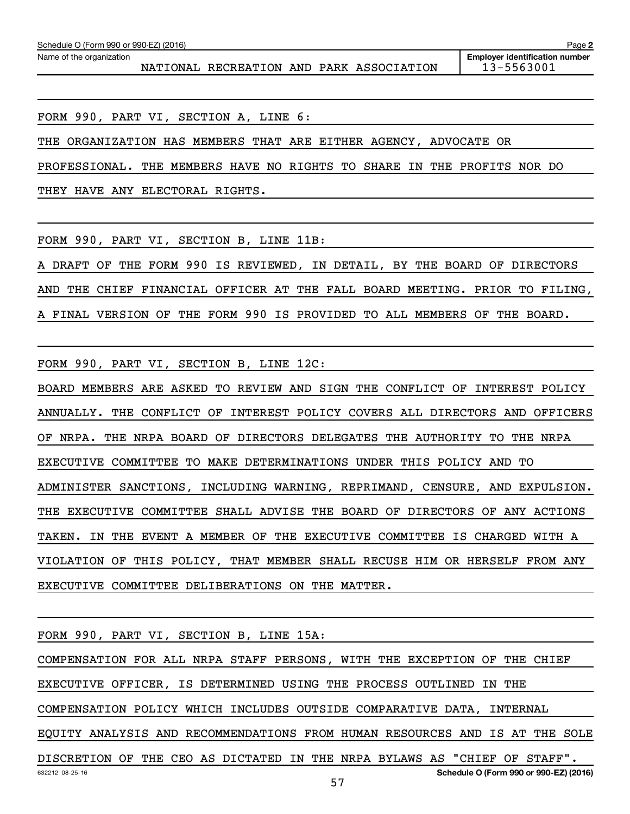NATIONAL RECREATION AND PARK ASSOCIATION 13-5563001

FORM 990, PART VI, SECTION A, LINE 6:

THE ORGANIZATION HAS MEMBERS THAT ARE EITHER AGENCY, ADVOCATE OR

PROFESSIONAL. THE MEMBERS HAVE NO RIGHTS TO SHARE IN THE PROFITS NOR DO

THEY HAVE ANY ELECTORAL RIGHTS.

FORM 990, PART VI, SECTION B, LINE 11B:

A DRAFT OF THE FORM 990 IS REVIEWED, IN DETAIL, BY THE BOARD OF DIRECTORS AND THE CHIEF FINANCIAL OFFICER AT THE FALL BOARD MEETING. PRIOR TO FILING, A FINAL VERSION OF THE FORM 990 IS PROVIDED TO ALL MEMBERS OF THE BOARD.

FORM 990, PART VI, SECTION B, LINE 12C:

BOARD MEMBERS ARE ASKED TO REVIEW AND SIGN THE CONFLICT OF INTEREST POLICY ANNUALLY. THE CONFLICT OF INTEREST POLICY COVERS ALL DIRECTORS AND OFFICERS OF NRPA. THE NRPA BOARD OF DIRECTORS DELEGATES THE AUTHORITY TO THE NRPA EXECUTIVE COMMITTEE TO MAKE DETERMINATIONS UNDER THIS POLICY AND TO ADMINISTER SANCTIONS, INCLUDING WARNING, REPRIMAND, CENSURE, AND EXPULSION. THE EXECUTIVE COMMITTEE SHALL ADVISE THE BOARD OF DIRECTORS OF ANY ACTIONS TAKEN. IN THE EVENT A MEMBER OF THE EXECUTIVE COMMITTEE IS CHARGED WITH A VIOLATION OF THIS POLICY, THAT MEMBER SHALL RECUSE HIM OR HERSELF FROM ANY EXECUTIVE COMMITTEE DELIBERATIONS ON THE MATTER.

FORM 990, PART VI, SECTION B, LINE 15A:

COMPENSATION FOR ALL NRPA STAFF PERSONS, WITH THE EXCEPTION OF THE CHIEF EXECUTIVE OFFICER, IS DETERMINED USING THE PROCESS OUTLINED IN THE

COMPENSATION POLICY WHICH INCLUDES OUTSIDE COMPARATIVE DATA, INTERNAL

EQUITY ANALYSIS AND RECOMMENDATIONS FROM HUMAN RESOURCES AND IS AT THE SOLE

57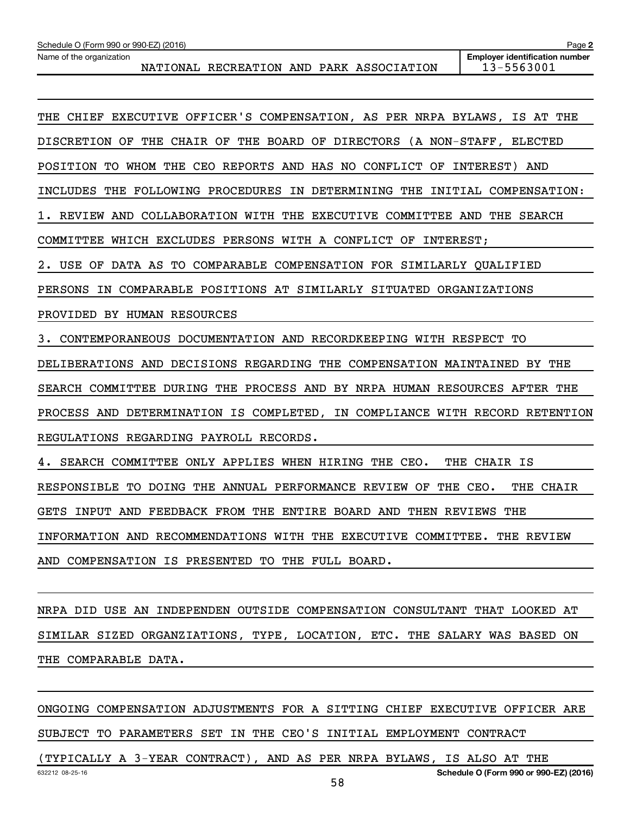| <b>Employer identification number</b><br>Name of the organization<br>13-5563001<br>NATIONAL RECREATION AND PARK ASSOCIATION |                                                       |                                                                             |              |  |  |  |  |  |
|-----------------------------------------------------------------------------------------------------------------------------|-------------------------------------------------------|-----------------------------------------------------------------------------|--------------|--|--|--|--|--|
|                                                                                                                             |                                                       |                                                                             |              |  |  |  |  |  |
|                                                                                                                             |                                                       | THE CHIEF EXECUTIVE OFFICER'S COMPENSATION, AS PER NRPA BYLAWS, IS AT THE   |              |  |  |  |  |  |
|                                                                                                                             |                                                       | DISCRETION OF THE CHAIR OF THE BOARD OF DIRECTORS (A NON-STAFF, ELECTED     |              |  |  |  |  |  |
|                                                                                                                             |                                                       | POSITION TO WHOM THE CEO REPORTS AND HAS NO CONFLICT OF INTEREST) AND       |              |  |  |  |  |  |
|                                                                                                                             |                                                       | INCLUDES THE FOLLOWING PROCEDURES IN DETERMINING THE INITIAL COMPENSATION:  |              |  |  |  |  |  |
|                                                                                                                             |                                                       | 1. REVIEW AND COLLABORATION WITH THE EXECUTIVE COMMITTEE AND THE SEARCH     |              |  |  |  |  |  |
|                                                                                                                             |                                                       | COMMITTEE WHICH EXCLUDES PERSONS WITH A CONFLICT OF INTEREST;               |              |  |  |  |  |  |
|                                                                                                                             |                                                       | 2. USE OF DATA AS TO COMPARABLE COMPENSATION FOR SIMILARLY QUALIFIED        |              |  |  |  |  |  |
|                                                                                                                             |                                                       | PERSONS IN COMPARABLE POSITIONS AT SIMILARLY SITUATED ORGANIZATIONS         |              |  |  |  |  |  |
| PROVIDED BY HUMAN RESOURCES                                                                                                 |                                                       |                                                                             |              |  |  |  |  |  |
|                                                                                                                             |                                                       | 3. CONTEMPORANEOUS DOCUMENTATION AND RECORDKEEPING WITH RESPECT TO          |              |  |  |  |  |  |
|                                                                                                                             |                                                       | DELIBERATIONS AND DECISIONS REGARDING THE COMPENSATION MAINTAINED BY THE    |              |  |  |  |  |  |
|                                                                                                                             |                                                       | SEARCH COMMITTEE DURING THE PROCESS AND BY NRPA HUMAN RESOURCES AFTER THE   |              |  |  |  |  |  |
|                                                                                                                             |                                                       | PROCESS AND DETERMINATION IS COMPLETED, IN COMPLIANCE WITH RECORD RETENTION |              |  |  |  |  |  |
|                                                                                                                             | REGULATIONS REGARDING PAYROLL RECORDS.                |                                                                             |              |  |  |  |  |  |
|                                                                                                                             | 4. SEARCH COMMITTEE ONLY APPLIES WHEN HIRING THE CEO. |                                                                             | THE CHAIR IS |  |  |  |  |  |
|                                                                                                                             |                                                       | RESPONSIBLE TO DOING THE ANNUAL PERFORMANCE REVIEW OF THE CEO.              | THE CHAIR    |  |  |  |  |  |
|                                                                                                                             |                                                       | GETS INPUT AND FEEDBACK FROM THE ENTIRE BOARD AND THEN REVIEWS THE          |              |  |  |  |  |  |
|                                                                                                                             |                                                       | INFORMATION AND RECOMMENDATIONS WITH THE EXECUTIVE COMMITTEE. THE REVIEW    |              |  |  |  |  |  |
|                                                                                                                             | AND COMPENSATION IS PRESENTED TO THE FULL BOARD.      |                                                                             |              |  |  |  |  |  |
|                                                                                                                             |                                                       |                                                                             |              |  |  |  |  |  |
|                                                                                                                             |                                                       | DIRATION NUMBER ONDERIOS DE CONDITALE DI LA TELEVISIONE DI LA               |              |  |  |  |  |  |

NRPA DID USE AN INDEPENDEN OUTSIDE COMPENSATION CONSULTANT THAT LOOKED AT SIMILAR SIZED ORGANZIATIONS, TYPE, LOCATION, ETC. THE SALARY WAS BASED ON THE COMPARABLE DATA.

ONGOING COMPENSATION ADJUSTMENTS FOR A SITTING CHIEF EXECUTIVE OFFICER ARE SUBJECT TO PARAMETERS SET IN THE CEO'S INITIAL EMPLOYMENT CONTRACT

58

**2**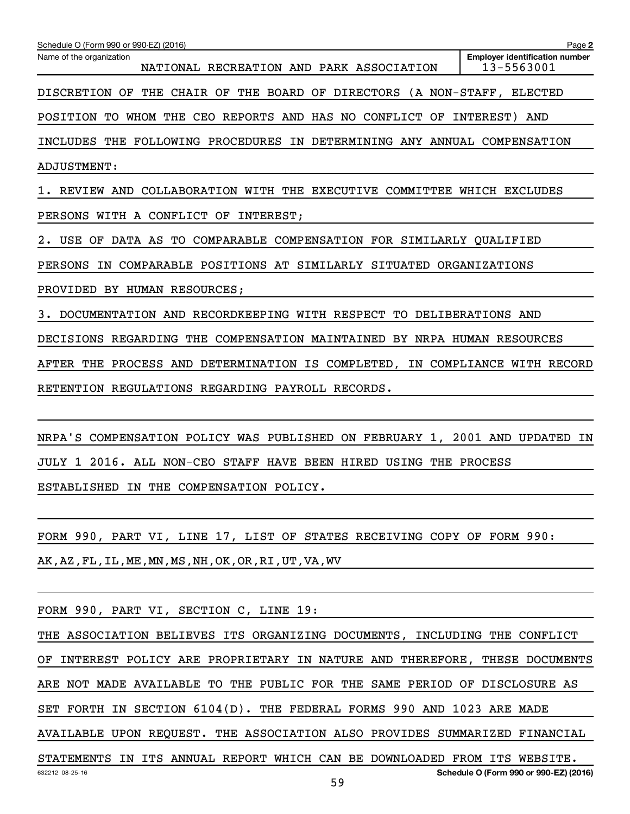| Schedule O (Form 990 or 990-EZ) (2016)                                      | Page 2                                              |
|-----------------------------------------------------------------------------|-----------------------------------------------------|
| Name of the organization<br>NATIONAL RECREATION AND PARK ASSOCIATION        | <b>Employer identification number</b><br>13-5563001 |
| DISCRETION OF THE CHAIR OF THE BOARD OF DIRECTORS (A NON-STAFF, ELECTED     |                                                     |
| POSITION TO WHOM THE CEO REPORTS AND HAS NO CONFLICT OF INTEREST) AND       |                                                     |
| INCLUDES THE FOLLOWING PROCEDURES IN DETERMINING ANY ANNUAL COMPENSATION    |                                                     |
| ADJUSTMENT:                                                                 |                                                     |
| 1. REVIEW AND COLLABORATION WITH THE EXECUTIVE COMMITTEE WHICH EXCLUDES     |                                                     |
| PERSONS WITH A CONFLICT OF INTEREST;                                        |                                                     |
| 2. USE OF DATA AS TO COMPARABLE COMPENSATION FOR SIMILARLY QUALIFIED        |                                                     |
| PERSONS IN COMPARABLE POSITIONS AT SIMILARLY SITUATED ORGANIZATIONS         |                                                     |
| PROVIDED BY HUMAN RESOURCES;                                                |                                                     |
| 3. DOCUMENTATION AND RECORDKEEPING WITH RESPECT TO DELIBERATIONS AND        |                                                     |
| DECISIONS REGARDING THE COMPENSATION MAINTAINED BY NRPA HUMAN RESOURCES     |                                                     |
| AFTER THE PROCESS AND DETERMINATION IS COMPLETED, IN COMPLIANCE WITH RECORD |                                                     |
| RETENTION REGULATIONS REGARDING PAYROLL RECORDS.                            |                                                     |
|                                                                             |                                                     |
| NRPA'S COMPENSATION POLICY WAS PUBLISHED ON FEBRUARY 1, 2001 AND UPDATED IN |                                                     |
| JULY 1 2016. ALL NON-CEO STAFF HAVE BEEN HIRED USING THE PROCESS            |                                                     |
| ESTABLISHED IN THE COMPENSATION POLICY.                                     |                                                     |
|                                                                             |                                                     |
| FORM 990, PART VI, LINE 17, LIST OF STATES RECEIVING COPY OF FORM 990:      |                                                     |
| AK, AZ, FL, IL, ME, MN, MS, NH, OK, OR, RI, UT, VA, WV                      |                                                     |
|                                                                             |                                                     |
| FORM 990, PART VI, SECTION C, LINE 19:                                      |                                                     |
| THE ASSOCIATION BELIEVES ITS ORGANIZING DOCUMENTS, INCLUDING THE CONFLICT   |                                                     |
| OF INTEREST POLICY ARE PROPRIETARY IN NATURE AND THEREFORE, THESE DOCUMENTS |                                                     |
| ARE NOT MADE AVAILABLE TO THE PUBLIC FOR THE SAME PERIOD OF DISCLOSURE AS   |                                                     |
| SET FORTH IN SECTION 6104(D). THE FEDERAL FORMS 990 AND 1023 ARE MADE       |                                                     |
| AVAILABLE UPON REQUEST. THE ASSOCIATION ALSO PROVIDES SUMMARIZED FINANCIAL  |                                                     |

632212 08-25-16 **Schedule O (Form 990 or 990-EZ) (2016)** STATEMENTS IN ITS ANNUAL REPORT WHICH CAN BE DOWNLOADED FROM ITS WEBSITE.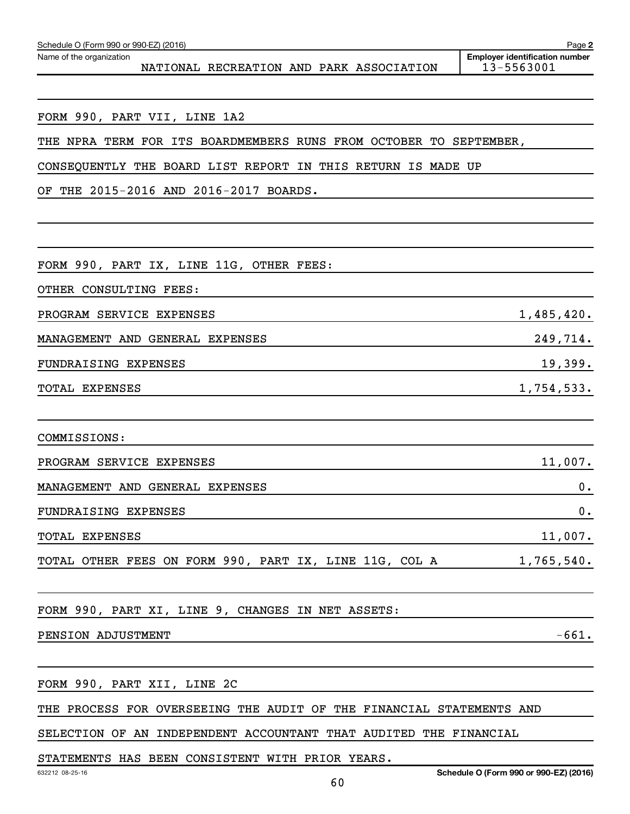| FORM 990, PART IX, LINE 11G, OTHER FEES:                             |            |
|----------------------------------------------------------------------|------------|
| OTHER CONSULTING FEES:                                               |            |
| PROGRAM SERVICE EXPENSES                                             | 1,485,420. |
| MANAGEMENT AND GENERAL EXPENSES                                      | 249,714.   |
| FUNDRAISING EXPENSES                                                 | 19,399.    |
| TOTAL EXPENSES                                                       | 1,754,533. |
|                                                                      |            |
| COMMISSIONS:                                                         |            |
| PROGRAM SERVICE EXPENSES                                             | 11,007.    |
| MANAGEMENT AND GENERAL EXPENSES                                      | 0.         |
| FUNDRAISING EXPENSES                                                 | 0.         |
| <b>TOTAL EXPENSES</b>                                                | 11,007.    |
| TOTAL OTHER FEES ON FORM 990, PART IX, LINE 11G, COL A 1,765,540.    |            |
|                                                                      |            |
| FORM 990, PART XI, LINE 9, CHANGES IN NET ASSETS:                    |            |
| PENSION ADJUSTMENT                                                   | $-661.$    |
|                                                                      |            |
| FORM 990, PART XII, LINE 2C                                          |            |
| THE PROCESS FOR OVERSEEING THE AUDIT OF THE FINANCIAL STATEMENTS AND |            |
| SELECTION OF AN INDEPENDENT ACCOUNTANT THAT AUDITED THE FINANCIAL    |            |

FORM 990, PART VII, LINE 1A2

OF THE 2015-2016 AND 2016-2017 BOARDS.

Name of the organization

NATIONAL RECREATION AND PARK ASSOCIATION 13-5563001

THE NPRA TERM FOR ITS BOARDMEMBERS RUNS FROM OCTOBER TO SEPTEMBER,

CONSEQUENTLY THE BOARD LIST REPORT IN THIS RETURN IS MADE UP

**2 Employer identification number**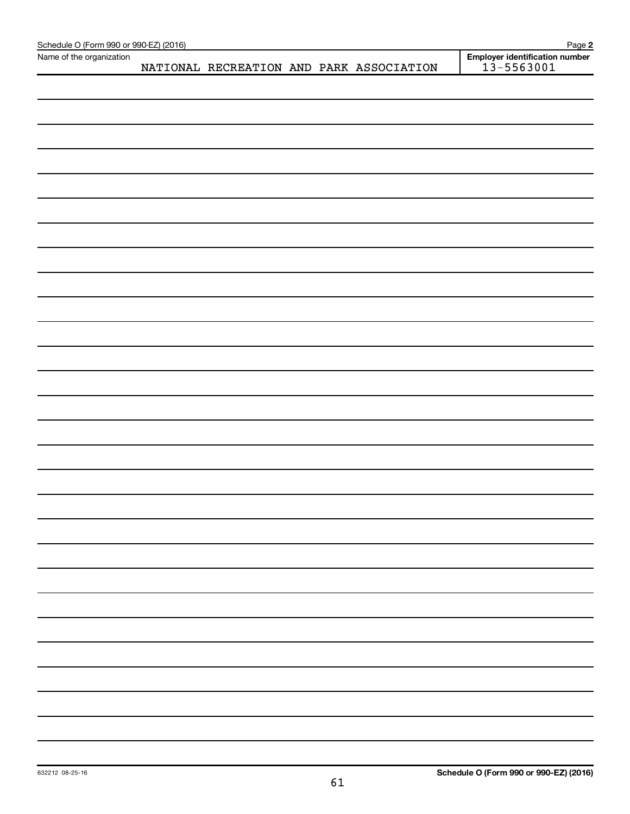| Schedule O (Form 990 or 990-EZ) (2016) |  |  |                                          | Page 2                                           |
|----------------------------------------|--|--|------------------------------------------|--------------------------------------------------|
| Name of the organization               |  |  | NATIONAL RECREATION AND PARK ASSOCIATION | Employer identification number<br>$13 - 5563001$ |
|                                        |  |  |                                          |                                                  |
|                                        |  |  |                                          |                                                  |
|                                        |  |  |                                          |                                                  |
|                                        |  |  |                                          |                                                  |
|                                        |  |  |                                          |                                                  |
|                                        |  |  |                                          |                                                  |
|                                        |  |  |                                          |                                                  |
|                                        |  |  |                                          |                                                  |
|                                        |  |  |                                          |                                                  |
|                                        |  |  |                                          |                                                  |
|                                        |  |  |                                          |                                                  |
|                                        |  |  |                                          |                                                  |
|                                        |  |  |                                          |                                                  |
|                                        |  |  |                                          |                                                  |
|                                        |  |  |                                          |                                                  |
|                                        |  |  |                                          |                                                  |
|                                        |  |  |                                          |                                                  |
|                                        |  |  |                                          |                                                  |
|                                        |  |  |                                          |                                                  |
|                                        |  |  |                                          |                                                  |
|                                        |  |  |                                          |                                                  |
|                                        |  |  |                                          |                                                  |
|                                        |  |  |                                          |                                                  |
|                                        |  |  |                                          |                                                  |
|                                        |  |  |                                          |                                                  |
|                                        |  |  |                                          |                                                  |
|                                        |  |  |                                          |                                                  |
|                                        |  |  |                                          |                                                  |
|                                        |  |  |                                          |                                                  |
|                                        |  |  |                                          |                                                  |
|                                        |  |  |                                          |                                                  |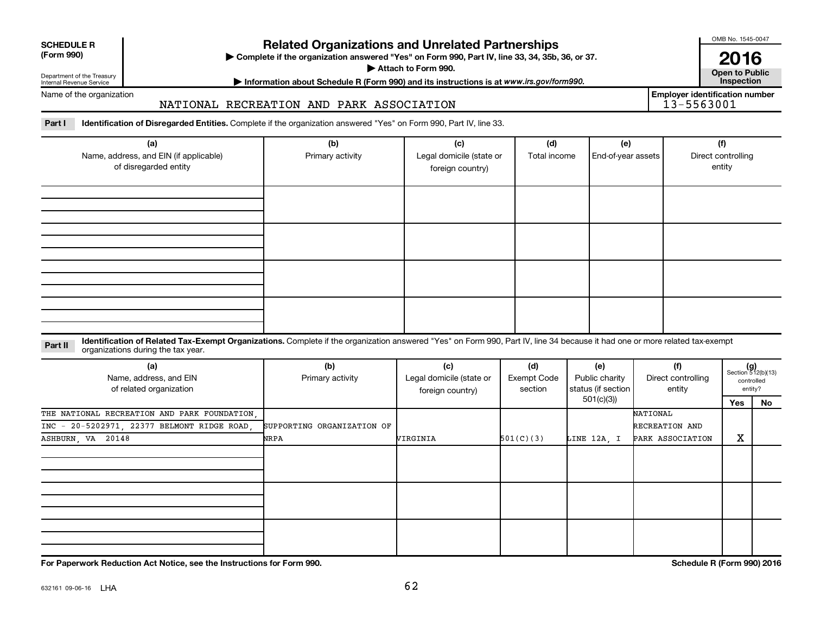| <b>SCHEDULE R</b> |  |
|-------------------|--|
|                   |  |

Department of the Treasury Internal Revenue Service

# **Related Organizations and Unrelated Partnerships**

**(Form 990) Complete if the organization answered "Yes" on Form 990, Part IV, line 33, 34, 35b, 36, or 37.** |

**Attach to Form 990. Contract to Public** 

**Most Information about Schedule R (Form 990) and its instructions is at www.irs.gov/form990.** This pection

Name of the organization

# NATIONAL RECREATION AND PARK ASSOCIATION

Part I ldentification of Disregarded Entities. Complete if the organization answered "Yes" on Form 990, Part IV, line 33.

| (a)<br>Name, address, and EIN (if applicable)<br>of disregarded entity | (b)<br>Primary activity | (c)<br>Legal domicile (state or<br>foreign country) | (d)<br>Total income | (e)<br>End-of-year assets | (f)<br>Direct controlling<br>entity |  |  |
|------------------------------------------------------------------------|-------------------------|-----------------------------------------------------|---------------------|---------------------------|-------------------------------------|--|--|
|                                                                        |                         |                                                     |                     |                           |                                     |  |  |
|                                                                        |                         |                                                     |                     |                           |                                     |  |  |
|                                                                        |                         |                                                     |                     |                           |                                     |  |  |
|                                                                        |                         |                                                     |                     |                           |                                     |  |  |

## **Part II** Identification of Related Tax-Exempt Organizations. Complete if the organization answered "Yes" on Form 990, Part IV, line 34 because it had one or more related tax-exempt<br>Complete it is a series of the two wears organizations during the tax year.

| (a)<br>Name, address, and EIN<br>of related organization | (b)<br>Primary activity    | (c)<br>Legal domicile (state or<br>foreign country) | (d)<br>Exempt Code<br>section | (e)<br>Public charity<br>status (if section | (f)<br>Direct controlling<br>entity |     | $(g)$<br>Section 512(b)(13)<br>controlled<br>entity? |
|----------------------------------------------------------|----------------------------|-----------------------------------------------------|-------------------------------|---------------------------------------------|-------------------------------------|-----|------------------------------------------------------|
|                                                          |                            |                                                     |                               | 501(c)(3))                                  |                                     | Yes | No                                                   |
| THE NATIONAL RECREATION AND PARK FOUNDATION.             |                            |                                                     |                               |                                             | NATIONAL                            |     |                                                      |
| INC - 20-5202971, 22377 BELMONT RIDGE ROAD,              | SUPPORTING ORGANIZATION OF |                                                     |                               |                                             | RECREATION AND                      |     |                                                      |
| ASHBURN, VA 20148                                        | NRPA                       | VIRGINIA                                            | 501(C)(3)                     | LINE 12A, I                                 | PARK ASSOCIATION                    | x   |                                                      |
|                                                          |                            |                                                     |                               |                                             |                                     |     |                                                      |
|                                                          |                            |                                                     |                               |                                             |                                     |     |                                                      |
|                                                          |                            |                                                     |                               |                                             |                                     |     |                                                      |

**For Paperwork Reduction Act Notice, see the Instructions for Form 990. Schedule R (Form 990) 2016**

OMB No. 1545-0047

**2016**<br>Open to Public

**Employer identification number**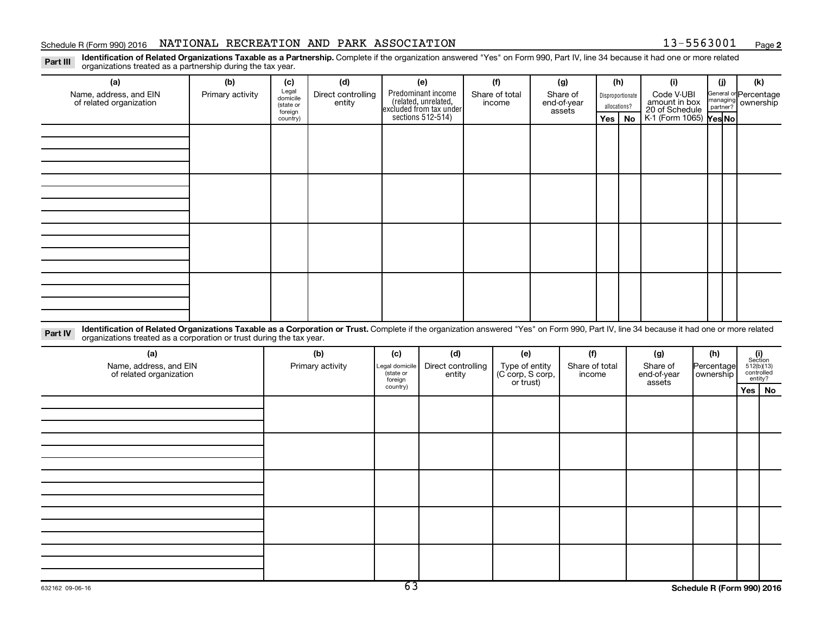# Schedule R (Form 990) 2016 NATIONAL RECREATION AND PARK ASSOCIATION  $_{\text{Page}}$

**2**

Part III Identification of Related Organizations Taxable as a Partnership. Complete if the organization answered "Yes" on Form 990, Part IV, line 34 because it had one or more related<br>Read to the organizations tracted as a organizations treated as a partnership during the tax year.

| organizations treated as a partnership during the tax year.                                                                                                                                                                                                                |                  |                                           |                              |                      |                                                                                            |                               |                                   |     |                                  |                                               |                                             |                          |  |
|----------------------------------------------------------------------------------------------------------------------------------------------------------------------------------------------------------------------------------------------------------------------------|------------------|-------------------------------------------|------------------------------|----------------------|--------------------------------------------------------------------------------------------|-------------------------------|-----------------------------------|-----|----------------------------------|-----------------------------------------------|---------------------------------------------|--------------------------|--|
| (a)                                                                                                                                                                                                                                                                        | (b)              | (c)                                       | (d)                          |                      | (e)                                                                                        | (f)                           | (g)                               |     | (h)                              | (i)                                           | (j)                                         | (k)                      |  |
| Name, address, and EIN<br>of related organization                                                                                                                                                                                                                          | Primary activity | Legal<br>domicile<br>(state or<br>foreign | Direct controlling<br>entity |                      | Predominant income<br>(related, unrelated,<br>excluded from tax under<br>sections 512-514) | Share of total<br>income      | Share of<br>end-of-year<br>assets |     | Disproportionate<br>allocations? | Code V-UBI<br>amount in box<br>20 of Schedule | General or Percentage<br>managing ownership |                          |  |
|                                                                                                                                                                                                                                                                            |                  | country)                                  |                              |                      |                                                                                            |                               |                                   | Yes | No                               | K-1 (Form 1065) Yes No                        |                                             |                          |  |
|                                                                                                                                                                                                                                                                            |                  |                                           |                              |                      |                                                                                            |                               |                                   |     |                                  |                                               |                                             |                          |  |
|                                                                                                                                                                                                                                                                            |                  |                                           |                              |                      |                                                                                            |                               |                                   |     |                                  |                                               |                                             |                          |  |
|                                                                                                                                                                                                                                                                            |                  |                                           |                              |                      |                                                                                            |                               |                                   |     |                                  |                                               |                                             |                          |  |
|                                                                                                                                                                                                                                                                            |                  |                                           |                              |                      |                                                                                            |                               |                                   |     |                                  |                                               |                                             |                          |  |
|                                                                                                                                                                                                                                                                            |                  |                                           |                              |                      |                                                                                            |                               |                                   |     |                                  |                                               |                                             |                          |  |
|                                                                                                                                                                                                                                                                            |                  |                                           |                              |                      |                                                                                            |                               |                                   |     |                                  |                                               |                                             |                          |  |
|                                                                                                                                                                                                                                                                            |                  |                                           |                              |                      |                                                                                            |                               |                                   |     |                                  |                                               |                                             |                          |  |
|                                                                                                                                                                                                                                                                            |                  |                                           |                              |                      |                                                                                            |                               |                                   |     |                                  |                                               |                                             |                          |  |
|                                                                                                                                                                                                                                                                            |                  |                                           |                              |                      |                                                                                            |                               |                                   |     |                                  |                                               |                                             |                          |  |
|                                                                                                                                                                                                                                                                            |                  |                                           |                              |                      |                                                                                            |                               |                                   |     |                                  |                                               |                                             |                          |  |
|                                                                                                                                                                                                                                                                            |                  |                                           |                              |                      |                                                                                            |                               |                                   |     |                                  |                                               |                                             |                          |  |
|                                                                                                                                                                                                                                                                            |                  |                                           |                              |                      |                                                                                            |                               |                                   |     |                                  |                                               |                                             |                          |  |
|                                                                                                                                                                                                                                                                            |                  |                                           |                              |                      |                                                                                            |                               |                                   |     |                                  |                                               |                                             |                          |  |
|                                                                                                                                                                                                                                                                            |                  |                                           |                              |                      |                                                                                            |                               |                                   |     |                                  |                                               |                                             |                          |  |
|                                                                                                                                                                                                                                                                            |                  |                                           |                              |                      |                                                                                            |                               |                                   |     |                                  |                                               |                                             |                          |  |
|                                                                                                                                                                                                                                                                            |                  |                                           |                              |                      |                                                                                            |                               |                                   |     |                                  |                                               |                                             |                          |  |
| Identification of Related Organizations Taxable as a Corporation or Trust. Complete if the organization answered "Yes" on Form 990, Part IV, line 34 because it had one or more related<br>Part IV<br>organizations treated as a corporation or trust during the tax year. |                  |                                           |                              |                      |                                                                                            |                               |                                   |     |                                  |                                               |                                             |                          |  |
| (a)                                                                                                                                                                                                                                                                        |                  |                                           | (b)                          | (c)                  | (d)                                                                                        | (e)                           | (f)                               |     |                                  | (g)                                           | (h)                                         | (i)<br>Section           |  |
| Name, address, and EIN                                                                                                                                                                                                                                                     |                  |                                           | Primary activity             | Legal domicile       | Direct controlling                                                                         | Type of entity                | Share of total                    |     |                                  | Share of                                      | Percentage                                  | 512(b)(13)<br>controlled |  |
| of related organization                                                                                                                                                                                                                                                    |                  |                                           |                              | (state or<br>foreign | entity                                                                                     | (C corp, S corp,<br>or trust) | income                            |     |                                  | end-of-year<br>assets                         | ownership                                   | entity?                  |  |
|                                                                                                                                                                                                                                                                            |                  |                                           |                              | country)             |                                                                                            |                               |                                   |     |                                  |                                               |                                             | Yes   No                 |  |
|                                                                                                                                                                                                                                                                            |                  |                                           |                              |                      |                                                                                            |                               |                                   |     |                                  |                                               |                                             |                          |  |
|                                                                                                                                                                                                                                                                            |                  |                                           |                              |                      |                                                                                            |                               |                                   |     |                                  |                                               |                                             |                          |  |
|                                                                                                                                                                                                                                                                            |                  |                                           |                              |                      |                                                                                            |                               |                                   |     |                                  |                                               |                                             |                          |  |
|                                                                                                                                                                                                                                                                            |                  |                                           |                              |                      |                                                                                            |                               |                                   |     |                                  |                                               |                                             |                          |  |
|                                                                                                                                                                                                                                                                            |                  |                                           |                              |                      |                                                                                            |                               |                                   |     |                                  |                                               |                                             |                          |  |
|                                                                                                                                                                                                                                                                            |                  |                                           |                              |                      |                                                                                            |                               |                                   |     |                                  |                                               |                                             |                          |  |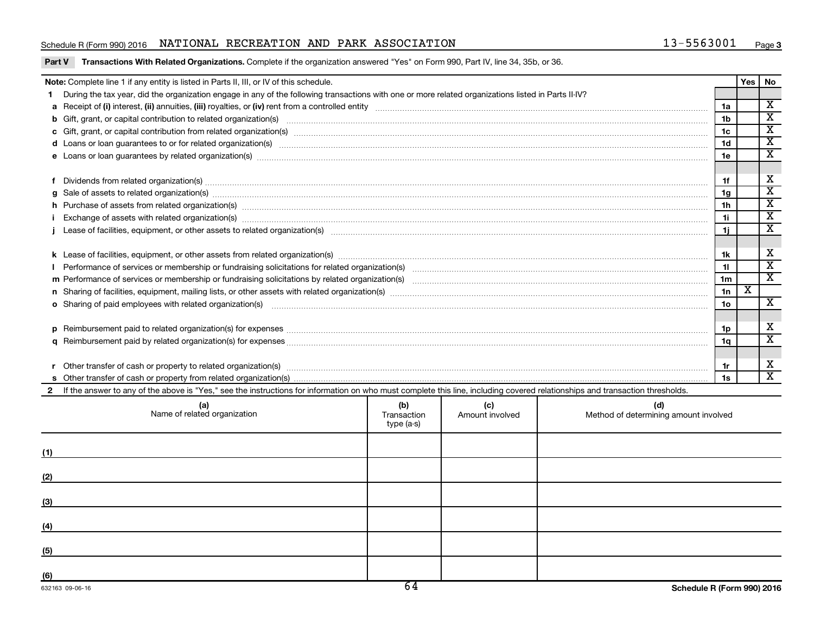# Schedule R (Form 990) 2016 NATIONAL RECREATION AND PARK ASSOCIATION  $_{\text{Page}}$

Part V Transactions With Related Organizations. Complete if the organization answered "Yes" on Form 990, Part IV, line 34, 35b, or 36.

|              | Note: Complete line 1 if any entity is listed in Parts II, III, or IV of this schedule.                                                                                                                                              |                                                                                                     |  |  |                | Yes | No                                                 |  |  |
|--------------|--------------------------------------------------------------------------------------------------------------------------------------------------------------------------------------------------------------------------------------|-----------------------------------------------------------------------------------------------------|--|--|----------------|-----|----------------------------------------------------|--|--|
|              | During the tax year, did the organization engage in any of the following transactions with one or more related organizations listed in Parts II-IV?                                                                                  |                                                                                                     |  |  |                |     |                                                    |  |  |
|              |                                                                                                                                                                                                                                      |                                                                                                     |  |  | 1a             |     | $\overline{\mathbf{X}}$                            |  |  |
|              | b Gift, grant, or capital contribution to related organization(s) manufactured contains and contribution to related organization(s) manufactured contribution to related organization(s) manufactured contribution and contrib       |                                                                                                     |  |  | 1 <sub>b</sub> |     | $\overline{\mathbf{x}}$                            |  |  |
|              |                                                                                                                                                                                                                                      |                                                                                                     |  |  | 1 <sub>c</sub> |     | $\overline{\mathbf{x}}$                            |  |  |
|              |                                                                                                                                                                                                                                      |                                                                                                     |  |  | 1 <sub>d</sub> |     | $\overline{\mathtt{x}}$                            |  |  |
|              |                                                                                                                                                                                                                                      |                                                                                                     |  |  | 1e             |     | $\overline{\mathtt{x}}$                            |  |  |
|              |                                                                                                                                                                                                                                      |                                                                                                     |  |  |                |     |                                                    |  |  |
|              | f Dividends from related organization(s) material content and content and content and content and content and content and content and content and content and content and content and content and content and content and cont<br>1f |                                                                                                     |  |  |                |     |                                                    |  |  |
|              |                                                                                                                                                                                                                                      |                                                                                                     |  |  | 1g             |     | $\overline{\mathbf{x}}$                            |  |  |
|              | h Purchase of assets from related organization(s) www.assettion.com/www.assettion.com/www.assettion.com/www.assettion.com/www.assettion.com/www.assettion.com/www.assettion.com/www.assettion.com/www.assettion.com/www.assett       |                                                                                                     |  |  | 1 <sub>h</sub> |     | $\overline{\texttt{x}}$                            |  |  |
|              | Exchange of assets with related organization(s) www.assettion.com/www.assettion.com/www.assettion.com/www.assettion.com/www.assettion.com/www.assettion.com/www.assettion.com/www.assettion.com/www.assettion.com/www.assettio       |                                                                                                     |  |  | 1i             |     | $\overline{\mathbf{x}}$<br>$\overline{\mathbf{x}}$ |  |  |
|              | 1j                                                                                                                                                                                                                                   |                                                                                                     |  |  |                |     |                                                    |  |  |
|              |                                                                                                                                                                                                                                      |                                                                                                     |  |  |                |     |                                                    |  |  |
|              | 1k                                                                                                                                                                                                                                   |                                                                                                     |  |  |                |     |                                                    |  |  |
|              | 11                                                                                                                                                                                                                                   |                                                                                                     |  |  |                |     |                                                    |  |  |
|              |                                                                                                                                                                                                                                      |                                                                                                     |  |  | 1 <sub>m</sub> |     | $\overline{\mathtt{x}}$                            |  |  |
|              |                                                                                                                                                                                                                                      |                                                                                                     |  |  | 1n             | X   |                                                    |  |  |
|              | o Sharing of paid employees with related organization(s) manufactured content to the content of the content of the content of the content of the content of the content of the content of the content of the content of the co       |                                                                                                     |  |  | 1 <sub>o</sub> |     | $\mathbf{x}$                                       |  |  |
|              |                                                                                                                                                                                                                                      |                                                                                                     |  |  |                |     |                                                    |  |  |
|              |                                                                                                                                                                                                                                      |                                                                                                     |  |  | 1p             |     | х                                                  |  |  |
|              |                                                                                                                                                                                                                                      |                                                                                                     |  |  | 1q             |     | $\overline{\mathtt{x}}$                            |  |  |
|              |                                                                                                                                                                                                                                      |                                                                                                     |  |  |                |     |                                                    |  |  |
|              |                                                                                                                                                                                                                                      |                                                                                                     |  |  | 1r             |     | X                                                  |  |  |
|              |                                                                                                                                                                                                                                      |                                                                                                     |  |  | 1s             |     | $\overline{\mathbf{x}}$                            |  |  |
| $\mathbf{2}$ | If the answer to any of the above is "Yes," see the instructions for information on who must complete this line, including covered relationships and transaction thresholds.                                                         |                                                                                                     |  |  |                |     |                                                    |  |  |
|              | (a)<br>Name of related organization                                                                                                                                                                                                  | (b)<br>(c)<br>Method of determining amount involved<br>Transaction<br>Amount involved<br>type (a-s) |  |  |                |     |                                                    |  |  |
| (1)          |                                                                                                                                                                                                                                      |                                                                                                     |  |  |                |     |                                                    |  |  |

**(2) (3) (4) (5) (6)**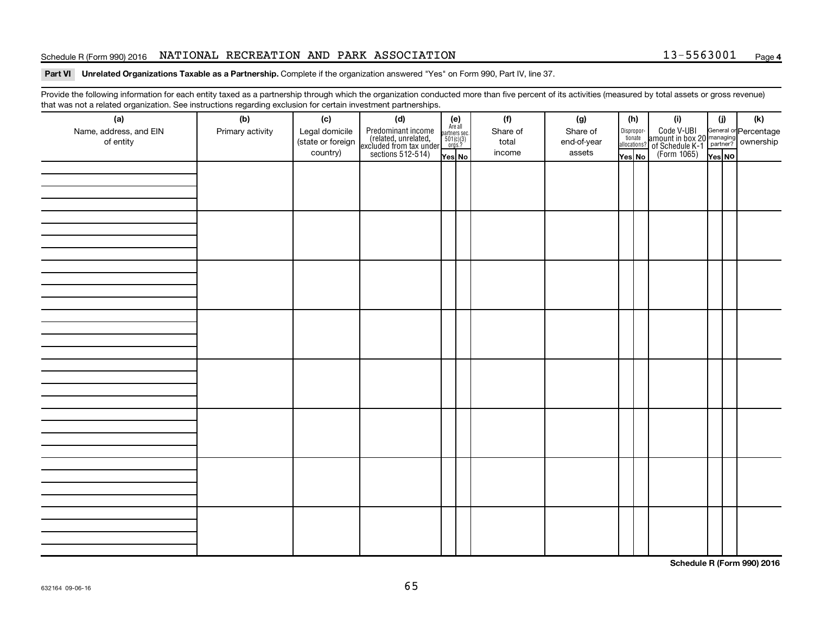# Schedule R (Form 990) 2016 NATIONAL RECREATION AND PARK ASSOCIATION  $_{\text{Page}}$

# **4**

## Part VI Unrelated Organizations Taxable as a Partnership. Complete if the organization answered "Yes" on Form 990, Part IV, line 37.

Provide the following information for each entity taxed as a partnership through which the organization conducted more than five percent of its activities (measured by total assets or gross revenue) that was not a related organization. See instructions regarding exclusion for certain investment partnerships.

| ----------<br>(a)      | (b)              | ---------------<br>(c) | <br>(d)                                                                                    |                                                          | (f)      | (g)         |                                  | (h) | (i)                                                                                          | (i)    | (k) |
|------------------------|------------------|------------------------|--------------------------------------------------------------------------------------------|----------------------------------------------------------|----------|-------------|----------------------------------|-----|----------------------------------------------------------------------------------------------|--------|-----|
| Name, address, and EIN | Primary activity | Legal domicile         |                                                                                            | (e)<br>Are all<br>partners sec.<br>$501(c)(3)$<br>orgs.? | Share of | Share of    |                                  |     |                                                                                              |        |     |
| of entity              |                  | (state or foreign      |                                                                                            |                                                          | total    | end-of-year | Disproportionate<br>allocations? |     |                                                                                              |        |     |
|                        |                  | country)               | Predominant income<br>(related, unrelated,<br>excluded from tax under<br>sections 512-514) | Yes No                                                   | income   | assets      | Yes No                           |     | Code V-UBI<br>amount in box 20 managing<br>of Schedule K-1 partner?<br>(Form 1065)<br>ves No |        |     |
|                        |                  |                        |                                                                                            |                                                          |          |             |                                  |     |                                                                                              | Yes NO |     |
|                        |                  |                        |                                                                                            |                                                          |          |             |                                  |     |                                                                                              |        |     |
|                        |                  |                        |                                                                                            |                                                          |          |             |                                  |     |                                                                                              |        |     |
|                        |                  |                        |                                                                                            |                                                          |          |             |                                  |     |                                                                                              |        |     |
|                        |                  |                        |                                                                                            |                                                          |          |             |                                  |     |                                                                                              |        |     |
|                        |                  |                        |                                                                                            |                                                          |          |             |                                  |     |                                                                                              |        |     |
|                        |                  |                        |                                                                                            |                                                          |          |             |                                  |     |                                                                                              |        |     |
|                        |                  |                        |                                                                                            |                                                          |          |             |                                  |     |                                                                                              |        |     |
|                        |                  |                        |                                                                                            |                                                          |          |             |                                  |     |                                                                                              |        |     |
|                        |                  |                        |                                                                                            |                                                          |          |             |                                  |     |                                                                                              |        |     |
|                        |                  |                        |                                                                                            |                                                          |          |             |                                  |     |                                                                                              |        |     |
|                        |                  |                        |                                                                                            |                                                          |          |             |                                  |     |                                                                                              |        |     |
|                        |                  |                        |                                                                                            |                                                          |          |             |                                  |     |                                                                                              |        |     |
|                        |                  |                        |                                                                                            |                                                          |          |             |                                  |     |                                                                                              |        |     |
|                        |                  |                        |                                                                                            |                                                          |          |             |                                  |     |                                                                                              |        |     |
|                        |                  |                        |                                                                                            |                                                          |          |             |                                  |     |                                                                                              |        |     |
|                        |                  |                        |                                                                                            |                                                          |          |             |                                  |     |                                                                                              |        |     |
|                        |                  |                        |                                                                                            |                                                          |          |             |                                  |     |                                                                                              |        |     |
|                        |                  |                        |                                                                                            |                                                          |          |             |                                  |     |                                                                                              |        |     |
|                        |                  |                        |                                                                                            |                                                          |          |             |                                  |     |                                                                                              |        |     |
|                        |                  |                        |                                                                                            |                                                          |          |             |                                  |     |                                                                                              |        |     |
|                        |                  |                        |                                                                                            |                                                          |          |             |                                  |     |                                                                                              |        |     |
|                        |                  |                        |                                                                                            |                                                          |          |             |                                  |     |                                                                                              |        |     |
|                        |                  |                        |                                                                                            |                                                          |          |             |                                  |     |                                                                                              |        |     |
|                        |                  |                        |                                                                                            |                                                          |          |             |                                  |     |                                                                                              |        |     |
|                        |                  |                        |                                                                                            |                                                          |          |             |                                  |     |                                                                                              |        |     |
|                        |                  |                        |                                                                                            |                                                          |          |             |                                  |     |                                                                                              |        |     |
|                        |                  |                        |                                                                                            |                                                          |          |             |                                  |     |                                                                                              |        |     |
|                        |                  |                        |                                                                                            |                                                          |          |             |                                  |     |                                                                                              |        |     |
|                        |                  |                        |                                                                                            |                                                          |          |             |                                  |     |                                                                                              |        |     |
|                        |                  |                        |                                                                                            |                                                          |          |             |                                  |     |                                                                                              |        |     |
|                        |                  |                        |                                                                                            |                                                          |          |             |                                  |     |                                                                                              |        |     |
|                        |                  |                        |                                                                                            |                                                          |          |             |                                  |     |                                                                                              |        |     |
|                        |                  |                        |                                                                                            |                                                          |          |             |                                  |     |                                                                                              |        |     |
|                        |                  |                        |                                                                                            |                                                          |          |             |                                  |     |                                                                                              |        |     |
|                        |                  |                        |                                                                                            |                                                          |          |             |                                  |     |                                                                                              |        |     |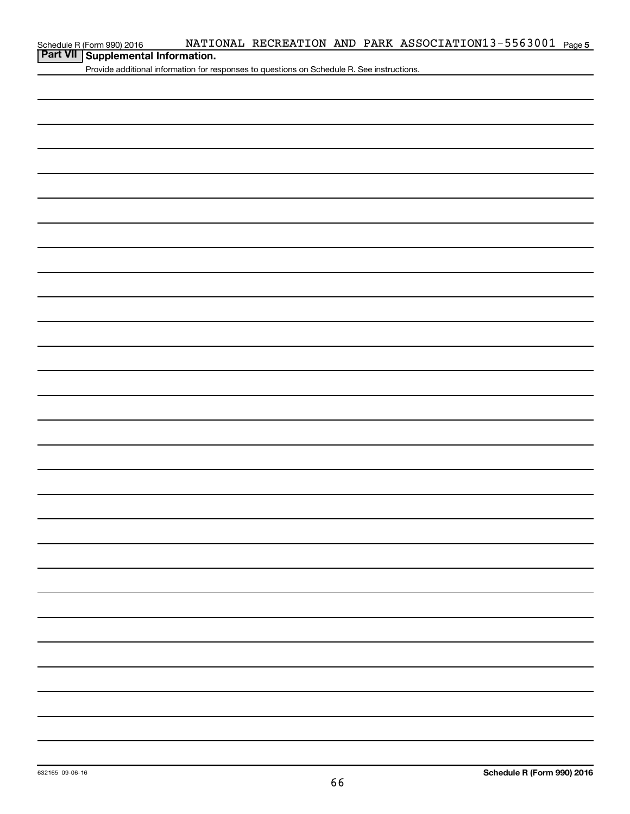# **Part VII Schedule R (Form 990) 2016 Part VII Supplemental Information.**

Provide additional information for responses to questions on Schedule R. See instructions.

|  |  | - |
|--|--|---|
|  |  |   |
|  |  |   |
|  |  |   |
|  |  |   |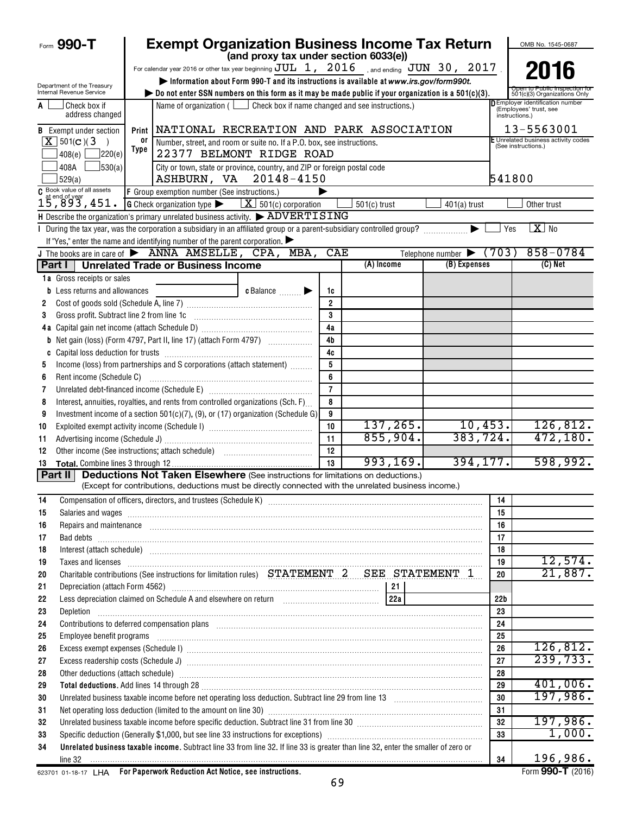| (and proxy tax under section 6033(e))<br>For calendar year 2016 or other tax year beginning $JUL$ 1, $2016$ , and ending $JUN$ 30, $2017$<br>2016<br>Information about Form 990-T and its instructions is available at www.irs.gov/form990t.<br>Department of the Treasury<br>Internal Revenue Service<br>bo not enter SSN numbers on this form as it may be made public if your organization is a $501(c)(3)$ .<br>501(c)(3) Organizations Only<br><b>D</b> Employer identification number<br>Check box if<br>Name of organization ( $\Box$ Check box if name changed and see instructions.)<br>A<br>(Employees' trust, see<br>address changed<br>instructions.)<br>13-5563001<br>Print   NATIONAL RECREATION AND PARK ASSOCIATION<br><b>B</b> Exempt under section<br>E Unrelated business activity codes<br>$X$ 501(c)(3)<br>0ľ<br>Number, street, and room or suite no. If a P.O. box, see instructions.<br>$\rightarrow$<br>(See instructions.)<br>Type<br>22377 BELMONT RIDGE ROAD<br>]220(e)<br>408(e) $\lfloor$<br>30(a)<br>408A<br>City or town, state or province, country, and ZIP or foreign postal code<br>ASHBURN, VA 20148-4150<br>541800<br>529(a)<br>Book value of all assets<br>F Group exemption number (See instructions.)<br>15,893,451.<br><b>G</b> Check organization type $\blacktriangleright$ $\underline{\mathbf{X}}$ 501(c) corporation<br>$501(c)$ trust<br>$401(a)$ trust<br>Other trust<br>H Describe the organization's primary unrelated business activity.<br>> ADVERTISING<br>$X$ No<br>I During the tax year, was the corporation a subsidiary in an affiliated group or a parent-subsidiary controlled group?<br>▶<br>Yes<br>If "Yes," enter the name and identifying number of the parent corporation.<br>$858 - 0784$<br>J The books are in care of $\triangleright$ ANNA AMSELLE, CPA, MBA,<br>CAE<br>Telephone number $\triangleright$ (703)<br>(A) Income<br>(B) Expenses<br>$(C)$ Net<br>Part I   Unrelated Trade or Business Income<br>1a Gross receipts or sales<br>c Balance<br><b>b</b> Less returns and allowances<br>1c<br>$\overline{2}$<br>2<br>3<br>Gross profit. Subtract line 2 from line 1c<br>3<br>4a<br>4 <sub>b</sub><br><b>b</b> Net gain (loss) (Form 4797, Part II, line 17) (attach Form 4797)<br>4c<br>c<br>Income (loss) from partnerships and S corporations (attach statement)<br>5<br>5<br>6<br>Rent income (Schedule C)<br>6<br>$\overline{7}$<br>Unrelated debt-financed income (Schedule E) [11] [2010] [2010] [2010] [2010] [2010] [2010] [2010] [2010] [2010<br>7<br>Interest, annuities, royalties, and rents from controlled organizations (Sch. F)<br>8<br>8<br>Investment income of a section 501(c)(7), (9), or (17) organization (Schedule G)<br>9<br>9<br>137, 265.<br>10,453.<br>126,812.<br>10<br>10<br>383,724.<br>855,904.<br>472, 180.<br>11<br>11<br>12<br>12<br>394, 177.<br>598,992.<br>993, 169.<br>13<br>13<br><b>Deductions Not Taken Elsewhere</b> (See instructions for limitations on deductions.)<br>Part II<br>(Except for contributions, deductions must be directly connected with the unrelated business income.)<br>14<br>14<br>Salaries and wages <b>with the contract of the contract of the contract of the contract of the contract of the contract of the contract of the contract of the contract of the contract of the contract of the contract of the c</b><br>15<br>15<br>Repairs and maintenance <i>maintenance</i> and construction of the construction of the construction of the construction of the construction of the construction of the construction of the construction of the construction of the<br>16<br>16<br>17<br>17<br>18<br>Interest (attach schedule) <i>machine and accordinational content and accordinational content and accordinational</i><br>18<br>Taxes and licenses <b>contract the contract of the contract of the contract of the contract of the contract of the contract of the contract of the contract of the contract of the contract of the contract of the contract of t</b><br>19<br>19<br>Charitable contributions (See instructions for limitation rules) STATEMENT 2 SEE STATEMENT 1<br>21,887.<br>20<br>20<br>21<br>22 <sub>b</sub><br>22<br>23<br>Depletion<br>23<br>24<br>Contributions to deferred compensation plans [11] manufactured contributions to deferred compensation plans [11] manufactured compensation plans [11] manufactured compensation plans [11] manufactured contributions to defer<br>24<br>25<br>25<br>126,812.<br>26<br>26<br>239,733.<br>27<br>27<br>28<br>Other deductions (attach schedule) manufactured and contract and contract and contract and contract and contract and contract and contract and contract and contract and contract and contract and contract and contract and c<br>28<br>401,006.<br>29<br>29<br>197,986.<br>30<br>30<br>31<br>31<br>197,986.<br>Unrelated business taxable income before specific deduction. Subtract line 31 from line 30 [11] manuscripts taxable income before specific deduction. Subtract line 31 from line 30 [11] manuscripts taxable income<br>32<br>32<br>1,000.<br>33<br>33<br>Unrelated business taxable income. Subtract line 33 from line 32. If line 33 is greater than line 32, enter the smaller of zero or<br>34<br>196,986.<br>34 | Form 990-T | <b>Exempt Organization Business Income Tax Return</b> |  |  |  |  | OMB No. 1545-0687 |  |  |  |
|----------------------------------------------------------------------------------------------------------------------------------------------------------------------------------------------------------------------------------------------------------------------------------------------------------------------------------------------------------------------------------------------------------------------------------------------------------------------------------------------------------------------------------------------------------------------------------------------------------------------------------------------------------------------------------------------------------------------------------------------------------------------------------------------------------------------------------------------------------------------------------------------------------------------------------------------------------------------------------------------------------------------------------------------------------------------------------------------------------------------------------------------------------------------------------------------------------------------------------------------------------------------------------------------------------------------------------------------------------------------------------------------------------------------------------------------------------------------------------------------------------------------------------------------------------------------------------------------------------------------------------------------------------------------------------------------------------------------------------------------------------------------------------------------------------------------------------------------------------------------------------------------------------------------------------------------------------------------------------------------------------------------------------------------------------------------------------------------------------------------------------------------------------------------------------------------------------------------------------------------------------------------------------------------------------------------------------------------------------------------------------------------------------------------------------------------------------------------------------------------------------------------------------------------------------------------------------------------------------------------------------------------------------------------------------------------------------------------------------------------------------------------------------------------------------------------------------------------------------------------------------------------------------------------------------------------------------------------------------------------------------------------------------------------------------------------------------------------------------------------------------------------------------------------------------------------------------------------------------------------------------------------------------------------------------------------------------------------------------------------------------------------------------------------------------------------------------------------------------------------------------------------------------------------------------------------------------------------------------------------------------------------------------------------------------------------------------------------------------------------------------------------------------------------------------------------------------------------------------------------------------------------------------------------------------------------------------------------------------------------------------------------------------------------------------------------------------------------------------------------------------------------------------------------------------------------------------------------------------------------------------------------------------------------------------------------------------------------------------------------------------------------------------------------------------------------------------------------------------------------------------------------------------------------------------------------------------------------------------------------------------------------------------------------------------------------------------------------------------------------------------------------------------------------------------------------------------------------------------------------------------------------------------------------------------------------------------------------------------------------------------------------------------------------------------------------------------------------------------------------------------------------------------------------------------------------------------------------------------------------------------------------------------|------------|-------------------------------------------------------|--|--|--|--|-------------------|--|--|--|
|                                                                                                                                                                                                                                                                                                                                                                                                                                                                                                                                                                                                                                                                                                                                                                                                                                                                                                                                                                                                                                                                                                                                                                                                                                                                                                                                                                                                                                                                                                                                                                                                                                                                                                                                                                                                                                                                                                                                                                                                                                                                                                                                                                                                                                                                                                                                                                                                                                                                                                                                                                                                                                                                                                                                                                                                                                                                                                                                                                                                                                                                                                                                                                                                                                                                                                                                                                                                                                                                                                                                                                                                                                                                                                                                                                                                                                                                                                                                                                                                                                                                                                                                                                                                                                                                                                                                                                                                                                                                                                                                                                                                                                                                                                                                                                                                                                                                                                                                                                                                                                                                                                                                                                                                                                                                                  |            |                                                       |  |  |  |  |                   |  |  |  |
|                                                                                                                                                                                                                                                                                                                                                                                                                                                                                                                                                                                                                                                                                                                                                                                                                                                                                                                                                                                                                                                                                                                                                                                                                                                                                                                                                                                                                                                                                                                                                                                                                                                                                                                                                                                                                                                                                                                                                                                                                                                                                                                                                                                                                                                                                                                                                                                                                                                                                                                                                                                                                                                                                                                                                                                                                                                                                                                                                                                                                                                                                                                                                                                                                                                                                                                                                                                                                                                                                                                                                                                                                                                                                                                                                                                                                                                                                                                                                                                                                                                                                                                                                                                                                                                                                                                                                                                                                                                                                                                                                                                                                                                                                                                                                                                                                                                                                                                                                                                                                                                                                                                                                                                                                                                                                  |            |                                                       |  |  |  |  |                   |  |  |  |
|                                                                                                                                                                                                                                                                                                                                                                                                                                                                                                                                                                                                                                                                                                                                                                                                                                                                                                                                                                                                                                                                                                                                                                                                                                                                                                                                                                                                                                                                                                                                                                                                                                                                                                                                                                                                                                                                                                                                                                                                                                                                                                                                                                                                                                                                                                                                                                                                                                                                                                                                                                                                                                                                                                                                                                                                                                                                                                                                                                                                                                                                                                                                                                                                                                                                                                                                                                                                                                                                                                                                                                                                                                                                                                                                                                                                                                                                                                                                                                                                                                                                                                                                                                                                                                                                                                                                                                                                                                                                                                                                                                                                                                                                                                                                                                                                                                                                                                                                                                                                                                                                                                                                                                                                                                                                                  |            |                                                       |  |  |  |  |                   |  |  |  |
|                                                                                                                                                                                                                                                                                                                                                                                                                                                                                                                                                                                                                                                                                                                                                                                                                                                                                                                                                                                                                                                                                                                                                                                                                                                                                                                                                                                                                                                                                                                                                                                                                                                                                                                                                                                                                                                                                                                                                                                                                                                                                                                                                                                                                                                                                                                                                                                                                                                                                                                                                                                                                                                                                                                                                                                                                                                                                                                                                                                                                                                                                                                                                                                                                                                                                                                                                                                                                                                                                                                                                                                                                                                                                                                                                                                                                                                                                                                                                                                                                                                                                                                                                                                                                                                                                                                                                                                                                                                                                                                                                                                                                                                                                                                                                                                                                                                                                                                                                                                                                                                                                                                                                                                                                                                                                  |            |                                                       |  |  |  |  |                   |  |  |  |
|                                                                                                                                                                                                                                                                                                                                                                                                                                                                                                                                                                                                                                                                                                                                                                                                                                                                                                                                                                                                                                                                                                                                                                                                                                                                                                                                                                                                                                                                                                                                                                                                                                                                                                                                                                                                                                                                                                                                                                                                                                                                                                                                                                                                                                                                                                                                                                                                                                                                                                                                                                                                                                                                                                                                                                                                                                                                                                                                                                                                                                                                                                                                                                                                                                                                                                                                                                                                                                                                                                                                                                                                                                                                                                                                                                                                                                                                                                                                                                                                                                                                                                                                                                                                                                                                                                                                                                                                                                                                                                                                                                                                                                                                                                                                                                                                                                                                                                                                                                                                                                                                                                                                                                                                                                                                                  |            |                                                       |  |  |  |  |                   |  |  |  |
|                                                                                                                                                                                                                                                                                                                                                                                                                                                                                                                                                                                                                                                                                                                                                                                                                                                                                                                                                                                                                                                                                                                                                                                                                                                                                                                                                                                                                                                                                                                                                                                                                                                                                                                                                                                                                                                                                                                                                                                                                                                                                                                                                                                                                                                                                                                                                                                                                                                                                                                                                                                                                                                                                                                                                                                                                                                                                                                                                                                                                                                                                                                                                                                                                                                                                                                                                                                                                                                                                                                                                                                                                                                                                                                                                                                                                                                                                                                                                                                                                                                                                                                                                                                                                                                                                                                                                                                                                                                                                                                                                                                                                                                                                                                                                                                                                                                                                                                                                                                                                                                                                                                                                                                                                                                                                  |            |                                                       |  |  |  |  |                   |  |  |  |
|                                                                                                                                                                                                                                                                                                                                                                                                                                                                                                                                                                                                                                                                                                                                                                                                                                                                                                                                                                                                                                                                                                                                                                                                                                                                                                                                                                                                                                                                                                                                                                                                                                                                                                                                                                                                                                                                                                                                                                                                                                                                                                                                                                                                                                                                                                                                                                                                                                                                                                                                                                                                                                                                                                                                                                                                                                                                                                                                                                                                                                                                                                                                                                                                                                                                                                                                                                                                                                                                                                                                                                                                                                                                                                                                                                                                                                                                                                                                                                                                                                                                                                                                                                                                                                                                                                                                                                                                                                                                                                                                                                                                                                                                                                                                                                                                                                                                                                                                                                                                                                                                                                                                                                                                                                                                                  |            |                                                       |  |  |  |  |                   |  |  |  |
|                                                                                                                                                                                                                                                                                                                                                                                                                                                                                                                                                                                                                                                                                                                                                                                                                                                                                                                                                                                                                                                                                                                                                                                                                                                                                                                                                                                                                                                                                                                                                                                                                                                                                                                                                                                                                                                                                                                                                                                                                                                                                                                                                                                                                                                                                                                                                                                                                                                                                                                                                                                                                                                                                                                                                                                                                                                                                                                                                                                                                                                                                                                                                                                                                                                                                                                                                                                                                                                                                                                                                                                                                                                                                                                                                                                                                                                                                                                                                                                                                                                                                                                                                                                                                                                                                                                                                                                                                                                                                                                                                                                                                                                                                                                                                                                                                                                                                                                                                                                                                                                                                                                                                                                                                                                                                  |            |                                                       |  |  |  |  |                   |  |  |  |
|                                                                                                                                                                                                                                                                                                                                                                                                                                                                                                                                                                                                                                                                                                                                                                                                                                                                                                                                                                                                                                                                                                                                                                                                                                                                                                                                                                                                                                                                                                                                                                                                                                                                                                                                                                                                                                                                                                                                                                                                                                                                                                                                                                                                                                                                                                                                                                                                                                                                                                                                                                                                                                                                                                                                                                                                                                                                                                                                                                                                                                                                                                                                                                                                                                                                                                                                                                                                                                                                                                                                                                                                                                                                                                                                                                                                                                                                                                                                                                                                                                                                                                                                                                                                                                                                                                                                                                                                                                                                                                                                                                                                                                                                                                                                                                                                                                                                                                                                                                                                                                                                                                                                                                                                                                                                                  |            |                                                       |  |  |  |  |                   |  |  |  |
|                                                                                                                                                                                                                                                                                                                                                                                                                                                                                                                                                                                                                                                                                                                                                                                                                                                                                                                                                                                                                                                                                                                                                                                                                                                                                                                                                                                                                                                                                                                                                                                                                                                                                                                                                                                                                                                                                                                                                                                                                                                                                                                                                                                                                                                                                                                                                                                                                                                                                                                                                                                                                                                                                                                                                                                                                                                                                                                                                                                                                                                                                                                                                                                                                                                                                                                                                                                                                                                                                                                                                                                                                                                                                                                                                                                                                                                                                                                                                                                                                                                                                                                                                                                                                                                                                                                                                                                                                                                                                                                                                                                                                                                                                                                                                                                                                                                                                                                                                                                                                                                                                                                                                                                                                                                                                  |            |                                                       |  |  |  |  |                   |  |  |  |
|                                                                                                                                                                                                                                                                                                                                                                                                                                                                                                                                                                                                                                                                                                                                                                                                                                                                                                                                                                                                                                                                                                                                                                                                                                                                                                                                                                                                                                                                                                                                                                                                                                                                                                                                                                                                                                                                                                                                                                                                                                                                                                                                                                                                                                                                                                                                                                                                                                                                                                                                                                                                                                                                                                                                                                                                                                                                                                                                                                                                                                                                                                                                                                                                                                                                                                                                                                                                                                                                                                                                                                                                                                                                                                                                                                                                                                                                                                                                                                                                                                                                                                                                                                                                                                                                                                                                                                                                                                                                                                                                                                                                                                                                                                                                                                                                                                                                                                                                                                                                                                                                                                                                                                                                                                                                                  |            |                                                       |  |  |  |  |                   |  |  |  |
|                                                                                                                                                                                                                                                                                                                                                                                                                                                                                                                                                                                                                                                                                                                                                                                                                                                                                                                                                                                                                                                                                                                                                                                                                                                                                                                                                                                                                                                                                                                                                                                                                                                                                                                                                                                                                                                                                                                                                                                                                                                                                                                                                                                                                                                                                                                                                                                                                                                                                                                                                                                                                                                                                                                                                                                                                                                                                                                                                                                                                                                                                                                                                                                                                                                                                                                                                                                                                                                                                                                                                                                                                                                                                                                                                                                                                                                                                                                                                                                                                                                                                                                                                                                                                                                                                                                                                                                                                                                                                                                                                                                                                                                                                                                                                                                                                                                                                                                                                                                                                                                                                                                                                                                                                                                                                  |            |                                                       |  |  |  |  |                   |  |  |  |
|                                                                                                                                                                                                                                                                                                                                                                                                                                                                                                                                                                                                                                                                                                                                                                                                                                                                                                                                                                                                                                                                                                                                                                                                                                                                                                                                                                                                                                                                                                                                                                                                                                                                                                                                                                                                                                                                                                                                                                                                                                                                                                                                                                                                                                                                                                                                                                                                                                                                                                                                                                                                                                                                                                                                                                                                                                                                                                                                                                                                                                                                                                                                                                                                                                                                                                                                                                                                                                                                                                                                                                                                                                                                                                                                                                                                                                                                                                                                                                                                                                                                                                                                                                                                                                                                                                                                                                                                                                                                                                                                                                                                                                                                                                                                                                                                                                                                                                                                                                                                                                                                                                                                                                                                                                                                                  |            |                                                       |  |  |  |  |                   |  |  |  |
|                                                                                                                                                                                                                                                                                                                                                                                                                                                                                                                                                                                                                                                                                                                                                                                                                                                                                                                                                                                                                                                                                                                                                                                                                                                                                                                                                                                                                                                                                                                                                                                                                                                                                                                                                                                                                                                                                                                                                                                                                                                                                                                                                                                                                                                                                                                                                                                                                                                                                                                                                                                                                                                                                                                                                                                                                                                                                                                                                                                                                                                                                                                                                                                                                                                                                                                                                                                                                                                                                                                                                                                                                                                                                                                                                                                                                                                                                                                                                                                                                                                                                                                                                                                                                                                                                                                                                                                                                                                                                                                                                                                                                                                                                                                                                                                                                                                                                                                                                                                                                                                                                                                                                                                                                                                                                  |            |                                                       |  |  |  |  |                   |  |  |  |
|                                                                                                                                                                                                                                                                                                                                                                                                                                                                                                                                                                                                                                                                                                                                                                                                                                                                                                                                                                                                                                                                                                                                                                                                                                                                                                                                                                                                                                                                                                                                                                                                                                                                                                                                                                                                                                                                                                                                                                                                                                                                                                                                                                                                                                                                                                                                                                                                                                                                                                                                                                                                                                                                                                                                                                                                                                                                                                                                                                                                                                                                                                                                                                                                                                                                                                                                                                                                                                                                                                                                                                                                                                                                                                                                                                                                                                                                                                                                                                                                                                                                                                                                                                                                                                                                                                                                                                                                                                                                                                                                                                                                                                                                                                                                                                                                                                                                                                                                                                                                                                                                                                                                                                                                                                                                                  |            |                                                       |  |  |  |  |                   |  |  |  |
|                                                                                                                                                                                                                                                                                                                                                                                                                                                                                                                                                                                                                                                                                                                                                                                                                                                                                                                                                                                                                                                                                                                                                                                                                                                                                                                                                                                                                                                                                                                                                                                                                                                                                                                                                                                                                                                                                                                                                                                                                                                                                                                                                                                                                                                                                                                                                                                                                                                                                                                                                                                                                                                                                                                                                                                                                                                                                                                                                                                                                                                                                                                                                                                                                                                                                                                                                                                                                                                                                                                                                                                                                                                                                                                                                                                                                                                                                                                                                                                                                                                                                                                                                                                                                                                                                                                                                                                                                                                                                                                                                                                                                                                                                                                                                                                                                                                                                                                                                                                                                                                                                                                                                                                                                                                                                  |            |                                                       |  |  |  |  |                   |  |  |  |
|                                                                                                                                                                                                                                                                                                                                                                                                                                                                                                                                                                                                                                                                                                                                                                                                                                                                                                                                                                                                                                                                                                                                                                                                                                                                                                                                                                                                                                                                                                                                                                                                                                                                                                                                                                                                                                                                                                                                                                                                                                                                                                                                                                                                                                                                                                                                                                                                                                                                                                                                                                                                                                                                                                                                                                                                                                                                                                                                                                                                                                                                                                                                                                                                                                                                                                                                                                                                                                                                                                                                                                                                                                                                                                                                                                                                                                                                                                                                                                                                                                                                                                                                                                                                                                                                                                                                                                                                                                                                                                                                                                                                                                                                                                                                                                                                                                                                                                                                                                                                                                                                                                                                                                                                                                                                                  |            |                                                       |  |  |  |  |                   |  |  |  |
|                                                                                                                                                                                                                                                                                                                                                                                                                                                                                                                                                                                                                                                                                                                                                                                                                                                                                                                                                                                                                                                                                                                                                                                                                                                                                                                                                                                                                                                                                                                                                                                                                                                                                                                                                                                                                                                                                                                                                                                                                                                                                                                                                                                                                                                                                                                                                                                                                                                                                                                                                                                                                                                                                                                                                                                                                                                                                                                                                                                                                                                                                                                                                                                                                                                                                                                                                                                                                                                                                                                                                                                                                                                                                                                                                                                                                                                                                                                                                                                                                                                                                                                                                                                                                                                                                                                                                                                                                                                                                                                                                                                                                                                                                                                                                                                                                                                                                                                                                                                                                                                                                                                                                                                                                                                                                  |            |                                                       |  |  |  |  |                   |  |  |  |
|                                                                                                                                                                                                                                                                                                                                                                                                                                                                                                                                                                                                                                                                                                                                                                                                                                                                                                                                                                                                                                                                                                                                                                                                                                                                                                                                                                                                                                                                                                                                                                                                                                                                                                                                                                                                                                                                                                                                                                                                                                                                                                                                                                                                                                                                                                                                                                                                                                                                                                                                                                                                                                                                                                                                                                                                                                                                                                                                                                                                                                                                                                                                                                                                                                                                                                                                                                                                                                                                                                                                                                                                                                                                                                                                                                                                                                                                                                                                                                                                                                                                                                                                                                                                                                                                                                                                                                                                                                                                                                                                                                                                                                                                                                                                                                                                                                                                                                                                                                                                                                                                                                                                                                                                                                                                                  |            |                                                       |  |  |  |  |                   |  |  |  |
|                                                                                                                                                                                                                                                                                                                                                                                                                                                                                                                                                                                                                                                                                                                                                                                                                                                                                                                                                                                                                                                                                                                                                                                                                                                                                                                                                                                                                                                                                                                                                                                                                                                                                                                                                                                                                                                                                                                                                                                                                                                                                                                                                                                                                                                                                                                                                                                                                                                                                                                                                                                                                                                                                                                                                                                                                                                                                                                                                                                                                                                                                                                                                                                                                                                                                                                                                                                                                                                                                                                                                                                                                                                                                                                                                                                                                                                                                                                                                                                                                                                                                                                                                                                                                                                                                                                                                                                                                                                                                                                                                                                                                                                                                                                                                                                                                                                                                                                                                                                                                                                                                                                                                                                                                                                                                  |            |                                                       |  |  |  |  |                   |  |  |  |
|                                                                                                                                                                                                                                                                                                                                                                                                                                                                                                                                                                                                                                                                                                                                                                                                                                                                                                                                                                                                                                                                                                                                                                                                                                                                                                                                                                                                                                                                                                                                                                                                                                                                                                                                                                                                                                                                                                                                                                                                                                                                                                                                                                                                                                                                                                                                                                                                                                                                                                                                                                                                                                                                                                                                                                                                                                                                                                                                                                                                                                                                                                                                                                                                                                                                                                                                                                                                                                                                                                                                                                                                                                                                                                                                                                                                                                                                                                                                                                                                                                                                                                                                                                                                                                                                                                                                                                                                                                                                                                                                                                                                                                                                                                                                                                                                                                                                                                                                                                                                                                                                                                                                                                                                                                                                                  |            |                                                       |  |  |  |  |                   |  |  |  |
|                                                                                                                                                                                                                                                                                                                                                                                                                                                                                                                                                                                                                                                                                                                                                                                                                                                                                                                                                                                                                                                                                                                                                                                                                                                                                                                                                                                                                                                                                                                                                                                                                                                                                                                                                                                                                                                                                                                                                                                                                                                                                                                                                                                                                                                                                                                                                                                                                                                                                                                                                                                                                                                                                                                                                                                                                                                                                                                                                                                                                                                                                                                                                                                                                                                                                                                                                                                                                                                                                                                                                                                                                                                                                                                                                                                                                                                                                                                                                                                                                                                                                                                                                                                                                                                                                                                                                                                                                                                                                                                                                                                                                                                                                                                                                                                                                                                                                                                                                                                                                                                                                                                                                                                                                                                                                  |            |                                                       |  |  |  |  |                   |  |  |  |
|                                                                                                                                                                                                                                                                                                                                                                                                                                                                                                                                                                                                                                                                                                                                                                                                                                                                                                                                                                                                                                                                                                                                                                                                                                                                                                                                                                                                                                                                                                                                                                                                                                                                                                                                                                                                                                                                                                                                                                                                                                                                                                                                                                                                                                                                                                                                                                                                                                                                                                                                                                                                                                                                                                                                                                                                                                                                                                                                                                                                                                                                                                                                                                                                                                                                                                                                                                                                                                                                                                                                                                                                                                                                                                                                                                                                                                                                                                                                                                                                                                                                                                                                                                                                                                                                                                                                                                                                                                                                                                                                                                                                                                                                                                                                                                                                                                                                                                                                                                                                                                                                                                                                                                                                                                                                                  |            |                                                       |  |  |  |  |                   |  |  |  |
|                                                                                                                                                                                                                                                                                                                                                                                                                                                                                                                                                                                                                                                                                                                                                                                                                                                                                                                                                                                                                                                                                                                                                                                                                                                                                                                                                                                                                                                                                                                                                                                                                                                                                                                                                                                                                                                                                                                                                                                                                                                                                                                                                                                                                                                                                                                                                                                                                                                                                                                                                                                                                                                                                                                                                                                                                                                                                                                                                                                                                                                                                                                                                                                                                                                                                                                                                                                                                                                                                                                                                                                                                                                                                                                                                                                                                                                                                                                                                                                                                                                                                                                                                                                                                                                                                                                                                                                                                                                                                                                                                                                                                                                                                                                                                                                                                                                                                                                                                                                                                                                                                                                                                                                                                                                                                  |            |                                                       |  |  |  |  |                   |  |  |  |
|                                                                                                                                                                                                                                                                                                                                                                                                                                                                                                                                                                                                                                                                                                                                                                                                                                                                                                                                                                                                                                                                                                                                                                                                                                                                                                                                                                                                                                                                                                                                                                                                                                                                                                                                                                                                                                                                                                                                                                                                                                                                                                                                                                                                                                                                                                                                                                                                                                                                                                                                                                                                                                                                                                                                                                                                                                                                                                                                                                                                                                                                                                                                                                                                                                                                                                                                                                                                                                                                                                                                                                                                                                                                                                                                                                                                                                                                                                                                                                                                                                                                                                                                                                                                                                                                                                                                                                                                                                                                                                                                                                                                                                                                                                                                                                                                                                                                                                                                                                                                                                                                                                                                                                                                                                                                                  |            |                                                       |  |  |  |  |                   |  |  |  |
|                                                                                                                                                                                                                                                                                                                                                                                                                                                                                                                                                                                                                                                                                                                                                                                                                                                                                                                                                                                                                                                                                                                                                                                                                                                                                                                                                                                                                                                                                                                                                                                                                                                                                                                                                                                                                                                                                                                                                                                                                                                                                                                                                                                                                                                                                                                                                                                                                                                                                                                                                                                                                                                                                                                                                                                                                                                                                                                                                                                                                                                                                                                                                                                                                                                                                                                                                                                                                                                                                                                                                                                                                                                                                                                                                                                                                                                                                                                                                                                                                                                                                                                                                                                                                                                                                                                                                                                                                                                                                                                                                                                                                                                                                                                                                                                                                                                                                                                                                                                                                                                                                                                                                                                                                                                                                  |            |                                                       |  |  |  |  |                   |  |  |  |
|                                                                                                                                                                                                                                                                                                                                                                                                                                                                                                                                                                                                                                                                                                                                                                                                                                                                                                                                                                                                                                                                                                                                                                                                                                                                                                                                                                                                                                                                                                                                                                                                                                                                                                                                                                                                                                                                                                                                                                                                                                                                                                                                                                                                                                                                                                                                                                                                                                                                                                                                                                                                                                                                                                                                                                                                                                                                                                                                                                                                                                                                                                                                                                                                                                                                                                                                                                                                                                                                                                                                                                                                                                                                                                                                                                                                                                                                                                                                                                                                                                                                                                                                                                                                                                                                                                                                                                                                                                                                                                                                                                                                                                                                                                                                                                                                                                                                                                                                                                                                                                                                                                                                                                                                                                                                                  |            |                                                       |  |  |  |  |                   |  |  |  |
|                                                                                                                                                                                                                                                                                                                                                                                                                                                                                                                                                                                                                                                                                                                                                                                                                                                                                                                                                                                                                                                                                                                                                                                                                                                                                                                                                                                                                                                                                                                                                                                                                                                                                                                                                                                                                                                                                                                                                                                                                                                                                                                                                                                                                                                                                                                                                                                                                                                                                                                                                                                                                                                                                                                                                                                                                                                                                                                                                                                                                                                                                                                                                                                                                                                                                                                                                                                                                                                                                                                                                                                                                                                                                                                                                                                                                                                                                                                                                                                                                                                                                                                                                                                                                                                                                                                                                                                                                                                                                                                                                                                                                                                                                                                                                                                                                                                                                                                                                                                                                                                                                                                                                                                                                                                                                  |            |                                                       |  |  |  |  |                   |  |  |  |
|                                                                                                                                                                                                                                                                                                                                                                                                                                                                                                                                                                                                                                                                                                                                                                                                                                                                                                                                                                                                                                                                                                                                                                                                                                                                                                                                                                                                                                                                                                                                                                                                                                                                                                                                                                                                                                                                                                                                                                                                                                                                                                                                                                                                                                                                                                                                                                                                                                                                                                                                                                                                                                                                                                                                                                                                                                                                                                                                                                                                                                                                                                                                                                                                                                                                                                                                                                                                                                                                                                                                                                                                                                                                                                                                                                                                                                                                                                                                                                                                                                                                                                                                                                                                                                                                                                                                                                                                                                                                                                                                                                                                                                                                                                                                                                                                                                                                                                                                                                                                                                                                                                                                                                                                                                                                                  |            |                                                       |  |  |  |  |                   |  |  |  |
|                                                                                                                                                                                                                                                                                                                                                                                                                                                                                                                                                                                                                                                                                                                                                                                                                                                                                                                                                                                                                                                                                                                                                                                                                                                                                                                                                                                                                                                                                                                                                                                                                                                                                                                                                                                                                                                                                                                                                                                                                                                                                                                                                                                                                                                                                                                                                                                                                                                                                                                                                                                                                                                                                                                                                                                                                                                                                                                                                                                                                                                                                                                                                                                                                                                                                                                                                                                                                                                                                                                                                                                                                                                                                                                                                                                                                                                                                                                                                                                                                                                                                                                                                                                                                                                                                                                                                                                                                                                                                                                                                                                                                                                                                                                                                                                                                                                                                                                                                                                                                                                                                                                                                                                                                                                                                  |            |                                                       |  |  |  |  |                   |  |  |  |
|                                                                                                                                                                                                                                                                                                                                                                                                                                                                                                                                                                                                                                                                                                                                                                                                                                                                                                                                                                                                                                                                                                                                                                                                                                                                                                                                                                                                                                                                                                                                                                                                                                                                                                                                                                                                                                                                                                                                                                                                                                                                                                                                                                                                                                                                                                                                                                                                                                                                                                                                                                                                                                                                                                                                                                                                                                                                                                                                                                                                                                                                                                                                                                                                                                                                                                                                                                                                                                                                                                                                                                                                                                                                                                                                                                                                                                                                                                                                                                                                                                                                                                                                                                                                                                                                                                                                                                                                                                                                                                                                                                                                                                                                                                                                                                                                                                                                                                                                                                                                                                                                                                                                                                                                                                                                                  |            |                                                       |  |  |  |  |                   |  |  |  |
| 12,574.                                                                                                                                                                                                                                                                                                                                                                                                                                                                                                                                                                                                                                                                                                                                                                                                                                                                                                                                                                                                                                                                                                                                                                                                                                                                                                                                                                                                                                                                                                                                                                                                                                                                                                                                                                                                                                                                                                                                                                                                                                                                                                                                                                                                                                                                                                                                                                                                                                                                                                                                                                                                                                                                                                                                                                                                                                                                                                                                                                                                                                                                                                                                                                                                                                                                                                                                                                                                                                                                                                                                                                                                                                                                                                                                                                                                                                                                                                                                                                                                                                                                                                                                                                                                                                                                                                                                                                                                                                                                                                                                                                                                                                                                                                                                                                                                                                                                                                                                                                                                                                                                                                                                                                                                                                                                          |            |                                                       |  |  |  |  |                   |  |  |  |
|                                                                                                                                                                                                                                                                                                                                                                                                                                                                                                                                                                                                                                                                                                                                                                                                                                                                                                                                                                                                                                                                                                                                                                                                                                                                                                                                                                                                                                                                                                                                                                                                                                                                                                                                                                                                                                                                                                                                                                                                                                                                                                                                                                                                                                                                                                                                                                                                                                                                                                                                                                                                                                                                                                                                                                                                                                                                                                                                                                                                                                                                                                                                                                                                                                                                                                                                                                                                                                                                                                                                                                                                                                                                                                                                                                                                                                                                                                                                                                                                                                                                                                                                                                                                                                                                                                                                                                                                                                                                                                                                                                                                                                                                                                                                                                                                                                                                                                                                                                                                                                                                                                                                                                                                                                                                                  |            |                                                       |  |  |  |  |                   |  |  |  |
|                                                                                                                                                                                                                                                                                                                                                                                                                                                                                                                                                                                                                                                                                                                                                                                                                                                                                                                                                                                                                                                                                                                                                                                                                                                                                                                                                                                                                                                                                                                                                                                                                                                                                                                                                                                                                                                                                                                                                                                                                                                                                                                                                                                                                                                                                                                                                                                                                                                                                                                                                                                                                                                                                                                                                                                                                                                                                                                                                                                                                                                                                                                                                                                                                                                                                                                                                                                                                                                                                                                                                                                                                                                                                                                                                                                                                                                                                                                                                                                                                                                                                                                                                                                                                                                                                                                                                                                                                                                                                                                                                                                                                                                                                                                                                                                                                                                                                                                                                                                                                                                                                                                                                                                                                                                                                  |            |                                                       |  |  |  |  |                   |  |  |  |
|                                                                                                                                                                                                                                                                                                                                                                                                                                                                                                                                                                                                                                                                                                                                                                                                                                                                                                                                                                                                                                                                                                                                                                                                                                                                                                                                                                                                                                                                                                                                                                                                                                                                                                                                                                                                                                                                                                                                                                                                                                                                                                                                                                                                                                                                                                                                                                                                                                                                                                                                                                                                                                                                                                                                                                                                                                                                                                                                                                                                                                                                                                                                                                                                                                                                                                                                                                                                                                                                                                                                                                                                                                                                                                                                                                                                                                                                                                                                                                                                                                                                                                                                                                                                                                                                                                                                                                                                                                                                                                                                                                                                                                                                                                                                                                                                                                                                                                                                                                                                                                                                                                                                                                                                                                                                                  |            |                                                       |  |  |  |  |                   |  |  |  |
|                                                                                                                                                                                                                                                                                                                                                                                                                                                                                                                                                                                                                                                                                                                                                                                                                                                                                                                                                                                                                                                                                                                                                                                                                                                                                                                                                                                                                                                                                                                                                                                                                                                                                                                                                                                                                                                                                                                                                                                                                                                                                                                                                                                                                                                                                                                                                                                                                                                                                                                                                                                                                                                                                                                                                                                                                                                                                                                                                                                                                                                                                                                                                                                                                                                                                                                                                                                                                                                                                                                                                                                                                                                                                                                                                                                                                                                                                                                                                                                                                                                                                                                                                                                                                                                                                                                                                                                                                                                                                                                                                                                                                                                                                                                                                                                                                                                                                                                                                                                                                                                                                                                                                                                                                                                                                  |            |                                                       |  |  |  |  |                   |  |  |  |
|                                                                                                                                                                                                                                                                                                                                                                                                                                                                                                                                                                                                                                                                                                                                                                                                                                                                                                                                                                                                                                                                                                                                                                                                                                                                                                                                                                                                                                                                                                                                                                                                                                                                                                                                                                                                                                                                                                                                                                                                                                                                                                                                                                                                                                                                                                                                                                                                                                                                                                                                                                                                                                                                                                                                                                                                                                                                                                                                                                                                                                                                                                                                                                                                                                                                                                                                                                                                                                                                                                                                                                                                                                                                                                                                                                                                                                                                                                                                                                                                                                                                                                                                                                                                                                                                                                                                                                                                                                                                                                                                                                                                                                                                                                                                                                                                                                                                                                                                                                                                                                                                                                                                                                                                                                                                                  |            |                                                       |  |  |  |  |                   |  |  |  |
|                                                                                                                                                                                                                                                                                                                                                                                                                                                                                                                                                                                                                                                                                                                                                                                                                                                                                                                                                                                                                                                                                                                                                                                                                                                                                                                                                                                                                                                                                                                                                                                                                                                                                                                                                                                                                                                                                                                                                                                                                                                                                                                                                                                                                                                                                                                                                                                                                                                                                                                                                                                                                                                                                                                                                                                                                                                                                                                                                                                                                                                                                                                                                                                                                                                                                                                                                                                                                                                                                                                                                                                                                                                                                                                                                                                                                                                                                                                                                                                                                                                                                                                                                                                                                                                                                                                                                                                                                                                                                                                                                                                                                                                                                                                                                                                                                                                                                                                                                                                                                                                                                                                                                                                                                                                                                  |            |                                                       |  |  |  |  |                   |  |  |  |
|                                                                                                                                                                                                                                                                                                                                                                                                                                                                                                                                                                                                                                                                                                                                                                                                                                                                                                                                                                                                                                                                                                                                                                                                                                                                                                                                                                                                                                                                                                                                                                                                                                                                                                                                                                                                                                                                                                                                                                                                                                                                                                                                                                                                                                                                                                                                                                                                                                                                                                                                                                                                                                                                                                                                                                                                                                                                                                                                                                                                                                                                                                                                                                                                                                                                                                                                                                                                                                                                                                                                                                                                                                                                                                                                                                                                                                                                                                                                                                                                                                                                                                                                                                                                                                                                                                                                                                                                                                                                                                                                                                                                                                                                                                                                                                                                                                                                                                                                                                                                                                                                                                                                                                                                                                                                                  |            |                                                       |  |  |  |  |                   |  |  |  |
|                                                                                                                                                                                                                                                                                                                                                                                                                                                                                                                                                                                                                                                                                                                                                                                                                                                                                                                                                                                                                                                                                                                                                                                                                                                                                                                                                                                                                                                                                                                                                                                                                                                                                                                                                                                                                                                                                                                                                                                                                                                                                                                                                                                                                                                                                                                                                                                                                                                                                                                                                                                                                                                                                                                                                                                                                                                                                                                                                                                                                                                                                                                                                                                                                                                                                                                                                                                                                                                                                                                                                                                                                                                                                                                                                                                                                                                                                                                                                                                                                                                                                                                                                                                                                                                                                                                                                                                                                                                                                                                                                                                                                                                                                                                                                                                                                                                                                                                                                                                                                                                                                                                                                                                                                                                                                  |            |                                                       |  |  |  |  |                   |  |  |  |
|                                                                                                                                                                                                                                                                                                                                                                                                                                                                                                                                                                                                                                                                                                                                                                                                                                                                                                                                                                                                                                                                                                                                                                                                                                                                                                                                                                                                                                                                                                                                                                                                                                                                                                                                                                                                                                                                                                                                                                                                                                                                                                                                                                                                                                                                                                                                                                                                                                                                                                                                                                                                                                                                                                                                                                                                                                                                                                                                                                                                                                                                                                                                                                                                                                                                                                                                                                                                                                                                                                                                                                                                                                                                                                                                                                                                                                                                                                                                                                                                                                                                                                                                                                                                                                                                                                                                                                                                                                                                                                                                                                                                                                                                                                                                                                                                                                                                                                                                                                                                                                                                                                                                                                                                                                                                                  |            |                                                       |  |  |  |  |                   |  |  |  |
|                                                                                                                                                                                                                                                                                                                                                                                                                                                                                                                                                                                                                                                                                                                                                                                                                                                                                                                                                                                                                                                                                                                                                                                                                                                                                                                                                                                                                                                                                                                                                                                                                                                                                                                                                                                                                                                                                                                                                                                                                                                                                                                                                                                                                                                                                                                                                                                                                                                                                                                                                                                                                                                                                                                                                                                                                                                                                                                                                                                                                                                                                                                                                                                                                                                                                                                                                                                                                                                                                                                                                                                                                                                                                                                                                                                                                                                                                                                                                                                                                                                                                                                                                                                                                                                                                                                                                                                                                                                                                                                                                                                                                                                                                                                                                                                                                                                                                                                                                                                                                                                                                                                                                                                                                                                                                  |            |                                                       |  |  |  |  |                   |  |  |  |
|                                                                                                                                                                                                                                                                                                                                                                                                                                                                                                                                                                                                                                                                                                                                                                                                                                                                                                                                                                                                                                                                                                                                                                                                                                                                                                                                                                                                                                                                                                                                                                                                                                                                                                                                                                                                                                                                                                                                                                                                                                                                                                                                                                                                                                                                                                                                                                                                                                                                                                                                                                                                                                                                                                                                                                                                                                                                                                                                                                                                                                                                                                                                                                                                                                                                                                                                                                                                                                                                                                                                                                                                                                                                                                                                                                                                                                                                                                                                                                                                                                                                                                                                                                                                                                                                                                                                                                                                                                                                                                                                                                                                                                                                                                                                                                                                                                                                                                                                                                                                                                                                                                                                                                                                                                                                                  |            |                                                       |  |  |  |  |                   |  |  |  |
|                                                                                                                                                                                                                                                                                                                                                                                                                                                                                                                                                                                                                                                                                                                                                                                                                                                                                                                                                                                                                                                                                                                                                                                                                                                                                                                                                                                                                                                                                                                                                                                                                                                                                                                                                                                                                                                                                                                                                                                                                                                                                                                                                                                                                                                                                                                                                                                                                                                                                                                                                                                                                                                                                                                                                                                                                                                                                                                                                                                                                                                                                                                                                                                                                                                                                                                                                                                                                                                                                                                                                                                                                                                                                                                                                                                                                                                                                                                                                                                                                                                                                                                                                                                                                                                                                                                                                                                                                                                                                                                                                                                                                                                                                                                                                                                                                                                                                                                                                                                                                                                                                                                                                                                                                                                                                  |            |                                                       |  |  |  |  |                   |  |  |  |
|                                                                                                                                                                                                                                                                                                                                                                                                                                                                                                                                                                                                                                                                                                                                                                                                                                                                                                                                                                                                                                                                                                                                                                                                                                                                                                                                                                                                                                                                                                                                                                                                                                                                                                                                                                                                                                                                                                                                                                                                                                                                                                                                                                                                                                                                                                                                                                                                                                                                                                                                                                                                                                                                                                                                                                                                                                                                                                                                                                                                                                                                                                                                                                                                                                                                                                                                                                                                                                                                                                                                                                                                                                                                                                                                                                                                                                                                                                                                                                                                                                                                                                                                                                                                                                                                                                                                                                                                                                                                                                                                                                                                                                                                                                                                                                                                                                                                                                                                                                                                                                                                                                                                                                                                                                                                                  |            |                                                       |  |  |  |  |                   |  |  |  |
|                                                                                                                                                                                                                                                                                                                                                                                                                                                                                                                                                                                                                                                                                                                                                                                                                                                                                                                                                                                                                                                                                                                                                                                                                                                                                                                                                                                                                                                                                                                                                                                                                                                                                                                                                                                                                                                                                                                                                                                                                                                                                                                                                                                                                                                                                                                                                                                                                                                                                                                                                                                                                                                                                                                                                                                                                                                                                                                                                                                                                                                                                                                                                                                                                                                                                                                                                                                                                                                                                                                                                                                                                                                                                                                                                                                                                                                                                                                                                                                                                                                                                                                                                                                                                                                                                                                                                                                                                                                                                                                                                                                                                                                                                                                                                                                                                                                                                                                                                                                                                                                                                                                                                                                                                                                                                  |            |                                                       |  |  |  |  |                   |  |  |  |
|                                                                                                                                                                                                                                                                                                                                                                                                                                                                                                                                                                                                                                                                                                                                                                                                                                                                                                                                                                                                                                                                                                                                                                                                                                                                                                                                                                                                                                                                                                                                                                                                                                                                                                                                                                                                                                                                                                                                                                                                                                                                                                                                                                                                                                                                                                                                                                                                                                                                                                                                                                                                                                                                                                                                                                                                                                                                                                                                                                                                                                                                                                                                                                                                                                                                                                                                                                                                                                                                                                                                                                                                                                                                                                                                                                                                                                                                                                                                                                                                                                                                                                                                                                                                                                                                                                                                                                                                                                                                                                                                                                                                                                                                                                                                                                                                                                                                                                                                                                                                                                                                                                                                                                                                                                                                                  |            |                                                       |  |  |  |  |                   |  |  |  |
|                                                                                                                                                                                                                                                                                                                                                                                                                                                                                                                                                                                                                                                                                                                                                                                                                                                                                                                                                                                                                                                                                                                                                                                                                                                                                                                                                                                                                                                                                                                                                                                                                                                                                                                                                                                                                                                                                                                                                                                                                                                                                                                                                                                                                                                                                                                                                                                                                                                                                                                                                                                                                                                                                                                                                                                                                                                                                                                                                                                                                                                                                                                                                                                                                                                                                                                                                                                                                                                                                                                                                                                                                                                                                                                                                                                                                                                                                                                                                                                                                                                                                                                                                                                                                                                                                                                                                                                                                                                                                                                                                                                                                                                                                                                                                                                                                                                                                                                                                                                                                                                                                                                                                                                                                                                                                  |            |                                                       |  |  |  |  |                   |  |  |  |
|                                                                                                                                                                                                                                                                                                                                                                                                                                                                                                                                                                                                                                                                                                                                                                                                                                                                                                                                                                                                                                                                                                                                                                                                                                                                                                                                                                                                                                                                                                                                                                                                                                                                                                                                                                                                                                                                                                                                                                                                                                                                                                                                                                                                                                                                                                                                                                                                                                                                                                                                                                                                                                                                                                                                                                                                                                                                                                                                                                                                                                                                                                                                                                                                                                                                                                                                                                                                                                                                                                                                                                                                                                                                                                                                                                                                                                                                                                                                                                                                                                                                                                                                                                                                                                                                                                                                                                                                                                                                                                                                                                                                                                                                                                                                                                                                                                                                                                                                                                                                                                                                                                                                                                                                                                                                                  |            |                                                       |  |  |  |  |                   |  |  |  |
|                                                                                                                                                                                                                                                                                                                                                                                                                                                                                                                                                                                                                                                                                                                                                                                                                                                                                                                                                                                                                                                                                                                                                                                                                                                                                                                                                                                                                                                                                                                                                                                                                                                                                                                                                                                                                                                                                                                                                                                                                                                                                                                                                                                                                                                                                                                                                                                                                                                                                                                                                                                                                                                                                                                                                                                                                                                                                                                                                                                                                                                                                                                                                                                                                                                                                                                                                                                                                                                                                                                                                                                                                                                                                                                                                                                                                                                                                                                                                                                                                                                                                                                                                                                                                                                                                                                                                                                                                                                                                                                                                                                                                                                                                                                                                                                                                                                                                                                                                                                                                                                                                                                                                                                                                                                                                  |            |                                                       |  |  |  |  |                   |  |  |  |
|                                                                                                                                                                                                                                                                                                                                                                                                                                                                                                                                                                                                                                                                                                                                                                                                                                                                                                                                                                                                                                                                                                                                                                                                                                                                                                                                                                                                                                                                                                                                                                                                                                                                                                                                                                                                                                                                                                                                                                                                                                                                                                                                                                                                                                                                                                                                                                                                                                                                                                                                                                                                                                                                                                                                                                                                                                                                                                                                                                                                                                                                                                                                                                                                                                                                                                                                                                                                                                                                                                                                                                                                                                                                                                                                                                                                                                                                                                                                                                                                                                                                                                                                                                                                                                                                                                                                                                                                                                                                                                                                                                                                                                                                                                                                                                                                                                                                                                                                                                                                                                                                                                                                                                                                                                                                                  |            |                                                       |  |  |  |  |                   |  |  |  |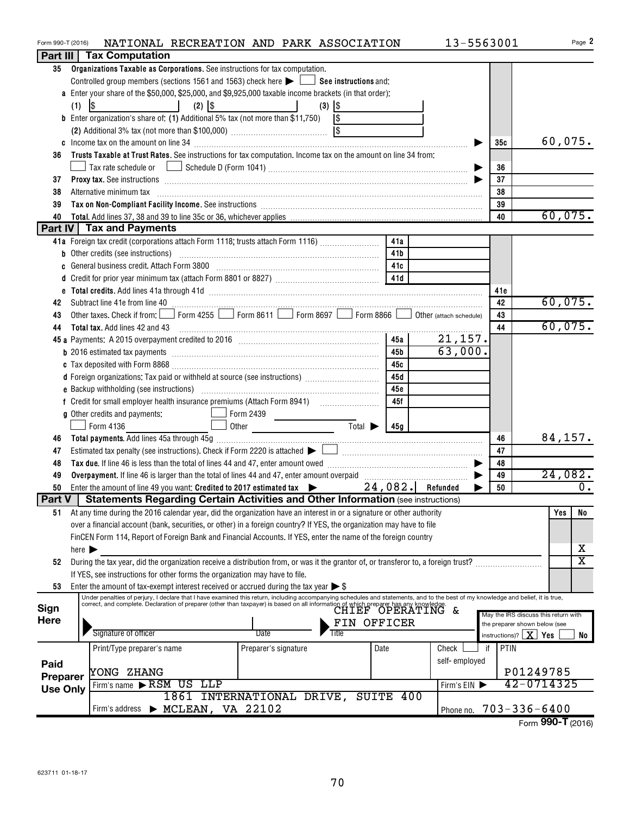| Form 990-T (2016) |                            |                                                                                                                                                                                                                                | NATIONAL RECREATION AND PARK ASSOCIATION |                      |                                                                                         |                             |             | 13-5563001    |            |                               | Page 2                               |
|-------------------|----------------------------|--------------------------------------------------------------------------------------------------------------------------------------------------------------------------------------------------------------------------------|------------------------------------------|----------------------|-----------------------------------------------------------------------------------------|-----------------------------|-------------|---------------|------------|-------------------------------|--------------------------------------|
|                   |                            | Part III   Tax Computation                                                                                                                                                                                                     |                                          |                      |                                                                                         |                             |             |               |            |                               |                                      |
| 35                |                            | Organizations Taxable as Corporations. See instructions for tax computation.                                                                                                                                                   |                                          |                      |                                                                                         |                             |             |               |            |                               |                                      |
|                   |                            | Controlled group members (sections 1561 and 1563) check here $\blacktriangleright$ $\Box$ See instructions and:                                                                                                                |                                          |                      |                                                                                         |                             |             |               |            |                               |                                      |
|                   |                            | a Enter your share of the \$50,000, \$25,000, and \$9,925,000 taxable income brackets (in that order):                                                                                                                         |                                          |                      |                                                                                         |                             |             |               |            |                               |                                      |
|                   | (1)                        | \$<br>$\mathcal{L}(\mathcal{L})$ and $\mathcal{L}(\mathcal{L})$                                                                                                                                                                | $(2)$ $ $ \$                             |                      | $(3)$ $ $ \$                                                                            |                             |             |               |            |                               |                                      |
|                   |                            | <b>b</b> Enter organization's share of: (1) Additional 5% tax (not more than \$11,750)                                                                                                                                         |                                          |                      | \$                                                                                      |                             |             |               |            |                               |                                      |
|                   |                            |                                                                                                                                                                                                                                |                                          |                      |                                                                                         |                             |             |               |            |                               |                                      |
|                   |                            |                                                                                                                                                                                                                                |                                          |                      |                                                                                         |                             |             |               | 35c        |                               | 60,075.                              |
| 36                |                            | Trusts Taxable at Trust Rates. See instructions for tax computation. Income tax on the amount on line 34 from:                                                                                                                 |                                          |                      |                                                                                         |                             |             |               |            |                               |                                      |
|                   |                            |                                                                                                                                                                                                                                |                                          |                      |                                                                                         |                             |             |               | 36         |                               |                                      |
| 37                |                            | <b>Proxy tax.</b> See instructions <b>constructions b</b>                                                                                                                                                                      |                                          |                      |                                                                                         |                             |             |               | 37         |                               |                                      |
| 38                |                            |                                                                                                                                                                                                                                |                                          |                      |                                                                                         |                             |             |               | 38         |                               |                                      |
| 39                |                            | Alternative minimum tax information and the contract of the contract of the contract of the contract of the contract of the contract of the contract of the contract of the contract of the contract of the contract of the co |                                          |                      |                                                                                         |                             |             |               | 39         |                               |                                      |
|                   |                            |                                                                                                                                                                                                                                |                                          |                      |                                                                                         |                             |             |               | 40         |                               | 60,075.                              |
| 40                |                            | Part IV   Tax and Payments                                                                                                                                                                                                     |                                          |                      |                                                                                         |                             |             |               |            |                               |                                      |
|                   |                            |                                                                                                                                                                                                                                |                                          |                      |                                                                                         |                             |             |               |            |                               |                                      |
|                   |                            | 41a Foreign tax credit (corporations attach Form 1118; trusts attach Form 1116)                                                                                                                                                |                                          |                      |                                                                                         |                             | 41a         |               |            |                               |                                      |
|                   |                            |                                                                                                                                                                                                                                |                                          |                      |                                                                                         |                             | 41b         |               |            |                               |                                      |
|                   |                            | c General business credit. Attach Form 3800 [11] [11] Contract Contract Contract Contract Contract Contract Co                                                                                                                 |                                          |                      |                                                                                         |                             | 41c         |               |            |                               |                                      |
|                   |                            |                                                                                                                                                                                                                                |                                          |                      |                                                                                         |                             | 41d         |               |            |                               |                                      |
|                   |                            |                                                                                                                                                                                                                                |                                          |                      |                                                                                         |                             |             |               | 41e        |                               |                                      |
| 42                |                            |                                                                                                                                                                                                                                |                                          |                      |                                                                                         |                             |             |               | 42         |                               | 60,075.                              |
| 43                |                            | Other taxes. Check if from: Form 4255 Form 8611 Form 8697 Form 8866 O Other (attach schedule)                                                                                                                                  |                                          |                      |                                                                                         |                             |             |               | 43         |                               |                                      |
| 44                |                            |                                                                                                                                                                                                                                |                                          |                      |                                                                                         |                             |             |               | 44         |                               | 60,075.                              |
|                   |                            |                                                                                                                                                                                                                                |                                          |                      |                                                                                         |                             | 45a         | 21,157.       |            |                               |                                      |
|                   |                            |                                                                                                                                                                                                                                |                                          |                      |                                                                                         |                             | 45b         | 63,000.       |            |                               |                                      |
|                   |                            |                                                                                                                                                                                                                                |                                          |                      |                                                                                         |                             | 45с         |               |            |                               |                                      |
|                   |                            | d Foreign organizations: Tax paid or withheld at source (see instructions)                                                                                                                                                     |                                          |                      |                                                                                         |                             | 45d         |               |            |                               |                                      |
|                   |                            |                                                                                                                                                                                                                                |                                          |                      |                                                                                         |                             | 45e         |               |            |                               |                                      |
|                   |                            |                                                                                                                                                                                                                                |                                          |                      |                                                                                         |                             | 45f         |               |            |                               |                                      |
|                   |                            | g Other credits and payments:                                                                                                                                                                                                  | $\Box$ Form 2439                         |                      | $\mathcal{L}^{\text{max}}_{\text{max}}$ , where $\mathcal{L}^{\text{max}}_{\text{max}}$ |                             |             |               |            |                               |                                      |
|                   |                            | Form 4136                                                                                                                                                                                                                      |                                          |                      | Other <u>International</u>                                                              | $\overline{\mathrm{Total}}$ | 45g         |               |            |                               |                                      |
| 46                |                            |                                                                                                                                                                                                                                |                                          |                      |                                                                                         |                             |             |               | 46         |                               | 84,157.                              |
| 47                |                            |                                                                                                                                                                                                                                |                                          |                      |                                                                                         |                             |             |               | 47         |                               |                                      |
| 48                |                            |                                                                                                                                                                                                                                |                                          |                      |                                                                                         |                             |             |               | 48         |                               |                                      |
| 49                |                            |                                                                                                                                                                                                                                |                                          |                      |                                                                                         |                             |             |               | 49         |                               | 24,082.                              |
| 50                |                            | Enter the amount of line 49 you want: Credited to 2017 estimated tax $\rightarrow$ 24,082. Refunded                                                                                                                            |                                          |                      |                                                                                         |                             |             |               | 50         |                               | $\overline{0}$ .                     |
|                   |                            | Part V   Statements Regarding Certain Activities and Other Information (see instructions)                                                                                                                                      |                                          |                      |                                                                                         |                             |             |               |            |                               |                                      |
| 51                |                            | At any time during the 2016 calendar year, did the organization have an interest in or a signature or other authority                                                                                                          |                                          |                      |                                                                                         |                             |             |               |            |                               | Yes<br>No                            |
|                   |                            | over a financial account (bank, securities, or other) in a foreign country? If YES, the organization may have to file                                                                                                          |                                          |                      |                                                                                         |                             |             |               |            |                               |                                      |
|                   |                            | FinCEN Form 114, Report of Foreign Bank and Financial Accounts. If YES, enter the name of the foreign country                                                                                                                  |                                          |                      |                                                                                         |                             |             |               |            |                               |                                      |
|                   | here $\blacktriangleright$ |                                                                                                                                                                                                                                |                                          |                      |                                                                                         |                             |             |               |            |                               | х                                    |
| 52                |                            | During the tax year, did the organization receive a distribution from, or was it the grantor of, or transferor to, a foreign trust?                                                                                            |                                          |                      |                                                                                         |                             |             |               |            |                               | $\overline{\mathtt{x}}$              |
|                   |                            | If YES, see instructions for other forms the organization may have to file.                                                                                                                                                    |                                          |                      |                                                                                         |                             |             |               |            |                               |                                      |
| 53                |                            | Enter the amount of tax-exempt interest received or accrued during the tax year $\triangleright$ \$                                                                                                                            |                                          |                      |                                                                                         |                             |             |               |            |                               |                                      |
|                   |                            | Under penalties of perjury, I declare that I have examined this return, including accompanying schedules and statements, and to the best of my knowledge and belief, it is true,                                               |                                          |                      |                                                                                         |                             |             |               |            |                               |                                      |
| Sign              |                            | correct, and complete. Declaration of preparer (other than taxpayer) is based on all information of which preparer has any knowledge.                                                                                          |                                          |                      |                                                                                         |                             |             |               |            |                               |                                      |
| <b>Here</b>       |                            |                                                                                                                                                                                                                                |                                          |                      |                                                                                         |                             | FIN OFFICER |               |            | the preparer shown below (see | May the IRS discuss this return with |
|                   |                            | Signature of officer                                                                                                                                                                                                           |                                          | Date                 | Title                                                                                   |                             |             |               |            | instructions)? $\mid X \mid$  | Yes<br>No                            |
|                   |                            |                                                                                                                                                                                                                                |                                          |                      |                                                                                         |                             |             |               |            |                               |                                      |
|                   |                            | Print/Type preparer's name                                                                                                                                                                                                     |                                          | Preparer's signature |                                                                                         |                             | Date        | Check         | PTIN<br>if |                               |                                      |
| Paid              |                            |                                                                                                                                                                                                                                |                                          |                      |                                                                                         |                             |             | self-employed |            |                               |                                      |
| Preparer          |                            | YONG ZHANG                                                                                                                                                                                                                     |                                          |                      |                                                                                         |                             |             |               |            | P01249785                     |                                      |
| <b>Use Only</b>   |                            | Firm's name RSM US LLP                                                                                                                                                                                                         |                                          |                      |                                                                                         |                             |             | Firm's EIN    |            |                               | 42-0714325                           |
|                   |                            |                                                                                                                                                                                                                                | 1861 INTERNATIONAL DRIVE, SUITE 400      |                      |                                                                                         |                             |             |               |            |                               |                                      |
|                   |                            | Firm's address                                                                                                                                                                                                                 | $\triangleright$ MCLEAN, VA 22102        |                      |                                                                                         |                             |             | Phone no.     |            | $703 - 336 - 6400$            |                                      |
|                   |                            |                                                                                                                                                                                                                                |                                          |                      |                                                                                         |                             |             |               |            |                               | Form 990-T (2016)                    |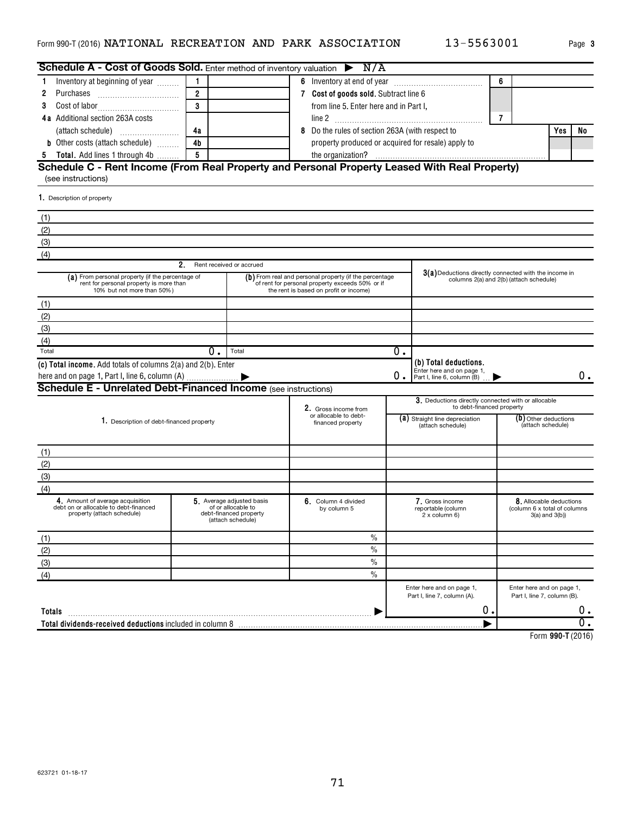|  | Page |
|--|------|
|  |      |

**3**

| Schedule A - Cost of Goods Sold. Enter method of inventory valuation ▶ N/A                                                |                         |                                                                   |                   |                                                                                                                                                     |    |                                                                                                  |   |                                                          |     |    |
|---------------------------------------------------------------------------------------------------------------------------|-------------------------|-------------------------------------------------------------------|-------------------|-----------------------------------------------------------------------------------------------------------------------------------------------------|----|--------------------------------------------------------------------------------------------------|---|----------------------------------------------------------|-----|----|
| Inventory at beginning of year <i>minimi</i><br>1                                                                         |                         |                                                                   |                   |                                                                                                                                                     |    | 6                                                                                                |   |                                                          |     |    |
| 2<br>Purchases                                                                                                            | $\overline{2}$          |                                                                   |                   | 7 Cost of goods sold. Subtract line 6                                                                                                               |    |                                                                                                  |   |                                                          |     |    |
| 3                                                                                                                         | $\overline{\mathbf{3}}$ |                                                                   |                   | from line 5. Enter here and in Part I,                                                                                                              |    |                                                                                                  |   |                                                          |     |    |
| <b>4a</b> Additional section 263A costs                                                                                   |                         |                                                                   |                   |                                                                                                                                                     |    |                                                                                                  | 7 |                                                          |     |    |
|                                                                                                                           | 4a                      |                                                                   |                   | Do the rules of section 263A (with respect to                                                                                                       |    |                                                                                                  |   |                                                          | Yes | No |
| <b>b</b> Other costs (attach schedule)                                                                                    | 4 <sub>b</sub>          |                                                                   |                   | property produced or acquired for resale) apply to                                                                                                  |    |                                                                                                  |   |                                                          |     |    |
| Total. Add lines 1 through 4b<br>5                                                                                        | 5                       |                                                                   |                   |                                                                                                                                                     |    |                                                                                                  |   |                                                          |     |    |
| Schedule C - Rent Income (From Real Property and Personal Property Leased With Real Property)                             |                         |                                                                   |                   |                                                                                                                                                     |    |                                                                                                  |   |                                                          |     |    |
| (see instructions)                                                                                                        |                         |                                                                   |                   |                                                                                                                                                     |    |                                                                                                  |   |                                                          |     |    |
| 1. Description of property                                                                                                |                         |                                                                   |                   |                                                                                                                                                     |    |                                                                                                  |   |                                                          |     |    |
| (1)                                                                                                                       |                         |                                                                   |                   |                                                                                                                                                     |    |                                                                                                  |   |                                                          |     |    |
| (2)                                                                                                                       |                         |                                                                   |                   |                                                                                                                                                     |    |                                                                                                  |   |                                                          |     |    |
| (3)                                                                                                                       |                         |                                                                   |                   |                                                                                                                                                     |    |                                                                                                  |   |                                                          |     |    |
| (4)                                                                                                                       |                         |                                                                   |                   |                                                                                                                                                     |    |                                                                                                  |   |                                                          |     |    |
|                                                                                                                           | 2.                      | Rent received or accrued                                          |                   |                                                                                                                                                     |    |                                                                                                  |   |                                                          |     |    |
| (a) From personal property (if the percentage of<br>rent for personal property is more than<br>10% but not more than 50%) |                         |                                                                   |                   | (b) From real and personal property (if the percentage<br>of rent for personal property exceeds 50% or if<br>the rent is based on profit or income) |    | 3(a) Deductions directly connected with the income in<br>columns 2(a) and 2(b) (attach schedule) |   |                                                          |     |    |
| (1)                                                                                                                       |                         |                                                                   |                   |                                                                                                                                                     |    |                                                                                                  |   |                                                          |     |    |
| (2)                                                                                                                       |                         |                                                                   |                   |                                                                                                                                                     |    |                                                                                                  |   |                                                          |     |    |
| (3)                                                                                                                       |                         |                                                                   |                   |                                                                                                                                                     |    |                                                                                                  |   |                                                          |     |    |
| (4)                                                                                                                       |                         |                                                                   |                   |                                                                                                                                                     |    |                                                                                                  |   |                                                          |     |    |
| Total                                                                                                                     | $0$ .                   | Total                                                             |                   |                                                                                                                                                     | 0. |                                                                                                  |   |                                                          |     |    |
| (c) Total income. Add totals of columns 2(a) and 2(b). Enter                                                              |                         |                                                                   |                   |                                                                                                                                                     |    | (b) Total deductions.                                                                            |   |                                                          |     |    |
|                                                                                                                           |                         |                                                                   |                   |                                                                                                                                                     | О. | Enter here and on page 1.<br>Part I, line 6, column (B)                                          |   |                                                          |     | 0. |
| <b>Schedule E - Unrelated Debt-Financed Income</b> (see instructions)                                                     |                         |                                                                   |                   |                                                                                                                                                     |    |                                                                                                  |   |                                                          |     |    |
|                                                                                                                           |                         |                                                                   |                   |                                                                                                                                                     |    | 3. Deductions directly connected with or allocable                                               |   |                                                          |     |    |
|                                                                                                                           |                         |                                                                   |                   | 2. Gross income from<br>or allocable to debt-                                                                                                       |    | to debt-financed property                                                                        |   |                                                          |     |    |
| 1. Description of debt-financed property                                                                                  |                         |                                                                   | financed property |                                                                                                                                                     |    | (a) Straight line depreciation<br>(attach schedule)                                              |   | $(b)$ Other deductions<br>(attach schedule)              |     |    |
|                                                                                                                           |                         |                                                                   |                   |                                                                                                                                                     |    |                                                                                                  |   |                                                          |     |    |
| (1)                                                                                                                       |                         |                                                                   |                   |                                                                                                                                                     |    |                                                                                                  |   |                                                          |     |    |
| (2)                                                                                                                       |                         |                                                                   |                   |                                                                                                                                                     |    |                                                                                                  |   |                                                          |     |    |
| (3)                                                                                                                       |                         |                                                                   |                   |                                                                                                                                                     |    |                                                                                                  |   |                                                          |     |    |
| (4)                                                                                                                       |                         |                                                                   |                   |                                                                                                                                                     |    |                                                                                                  |   |                                                          |     |    |
| 4. Amount of average acquisition                                                                                          |                         | 5. Average adjusted basis                                         |                   | 6. Column 4 divided                                                                                                                                 |    | 7. Gross income                                                                                  |   | 8. Allocable deductions                                  |     |    |
| debt on or allocable to debt-financed<br>property (attach schedule)                                                       |                         | of or allocable to<br>debt-financed property<br>(attach schedule) |                   | by column 5                                                                                                                                         |    | reportable (column<br>$2x$ column 6)                                                             |   | (column 6 x total of columns<br>$3(a)$ and $3(b)$ )      |     |    |
| (1)                                                                                                                       |                         |                                                                   |                   | $\%$                                                                                                                                                |    |                                                                                                  |   |                                                          |     |    |
| (2)                                                                                                                       |                         |                                                                   |                   | $\frac{0}{0}$                                                                                                                                       |    |                                                                                                  |   |                                                          |     |    |
| (3)                                                                                                                       |                         |                                                                   |                   | $\frac{0}{0}$                                                                                                                                       |    |                                                                                                  |   |                                                          |     |    |
| (4)                                                                                                                       |                         |                                                                   |                   | $\frac{0}{0}$                                                                                                                                       |    |                                                                                                  |   |                                                          |     |    |
|                                                                                                                           |                         |                                                                   |                   |                                                                                                                                                     |    | Enter here and on page 1,<br>Part I, line 7, column (A).                                         |   | Enter here and on page 1,<br>Part I, line 7, column (B). |     |    |
|                                                                                                                           |                         |                                                                   |                   |                                                                                                                                                     |    | 0.                                                                                               |   |                                                          |     | 0. |
| Totals                                                                                                                    |                         |                                                                   |                   |                                                                                                                                                     |    |                                                                                                  |   |                                                          |     |    |
|                                                                                                                           |                         |                                                                   |                   |                                                                                                                                                     |    |                                                                                                  |   |                                                          |     |    |

**990-T**  Form (2016)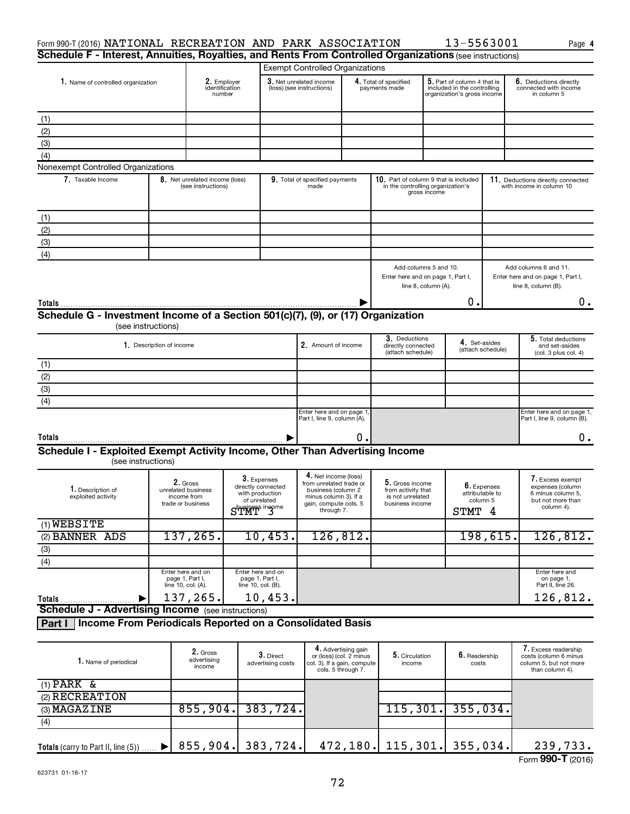| Form 990-T (2016) NATIONAL RECREATION AND PARK ASSOCIATION<br>Schedule F - Interest, Annuities, Royalties, and Rents From Controlled Organizations (see instructions)                                    |                                                            |                                         |                                                                                                                                       |                                                         |                                                                              |                                                          |                                                                                            | 13-5563001                                                                                   | Page 4                                                                                  |
|----------------------------------------------------------------------------------------------------------------------------------------------------------------------------------------------------------|------------------------------------------------------------|-----------------------------------------|---------------------------------------------------------------------------------------------------------------------------------------|---------------------------------------------------------|------------------------------------------------------------------------------|----------------------------------------------------------|--------------------------------------------------------------------------------------------|----------------------------------------------------------------------------------------------|-----------------------------------------------------------------------------------------|
|                                                                                                                                                                                                          |                                                            |                                         |                                                                                                                                       | <b>Exempt Controlled Organizations</b>                  |                                                                              |                                                          |                                                                                            |                                                                                              |                                                                                         |
| 1. Name of controlled organization                                                                                                                                                                       |                                                            | 2. Employer<br>identification<br>number |                                                                                                                                       | 3. Net unrelated income<br>(loss) (see instructions)    |                                                                              | 4. Total of specified<br>payments made                   | 5. Part of column 4 that is<br>included in the controlling<br>organization's gross income  |                                                                                              | 6. Deductions directly<br>connected with income<br>in column 5                          |
| (1)                                                                                                                                                                                                      |                                                            |                                         |                                                                                                                                       |                                                         |                                                                              |                                                          |                                                                                            |                                                                                              |                                                                                         |
| (2)                                                                                                                                                                                                      |                                                            |                                         |                                                                                                                                       |                                                         |                                                                              |                                                          |                                                                                            |                                                                                              |                                                                                         |
| (3)                                                                                                                                                                                                      |                                                            |                                         |                                                                                                                                       |                                                         |                                                                              |                                                          |                                                                                            |                                                                                              |                                                                                         |
| (4)                                                                                                                                                                                                      |                                                            |                                         |                                                                                                                                       |                                                         |                                                                              |                                                          |                                                                                            |                                                                                              |                                                                                         |
| Nonexempt Controlled Organizations                                                                                                                                                                       |                                                            |                                         |                                                                                                                                       |                                                         |                                                                              |                                                          |                                                                                            |                                                                                              |                                                                                         |
| 7. Taxable Income                                                                                                                                                                                        | 8. Net unrelated income (loss)<br>(see instructions)       |                                         |                                                                                                                                       | 9. Total of specified payments<br>made                  |                                                                              |                                                          | 10. Part of column 9 that is included<br>in the controlling organization's<br>gross income |                                                                                              | 11. Deductions directly connected<br>with income in column 10                           |
| (1)                                                                                                                                                                                                      |                                                            |                                         |                                                                                                                                       |                                                         |                                                                              |                                                          |                                                                                            |                                                                                              |                                                                                         |
| (2)                                                                                                                                                                                                      |                                                            |                                         |                                                                                                                                       |                                                         |                                                                              |                                                          |                                                                                            |                                                                                              |                                                                                         |
| (3)                                                                                                                                                                                                      |                                                            |                                         |                                                                                                                                       |                                                         |                                                                              |                                                          |                                                                                            |                                                                                              |                                                                                         |
| (4)                                                                                                                                                                                                      |                                                            |                                         |                                                                                                                                       |                                                         |                                                                              |                                                          |                                                                                            |                                                                                              |                                                                                         |
|                                                                                                                                                                                                          |                                                            |                                         |                                                                                                                                       |                                                         |                                                                              |                                                          | Add columns 5 and 10.<br>Enter here and on page 1, Part I,<br>line 8, column (A).<br>Ο.    |                                                                                              | Add columns 6 and 11.<br>Enter here and on page 1, Part I,<br>line 8, column (B).<br>0. |
| Schedule G - Investment Income of a Section 501(c)(7), (9), or (17) Organization                                                                                                                         | (see instructions)                                         |                                         |                                                                                                                                       |                                                         |                                                                              |                                                          |                                                                                            |                                                                                              |                                                                                         |
|                                                                                                                                                                                                          | 1. Description of income                                   |                                         |                                                                                                                                       | 2. Amount of income                                     |                                                                              | 3. Deductions<br>directly connected<br>(attach schedule) |                                                                                            | 4. Set-asides<br>(attach schedule)                                                           | 5. Total deductions<br>and set-asides<br>(col. 3 plus col. 4)                           |
| (1)                                                                                                                                                                                                      |                                                            |                                         |                                                                                                                                       |                                                         |                                                                              |                                                          |                                                                                            |                                                                                              |                                                                                         |
| (2)                                                                                                                                                                                                      |                                                            |                                         |                                                                                                                                       |                                                         |                                                                              |                                                          |                                                                                            |                                                                                              |                                                                                         |
| (3)                                                                                                                                                                                                      |                                                            |                                         |                                                                                                                                       |                                                         |                                                                              |                                                          |                                                                                            |                                                                                              |                                                                                         |
| (4)                                                                                                                                                                                                      |                                                            |                                         |                                                                                                                                       |                                                         |                                                                              |                                                          |                                                                                            |                                                                                              |                                                                                         |
|                                                                                                                                                                                                          |                                                            |                                         |                                                                                                                                       | Enter here and on page 1<br>Part I, line 9, column (A). |                                                                              |                                                          |                                                                                            |                                                                                              | Enter here and on page 1,<br>Part I, line 9, column (B).                                |
| Totals                                                                                                                                                                                                   |                                                            |                                         |                                                                                                                                       |                                                         | о.                                                                           |                                                          |                                                                                            |                                                                                              | $0 \cdot$                                                                               |
| Schedule I - Exploited Exempt Activity Income, Other Than Advertising Income<br>(see instructions)                                                                                                       |                                                            |                                         |                                                                                                                                       |                                                         |                                                                              |                                                          |                                                                                            |                                                                                              |                                                                                         |
| 3. Expenses<br>2. Gross<br>directly connected<br>1. Description of<br>unrelated business<br>with production<br>exploited activity<br>income from<br>of unrelated<br>trade or business<br>$Shuss$ in $Sh$ |                                                            |                                         | 4. Net income (loss)<br>from unrelated trade or<br>business (column 2<br>minus column 3). If a<br>gain, compute cols. 5<br>through 7. |                                                         | 5. Gross income<br>from activity that<br>is not unrelated<br>business income | 6. Expenses<br>attributable to<br>column 5<br>STMT 4     |                                                                                            | 7. Excess exempt<br>expenses (column<br>6 minus column 5.<br>but not more than<br>column 4). |                                                                                         |
| $(1)$ WEBSITE                                                                                                                                                                                            |                                                            |                                         |                                                                                                                                       |                                                         |                                                                              |                                                          |                                                                                            |                                                                                              |                                                                                         |
| (2) BANNER ADS                                                                                                                                                                                           | 137, 265.                                                  |                                         | 10,453.                                                                                                                               | 126,812.                                                |                                                                              |                                                          |                                                                                            | 198,615 <b>.</b>                                                                             | 126,812.                                                                                |
| (3)                                                                                                                                                                                                      |                                                            |                                         |                                                                                                                                       |                                                         |                                                                              |                                                          |                                                                                            |                                                                                              |                                                                                         |
| (4)                                                                                                                                                                                                      |                                                            |                                         |                                                                                                                                       |                                                         |                                                                              |                                                          |                                                                                            |                                                                                              |                                                                                         |
|                                                                                                                                                                                                          | Enter here and on<br>page 1, Part I,<br>line 10, col. (A). |                                         | Enter here and on<br>page 1, Part I,<br>line 10, col. (B).                                                                            |                                                         |                                                                              |                                                          |                                                                                            |                                                                                              | Enter here and<br>on page 1,<br>Part II, line 26.                                       |
| Totals                                                                                                                                                                                                   | 137,265.                                                   |                                         | $10,453$ .                                                                                                                            |                                                         |                                                                              |                                                          |                                                                                            |                                                                                              | 126,812.                                                                                |
| <b>Schedule J - Advertising Income</b> (see instructions)                                                                                                                                                |                                                            |                                         |                                                                                                                                       |                                                         |                                                                              |                                                          |                                                                                            |                                                                                              |                                                                                         |
| Part I   Income From Periodicals Reported on a Consolidated Basis                                                                                                                                        |                                                            |                                         |                                                                                                                                       |                                                         |                                                                              |                                                          |                                                                                            |                                                                                              |                                                                                         |
|                                                                                                                                                                                                          |                                                            |                                         |                                                                                                                                       |                                                         |                                                                              |                                                          |                                                                                            |                                                                                              | $\overline{\phantom{a}}$ .                                                              |

| I. Name of periodical               | 2. Gross<br>advertising<br>income | $3.$ Direct<br>advertising costs | 4. Advertising gain<br>or (loss) (col. 2 minus<br>col. 3). If a gain, compute<br>cols. 5 through 7. | 5. Circulation<br>income      | 6. Readership<br>costs | 7. Excess readership<br>costs (column 6 minus<br>column 5, but not more<br>than column 4). |
|-------------------------------------|-----------------------------------|----------------------------------|-----------------------------------------------------------------------------------------------------|-------------------------------|------------------------|--------------------------------------------------------------------------------------------|
| $(1)$ PARK &                        |                                   |                                  |                                                                                                     |                               |                        |                                                                                            |
| (2) RECREATION                      |                                   |                                  |                                                                                                     |                               |                        |                                                                                            |
| (3) MAGAZINE                        | 855,904.                          | 383, 724.                        |                                                                                                     | 115, 301.                     | 355,034.               |                                                                                            |
| (4)                                 |                                   |                                  |                                                                                                     |                               |                        |                                                                                            |
|                                     |                                   |                                  |                                                                                                     |                               |                        |                                                                                            |
| Totals (carry to Part II, line (5)) |                                   | $855,904.$ 383,724.              |                                                                                                     | 472, 180. 115, 301. 355, 034. |                        | 239,733.                                                                                   |
|                                     |                                   |                                  |                                                                                                     |                               |                        | Form 990-T (2016)                                                                          |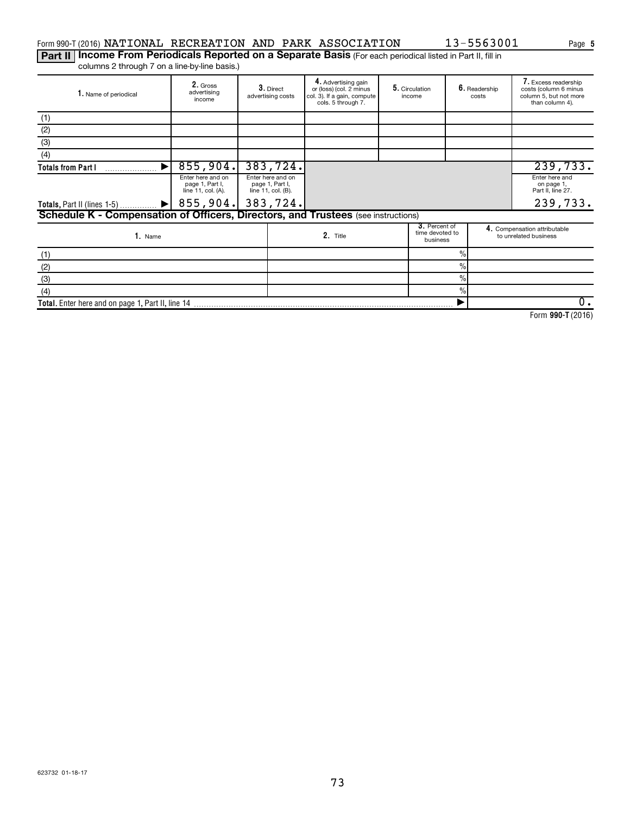## Form 990-T (2016) Page NATIONAL RECREATION AND PARK ASSOCIATION 13-5563001

Part II | Income From Periodicals Reported on a Separate Basis (For each periodical listed in Part II, fill in columns 2 through 7 on a line-by-line basis.)

| 1. Name of periodical                                                             | 2. Gross<br>3. Direct<br>advertising<br>advertising costs<br>income |                                                          |                                                            | 4. Advertising gain<br>or (loss) (col. 2 minus<br>col. 3). If a gain, compute<br>cols. 5 through 7. | 5. Circulation<br>income |                                                       | 6. Readership<br>costs |  | 7. Excess readership<br>costs (column 6 minus<br>column 5, but not more<br>than column 4). |
|-----------------------------------------------------------------------------------|---------------------------------------------------------------------|----------------------------------------------------------|------------------------------------------------------------|-----------------------------------------------------------------------------------------------------|--------------------------|-------------------------------------------------------|------------------------|--|--------------------------------------------------------------------------------------------|
| (1)                                                                               |                                                                     |                                                          |                                                            |                                                                                                     |                          |                                                       |                        |  |                                                                                            |
| (2)                                                                               |                                                                     |                                                          |                                                            |                                                                                                     |                          |                                                       |                        |  |                                                                                            |
| (3)                                                                               |                                                                     |                                                          |                                                            |                                                                                                     |                          |                                                       |                        |  |                                                                                            |
| (4)                                                                               |                                                                     |                                                          |                                                            |                                                                                                     |                          |                                                       |                        |  |                                                                                            |
| <b>Totals from Part I</b>                                                         | 855,904.                                                            |                                                          | 383,724.                                                   |                                                                                                     |                          |                                                       |                        |  | 239,733.                                                                                   |
|                                                                                   | Enter here and on<br>page 1, Part I,<br>line 11, col. (A).          |                                                          | Enter here and on<br>page 1, Part I,<br>line 11, col. (B). |                                                                                                     |                          |                                                       |                        |  | Enter here and<br>on page 1,<br>Part II, line 27.                                          |
|                                                                                   |                                                                     |                                                          |                                                            |                                                                                                     |                          |                                                       |                        |  | 239,733.                                                                                   |
| Schedule K - Compensation of Officers, Directors, and Trustees (see instructions) |                                                                     |                                                          |                                                            |                                                                                                     |                          |                                                       |                        |  |                                                                                            |
| 1. Name                                                                           |                                                                     | 3. Percent of<br>time devoted to<br>2. Title<br>business |                                                            |                                                                                                     |                          | 4. Compensation attributable<br>to unrelated business |                        |  |                                                                                            |
| (1)                                                                               |                                                                     |                                                          |                                                            |                                                                                                     |                          |                                                       | $\frac{0}{0}$          |  |                                                                                            |
| (2)                                                                               |                                                                     |                                                          |                                                            |                                                                                                     |                          |                                                       | $\frac{0}{0}$          |  |                                                                                            |
| (3)                                                                               |                                                                     |                                                          |                                                            |                                                                                                     |                          |                                                       | $\frac{0}{0}$          |  |                                                                                            |
| (4)                                                                               |                                                                     |                                                          |                                                            |                                                                                                     |                          |                                                       | $\%$                   |  |                                                                                            |
| <b>Total.</b> Enter here and on page 1, Part II, line 14                          |                                                                     |                                                          |                                                            |                                                                                                     |                          |                                                       |                        |  | 0.                                                                                         |

**990-T**  Form (2016)

**5**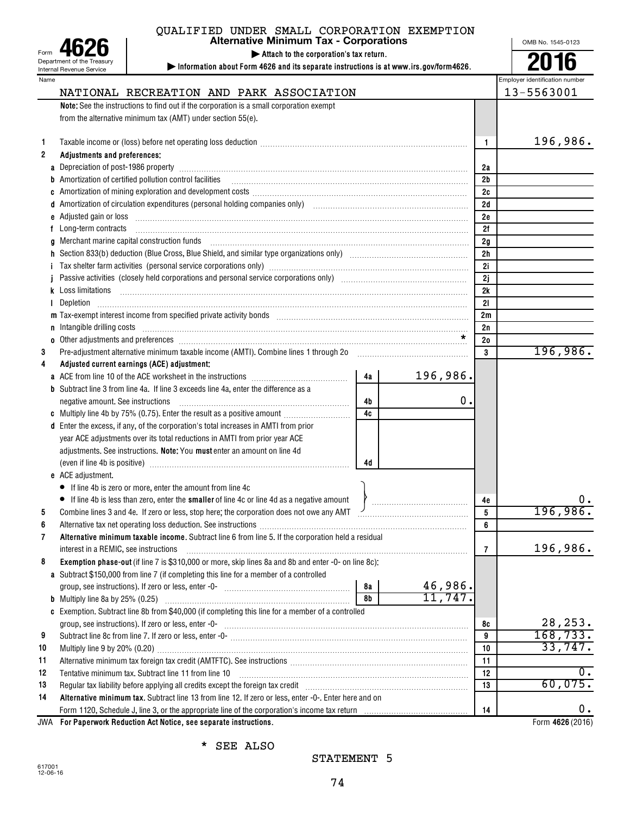| Form                            |  |  |  |  |  |  |  |  |
|---------------------------------|--|--|--|--|--|--|--|--|
| Department of the Treasury      |  |  |  |  |  |  |  |  |
| <b>Internal Revenue Service</b> |  |  |  |  |  |  |  |  |
|                                 |  |  |  |  |  |  |  |  |

# QUALIFIED UNDER SMALL CORPORATION EXEMPTION

**| Attach to the corporation's tax return.**

**| Information about Form 4626 and its separate instructions is at www.irs.gov/form4626.** Alternative Minimum Tax - Corporations <br> **Alternative Minimum Tax - Corporations**<br> **Altach to the corporation's tax return.**<br> **Altach to the corporation's tax return.**<br> **Altach to the corporation's tax return.**<br> **Altach to** 

| Name         |                                                                                                                                                                                                                                      |    |          |                | Employer identification number |
|--------------|--------------------------------------------------------------------------------------------------------------------------------------------------------------------------------------------------------------------------------------|----|----------|----------------|--------------------------------|
|              | NATIONAL RECREATION AND PARK ASSOCIATION                                                                                                                                                                                             |    |          |                | 13-5563001                     |
|              | Note: See the instructions to find out if the corporation is a small corporation exempt                                                                                                                                              |    |          |                |                                |
|              | from the alternative minimum tax (AMT) under section 55(e).                                                                                                                                                                          |    |          |                |                                |
|              |                                                                                                                                                                                                                                      |    |          |                |                                |
| 1            |                                                                                                                                                                                                                                      |    |          | 1              | 196,986.                       |
| $\mathbf{2}$ | Adjustments and preferences:                                                                                                                                                                                                         |    |          |                |                                |
| a            | Depreciation of post-1986 property [11, 2010] March 2010 (2010) March 2010 (2010) March 2010 (2010) March 2010                                                                                                                       |    |          | 2a             |                                |
|              | Amortization of certified pollution control facilities                                                                                                                                                                               |    |          | 2 <sub>b</sub> |                                |
|              | Amortization of mining exploration and development costs [11] matter content costs [11] mortization of mining exploration and development costs [11] matter content costs and content and content and content and content and        |    |          | 2c             |                                |
|              | Amortization of circulation expenditures (personal holding companies only) [11] [12] Communication of circulation expenditures (personal holding companies only) [12] [12] [12] Amortization of circulation expenditures (pers       |    |          | 2d             |                                |
| е            | Adjusted gain or loss with an accommodal control of the state of the state of the state of the state of the state of the state of the state of the state of the state of the state of the state of the state of the state of t       |    |          | 2e             |                                |
| f            | Long-term contracts                                                                                                                                                                                                                  |    |          | 2f             |                                |
| a            | Merchant marine capital construction funds                                                                                                                                                                                           |    |          | 2g             |                                |
|              |                                                                                                                                                                                                                                      |    |          | 2 <sub>h</sub> |                                |
|              |                                                                                                                                                                                                                                      |    |          | 2i             |                                |
|              | Passive activities (closely held corporations and personal service corporations only) [11] [12] non-manuscritions (closely held corporations and personal service corporations only)                                                 |    |          | 2j             |                                |
|              | k Loss limitations                                                                                                                                                                                                                   |    |          | 2k             |                                |
|              |                                                                                                                                                                                                                                      |    |          | 21             |                                |
|              | m Tax-exempt interest income from specified private activity bonds [11] match match match match income from specified private activity bonds [11] match match match match match match match match match match match match matc       |    |          | 2m             |                                |
| n            | Intangible drilling costs <b>with an accommodal contract and contract and contract and contract and contract and contract and contract and contract and contract and contract and contract and contract and contract and contrac</b> |    |          | 2n             |                                |
|              | o Other adjustments and preferences <b>contained a contained a contained a contained a contained a contained a contained a contained a contained a contained a contained a contained a contained a contained a contained a conta</b> |    |          | 20             |                                |
| 3            | Pre-adjustment alternative minimum taxable income (AMTI). Combine lines 1 through 20                                                                                                                                                 |    |          | 3              | 196,986.                       |
| 4            | Adjusted current earnings (ACE) adjustment:                                                                                                                                                                                          |    |          |                |                                |
|              |                                                                                                                                                                                                                                      | 4a | 196,986. |                |                                |
|              | <b>b</b> Subtract line 3 from line 4a. If line 3 exceeds line 4a, enter the difference as a                                                                                                                                          |    |          |                |                                |
|              | negative amount. See instructions                                                                                                                                                                                                    | 4b | 0.       |                |                                |
|              | c Multiply line 4b by 75% (0.75). Enter the result as a positive amount                                                                                                                                                              | 4c |          |                |                                |
|              | d Enter the excess, if any, of the corporation's total increases in AMTI from prior                                                                                                                                                  |    |          |                |                                |
|              | year ACE adjustments over its total reductions in AMTI from prior year ACE                                                                                                                                                           |    |          |                |                                |
|              | adjustments. See instructions. Note: You must enter an amount on line 4d                                                                                                                                                             |    |          |                |                                |
|              |                                                                                                                                                                                                                                      | 4d |          |                |                                |
|              | e ACE adjustment.                                                                                                                                                                                                                    |    |          |                |                                |
|              | • If line 4b is zero or more, enter the amount from line 4c                                                                                                                                                                          |    |          |                |                                |
|              | • If line 4b is less than zero, enter the smaller of line 4c or line 4d as a negative amount                                                                                                                                         |    |          | 4e             | υ.                             |
| 5            | Combine lines 3 and 4e. If zero or less, stop here; the corporation does not owe any AMT /                                                                                                                                           |    |          | 5              | 196,986.                       |
| 6            |                                                                                                                                                                                                                                      |    |          | 6              |                                |
|              | <b>Alternative minimum taxable income.</b> Subtract line 6 from line 5. If the corporation held a residual                                                                                                                           |    |          |                |                                |
|              | interest in a REMIC, see instructions                                                                                                                                                                                                |    |          | 7              | 196,986.                       |
| 8            | Exemption phase-out (if line 7 is \$310,000 or more, skip lines 8a and 8b and enter -0- on line 8c):                                                                                                                                 |    |          |                |                                |
|              | a Subtract \$150,000 from line 7 (if completing this line for a member of a controlled                                                                                                                                               |    |          |                |                                |
|              |                                                                                                                                                                                                                                      | 8а | 46,986.  |                |                                |
|              |                                                                                                                                                                                                                                      | 8b | 11,747.  |                |                                |
|              | c Exemption. Subtract line 8b from \$40,000 (if completing this line for a member of a controlled                                                                                                                                    |    |          |                |                                |
|              | group, see instructions). If zero or less, enter -0- www.communicalism.communicalism.com/                                                                                                                                            |    |          | 8с             | 28, 253.                       |
| 9            |                                                                                                                                                                                                                                      |    |          | 9              | 168, 733.                      |
| 10           | Multiply line 9 by 20% (0.20) [11, 12, 13, 13, 13, 13, 13, 13, 13, 14, 15, 16, 17, 18, 18, 18, 18, 18, 18, 18, 19, 1                                                                                                                 |    |          | 10             | 33,747.                        |
| 11           |                                                                                                                                                                                                                                      |    |          | 11             |                                |
| 12           | Tentative minimum tax. Subtract line 11 from line 10                                                                                                                                                                                 |    |          | 12             | $0$ .                          |
| 13           | Regular tax liability before applying all credits except the foreign tax credit [11] [11] [11] Regular tax liability before applying all credits except the foreign tax credit                                                       |    |          | 13             | 60,075.                        |
| 14           | Alternative minimum tax. Subtract line 13 from line 12. If zero or less, enter -0-. Enter here and on                                                                                                                                |    |          |                |                                |
|              |                                                                                                                                                                                                                                      |    |          | 14             | 0.                             |
| JWA          | For Paperwork Reduction Act Notice, see separate instructions.                                                                                                                                                                       |    |          |                | Form 4626 (2016)               |

\* SEE ALSO

# STATEMENT 5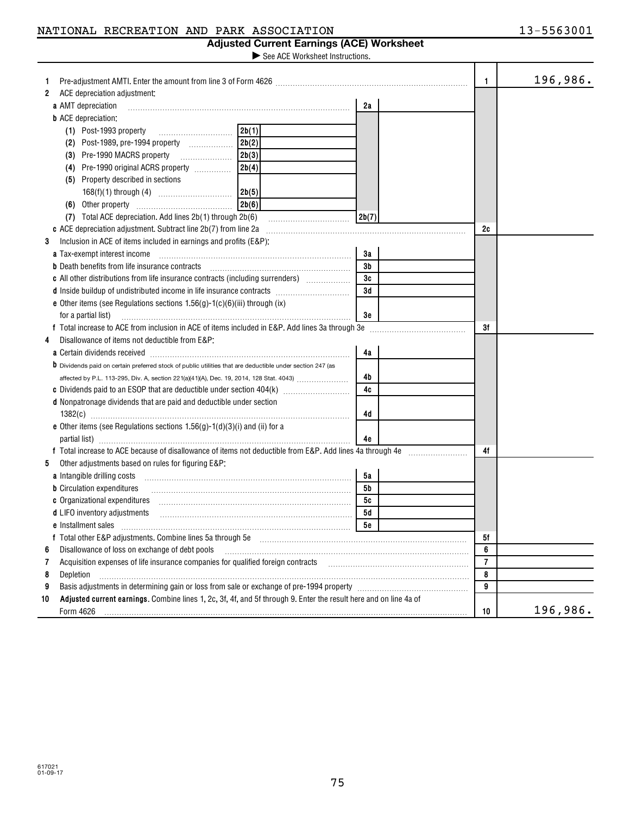| NATIONAL RECREATION AND PARK ASSOCIATION |  |  |  |  |
|------------------------------------------|--|--|--|--|
|------------------------------------------|--|--|--|--|

### **Adjusted Current Earnings (ACE) Worksheet**

See ACE Worksheet Instructions.  $\blacktriangleright$ 

|                                                                                                                                                                                                                                |       |       | $\mathbf{1}$   | 196,986. |
|--------------------------------------------------------------------------------------------------------------------------------------------------------------------------------------------------------------------------------|-------|-------|----------------|----------|
| ACE depreciation adjustment:<br>$\mathbf{2}$                                                                                                                                                                                   |       |       |                |          |
| a AMT depreciation                                                                                                                                                                                                             |       | 2a    |                |          |
| <b>b</b> ACE depreciation:                                                                                                                                                                                                     |       |       |                |          |
| (1) Post-1993 property                                                                                                                                                                                                         | 2b(1) |       |                |          |
|                                                                                                                                                                                                                                |       |       |                |          |
|                                                                                                                                                                                                                                | 2b(3) |       |                |          |
| (4) Pre-1990 original ACRS property                                                                                                                                                                                            | 2b(4) |       |                |          |
| (5) Property described in sections                                                                                                                                                                                             |       |       |                |          |
|                                                                                                                                                                                                                                | 2b(5) |       |                |          |
| (6) Other property                                                                                                                                                                                                             | 2b(6) |       |                |          |
| (7) Total ACE depreciation. Add lines 2b(1) through 2b(6)                                                                                                                                                                      |       | 2b(7) |                |          |
| c ACE depreciation adjustment. Subtract line 2b(7) from line 2a                                                                                                                                                                |       |       | 2c             |          |
| Inclusion in ACE of items included in earnings and profits (E&P):<br>3                                                                                                                                                         |       |       |                |          |
| a Tax-exempt interest income                                                                                                                                                                                                   |       | За    |                |          |
| <b>b</b> Death benefits from life insurance contracts                                                                                                                                                                          |       | 3b    |                |          |
| <b>c</b> All other distributions from life insurance contracts (including surrenders)                                                                                                                                          |       | 3c    |                |          |
|                                                                                                                                                                                                                                |       | 3d    |                |          |
| e Other items (see Regulations sections $1.56(g)$ - $1(c)(6)(iii)$ through (ix)                                                                                                                                                |       |       |                |          |
| for a partial list)                                                                                                                                                                                                            |       | Зе    |                |          |
| f Total increase to ACE from inclusion in ACE of items included in E&P. Add lines 3a through 3e                                                                                                                                |       |       | 3f             |          |
| Disallowance of items not deductible from E&P:<br>4                                                                                                                                                                            |       |       |                |          |
| a Certain dividends received [111] [12] contract the Certain dividends received [11] [12] contract the Certain dividends received [11] [12] and contract the Certain dividends received [12] [12] and contract the Certain div |       | 4a    |                |          |
| <b>b</b> Dividends paid on certain preferred stock of public utilities that are deductible under section 247 (as                                                                                                               |       |       |                |          |
| affected by P.L. 113-295, Div. A, section 221(a)(41)(A), Dec. 19, 2014, 128 Stat. 4043)                                                                                                                                        |       | 4b    |                |          |
|                                                                                                                                                                                                                                |       | 4c    |                |          |
| d Nonpatronage dividends that are paid and deductible under section                                                                                                                                                            |       |       |                |          |
|                                                                                                                                                                                                                                |       | 4d    |                |          |
| e Other items (see Regulations sections $1.56(g) - 1(d)(3)(i)$ and (ii) for a                                                                                                                                                  |       |       |                |          |
|                                                                                                                                                                                                                                |       | 4e    |                |          |
| f Total increase to ACE because of disallowance of items not deductible from E&P. Add lines 4a through 4e                                                                                                                      |       |       | 4f             |          |
| 5<br>Other adjustments based on rules for figuring E&P:                                                                                                                                                                        |       |       |                |          |
| a Intangible drilling costs                                                                                                                                                                                                    |       | 5a    |                |          |
| <b>b</b> Circulation expenditures                                                                                                                                                                                              |       | 5b    |                |          |
| c Organizational expenditures                                                                                                                                                                                                  |       | 5с    |                |          |
| d LIFO inventory adjustments                                                                                                                                                                                                   |       | 5d    |                |          |
| e Installment sales                                                                                                                                                                                                            |       | 5e    |                |          |
|                                                                                                                                                                                                                                |       |       | 5f             |          |
| Disallowance of loss on exchange of debt pools<br>6                                                                                                                                                                            |       |       | 6              |          |
| Acquisition expenses of life insurance companies for qualified foreign contracts<br>7                                                                                                                                          |       |       | $\overline{7}$ |          |
| Depletion<br>8                                                                                                                                                                                                                 |       |       | 8              |          |
| 9                                                                                                                                                                                                                              |       |       | 9              |          |
| Adjusted current earnings. Combine lines 1, 2c, 3f, 4f, and 5f through 9. Enter the result here and on line 4a of<br>10                                                                                                        |       |       |                |          |
| Form 4626                                                                                                                                                                                                                      |       |       | 10             | 196,986. |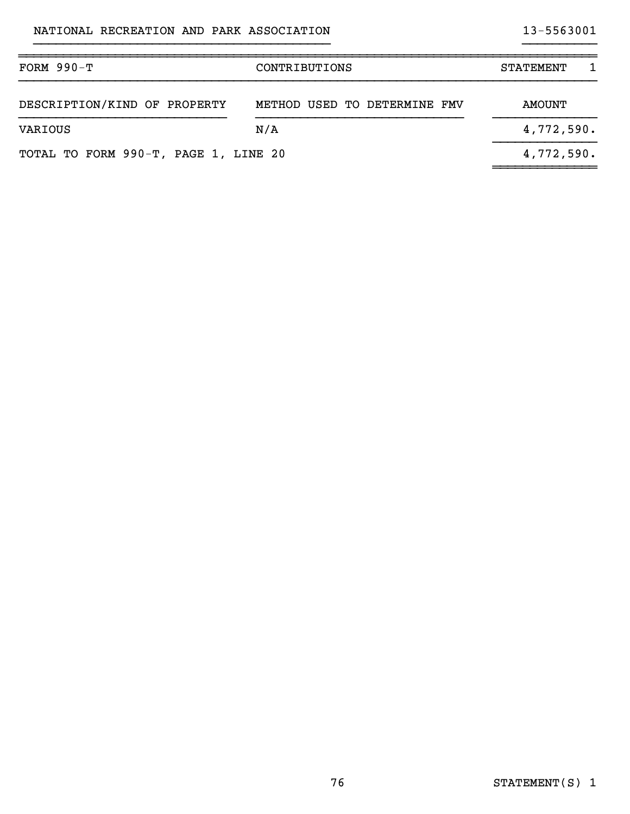| $FORM 990-T$<br>CONTRIBUTIONS        |                              | <b>STATEMENT</b> |
|--------------------------------------|------------------------------|------------------|
| DESCRIPTION/KIND OF PROPERTY         | METHOD USED TO DETERMINE FMV | AMOUNT           |
| VARIOUS                              | N/A                          | 4,772,590.       |
| TOTAL TO FORM 990-T, PAGE 1, LINE 20 |                              | 4,772,590.       |

}}}}}}}}}}}}}}}}}}}}}}}}}}}}}}}}}}}}}}}} }}}}}}}}}}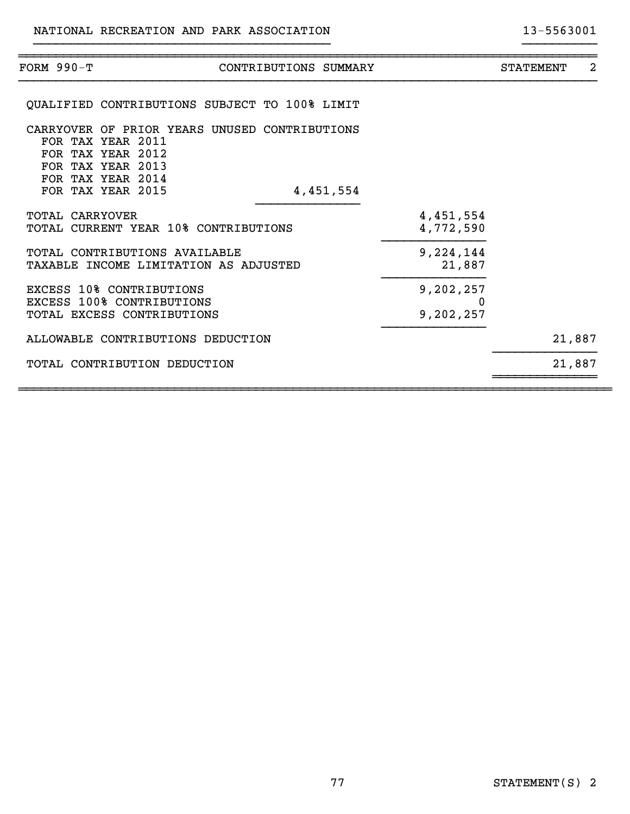| FORM 990-T             | CONTRIBUTIONS SUMMARY                                                                                                             |                             | <b>STATEMENT</b> | 2 |
|------------------------|-----------------------------------------------------------------------------------------------------------------------------------|-----------------------------|------------------|---|
|                        | QUALIFIED CONTRIBUTIONS SUBJECT TO 100% LIMIT                                                                                     |                             |                  |   |
|                        | CARRYOVER OF PRIOR YEARS UNUSED CONTRIBUTIONS<br>FOR TAX YEAR 2011<br>FOR TAX YEAR 2012<br>FOR TAX YEAR 2013<br>FOR TAX YEAR 2014 |                             |                  |   |
|                        | FOR TAX YEAR 2015<br>4,451,554                                                                                                    |                             |                  |   |
| <b>TOTAL CARRYOVER</b> | TOTAL CURRENT YEAR 10% CONTRIBUTIONS                                                                                              | 4,451,554<br>4,772,590      |                  |   |
|                        | TOTAL CONTRIBUTIONS AVAILABLE<br>TAXABLE INCOME LIMITATION AS ADJUSTED                                                            | 9,224,144<br>21,887         |                  |   |
|                        | <b>EXCESS 10% CONTRIBUTIONS</b><br><b>EXCESS 100% CONTRIBUTIONS</b><br>TOTAL EXCESS CONTRIBUTIONS                                 | 9,202,257<br>0<br>9,202,257 |                  |   |
|                        | ALLOWABLE CONTRIBUTIONS DEDUCTION                                                                                                 |                             | 21,887           |   |
|                        | TOTAL CONTRIBUTION DEDUCTION                                                                                                      |                             | 21,887           |   |
|                        |                                                                                                                                   |                             |                  |   |

}}}}}}}}}}}}}}}}}}}}}}}}}}}}}}}}}}}}}}}} }}}}}}}}}}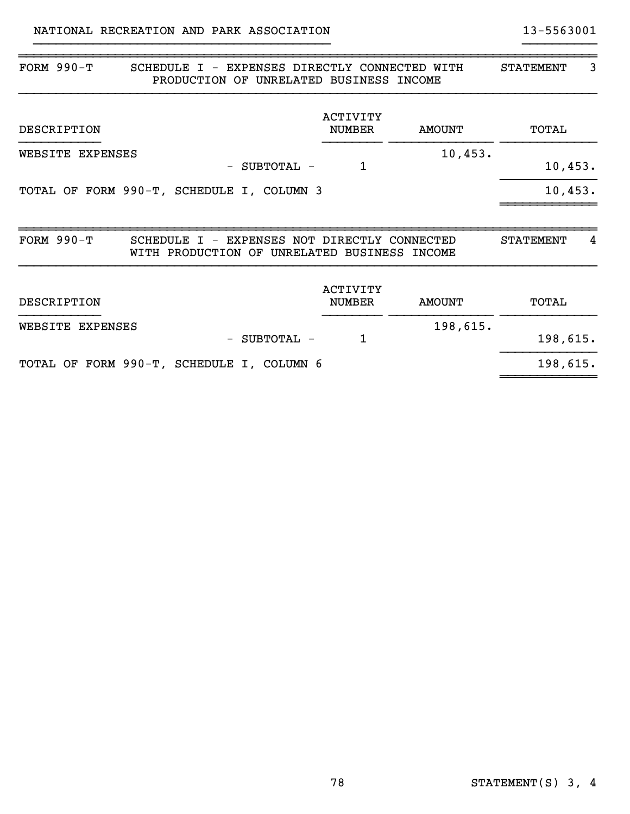| FORM $990-T$<br><b>SCHEDULE</b><br>$\top$<br>$\overline{\phantom{m}}$<br>PRODUCTION OF UNRELATED BUSINESS INCOME | EXPENSES DIRECTLY CONNECTED WITH |               | <b>STATEMENT</b><br>3 |
|------------------------------------------------------------------------------------------------------------------|----------------------------------|---------------|-----------------------|
| DESCRIPTION                                                                                                      | ACTIVITY<br><b>NUMBER</b>        | <b>AMOUNT</b> | TOTAL                 |
| WEBSITE EXPENSES<br>SUBTOTAL -<br>$\qquad \qquad -$                                                              | 1                                | 10,453.       | 10,453.               |
| TOTAL OF FORM 990-T, SCHEDULE I, COLUMN 3                                                                        |                                  |               | 10,453.               |
| FORM $990-T$<br>SCHEDULE I - EXPENSES NOT DIRECTLY CONNECTED<br>WITH PRODUCTION OF UNRELATED BUSINESS INCOME     |                                  |               | <b>STATEMENT</b><br>4 |
| DESCRIPTION                                                                                                      | <b>ACTIVITY</b><br><b>NUMBER</b> | <b>AMOUNT</b> | TOTAL                 |
| WEBSITE EXPENSES<br>SUBTOTAL -<br>$\qquad \qquad -$                                                              | 1                                | 198,615.      | 198,615.              |
| TOTAL OF FORM 990-T, SCHEDULE I, COLUMN 6                                                                        |                                  |               | 198,615.              |

}}}}}}}}}}}}}}}}}}}}}}}}}}}}}}}}}}}}}}}} }}}}}}}}}}